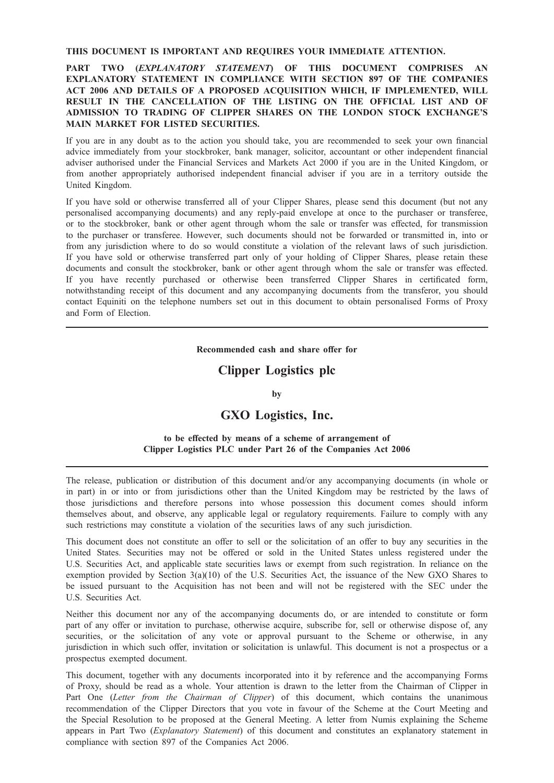### THIS DOCUMENT IS IMPORTANT AND REQUIRES YOUR IMMEDIATE ATTENTION.

# PART TWO *(EXPLANATORY STATEMENT)* OF THIS DOCUMENT COMPRISES AN<br>EXPLANATORY STATEMENT IN COMPLIANCE WITH SECTION 897 OF THE COMPANIES ACT 2006 AND DETAILS OF A PROPOSED ACQUISITION WHICH, IF IMPLEMENTED, WILL RESULT IN THE CANCELLATION OF THE LISTING ON THE OFFICIAL LIST AND OF ADMISSION TO TRADING OF CLIPPER SHARES ON THE LONDON STOCK EXCHANGE'S MAIN MARKET FOR LISTED SECURITIES.

If you are in any doubt as to the action you should take, you are recommended to seek your own financial advice immediately from your stockbroker, bank manager, solicitor, accountant or other independent financial adviser authorised under the Financial Services and Markets Act 2000 if you are in the United Kingdom, or from another appropriately authorised independent financial adviser if you are in a territory outside the United Kingdom.

If you have sold or otherwise transferred all of your Clipper Shares, please send this document (but not any personalised accompanying documents) and any reply-paid envelope at once to the purchaser or transferee, or to the stockbroker, bank or other agent through whom the sale or transfer was effected, for transmission to the purchaser or transferee. However, such documents should not be forwarded or transmitted in, into or from any jurisdiction where to do so would constitute a violation of the relevant laws of such jurisdiction. If you have sold or otherwise transferred part only of your holding of Clipper Shares, please retain these documents and consult the stockbroker, bank or other agent through whom the sale or transfer was effected. If you have recently purchased or otherwise been transferred Clipper Shares in certificated form, notwithstanding receipt of this document and any accompanying documents from the transferor, you should contact Equiniti on the telephone numbers set out in this document to obtain personalised Forms of Proxy and Form of Election.

# Recommended cash and share offer for

# Clipper Logistics plc

### by

# GXO Logistics, Inc.

## to be effected by means of a scheme of arrangement of Clipper Logistics PLC under Part 26 of the Companies Act 2006

The release, publication or distribution of this document and/or any accompanying documents (in whole or in part) in or into or from jurisdictions other than the United Kingdom may be restricted by the laws of those jurisdictions and therefore persons into whose possession this document comes should inform themselves about, and observe, any applicable legal or regulatory requirements. Failure to comply with any such restrictions may constitute a violation of the securities laws of any such jurisdiction.

This document does not constitute an offer to sell or the solicitation of an offer to buy any securities in the United States. Securities may not be offered or sold in the United States unless registered under the U.S. Securities Act, and applicable state securities laws or exempt from such registration. In reliance on the exemption provided by Section 3(a)(10) of the U.S. Securities Act, the issuance of the New GXO Shares to be issued pursuant to the Acquisition has not been and will not be registered with the SEC under the U.S. Securities Act.

Neither this document nor any of the accompanying documents do, or are intended to constitute or form part of any offer or invitation to purchase, otherwise acquire, subscribe for, sell or otherwise dispose of, any securities, or the solicitation of any vote or approval pursuant to the Scheme or otherwise, in any jurisdiction in which such offer, invitation or solicitation is unlawful. This document is not a prospectus or a prospectus exempted document.

This document, together with any documents incorporated into it by reference and the accompanying Forms of Proxy, should be read as a whole. Your attention is drawn to the letter from the Chairman of Clipper in Part One (Letter from the Chairman of Clipper) of this document, which contains the unanimous recommendation of the Clipper Directors that you vote in favour of the Scheme at the Court Meeting and the Special Resolution to be proposed at the General Meeting. A letter from Numis explaining the Scheme appears in Part Two (Explanatory Statement) of this document and constitutes an explanatory statement in compliance with section 897 of the Companies Act 2006.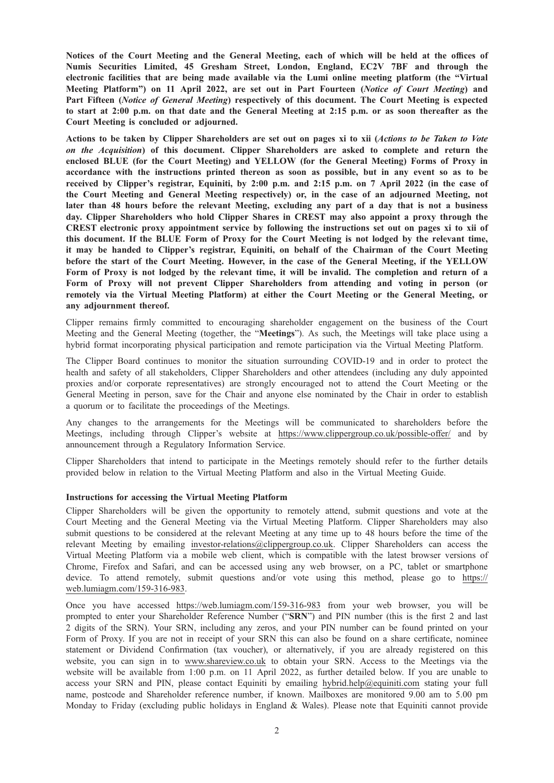Notices of the Court Meeting and the General Meeting, each of which will be held at the offices of Numis Securities Limited, 45 Gresham Street, London, England, EC2V 7BF and through the electronic facilities that are being made available via the Lumi online meeting platform (the "Virtual Meeting Platform") on 11 April 2022, are set out in Part Fourteen (Notice of Court Meeting) and Part Fifteen (Notice of General Meeting) respectively of this document. The Court Meeting is expected to start at 2:00 p.m. on that date and the General Meeting at 2:15 p.m. or as soon thereafter as the Court Meeting is concluded or adjourned.

Actions to be taken by Clipper Shareholders are set out on pages xi to xii (Actions to be Taken to Vote on the Acquisition) of this document. Clipper Shareholders are asked to complete and return the enclosed BLUE (for the Court Meeting) and YELLOW (for the General Meeting) Forms of Proxy in accordance with the instructions printed thereon as soon as possible, but in any event so as to be received by Clipper's registrar, Equiniti, by 2:00 p.m. and 2:15 p.m. on 7 April 2022 (in the case of the Court Meeting and General Meeting respectively) or, in the case of an adjourned Meeting, not later than 48 hours before the relevant Meeting, excluding any part of a day that is not a business day. Clipper Shareholders who hold Clipper Shares in CREST may also appoint a proxy through the CREST electronic proxy appointment service by following the instructions set out on pages xi to xii of this document. If the BLUE Form of Proxy for the Court Meeting is not lodged by the relevant time, it may be handed to Clipper's registrar, Equiniti, on behalf of the Chairman of the Court Meeting before the start of the Court Meeting. However, in the case of the General Meeting, if the YELLOW Form of Proxy is not lodged by the relevant time, it will be invalid. The completion and return of a Form of Proxy will not prevent Clipper Shareholders from attending and voting in person (or remotely via the Virtual Meeting Platform) at either the Court Meeting or the General Meeting, or any adjournment thereof.

Clipper remains firmly committed to encouraging shareholder engagement on the business of the Court Meeting and the General Meeting (together, the "Meetings"). As such, the Meetings will take place using a hybrid format incorporating physical participation and remote participation via the Virtual Meeting Platform.

The Clipper Board continues to monitor the situation surrounding COVID-19 and in order to protect the health and safety of all stakeholders, Clipper Shareholders and other attendees (including any duly appointed proxies and/or corporate representatives) are strongly encouraged not to attend the Court Meeting or the General Meeting in person, save for the Chair and anyone else nominated by the Chair in order to establish a quorum or to facilitate the proceedings of the Meetings.

Any changes to the arrangements for the Meetings will be communicated to shareholders before the Meetings, including through Clipper's website at https://www.clippergroup.co.uk/possible-offer/ and by announcement through a Regulatory Information Service.

Clipper Shareholders that intend to participate in the Meetings remotely should refer to the further details provided below in relation to the Virtual Meeting Platform and also in the Virtual Meeting Guide.

### Instructions for accessing the Virtual Meeting Platform

Clipper Shareholders will be given the opportunity to remotely attend, submit questions and vote at the Court Meeting and the General Meeting via the Virtual Meeting Platform. Clipper Shareholders may also submit questions to be considered at the relevant Meeting at any time up to 48 hours before the time of the relevant Meeting by emailing investor-relations@clippergroup.co.uk. Clipper Shareholders can access the Virtual Meeting Platform via a mobile web client, which is compatible with the latest browser versions of Chrome, Firefox and Safari, and can be accessed using any web browser, on a PC, tablet or smartphone device. To attend remotely, submit questions and/or vote using this method, please go to https:// web.lumiagm.com/159-316-983.

Once you have accessed https://web.lumiagm.com/159-316-983 from your web browser, you will be prompted to enter your Shareholder Reference Number ("SRN") and PIN number (this is the first 2 and last 2 digits of the SRN). Your SRN, including any zeros, and your PIN number can be found printed on your Form of Proxy. If you are not in receipt of your SRN this can also be found on a share certificate, nominee statement or Dividend Confirmation (tax voucher), or alternatively, if you are already registered on this website, you can sign in to www.shareview.co.uk to obtain your SRN. Access to the Meetings via the website will be available from 1:00 p.m. on 11 April 2022, as further detailed below. If you are unable to access your SRN and PIN, please contact Equiniti by emailing hybrid.help@equiniti.com stating your full name, postcode and Shareholder reference number, if known. Mailboxes are monitored 9.00 am to 5.00 pm Monday to Friday (excluding public holidays in England & Wales). Please note that Equiniti cannot provide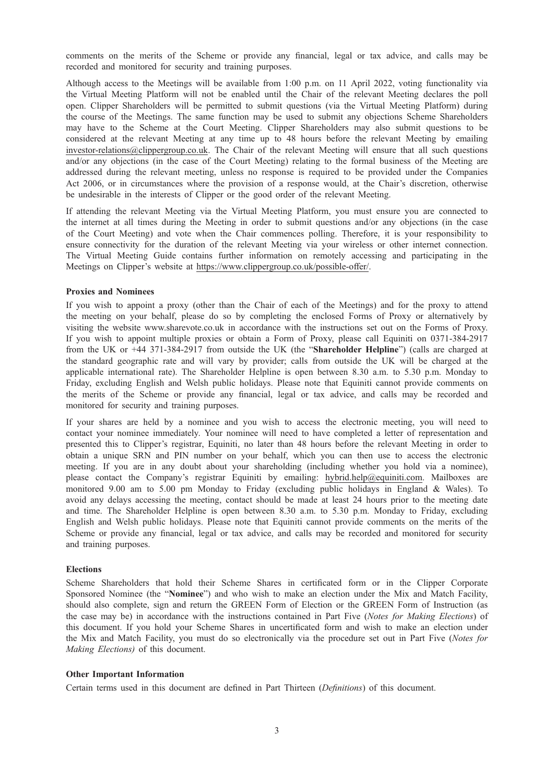comments on the merits of the Scheme or provide any financial, legal or tax advice, and calls may be recorded and monitored for security and training purposes.

Although access to the Meetings will be available from 1:00 p.m. on 11 April 2022, voting functionality via the Virtual Meeting Platform will not be enabled until the Chair of the relevant Meeting declares the poll open. Clipper Shareholders will be permitted to submit questions (via the Virtual Meeting Platform) during the course of the Meetings. The same function may be used to submit any objections Scheme Shareholders may have to the Scheme at the Court Meeting. Clipper Shareholders may also submit questions to be considered at the relevant Meeting at any time up to 48 hours before the relevant Meeting by emailing investor-relations@clippergroup.co.uk. The Chair of the relevant Meeting will ensure that all such questions and/or any objections (in the case of the Court Meeting) relating to the formal business of the Meeting are addressed during the relevant meeting, unless no response is required to be provided under the Companies Act 2006, or in circumstances where the provision of a response would, at the Chair's discretion, otherwise be undesirable in the interests of Clipper or the good order of the relevant Meeting.

If attending the relevant Meeting via the Virtual Meeting Platform, you must ensure you are connected to the internet at all times during the Meeting in order to submit questions and/or any objections (in the case of the Court Meeting) and vote when the Chair commences polling. Therefore, it is your responsibility to ensure connectivity for the duration of the relevant Meeting via your wireless or other internet connection. The Virtual Meeting Guide contains further information on remotely accessing and participating in the Meetings on Clipper's website at https://www.clippergroup.co.uk/possible-offer/.

### Proxies and Nominees

If you wish to appoint a proxy (other than the Chair of each of the Meetings) and for the proxy to attend the meeting on your behalf, please do so by completing the enclosed Forms of Proxy or alternatively by visiting the website www.sharevote.co.uk in accordance with the instructions set out on the Forms of Proxy. If you wish to appoint multiple proxies or obtain a Form of Proxy, please call Equiniti on 0371-384-2917 from the UK or +44 371-384-2917 from outside the UK (the "Shareholder Helpline") (calls are charged at the standard geographic rate and will vary by provider; calls from outside the UK will be charged at the applicable international rate). The Shareholder Helpline is open between 8.30 a.m. to 5.30 p.m. Monday to Friday, excluding English and Welsh public holidays. Please note that Equiniti cannot provide comments on the merits of the Scheme or provide any financial, legal or tax advice, and calls may be recorded and monitored for security and training purposes.

If your shares are held by a nominee and you wish to access the electronic meeting, you will need to contact your nominee immediately. Your nominee will need to have completed a letter of representation and presented this to Clipper's registrar, Equiniti, no later than 48 hours before the relevant Meeting in order to obtain a unique SRN and PIN number on your behalf, which you can then use to access the electronic meeting. If you are in any doubt about your shareholding (including whether you hold via a nominee), please contact the Company's registrar Equiniti by emailing: hybrid.help@equiniti.com. Mailboxes are monitored 9.00 am to 5.00 pm Monday to Friday (excluding public holidays in England & Wales). To avoid any delays accessing the meeting, contact should be made at least 24 hours prior to the meeting date and time. The Shareholder Helpline is open between 8.30 a.m. to 5.30 p.m. Monday to Friday, excluding English and Welsh public holidays. Please note that Equiniti cannot provide comments on the merits of the Scheme or provide any financial, legal or tax advice, and calls may be recorded and monitored for security and training purposes.

### Elections

Scheme Shareholders that hold their Scheme Shares in certificated form or in the Clipper Corporate Sponsored Nominee (the "Nominee") and who wish to make an election under the Mix and Match Facility, should also complete, sign and return the GREEN Form of Election or the GREEN Form of Instruction (as the case may be) in accordance with the instructions contained in Part Five (Notes for Making Elections) of this document. If you hold your Scheme Shares in uncertificated form and wish to make an election under the Mix and Match Facility, you must do so electronically via the procedure set out in Part Five (Notes for Making Elections) of this document.

### Other Important Information

Certain terms used in this document are defined in Part Thirteen (Definitions) of this document.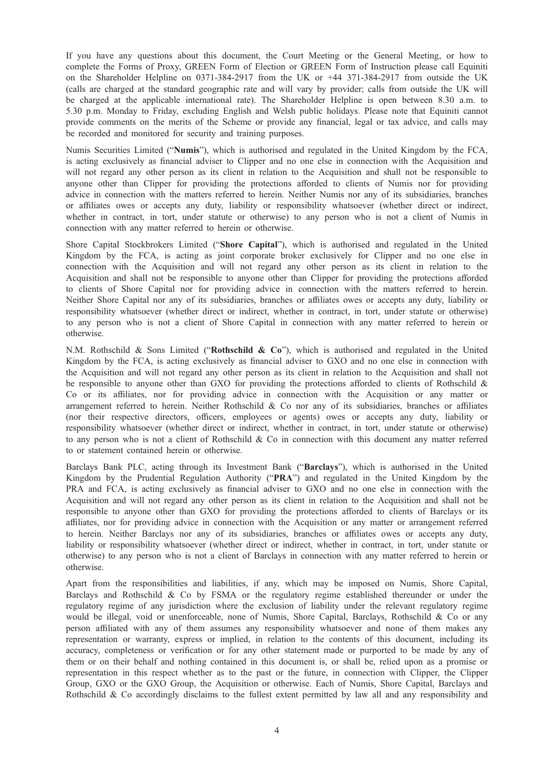If you have any questions about this document, the Court Meeting or the General Meeting, or how to complete the Forms of Proxy, GREEN Form of Election or GREEN Form of Instruction please call Equiniti on the Shareholder Helpline on 0371-384-2917 from the UK or +44 371-384-2917 from outside the UK (calls are charged at the standard geographic rate and will vary by provider; calls from outside the UK will be charged at the applicable international rate). The Shareholder Helpline is open between 8.30 a.m. to 5.30 p.m. Monday to Friday, excluding English and Welsh public holidays. Please note that Equiniti cannot provide comments on the merits of the Scheme or provide any financial, legal or tax advice, and calls may be recorded and monitored for security and training purposes.

Numis Securities Limited ("Numis"), which is authorised and regulated in the United Kingdom by the FCA, is acting exclusively as financial adviser to Clipper and no one else in connection with the Acquisition and will not regard any other person as its client in relation to the Acquisition and shall not be responsible to anyone other than Clipper for providing the protections afforded to clients of Numis nor for providing advice in connection with the matters referred to herein. Neither Numis nor any of its subsidiaries, branches or affiliates owes or accepts any duty, liability or responsibility whatsoever (whether direct or indirect, whether in contract, in tort, under statute or otherwise) to any person who is not a client of Numis in connection with any matter referred to herein or otherwise.

Shore Capital Stockbrokers Limited ("Shore Capital"), which is authorised and regulated in the United Kingdom by the FCA, is acting as joint corporate broker exclusively for Clipper and no one else in connection with the Acquisition and will not regard any other person as its client in relation to the Acquisition and shall not be responsible to anyone other than Clipper for providing the protections afforded to clients of Shore Capital nor for providing advice in connection with the matters referred to herein. Neither Shore Capital nor any of its subsidiaries, branches or affiliates owes or accepts any duty, liability or responsibility whatsoever (whether direct or indirect, whether in contract, in tort, under statute or otherwise) to any person who is not a client of Shore Capital in connection with any matter referred to herein or otherwise.

N.M. Rothschild & Sons Limited ("Rothschild & Co"), which is authorised and regulated in the United Kingdom by the FCA, is acting exclusively as financial adviser to GXO and no one else in connection with the Acquisition and will not regard any other person as its client in relation to the Acquisition and shall not be responsible to anyone other than GXO for providing the protections afforded to clients of Rothschild & Co or its affiliates, nor for providing advice in connection with the Acquisition or any matter or arrangement referred to herein. Neither Rothschild  $\&$  Co nor any of its subsidiaries, branches or affiliates (nor their respective directors, officers, employees or agents) owes or accepts any duty, liability or responsibility whatsoever (whether direct or indirect, whether in contract, in tort, under statute or otherwise) to any person who is not a client of Rothschild & Co in connection with this document any matter referred to or statement contained herein or otherwise.

Barclays Bank PLC, acting through its Investment Bank ("Barclays"), which is authorised in the United Kingdom by the Prudential Regulation Authority ("PRA") and regulated in the United Kingdom by the PRA and FCA, is acting exclusively as financial adviser to GXO and no one else in connection with the Acquisition and will not regard any other person as its client in relation to the Acquisition and shall not be responsible to anyone other than GXO for providing the protections afforded to clients of Barclays or its affiliates, nor for providing advice in connection with the Acquisition or any matter or arrangement referred to herein. Neither Barclays nor any of its subsidiaries, branches or affiliates owes or accepts any duty, liability or responsibility whatsoever (whether direct or indirect, whether in contract, in tort, under statute or otherwise) to any person who is not a client of Barclays in connection with any matter referred to herein or otherwise.

Apart from the responsibilities and liabilities, if any, which may be imposed on Numis, Shore Capital, Barclays and Rothschild & Co by FSMA or the regulatory regime established thereunder or under the regulatory regime of any jurisdiction where the exclusion of liability under the relevant regulatory regime would be illegal, void or unenforceable, none of Numis, Shore Capital, Barclays, Rothschild & Co or any person affiliated with any of them assumes any responsibility whatsoever and none of them makes any representation or warranty, express or implied, in relation to the contents of this document, including its accuracy, completeness or verification or for any other statement made or purported to be made by any of them or on their behalf and nothing contained in this document is, or shall be, relied upon as a promise or representation in this respect whether as to the past or the future, in connection with Clipper, the Clipper Group, GXO or the GXO Group, the Acquisition or otherwise. Each of Numis, Shore Capital, Barclays and Rothschild & Co accordingly disclaims to the fullest extent permitted by law all and any responsibility and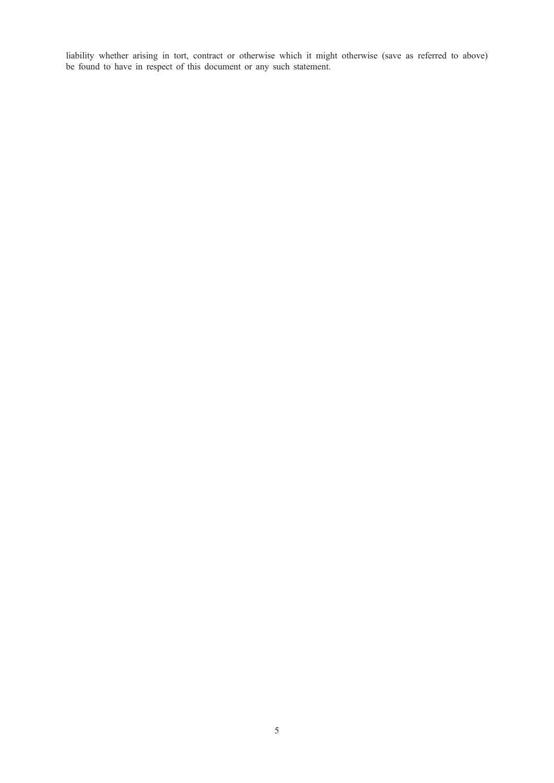liability whether arising in tort, contract or otherwise which it might otherwise (save as referred to above) be found to have in respect of this document or any such statement.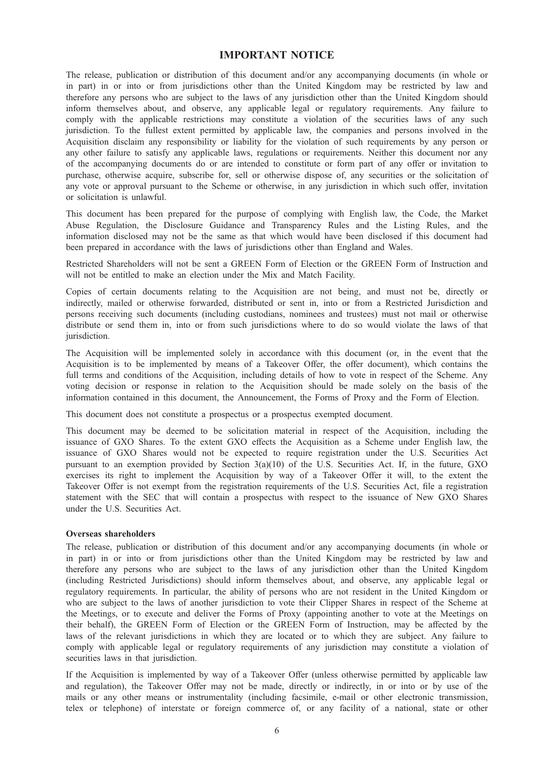# IMPORTANT NOTICE

The release, publication or distribution of this document and/or any accompanying documents (in whole or in part) in or into or from jurisdictions other than the United Kingdom may be restricted by law and therefore any persons who are subject to the laws of any jurisdiction other than the United Kingdom should inform themselves about, and observe, any applicable legal or regulatory requirements. Any failure to comply with the applicable restrictions may constitute a violation of the securities laws of any such jurisdiction. To the fullest extent permitted by applicable law, the companies and persons involved in the Acquisition disclaim any responsibility or liability for the violation of such requirements by any person or any other failure to satisfy any applicable laws, regulations or requirements. Neither this document nor any of the accompanying documents do or are intended to constitute or form part of any offer or invitation to purchase, otherwise acquire, subscribe for, sell or otherwise dispose of, any securities or the solicitation of any vote or approval pursuant to the Scheme or otherwise, in any jurisdiction in which such offer, invitation or solicitation is unlawful.

This document has been prepared for the purpose of complying with English law, the Code, the Market Abuse Regulation, the Disclosure Guidance and Transparency Rules and the Listing Rules, and the information disclosed may not be the same as that which would have been disclosed if this document had been prepared in accordance with the laws of jurisdictions other than England and Wales.

Restricted Shareholders will not be sent a GREEN Form of Election or the GREEN Form of Instruction and will not be entitled to make an election under the Mix and Match Facility.

Copies of certain documents relating to the Acquisition are not being, and must not be, directly or indirectly, mailed or otherwise forwarded, distributed or sent in, into or from a Restricted Jurisdiction and persons receiving such documents (including custodians, nominees and trustees) must not mail or otherwise distribute or send them in, into or from such jurisdictions where to do so would violate the laws of that jurisdiction.

The Acquisition will be implemented solely in accordance with this document (or, in the event that the Acquisition is to be implemented by means of a Takeover Offer, the offer document), which contains the full terms and conditions of the Acquisition, including details of how to vote in respect of the Scheme. Any voting decision or response in relation to the Acquisition should be made solely on the basis of the information contained in this document, the Announcement, the Forms of Proxy and the Form of Election.

This document does not constitute a prospectus or a prospectus exempted document.

This document may be deemed to be solicitation material in respect of the Acquisition, including the issuance of GXO Shares. To the extent GXO effects the Acquisition as a Scheme under English law, the issuance of GXO Shares would not be expected to require registration under the U.S. Securities Act pursuant to an exemption provided by Section 3(a)(10) of the U.S. Securities Act. If, in the future, GXO exercises its right to implement the Acquisition by way of a Takeover Offer it will, to the extent the Takeover Offer is not exempt from the registration requirements of the U.S. Securities Act, file a registration statement with the SEC that will contain a prospectus with respect to the issuance of New GXO Shares under the U.S. Securities Act.

### Overseas shareholders

The release, publication or distribution of this document and/or any accompanying documents (in whole or in part) in or into or from jurisdictions other than the United Kingdom may be restricted by law and therefore any persons who are subject to the laws of any jurisdiction other than the United Kingdom (including Restricted Jurisdictions) should inform themselves about, and observe, any applicable legal or regulatory requirements. In particular, the ability of persons who are not resident in the United Kingdom or who are subject to the laws of another jurisdiction to vote their Clipper Shares in respect of the Scheme at the Meetings, or to execute and deliver the Forms of Proxy (appointing another to vote at the Meetings on their behalf), the GREEN Form of Election or the GREEN Form of Instruction, may be affected by the laws of the relevant jurisdictions in which they are located or to which they are subject. Any failure to comply with applicable legal or regulatory requirements of any jurisdiction may constitute a violation of securities laws in that jurisdiction.

If the Acquisition is implemented by way of a Takeover Offer (unless otherwise permitted by applicable law and regulation), the Takeover Offer may not be made, directly or indirectly, in or into or by use of the mails or any other means or instrumentality (including facsimile, e-mail or other electronic transmission, telex or telephone) of interstate or foreign commerce of, or any facility of a national, state or other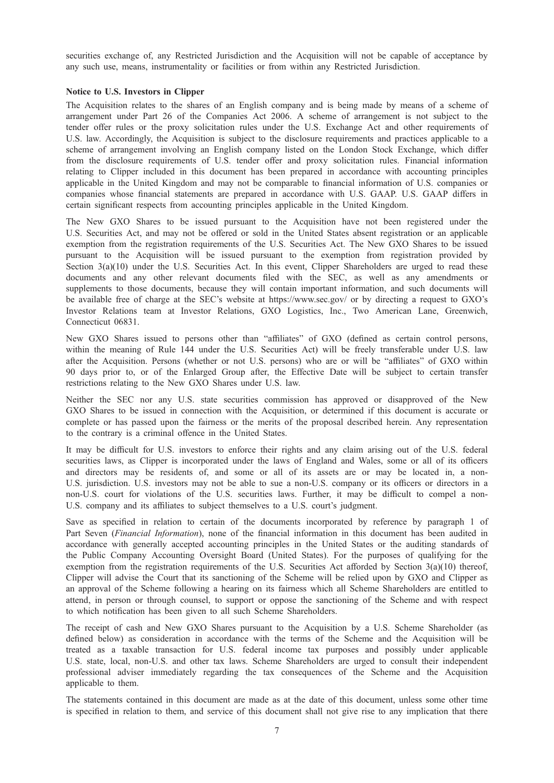securities exchange of, any Restricted Jurisdiction and the Acquisition will not be capable of acceptance by any such use, means, instrumentality or facilities or from within any Restricted Jurisdiction.

### Notice to U.S. Investors in Clipper

The Acquisition relates to the shares of an English company and is being made by means of a scheme of arrangement under Part 26 of the Companies Act 2006. A scheme of arrangement is not subject to the tender offer rules or the proxy solicitation rules under the U.S. Exchange Act and other requirements of U.S. law. Accordingly, the Acquisition is subject to the disclosure requirements and practices applicable to a scheme of arrangement involving an English company listed on the London Stock Exchange, which differ from the disclosure requirements of U.S. tender offer and proxy solicitation rules. Financial information relating to Clipper included in this document has been prepared in accordance with accounting principles applicable in the United Kingdom and may not be comparable to financial information of U.S. companies or companies whose financial statements are prepared in accordance with U.S. GAAP. U.S. GAAP differs in certain significant respects from accounting principles applicable in the United Kingdom.

The New GXO Shares to be issued pursuant to the Acquisition have not been registered under the U.S. Securities Act, and may not be offered or sold in the United States absent registration or an applicable exemption from the registration requirements of the U.S. Securities Act. The New GXO Shares to be issued pursuant to the Acquisition will be issued pursuant to the exemption from registration provided by Section 3(a)(10) under the U.S. Securities Act. In this event, Clipper Shareholders are urged to read these documents and any other relevant documents filed with the SEC, as well as any amendments or supplements to those documents, because they will contain important information, and such documents will be available free of charge at the SEC's website at https://www.sec.gov/ or by directing a request to GXO's Investor Relations team at Investor Relations, GXO Logistics, Inc., Two American Lane, Greenwich, Connecticut 06831.

New GXO Shares issued to persons other than "affiliates" of GXO (defined as certain control persons, within the meaning of Rule 144 under the U.S. Securities Act) will be freely transferable under U.S. law after the Acquisition. Persons (whether or not U.S. persons) who are or will be "affiliates" of GXO within 90 days prior to, or of the Enlarged Group after, the Effective Date will be subject to certain transfer restrictions relating to the New GXO Shares under U.S. law.

Neither the SEC nor any U.S. state securities commission has approved or disapproved of the New GXO Shares to be issued in connection with the Acquisition, or determined if this document is accurate or complete or has passed upon the fairness or the merits of the proposal described herein. Any representation to the contrary is a criminal offence in the United States.

It may be difficult for U.S. investors to enforce their rights and any claim arising out of the U.S. federal securities laws, as Clipper is incorporated under the laws of England and Wales, some or all of its officers and directors may be residents of, and some or all of its assets are or may be located in, a non-U.S. jurisdiction. U.S. investors may not be able to sue a non-U.S. company or its officers or directors in a non-U.S. court for violations of the U.S. securities laws. Further, it may be difficult to compel a non-U.S. company and its affiliates to subject themselves to a U.S. court's judgment.

Save as specified in relation to certain of the documents incorporated by reference by paragraph 1 of Part Seven (Financial Information), none of the financial information in this document has been audited in accordance with generally accepted accounting principles in the United States or the auditing standards of the Public Company Accounting Oversight Board (United States). For the purposes of qualifying for the exemption from the registration requirements of the U.S. Securities Act afforded by Section 3(a)(10) thereof, Clipper will advise the Court that its sanctioning of the Scheme will be relied upon by GXO and Clipper as an approval of the Scheme following a hearing on its fairness which all Scheme Shareholders are entitled to attend, in person or through counsel, to support or oppose the sanctioning of the Scheme and with respect to which notification has been given to all such Scheme Shareholders.

The receipt of cash and New GXO Shares pursuant to the Acquisition by a U.S. Scheme Shareholder (as defined below) as consideration in accordance with the terms of the Scheme and the Acquisition will be treated as a taxable transaction for U.S. federal income tax purposes and possibly under applicable U.S. state, local, non-U.S. and other tax laws. Scheme Shareholders are urged to consult their independent professional adviser immediately regarding the tax consequences of the Scheme and the Acquisition applicable to them.

The statements contained in this document are made as at the date of this document, unless some other time is specified in relation to them, and service of this document shall not give rise to any implication that there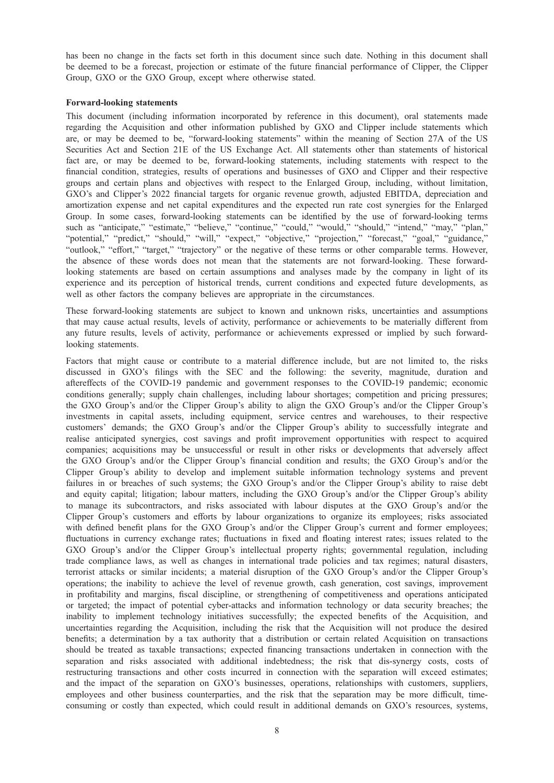has been no change in the facts set forth in this document since such date. Nothing in this document shall be deemed to be a forecast, projection or estimate of the future financial performance of Clipper, the Clipper Group, GXO or the GXO Group, except where otherwise stated.

### Forward-looking statements

This document (including information incorporated by reference in this document), oral statements made regarding the Acquisition and other information published by GXO and Clipper include statements which are, or may be deemed to be, "forward-looking statements" within the meaning of Section 27A of the US Securities Act and Section 21E of the US Exchange Act. All statements other than statements of historical fact are, or may be deemed to be, forward-looking statements, including statements with respect to the financial condition, strategies, results of operations and businesses of GXO and Clipper and their respective groups and certain plans and objectives with respect to the Enlarged Group, including, without limitation, GXO's and Clipper's 2022 financial targets for organic revenue growth, adjusted EBITDA, depreciation and amortization expense and net capital expenditures and the expected run rate cost synergies for the Enlarged Group. In some cases, forward-looking statements can be identified by the use of forward-looking terms such as "anticipate," "estimate," "believe," "continue," "could," "would," "should," "intend," "may," "plan," "potential," "predict," "should," "will," "expect," "objective," "projection," "forecast," "goal," "guidance," "outlook," "effort," "target," "trajectory" or the negative of these terms or other comparable terms. However, the absence of these words does not mean that the statements are not forward-looking. These forwardlooking statements are based on certain assumptions and analyses made by the company in light of its experience and its perception of historical trends, current conditions and expected future developments, as well as other factors the company believes are appropriate in the circumstances.

These forward-looking statements are subject to known and unknown risks, uncertainties and assumptions that may cause actual results, levels of activity, performance or achievements to be materially different from any future results, levels of activity, performance or achievements expressed or implied by such forwardlooking statements.

Factors that might cause or contribute to a material difference include, but are not limited to, the risks discussed in GXO's filings with the SEC and the following: the severity, magnitude, duration and aftereffects of the COVID-19 pandemic and government responses to the COVID-19 pandemic; economic conditions generally; supply chain challenges, including labour shortages; competition and pricing pressures; the GXO Group's and/or the Clipper Group's ability to align the GXO Group's and/or the Clipper Group's investments in capital assets, including equipment, service centres and warehouses, to their respective customers' demands; the GXO Group's and/or the Clipper Group's ability to successfully integrate and realise anticipated synergies, cost savings and profit improvement opportunities with respect to acquired companies; acquisitions may be unsuccessful or result in other risks or developments that adversely affect the GXO Group's and/or the Clipper Group's financial condition and results; the GXO Group's and/or the Clipper Group's ability to develop and implement suitable information technology systems and prevent failures in or breaches of such systems; the GXO Group's and/or the Clipper Group's ability to raise debt and equity capital; litigation; labour matters, including the GXO Group's and/or the Clipper Group's ability to manage its subcontractors, and risks associated with labour disputes at the GXO Group's and/or the Clipper Group's customers and efforts by labour organizations to organize its employees; risks associated with defined benefit plans for the GXO Group's and/or the Clipper Group's current and former employees; fluctuations in currency exchange rates; fluctuations in fixed and floating interest rates; issues related to the GXO Group's and/or the Clipper Group's intellectual property rights; governmental regulation, including trade compliance laws, as well as changes in international trade policies and tax regimes; natural disasters, terrorist attacks or similar incidents; a material disruption of the GXO Group's and/or the Clipper Group's operations; the inability to achieve the level of revenue growth, cash generation, cost savings, improvement in profitability and margins, fiscal discipline, or strengthening of competitiveness and operations anticipated or targeted; the impact of potential cyber-attacks and information technology or data security breaches; the inability to implement technology initiatives successfully; the expected benefits of the Acquisition, and uncertainties regarding the Acquisition, including the risk that the Acquisition will not produce the desired benefits; a determination by a tax authority that a distribution or certain related Acquisition on transactions should be treated as taxable transactions; expected financing transactions undertaken in connection with the separation and risks associated with additional indebtedness; the risk that dis-synergy costs, costs of restructuring transactions and other costs incurred in connection with the separation will exceed estimates; and the impact of the separation on GXO's businesses, operations, relationships with customers, suppliers, employees and other business counterparties, and the risk that the separation may be more difficult, timeconsuming or costly than expected, which could result in additional demands on GXO's resources, systems,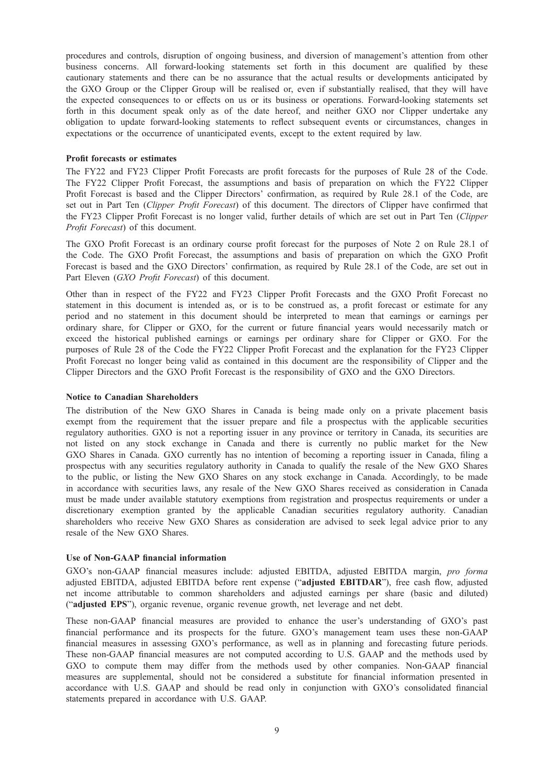procedures and controls, disruption of ongoing business, and diversion of management's attention from other business concerns. All forward-looking statements set forth in this document are qualified by these cautionary statements and there can be no assurance that the actual results or developments anticipated by the GXO Group or the Clipper Group will be realised or, even if substantially realised, that they will have the expected consequences to or effects on us or its business or operations. Forward-looking statements set forth in this document speak only as of the date hereof, and neither GXO nor Clipper undertake any obligation to update forward-looking statements to reflect subsequent events or circumstances, changes in expectations or the occurrence of unanticipated events, except to the extent required by law.

### Profit forecasts or estimates

The FY22 and FY23 Clipper Profit Forecasts are profit forecasts for the purposes of Rule 28 of the Code. The FY22 Clipper Profit Forecast, the assumptions and basis of preparation on which the FY22 Clipper Profit Forecast is based and the Clipper Directors' confirmation, as required by Rule 28.1 of the Code, are set out in Part Ten (Clipper Profit Forecast) of this document. The directors of Clipper have confirmed that the FY23 Clipper Profit Forecast is no longer valid, further details of which are set out in Part Ten (Clipper Profit Forecast) of this document.

The GXO Profit Forecast is an ordinary course profit forecast for the purposes of Note 2 on Rule 28.1 of the Code. The GXO Profit Forecast, the assumptions and basis of preparation on which the GXO Profit Forecast is based and the GXO Directors' confirmation, as required by Rule 28.1 of the Code, are set out in Part Eleven (GXO Profit Forecast) of this document.

Other than in respect of the FY22 and FY23 Clipper Profit Forecasts and the GXO Profit Forecast no statement in this document is intended as, or is to be construed as, a profit forecast or estimate for any period and no statement in this document should be interpreted to mean that earnings or earnings per ordinary share, for Clipper or GXO, for the current or future financial years would necessarily match or exceed the historical published earnings or earnings per ordinary share for Clipper or GXO. For the purposes of Rule 28 of the Code the FY22 Clipper Profit Forecast and the explanation for the FY23 Clipper Profit Forecast no longer being valid as contained in this document are the responsibility of Clipper and the Clipper Directors and the GXO Profit Forecast is the responsibility of GXO and the GXO Directors.

### Notice to Canadian Shareholders

The distribution of the New GXO Shares in Canada is being made only on a private placement basis exempt from the requirement that the issuer prepare and file a prospectus with the applicable securities regulatory authorities. GXO is not a reporting issuer in any province or territory in Canada, its securities are not listed on any stock exchange in Canada and there is currently no public market for the New GXO Shares in Canada. GXO currently has no intention of becoming a reporting issuer in Canada, filing a prospectus with any securities regulatory authority in Canada to qualify the resale of the New GXO Shares to the public, or listing the New GXO Shares on any stock exchange in Canada. Accordingly, to be made in accordance with securities laws, any resale of the New GXO Shares received as consideration in Canada must be made under available statutory exemptions from registration and prospectus requirements or under a discretionary exemption granted by the applicable Canadian securities regulatory authority. Canadian shareholders who receive New GXO Shares as consideration are advised to seek legal advice prior to any resale of the New GXO Shares.

### Use of Non-GAAP financial information

GXO's non-GAAP financial measures include: adjusted EBITDA, adjusted EBITDA margin, pro forma adjusted EBITDA, adjusted EBITDA before rent expense ("adjusted EBITDAR"), free cash flow, adjusted net income attributable to common shareholders and adjusted earnings per share (basic and diluted) ("adjusted EPS"), organic revenue, organic revenue growth, net leverage and net debt.

These non-GAAP financial measures are provided to enhance the user's understanding of GXO's past financial performance and its prospects for the future. GXO's management team uses these non-GAAP financial measures in assessing GXO's performance, as well as in planning and forecasting future periods. These non-GAAP financial measures are not computed according to U.S. GAAP and the methods used by GXO to compute them may differ from the methods used by other companies. Non-GAAP financial measures are supplemental, should not be considered a substitute for financial information presented in accordance with U.S. GAAP and should be read only in conjunction with GXO's consolidated financial statements prepared in accordance with U.S. GAAP.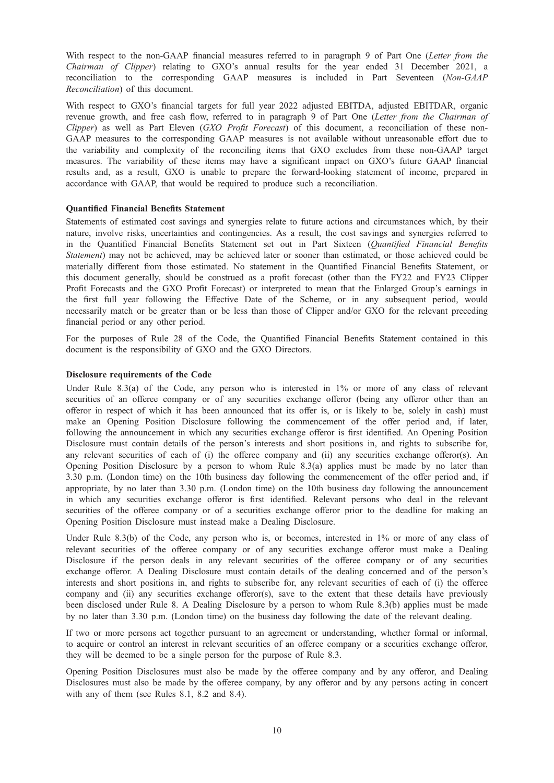With respect to the non-GAAP financial measures referred to in paragraph 9 of Part One (Letter from the Chairman of Clipper) relating to GXO's annual results for the year ended 31 December 2021, a reconciliation to the corresponding GAAP measures is included in Part Seventeen (Non-GAAP Reconciliation) of this document.

With respect to GXO's financial targets for full year 2022 adjusted EBITDA, adjusted EBITDAR, organic revenue growth, and free cash flow, referred to in paragraph 9 of Part One (Letter from the Chairman of Clipper) as well as Part Eleven  $(GXO$  Profit Forecast) of this document, a reconciliation of these non-GAAP measures to the corresponding GAAP measures is not available without unreasonable effort due to the variability and complexity of the reconciling items that GXO excludes from these non-GAAP target measures. The variability of these items may have a significant impact on GXO's future GAAP financial results and, as a result, GXO is unable to prepare the forward-looking statement of income, prepared in accordance with GAAP, that would be required to produce such a reconciliation.

## Quantified Financial Benefits Statement

Statements of estimated cost savings and synergies relate to future actions and circumstances which, by their nature, involve risks, uncertainties and contingencies. As a result, the cost savings and synergies referred to in the Quantified Financial Benefits Statement set out in Part Sixteen (Quantified Financial Benefits Statement) may not be achieved, may be achieved later or sooner than estimated, or those achieved could be materially different from those estimated. No statement in the Quantified Financial Benefits Statement, or this document generally, should be construed as a profit forecast (other than the FY22 and FY23 Clipper Profit Forecasts and the GXO Profit Forecast) or interpreted to mean that the Enlarged Group's earnings in the first full year following the Effective Date of the Scheme, or in any subsequent period, would necessarily match or be greater than or be less than those of Clipper and/or GXO for the relevant preceding financial period or any other period.

For the purposes of Rule 28 of the Code, the Quantified Financial Benefits Statement contained in this document is the responsibility of GXO and the GXO Directors.

### Disclosure requirements of the Code

Under Rule 8.3(a) of the Code, any person who is interested in 1% or more of any class of relevant securities of an offeree company or of any securities exchange offeror (being any offeror other than an offeror in respect of which it has been announced that its offer is, or is likely to be, solely in cash) must make an Opening Position Disclosure following the commencement of the offer period and, if later, following the announcement in which any securities exchange offeror is first identified. An Opening Position Disclosure must contain details of the person's interests and short positions in, and rights to subscribe for, any relevant securities of each of (i) the offeree company and (ii) any securities exchange offeror(s). An Opening Position Disclosure by a person to whom Rule 8.3(a) applies must be made by no later than 3.30 p.m. (London time) on the 10th business day following the commencement of the offer period and, if appropriate, by no later than 3.30 p.m. (London time) on the 10th business day following the announcement in which any securities exchange offeror is first identified. Relevant persons who deal in the relevant securities of the offeree company or of a securities exchange offeror prior to the deadline for making an Opening Position Disclosure must instead make a Dealing Disclosure.

Under Rule 8.3(b) of the Code, any person who is, or becomes, interested in 1% or more of any class of relevant securities of the offeree company or of any securities exchange offeror must make a Dealing Disclosure if the person deals in any relevant securities of the offeree company or of any securities exchange offeror. A Dealing Disclosure must contain details of the dealing concerned and of the person's interests and short positions in, and rights to subscribe for, any relevant securities of each of (i) the offeree company and (ii) any securities exchange offeror(s), save to the extent that these details have previously been disclosed under Rule 8. A Dealing Disclosure by a person to whom Rule 8.3(b) applies must be made by no later than 3.30 p.m. (London time) on the business day following the date of the relevant dealing.

If two or more persons act together pursuant to an agreement or understanding, whether formal or informal, to acquire or control an interest in relevant securities of an offeree company or a securities exchange offeror, they will be deemed to be a single person for the purpose of Rule 8.3.

Opening Position Disclosures must also be made by the offeree company and by any offeror, and Dealing Disclosures must also be made by the offeree company, by any offeror and by any persons acting in concert with any of them (see Rules 8.1, 8.2 and 8.4).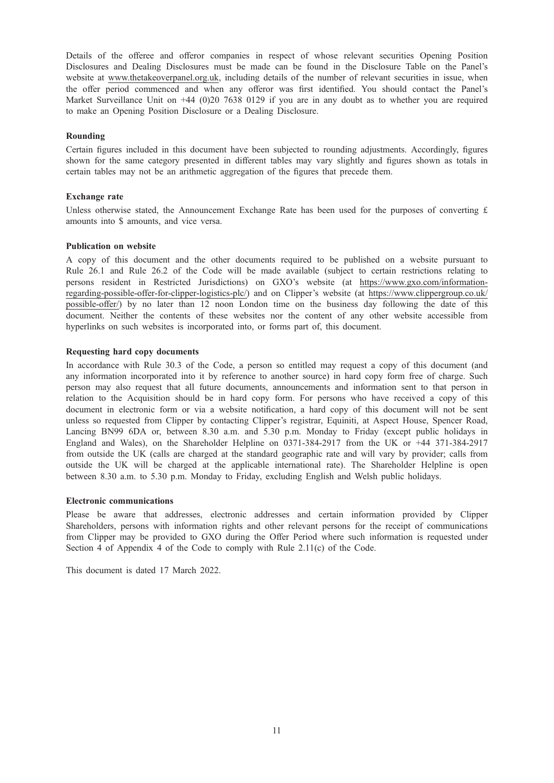Details of the offeree and offeror companies in respect of whose relevant securities Opening Position Disclosures and Dealing Disclosures must be made can be found in the Disclosure Table on the Panel's website at www.thetakeoverpanel.org.uk, including details of the number of relevant securities in issue, when the offer period commenced and when any offeror was first identified. You should contact the Panel's Market Surveillance Unit on +44 (0)20 7638 0129 if you are in any doubt as to whether you are required to make an Opening Position Disclosure or a Dealing Disclosure.

# Rounding

Certain figures included in this document have been subjected to rounding adjustments. Accordingly, figures shown for the same category presented in different tables may vary slightly and figures shown as totals in certain tables may not be an arithmetic aggregation of the figures that precede them.

### Exchange rate

Unless otherwise stated, the Announcement Exchange Rate has been used for the purposes of converting  $\hat{L}$ amounts into \$ amounts, and vice versa.

### Publication on website

A copy of this document and the other documents required to be published on a website pursuant to Rule 26.1 and Rule 26.2 of the Code will be made available (subject to certain restrictions relating to persons resident in Restricted Jurisdictions) on GXO's website (at https://www.gxo.com/informationregarding-possible-offer-for-clipper-logistics-plc/) and on Clipper's website (at https://www.clippergroup.co.uk/ possible-offer/) by no later than 12 noon London time on the business day following the date of this document. Neither the contents of these websites nor the content of any other website accessible from hyperlinks on such websites is incorporated into, or forms part of, this document.

### Requesting hard copy documents

In accordance with Rule 30.3 of the Code, a person so entitled may request a copy of this document (and any information incorporated into it by reference to another source) in hard copy form free of charge. Such person may also request that all future documents, announcements and information sent to that person in relation to the Acquisition should be in hard copy form. For persons who have received a copy of this document in electronic form or via a website notification, a hard copy of this document will not be sent unless so requested from Clipper by contacting Clipper's registrar, Equiniti, at Aspect House, Spencer Road, Lancing BN99 6DA or, between 8.30 a.m. and 5.30 p.m. Monday to Friday (except public holidays in England and Wales), on the Shareholder Helpline on 0371-384-2917 from the UK or +44 371-384-2917 from outside the UK (calls are charged at the standard geographic rate and will vary by provider; calls from outside the UK will be charged at the applicable international rate). The Shareholder Helpline is open between 8.30 a.m. to 5.30 p.m. Monday to Friday, excluding English and Welsh public holidays.

### Electronic communications

Please be aware that addresses, electronic addresses and certain information provided by Clipper Shareholders, persons with information rights and other relevant persons for the receipt of communications from Clipper may be provided to GXO during the Offer Period where such information is requested under Section 4 of Appendix 4 of the Code to comply with Rule 2.11(c) of the Code.

This document is dated 17 March 2022.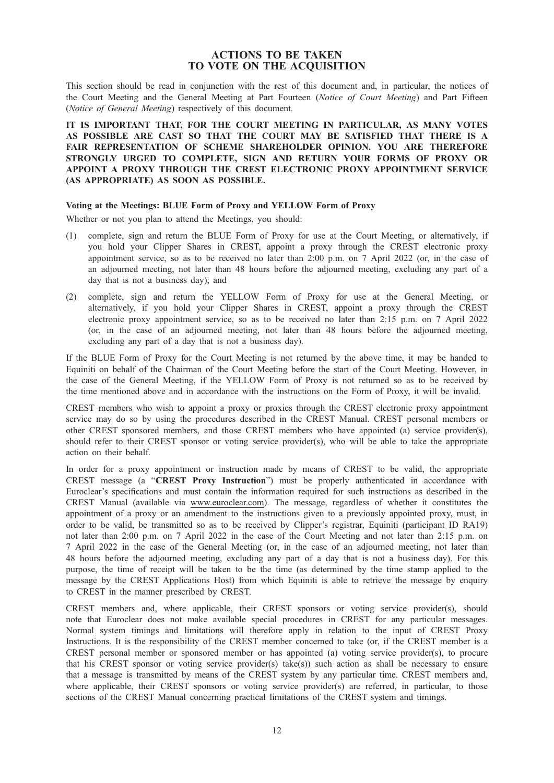# ACTIONS TO BE TAKEN TO VOTE ON THE ACQUISITION

This section should be read in conjunction with the rest of this document and, in particular, the notices of the Court Meeting and the General Meeting at Part Fourteen (Notice of Court Meeting) and Part Fifteen (Notice of General Meeting) respectively of this document.

IT IS IMPORTANT THAT, FOR THE COURT MEETING IN PARTICULAR, AS MANY VOTES AS POSSIBLE ARE CAST SO THAT THE COURT MAY BE SATISFIED THAT THERE IS A FAIR REPRESENTATION OF SCHEME SHAREHOLDER OPINION. YOU ARE THEREFORE STRONGLY URGED TO COMPLETE, SIGN AND RETURN YOUR FORMS OF PROXY OR APPOINT A PROXY THROUGH THE CREST ELECTRONIC PROXY APPOINTMENT SERVICE (AS APPROPRIATE) AS SOON AS POSSIBLE.

### Voting at the Meetings: BLUE Form of Proxy and YELLOW Form of Proxy

Whether or not you plan to attend the Meetings, you should:

- (1) complete, sign and return the BLUE Form of Proxy for use at the Court Meeting, or alternatively, if you hold your Clipper Shares in CREST, appoint a proxy through the CREST electronic proxy appointment service, so as to be received no later than 2:00 p.m. on 7 April 2022 (or, in the case of an adjourned meeting, not later than 48 hours before the adjourned meeting, excluding any part of a day that is not a business day); and
- (2) complete, sign and return the YELLOW Form of Proxy for use at the General Meeting, or alternatively, if you hold your Clipper Shares in CREST, appoint a proxy through the CREST electronic proxy appointment service, so as to be received no later than 2:15 p.m. on 7 April 2022 (or, in the case of an adjourned meeting, not later than 48 hours before the adjourned meeting, excluding any part of a day that is not a business day).

If the BLUE Form of Proxy for the Court Meeting is not returned by the above time, it may be handed to Equiniti on behalf of the Chairman of the Court Meeting before the start of the Court Meeting. However, in the case of the General Meeting, if the YELLOW Form of Proxy is not returned so as to be received by the time mentioned above and in accordance with the instructions on the Form of Proxy, it will be invalid.

CREST members who wish to appoint a proxy or proxies through the CREST electronic proxy appointment service may do so by using the procedures described in the CREST Manual. CREST personal members or other CREST sponsored members, and those CREST members who have appointed (a) service provider(s), should refer to their CREST sponsor or voting service provider(s), who will be able to take the appropriate action on their behalf.

In order for a proxy appointment or instruction made by means of CREST to be valid, the appropriate CREST message (a "CREST Proxy Instruction") must be properly authenticated in accordance with Euroclear's specifications and must contain the information required for such instructions as described in the CREST Manual (available via www.euroclear.com). The message, regardless of whether it constitutes the appointment of a proxy or an amendment to the instructions given to a previously appointed proxy, must, in order to be valid, be transmitted so as to be received by Clipper's registrar, Equiniti (participant ID RA19) not later than 2:00 p.m. on 7 April 2022 in the case of the Court Meeting and not later than 2:15 p.m. on 7 April 2022 in the case of the General Meeting (or, in the case of an adjourned meeting, not later than 48 hours before the adjourned meeting, excluding any part of a day that is not a business day). For this purpose, the time of receipt will be taken to be the time (as determined by the time stamp applied to the message by the CREST Applications Host) from which Equiniti is able to retrieve the message by enquiry to CREST in the manner prescribed by CREST.

CREST members and, where applicable, their CREST sponsors or voting service provider(s), should note that Euroclear does not make available special procedures in CREST for any particular messages. Normal system timings and limitations will therefore apply in relation to the input of CREST Proxy Instructions. It is the responsibility of the CREST member concerned to take (or, if the CREST member is a CREST personal member or sponsored member or has appointed (a) voting service provider(s), to procure that his CREST sponsor or voting service provider(s) take(s)) such action as shall be necessary to ensure that a message is transmitted by means of the CREST system by any particular time. CREST members and, where applicable, their CREST sponsors or voting service provider(s) are referred, in particular, to those sections of the CREST Manual concerning practical limitations of the CREST system and timings.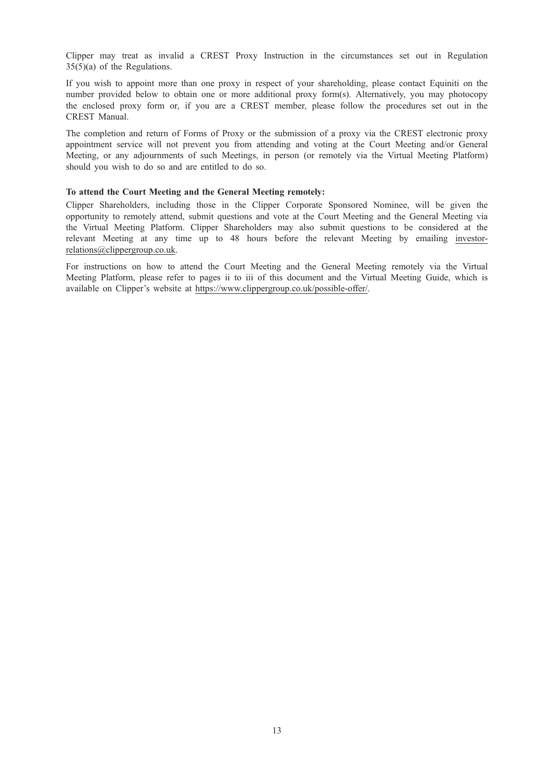Clipper may treat as invalid a CREST Proxy Instruction in the circumstances set out in Regulation 35(5)(a) of the Regulations.

If you wish to appoint more than one proxy in respect of your shareholding, please contact Equiniti on the number provided below to obtain one or more additional proxy form(s). Alternatively, you may photocopy the enclosed proxy form or, if you are a CREST member, please follow the procedures set out in the CREST Manual.

The completion and return of Forms of Proxy or the submission of a proxy via the CREST electronic proxy appointment service will not prevent you from attending and voting at the Court Meeting and/or General Meeting, or any adjournments of such Meetings, in person (or remotely via the Virtual Meeting Platform) should you wish to do so and are entitled to do so.

### To attend the Court Meeting and the General Meeting remotely:

Clipper Shareholders, including those in the Clipper Corporate Sponsored Nominee, will be given the opportunity to remotely attend, submit questions and vote at the Court Meeting and the General Meeting via the Virtual Meeting Platform. Clipper Shareholders may also submit questions to be considered at the relevant Meeting at any time up to 48 hours before the relevant Meeting by emailing investorrelations@clippergroup.co.uk.

For instructions on how to attend the Court Meeting and the General Meeting remotely via the Virtual Meeting Platform, please refer to pages ii to iii of this document and the Virtual Meeting Guide, which is available on Clipper's website at https://www.clippergroup.co.uk/possible-offer/.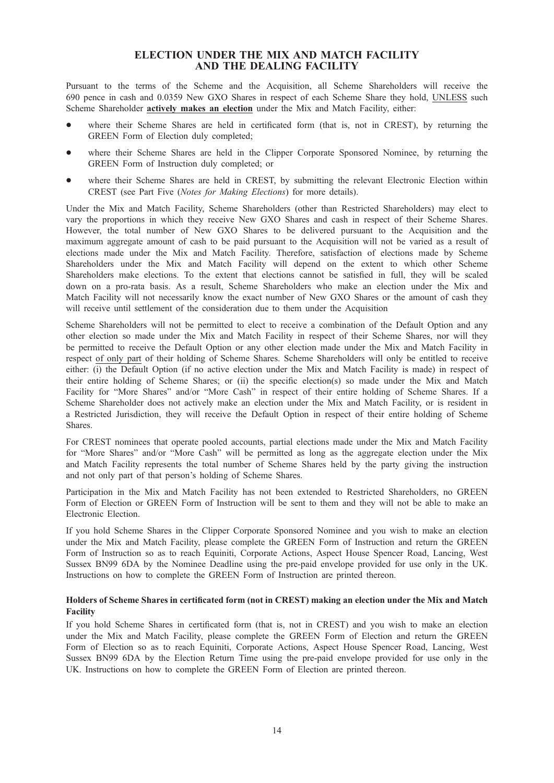# ELECTION UNDER THE MIX AND MATCH FACILITY AND THE DEALING FACILITY

Pursuant to the terms of the Scheme and the Acquisition, all Scheme Shareholders will receive the 690 pence in cash and 0.0359 New GXO Shares in respect of each Scheme Share they hold, UNLESS such Scheme Shareholder actively makes an election under the Mix and Match Facility, either:

- where their Scheme Shares are held in certificated form (that is, not in CREST), by returning the GREEN Form of Election duly completed;
- where their Scheme Shares are held in the Clipper Corporate Sponsored Nominee, by returning the GREEN Form of Instruction duly completed; or
- where their Scheme Shares are held in CREST, by submitting the relevant Electronic Election within CREST (see Part Five (Notes for Making Elections) for more details).

Under the Mix and Match Facility, Scheme Shareholders (other than Restricted Shareholders) may elect to vary the proportions in which they receive New GXO Shares and cash in respect of their Scheme Shares. However, the total number of New GXO Shares to be delivered pursuant to the Acquisition and the maximum aggregate amount of cash to be paid pursuant to the Acquisition will not be varied as a result of elections made under the Mix and Match Facility. Therefore, satisfaction of elections made by Scheme Shareholders under the Mix and Match Facility will depend on the extent to which other Scheme Shareholders make elections. To the extent that elections cannot be satisfied in full, they will be scaled down on a pro-rata basis. As a result, Scheme Shareholders who make an election under the Mix and Match Facility will not necessarily know the exact number of New GXO Shares or the amount of cash they will receive until settlement of the consideration due to them under the Acquisition

Scheme Shareholders will not be permitted to elect to receive a combination of the Default Option and any other election so made under the Mix and Match Facility in respect of their Scheme Shares, nor will they be permitted to receive the Default Option or any other election made under the Mix and Match Facility in respect of only part of their holding of Scheme Shares. Scheme Shareholders will only be entitled to receive either: (i) the Default Option (if no active election under the Mix and Match Facility is made) in respect of their entire holding of Scheme Shares; or (ii) the specific election(s) so made under the Mix and Match Facility for "More Shares" and/or "More Cash" in respect of their entire holding of Scheme Shares. If a Scheme Shareholder does not actively make an election under the Mix and Match Facility, or is resident in a Restricted Jurisdiction, they will receive the Default Option in respect of their entire holding of Scheme Shares.

For CREST nominees that operate pooled accounts, partial elections made under the Mix and Match Facility for "More Shares" and/or "More Cash" will be permitted as long as the aggregate election under the Mix and Match Facility represents the total number of Scheme Shares held by the party giving the instruction and not only part of that person's holding of Scheme Shares.

Participation in the Mix and Match Facility has not been extended to Restricted Shareholders, no GREEN Form of Election or GREEN Form of Instruction will be sent to them and they will not be able to make an Electronic Election.

If you hold Scheme Shares in the Clipper Corporate Sponsored Nominee and you wish to make an election under the Mix and Match Facility, please complete the GREEN Form of Instruction and return the GREEN Form of Instruction so as to reach Equiniti, Corporate Actions, Aspect House Spencer Road, Lancing, West Sussex BN99 6DA by the Nominee Deadline using the pre-paid envelope provided for use only in the UK. Instructions on how to complete the GREEN Form of Instruction are printed thereon.

# Holders of Scheme Shares in certificated form (not in CREST) making an election under the Mix and Match Facility

If you hold Scheme Shares in certificated form (that is, not in CREST) and you wish to make an election under the Mix and Match Facility, please complete the GREEN Form of Election and return the GREEN Form of Election so as to reach Equiniti, Corporate Actions, Aspect House Spencer Road, Lancing, West Sussex BN99 6DA by the Election Return Time using the pre-paid envelope provided for use only in the UK. Instructions on how to complete the GREEN Form of Election are printed thereon.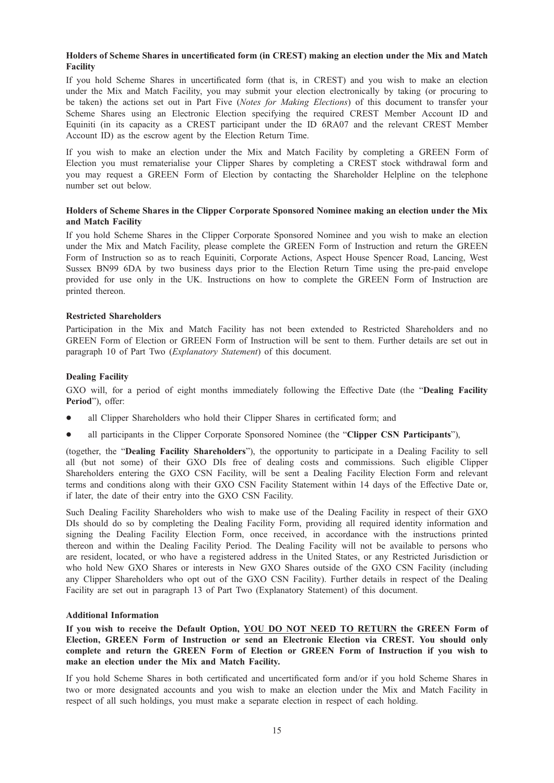# Holders of Scheme Shares in uncertificated form (in CREST) making an election under the Mix and Match Facility

If you hold Scheme Shares in uncertificated form (that is, in CREST) and you wish to make an election under the Mix and Match Facility, you may submit your election electronically by taking (or procuring to be taken) the actions set out in Part Five (Notes for Making Elections) of this document to transfer your Scheme Shares using an Electronic Election specifying the required CREST Member Account ID and Equiniti (in its capacity as a CREST participant under the ID 6RA07 and the relevant CREST Member Account ID) as the escrow agent by the Election Return Time.

If you wish to make an election under the Mix and Match Facility by completing a GREEN Form of Election you must rematerialise your Clipper Shares by completing a CREST stock withdrawal form and you may request a GREEN Form of Election by contacting the Shareholder Helpline on the telephone number set out below.

# Holders of Scheme Shares in the Clipper Corporate Sponsored Nominee making an election under the Mix and Match Facility

If you hold Scheme Shares in the Clipper Corporate Sponsored Nominee and you wish to make an election under the Mix and Match Facility, please complete the GREEN Form of Instruction and return the GREEN Form of Instruction so as to reach Equiniti, Corporate Actions, Aspect House Spencer Road, Lancing, West Sussex BN99 6DA by two business days prior to the Election Return Time using the pre-paid envelope provided for use only in the UK. Instructions on how to complete the GREEN Form of Instruction are printed thereon.

# Restricted Shareholders

Participation in the Mix and Match Facility has not been extended to Restricted Shareholders and no GREEN Form of Election or GREEN Form of Instruction will be sent to them. Further details are set out in paragraph 10 of Part Two (Explanatory Statement) of this document.

### Dealing Facility

GXO will, for a period of eight months immediately following the Effective Date (the "Dealing Facility Period"), offer:

- all Clipper Shareholders who hold their Clipper Shares in certificated form; and
- all participants in the Clipper Corporate Sponsored Nominee (the "Clipper CSN Participants"),

(together, the "Dealing Facility Shareholders"), the opportunity to participate in a Dealing Facility to sell all (but not some) of their GXO DIs free of dealing costs and commissions. Such eligible Clipper Shareholders entering the GXO CSN Facility, will be sent a Dealing Facility Election Form and relevant terms and conditions along with their GXO CSN Facility Statement within 14 days of the Effective Date or, if later, the date of their entry into the GXO CSN Facility.

Such Dealing Facility Shareholders who wish to make use of the Dealing Facility in respect of their GXO DIs should do so by completing the Dealing Facility Form, providing all required identity information and signing the Dealing Facility Election Form, once received, in accordance with the instructions printed thereon and within the Dealing Facility Period. The Dealing Facility will not be available to persons who are resident, located, or who have a registered address in the United States, or any Restricted Jurisdiction or who hold New GXO Shares or interests in New GXO Shares outside of the GXO CSN Facility (including any Clipper Shareholders who opt out of the GXO CSN Facility). Further details in respect of the Dealing Facility are set out in paragraph 13 of Part Two (Explanatory Statement) of this document.

### Additional Information

If you wish to receive the Default Option, YOU DO NOT NEED TO RETURN the GREEN Form of Election, GREEN Form of Instruction or send an Electronic Election via CREST. You should only complete and return the GREEN Form of Election or GREEN Form of Instruction if you wish to make an election under the Mix and Match Facility.

If you hold Scheme Shares in both certificated and uncertificated form and/or if you hold Scheme Shares in two or more designated accounts and you wish to make an election under the Mix and Match Facility in respect of all such holdings, you must make a separate election in respect of each holding.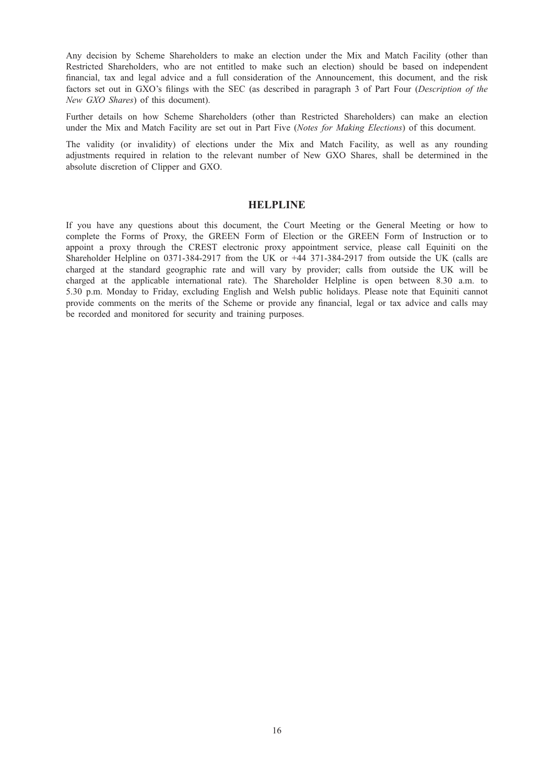Any decision by Scheme Shareholders to make an election under the Mix and Match Facility (other than Restricted Shareholders, who are not entitled to make such an election) should be based on independent financial, tax and legal advice and a full consideration of the Announcement, this document, and the risk factors set out in GXO's filings with the SEC (as described in paragraph 3 of Part Four (Description of the New GXO Shares) of this document).

Further details on how Scheme Shareholders (other than Restricted Shareholders) can make an election under the Mix and Match Facility are set out in Part Five (Notes for Making Elections) of this document.

The validity (or invalidity) of elections under the Mix and Match Facility, as well as any rounding adjustments required in relation to the relevant number of New GXO Shares, shall be determined in the absolute discretion of Clipper and GXO.

# **HELPLINE**

If you have any questions about this document, the Court Meeting or the General Meeting or how to complete the Forms of Proxy, the GREEN Form of Election or the GREEN Form of Instruction or to appoint a proxy through the CREST electronic proxy appointment service, please call Equiniti on the Shareholder Helpline on 0371-384-2917 from the UK or +44 371-384-2917 from outside the UK (calls are charged at the standard geographic rate and will vary by provider; calls from outside the UK will be charged at the applicable international rate). The Shareholder Helpline is open between 8.30 a.m. to 5.30 p.m. Monday to Friday, excluding English and Welsh public holidays. Please note that Equiniti cannot provide comments on the merits of the Scheme or provide any financial, legal or tax advice and calls may be recorded and monitored for security and training purposes.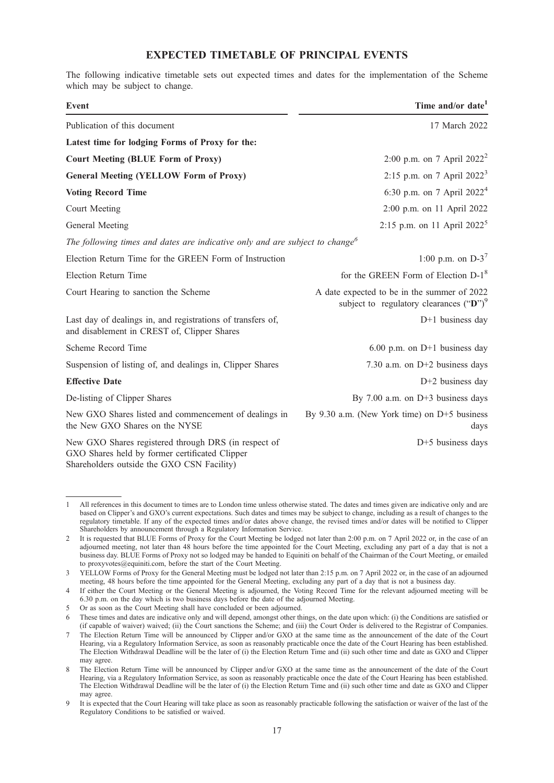# EXPECTED TIMETABLE OF PRINCIPAL EVENTS

The following indicative timetable sets out expected times and dates for the implementation of the Scheme which may be subject to change.

| <b>Event</b>                                                                                                                                         | Time and/or date <sup>1</sup>                                                             |  |
|------------------------------------------------------------------------------------------------------------------------------------------------------|-------------------------------------------------------------------------------------------|--|
| Publication of this document                                                                                                                         | 17 March 2022                                                                             |  |
| Latest time for lodging Forms of Proxy for the:                                                                                                      |                                                                                           |  |
| <b>Court Meeting (BLUE Form of Proxy)</b>                                                                                                            | 2:00 p.m. on 7 April $2022^2$                                                             |  |
| 2:15 p.m. on 7 April $2022^3$<br><b>General Meeting (YELLOW Form of Proxy)</b>                                                                       |                                                                                           |  |
| <b>Voting Record Time</b>                                                                                                                            | 6:30 p.m. on 7 April $2022^4$                                                             |  |
| Court Meeting                                                                                                                                        | 2:00 p.m. on 11 April 2022                                                                |  |
| General Meeting                                                                                                                                      | 2:15 p.m. on 11 April 2022 <sup>5</sup>                                                   |  |
| The following times and dates are indicative only and are subject to change <sup>6</sup>                                                             |                                                                                           |  |
| Election Return Time for the GREEN Form of Instruction                                                                                               | 1:00 p.m. on $D-3^7$                                                                      |  |
| Election Return Time                                                                                                                                 | for the GREEN Form of Election D-1 <sup>8</sup>                                           |  |
| Court Hearing to sanction the Scheme                                                                                                                 | A date expected to be in the summer of 2022<br>subject to regulatory clearances $("D")^9$ |  |
| Last day of dealings in, and registrations of transfers of,<br>and disablement in CREST of, Clipper Shares                                           | $D+1$ business day                                                                        |  |
| Scheme Record Time                                                                                                                                   | 6.00 p.m. on $D+1$ business day                                                           |  |
| Suspension of listing of, and dealings in, Clipper Shares                                                                                            | 7.30 a.m. on $D+2$ business days                                                          |  |
| <b>Effective Date</b>                                                                                                                                | D+2 business day                                                                          |  |
| De-listing of Clipper Shares                                                                                                                         | By 7.00 a.m. on $D+3$ business days                                                       |  |
| New GXO Shares listed and commencement of dealings in<br>the New GXO Shares on the NYSE                                                              | By 9.30 a.m. (New York time) on $D+5$ business<br>days                                    |  |
| New GXO Shares registered through DRS (in respect of<br>GXO Shares held by former certificated Clipper<br>Shareholders outside the GXO CSN Facility) | D+5 business days                                                                         |  |

<sup>1</sup> All references in this document to times are to London time unless otherwise stated. The dates and times given are indicative only and are based on Clipper's and GXO's current expectations. Such dates and times may be subject to change, including as a result of changes to the regulatory timetable. If any of the expected times and/or dates above change, the revised times and/or dates will be notified to Clipper Shareholders by announcement through a Regulatory Information Service.

<sup>2</sup> It is requested that BLUE Forms of Proxy for the Court Meeting be lodged not later than 2:00 p.m. on 7 April 2022 or, in the case of an adjourned meeting, not later than 48 hours before the time appointed for the Court Meeting, excluding any part of a day that is not a business day. BLUE Forms of Proxy not so lodged may be handed to Equiniti on behalf of the Chairman of the Court Meeting, or emailed to proxyvotes@equiniti.com, before the start of the Court Meeting.

<sup>3</sup> YELLOW Forms of Proxy for the General Meeting must be lodged not later than 2:15 p.m. on 7 April 2022 or, in the case of an adjourned meeting, 48 hours before the time appointed for the General Meeting, excluding any part of a day that is not a business day.

<sup>4</sup> If either the Court Meeting or the General Meeting is adjourned, the Voting Record Time for the relevant adjourned meeting will be 6.30 p.m. on the day which is two business days before the date of the adjourned Meeting.

<sup>5</sup> Or as soon as the Court Meeting shall have concluded or been adjourned.

<sup>6</sup> These times and dates are indicative only and will depend, amongst other things, on the date upon which: (i) the Conditions are satisfied or (if capable of waiver) waived; (ii) the Court sanctions the Scheme; and (iii) the Court Order is delivered to the Registrar of Companies.

<sup>7</sup> The Election Return Time will be announced by Clipper and/or GXO at the same time as the announcement of the date of the Court Hearing, via a Regulatory Information Service, as soon as reasonably practicable once the date of the Court Hearing has been established. The Election Withdrawal Deadline will be the later of (i) the Election Return Time and (ii) such other time and date as GXO and Clipper may agree.

<sup>8</sup> The Election Return Time will be announced by Clipper and/or GXO at the same time as the announcement of the date of the Court Hearing, via a Regulatory Information Service, as soon as reasonably practicable once the date of the Court Hearing has been established. The Election Withdrawal Deadline will be the later of (i) the Election Return Time and (ii) such other time and date as GXO and Clipper may agree.

<sup>9</sup> It is expected that the Court Hearing will take place as soon as reasonably practicable following the satisfaction or waiver of the last of the Regulatory Conditions to be satisfied or waived.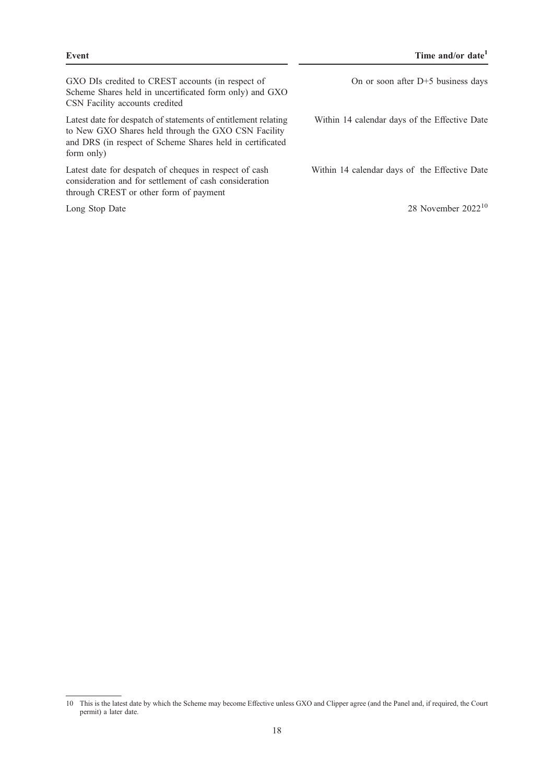GXO DIs credited to CREST accounts (in respect of Scheme Shares held in uncertificated form only) and GXO CSN Facility accounts credited

Latest date for despatch of statements of entitlement relating to New GXO Shares held through the GXO CSN Facility and DRS (in respect of Scheme Shares held in certificated form only)

Latest date for despatch of cheques in respect of cash consideration and for settlement of cash consideration through CREST or other form of payment

On or soon after D+5 business days

Within 14 calendar days of the Effective Date

Within 14 calendar days of the Effective Date

Long Stop Date  $28$  November  $2022^{10}$ 

<sup>10</sup> This is the latest date by which the Scheme may become Effective unless GXO and Clipper agree (and the Panel and, if required, the Court permit) a later date.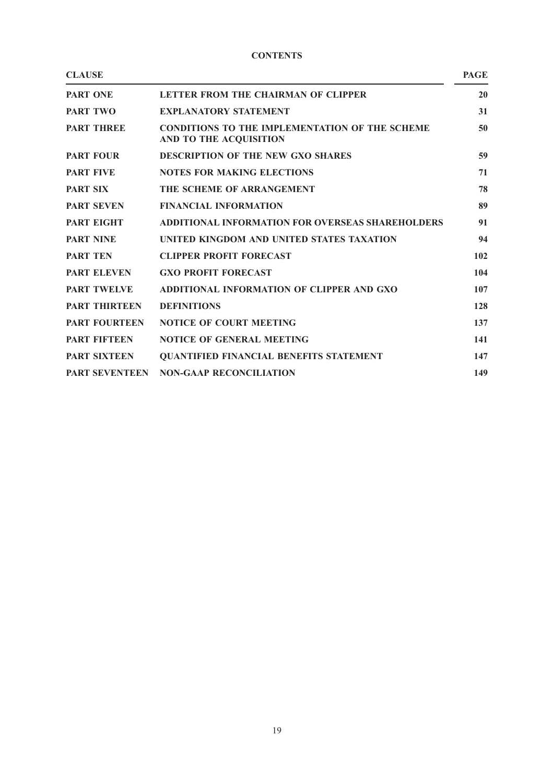|  | ٠ |
|--|---|
|--|---|

| <b>CLAUSE</b>         |                                                                                 | <b>PAGE</b> |
|-----------------------|---------------------------------------------------------------------------------|-------------|
| <b>PART ONE</b>       | LETTER FROM THE CHAIRMAN OF CLIPPER                                             | 20          |
| <b>PART TWO</b>       | <b>EXPLANATORY STATEMENT</b>                                                    | 31          |
| <b>PART THREE</b>     | <b>CONDITIONS TO THE IMPLEMENTATION OF THE SCHEME</b><br>AND TO THE ACQUISITION | 50          |
| <b>PART FOUR</b>      | <b>DESCRIPTION OF THE NEW GXO SHARES</b>                                        | 59          |
| <b>PART FIVE</b>      | <b>NOTES FOR MAKING ELECTIONS</b>                                               | 71          |
| <b>PART SIX</b>       | THE SCHEME OF ARRANGEMENT                                                       | 78          |
| <b>PART SEVEN</b>     | <b>FINANCIAL INFORMATION</b>                                                    | 89          |
| <b>PART EIGHT</b>     | <b>ADDITIONAL INFORMATION FOR OVERSEAS SHAREHOLDERS</b>                         | 91          |
| <b>PART NINE</b>      | UNITED KINGDOM AND UNITED STATES TAXATION                                       | 94          |
| <b>PART TEN</b>       | <b>CLIPPER PROFIT FORECAST</b>                                                  | 102         |
| <b>PART ELEVEN</b>    | <b>GXO PROFIT FORECAST</b>                                                      | 104         |
| <b>PART TWELVE</b>    | ADDITIONAL INFORMATION OF CLIPPER AND GXO                                       | 107         |
| <b>PART THIRTEEN</b>  | <b>DEFINITIONS</b>                                                              | 128         |
| <b>PART FOURTEEN</b>  | <b>NOTICE OF COURT MEETING</b>                                                  | 137         |
| <b>PART FIFTEEN</b>   | <b>NOTICE OF GENERAL MEETING</b>                                                | 141         |
| <b>PART SIXTEEN</b>   | <b>QUANTIFIED FINANCIAL BENEFITS STATEMENT</b>                                  | 147         |
| <b>PART SEVENTEEN</b> | <b>NON-GAAP RECONCILIATION</b>                                                  | 149         |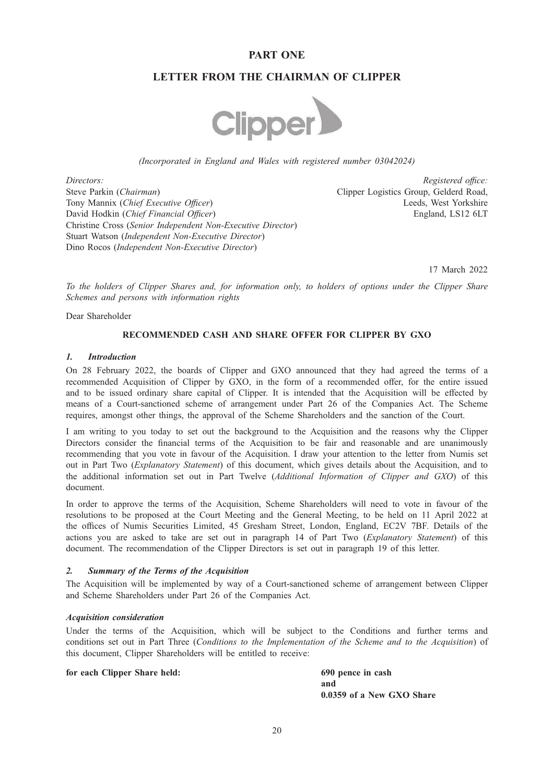# PART ONE

# LETTER FROM THE CHAIRMAN OF CLIPPER



(Incorporated in England and Wales with registered number 03042024)

Directors: Registered office: Steve Parkin (Chairman) Tony Mannix (Chief Executive Officer) David Hodkin (Chief Financial Officer) Christine Cross (Senior Independent Non-Executive Director) Stuart Watson (Independent Non-Executive Director) Dino Rocos (Independent Non-Executive Director)

Clipper Logistics Group, Gelderd Road, Leeds, West Yorkshire England, LS12 6LT

17 March 2022

To the holders of Clipper Shares and, for information only, to holders of options under the Clipper Share Schemes and persons with information rights

Dear Shareholder

# RECOMMENDED CASH AND SHARE OFFER FOR CLIPPER BY GXO

### $\mathbf{I}$

On 28 February 2022, the boards of Clipper and GXO announced that they had agreed the terms of a recommended Acquisition of Clipper by GXO, in the form of a recommended offer, for the entire issued and to be issued ordinary share capital of Clipper. It is intended that the Acquisition will be effected by means of a Court-sanctioned scheme of arrangement under Part 26 of the Companies Act. The Scheme requires, amongst other things, the approval of the Scheme Shareholders and the sanction of the Court.

I am writing to you today to set out the background to the Acquisition and the reasons why the Clipper Directors consider the financial terms of the Acquisition to be fair and reasonable and are unanimously recommending that you vote in favour of the Acquisition. I draw your attention to the letter from Numis set out in Part Two (*Explanatory Statement*) of this document, which gives details about the Acquisition, and to the additional information set out in Part Twelve (Additional Information of Clipper and GXO) of this document.

In order to approve the terms of the Acquisition, Scheme Shareholders will need to vote in favour of the resolutions to be proposed at the Court Meeting and the General Meeting, to be held on 11 April 2022 at the offices of Numis Securities Limited, 45 Gresham Street, London, England, EC2V 7BF. Details of the actions you are asked to take are set out in paragraph 14 of Part Two (Explanatory Statement) of this document. The recommendation of the Clipper Directors is set out in paragraph 19 of this letter.

2. Summary of the Terms of the Acquisition The Acquisition will be implemented by way of a Court-sanctioned scheme of arrangement between Clipper and Scheme Shareholders under Part 26 of the Companies Act.

Under the terms of the Acquisition, which will be subject to the Conditions and further terms and conditions set out in Part Three (Conditions to the Implementation of the Scheme and to the Acquisition) of this document, Clipper Shareholders will be entitled to receive:

### for each Clipper Share held: 690 pence in cash

and 0.0359 of a New GXO Share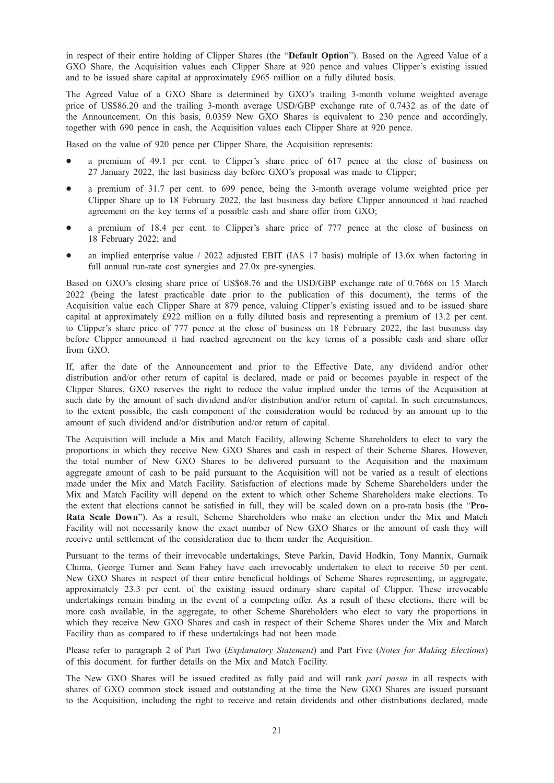in respect of their entire holding of Clipper Shares (the "Default Option"). Based on the Agreed Value of a GXO Share, the Acquisition values each Clipper Share at 920 pence and values Clipper's existing issued and to be issued share capital at approximately £965 million on a fully diluted basis.

The Agreed Value of a GXO Share is determined by GXO's trailing 3-month volume weighted average price of US\$86.20 and the trailing 3-month average USD/GBP exchange rate of 0.7432 as of the date of the Announcement. On this basis, 0.0359 New GXO Shares is equivalent to 230 pence and accordingly, together with 690 pence in cash, the Acquisition values each Clipper Share at 920 pence.

Based on the value of 920 pence per Clipper Share, the Acquisition represents:

- a premium of 49.1 per cent. to Clipper's share price of 617 pence at the close of business on 27 January 2022, the last business day before GXO's proposal was made to Clipper;
- a premium of 31.7 per cent. to 699 pence, being the 3-month average volume weighted price per Clipper Share up to 18 February 2022, the last business day before Clipper announced it had reached agreement on the key terms of a possible cash and share offer from GXO;
- a premium of 18.4 per cent. to Clipper's share price of 777 pence at the close of business on 18 February 2022; and
- an implied enterprise value / 2022 adjusted EBIT (IAS 17 basis) multiple of 13.6x when factoring in full annual run-rate cost synergies and 27.0x pre-synergies.

Based on GXO's closing share price of US\$68.76 and the USD/GBP exchange rate of 0.7668 on 15 March 2022 (being the latest practicable date prior to the publication of this document), the terms of the Acquisition value each Clipper Share at 879 pence, valuing Clipper's existing issued and to be issued share capital at approximately £922 million on a fully diluted basis and representing a premium of 13.2 per cent. to Clipper's share price of 777 pence at the close of business on 18 February 2022, the last business day before Clipper announced it had reached agreement on the key terms of a possible cash and share offer from GXO.

If, after the date of the Announcement and prior to the Effective Date, any dividend and/or other distribution and/or other return of capital is declared, made or paid or becomes payable in respect of the Clipper Shares, GXO reserves the right to reduce the value implied under the terms of the Acquisition at such date by the amount of such dividend and/or distribution and/or return of capital. In such circumstances, to the extent possible, the cash component of the consideration would be reduced by an amount up to the amount of such dividend and/or distribution and/or return of capital.

The Acquisition will include a Mix and Match Facility, allowing Scheme Shareholders to elect to vary the proportions in which they receive New GXO Shares and cash in respect of their Scheme Shares. However, the total number of New GXO Shares to be delivered pursuant to the Acquisition and the maximum aggregate amount of cash to be paid pursuant to the Acquisition will not be varied as a result of elections made under the Mix and Match Facility. Satisfaction of elections made by Scheme Shareholders under the Mix and Match Facility will depend on the extent to which other Scheme Shareholders make elections. To the extent that elections cannot be satisfied in full, they will be scaled down on a pro-rata basis (the "Pro-Rata Scale Down"). As a result, Scheme Shareholders who make an election under the Mix and Match Facility will not necessarily know the exact number of New GXO Shares or the amount of cash they will receive until settlement of the consideration due to them under the Acquisition.

Pursuant to the terms of their irrevocable undertakings, Steve Parkin, David Hodkin, Tony Mannix, Gurnaik Chima, George Turner and Sean Fahey have each irrevocably undertaken to elect to receive 50 per cent. New GXO Shares in respect of their entire beneficial holdings of Scheme Shares representing, in aggregate, approximately 23.3 per cent. of the existing issued ordinary share capital of Clipper. These irrevocable undertakings remain binding in the event of a competing offer. As a result of these elections, there will be more cash available, in the aggregate, to other Scheme Shareholders who elect to vary the proportions in which they receive New GXO Shares and cash in respect of their Scheme Shares under the Mix and Match Facility than as compared to if these undertakings had not been made.

Please refer to paragraph 2 of Part Two (Explanatory Statement) and Part Five (Notes for Making Elections) of this document. for further details on the Mix and Match Facility.

The New GXO Shares will be issued credited as fully paid and will rank pari passu in all respects with shares of GXO common stock issued and outstanding at the time the New GXO Shares are issued pursuant to the Acquisition, including the right to receive and retain dividends and other distributions declared, made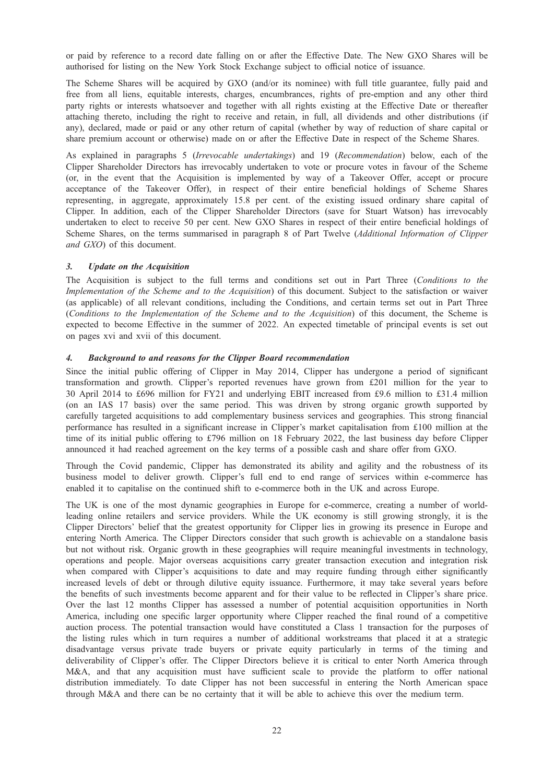or paid by reference to a record date falling on or after the Effective Date. The New GXO Shares will be authorised for listing on the New York Stock Exchange subject to official notice of issuance.

The Scheme Shares will be acquired by GXO (and/or its nominee) with full title guarantee, fully paid and free from all liens, equitable interests, charges, encumbrances, rights of pre-emption and any other third party rights or interests whatsoever and together with all rights existing at the Effective Date or thereafter attaching thereto, including the right to receive and retain, in full, all dividends and other distributions (if any), declared, made or paid or any other return of capital (whether by way of reduction of share capital or share premium account or otherwise) made on or after the Effective Date in respect of the Scheme Shares.

As explained in paragraphs 5 (Irrevocable undertakings) and 19 (Recommendation) below, each of the Clipper Shareholder Directors has irrevocably undertaken to vote or procure votes in favour of the Scheme (or, in the event that the Acquisition is implemented by way of a Takeover Offer, accept or procure acceptance of the Takeover Offer), in respect of their entire beneficial holdings of Scheme Shares representing, in aggregate, approximately 15.8 per cent. of the existing issued ordinary share capital of Clipper. In addition, each of the Clipper Shareholder Directors (save for Stuart Watson) has irrevocably undertaken to elect to receive 50 per cent. New GXO Shares in respect of their entire beneficial holdings of Scheme Shares, on the terms summarised in paragraph 8 of Part Twelve (Additional Information of Clipper and GXO) of this document.

The Acquisition is subject to the full terms and conditions set out in Part Three (Conditions to the Implementation of the Scheme and to the Acquisition) of this document. Subject to the satisfaction or waiver (as applicable) of all relevant conditions, including the Conditions, and certain terms set out in Part Three (Conditions to the Implementation of the Scheme and to the Acquisition) of this document, the Scheme is expected to become Effective in the summer of 2022. An expected timetable of principal events is set out on pages xvi and xvii of this document.

Since the initial public offering of Clipper in May 2014, Clipper has undergone a period of significant transformation and growth. Clipper's reported revenues have grown from £201 million for the year to 30 April 2014 to £696 million for FY21 and underlying EBIT increased from £9.6 million to £31.4 million (on an IAS 17 basis) over the same period. This was driven by strong organic growth supported by carefully targeted acquisitions to add complementary business services and geographies. This strong financial performance has resulted in a significant increase in Clipper's market capitalisation from £100 million at the time of its initial public offering to £796 million on 18 February 2022, the last business day before Clipper announced it had reached agreement on the key terms of a possible cash and share offer from GXO.

Through the Covid pandemic, Clipper has demonstrated its ability and agility and the robustness of its business model to deliver growth. Clipper's full end to end range of services within e-commerce has enabled it to capitalise on the continued shift to e-commerce both in the UK and across Europe.

The UK is one of the most dynamic geographies in Europe for e-commerce, creating a number of worldleading online retailers and service providers. While the UK economy is still growing strongly, it is the Clipper Directors' belief that the greatest opportunity for Clipper lies in growing its presence in Europe and entering North America. The Clipper Directors consider that such growth is achievable on a standalone basis but not without risk. Organic growth in these geographies will require meaningful investments in technology, operations and people. Major overseas acquisitions carry greater transaction execution and integration risk when compared with Clipper's acquisitions to date and may require funding through either significantly increased levels of debt or through dilutive equity issuance. Furthermore, it may take several years before the benefits of such investments become apparent and for their value to be reflected in Clipper's share price. Over the last 12 months Clipper has assessed a number of potential acquisition opportunities in North America, including one specific larger opportunity where Clipper reached the final round of a competitive auction process. The potential transaction would have constituted a Class 1 transaction for the purposes of the listing rules which in turn requires a number of additional workstreams that placed it at a strategic disadvantage versus private trade buyers or private equity particularly in terms of the timing and deliverability of Clipper's offer. The Clipper Directors believe it is critical to enter North America through M&A, and that any acquisition must have sufficient scale to provide the platform to offer national distribution immediately. To date Clipper has not been successful in entering the North American space through M&A and there can be no certainty that it will be able to achieve this over the medium term.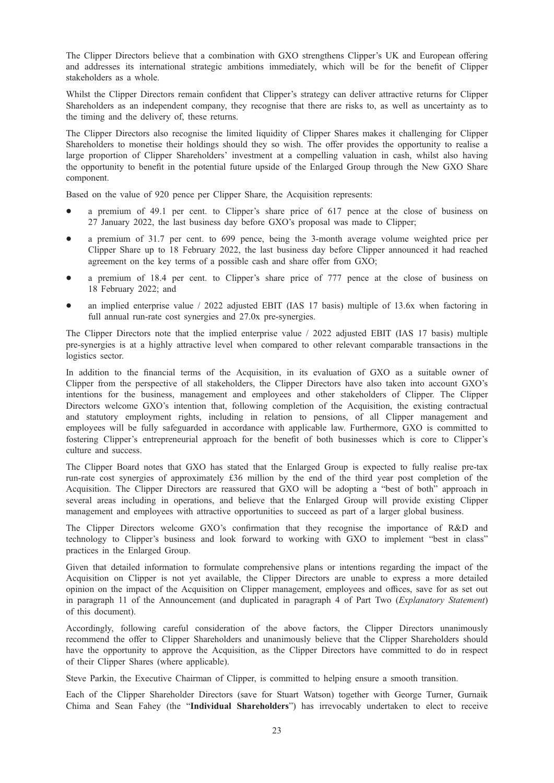The Clipper Directors believe that a combination with GXO strengthens Clipper's UK and European offering and addresses its international strategic ambitions immediately, which will be for the benefit of Clipper stakeholders as a whole.

Whilst the Clipper Directors remain confident that Clipper's strategy can deliver attractive returns for Clipper Shareholders as an independent company, they recognise that there are risks to, as well as uncertainty as to the timing and the delivery of, these returns.

The Clipper Directors also recognise the limited liquidity of Clipper Shares makes it challenging for Clipper Shareholders to monetise their holdings should they so wish. The offer provides the opportunity to realise a large proportion of Clipper Shareholders' investment at a compelling valuation in cash, whilst also having the opportunity to benefit in the potential future upside of the Enlarged Group through the New GXO Share component.

Based on the value of 920 pence per Clipper Share, the Acquisition represents:

- a premium of 49.1 per cent. to Clipper's share price of 617 pence at the close of business on 27 January 2022, the last business day before GXO's proposal was made to Clipper;
- a premium of 31.7 per cent. to 699 pence, being the 3-month average volume weighted price per Clipper Share up to 18 February 2022, the last business day before Clipper announced it had reached agreement on the key terms of a possible cash and share offer from GXO;
- a premium of 18.4 per cent. to Clipper's share price of 777 pence at the close of business on 18 February 2022; and
- an implied enterprise value / 2022 adjusted EBIT (IAS 17 basis) multiple of 13.6x when factoring in full annual run-rate cost synergies and 27.0x pre-synergies.

The Clipper Directors note that the implied enterprise value / 2022 adjusted EBIT (IAS 17 basis) multiple pre-synergies is at a highly attractive level when compared to other relevant comparable transactions in the logistics sector.

In addition to the financial terms of the Acquisition, in its evaluation of GXO as a suitable owner of Clipper from the perspective of all stakeholders, the Clipper Directors have also taken into account GXO's intentions for the business, management and employees and other stakeholders of Clipper. The Clipper Directors welcome GXO's intention that, following completion of the Acquisition, the existing contractual and statutory employment rights, including in relation to pensions, of all Clipper management and employees will be fully safeguarded in accordance with applicable law. Furthermore, GXO is committed to fostering Clipper's entrepreneurial approach for the benefit of both businesses which is core to Clipper's culture and success.

The Clipper Board notes that GXO has stated that the Enlarged Group is expected to fully realise pre-tax run-rate cost synergies of approximately £36 million by the end of the third year post completion of the Acquisition. The Clipper Directors are reassured that GXO will be adopting a "best of both" approach in several areas including in operations, and believe that the Enlarged Group will provide existing Clipper management and employees with attractive opportunities to succeed as part of a larger global business.

The Clipper Directors welcome GXO's confirmation that they recognise the importance of R&D and technology to Clipper's business and look forward to working with GXO to implement "best in class" practices in the Enlarged Group.

Given that detailed information to formulate comprehensive plans or intentions regarding the impact of the Acquisition on Clipper is not yet available, the Clipper Directors are unable to express a more detailed opinion on the impact of the Acquisition on Clipper management, employees and offices, save for as set out in paragraph 11 of the Announcement (and duplicated in paragraph 4 of Part Two (Explanatory Statement) of this document).

Accordingly, following careful consideration of the above factors, the Clipper Directors unanimously recommend the offer to Clipper Shareholders and unanimously believe that the Clipper Shareholders should have the opportunity to approve the Acquisition, as the Clipper Directors have committed to do in respect of their Clipper Shares (where applicable).

Steve Parkin, the Executive Chairman of Clipper, is committed to helping ensure a smooth transition.

Each of the Clipper Shareholder Directors (save for Stuart Watson) together with George Turner, Gurnaik Chima and Sean Fahey (the "Individual Shareholders") has irrevocably undertaken to elect to receive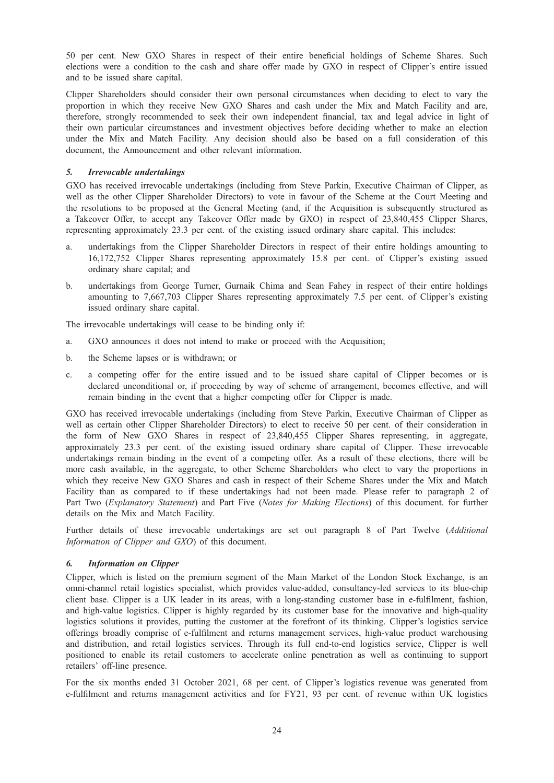50 per cent. New GXO Shares in respect of their entire beneficial holdings of Scheme Shares. Such elections were a condition to the cash and share offer made by GXO in respect of Clipper's entire issued and to be issued share capital.

Clipper Shareholders should consider their own personal circumstances when deciding to elect to vary the proportion in which they receive New GXO Shares and cash under the Mix and Match Facility and are, therefore, strongly recommended to seek their own independent financial, tax and legal advice in light of their own particular circumstances and investment objectives before deciding whether to make an election under the Mix and Match Facility. Any decision should also be based on a full consideration of this document, the Announcement and other relevant information.

## $\overline{5}$ .

GXO has received irrevocable undertakings (including from Steve Parkin, Executive Chairman of Clipper, as well as the other Clipper Shareholder Directors) to vote in favour of the Scheme at the Court Meeting and the resolutions to be proposed at the General Meeting (and, if the Acquisition is subsequently structured as a Takeover Offer, to accept any Takeover Offer made by GXO) in respect of 23,840,455 Clipper Shares, representing approximately 23.3 per cent. of the existing issued ordinary share capital. This includes:

- a. undertakings from the Clipper Shareholder Directors in respect of their entire holdings amounting to 16,172,752 Clipper Shares representing approximately 15.8 per cent. of Clipper's existing issued ordinary share capital; and
- b. undertakings from George Turner, Gurnaik Chima and Sean Fahey in respect of their entire holdings amounting to 7,667,703 Clipper Shares representing approximately 7.5 per cent. of Clipper's existing issued ordinary share capital.

The irrevocable undertakings will cease to be binding only if:

- a. GXO announces it does not intend to make or proceed with the Acquisition;
- b. the Scheme lapses or is withdrawn; or
- c. a competing offer for the entire issued and to be issued share capital of Clipper becomes or is declared unconditional or, if proceeding by way of scheme of arrangement, becomes effective, and will remain binding in the event that a higher competing offer for Clipper is made.

GXO has received irrevocable undertakings (including from Steve Parkin, Executive Chairman of Clipper as well as certain other Clipper Shareholder Directors) to elect to receive 50 per cent. of their consideration in the form of New GXO Shares in respect of 23,840,455 Clipper Shares representing, in aggregate, approximately 23.3 per cent. of the existing issued ordinary share capital of Clipper. These irrevocable undertakings remain binding in the event of a competing offer. As a result of these elections, there will be more cash available, in the aggregate, to other Scheme Shareholders who elect to vary the proportions in which they receive New GXO Shares and cash in respect of their Scheme Shares under the Mix and Match Facility than as compared to if these undertakings had not been made. Please refer to paragraph 2 of Part Two (Explanatory Statement) and Part Five (Notes for Making Elections) of this document. for further details on the Mix and Match Facility.

Further details of these irrevocable undertakings are set out paragraph 8 of Part Twelve (Additional Information of Clipper and GXO) of this document.

### $\mathbf{r}$

6. Information on Clipper Clipper, which is listed on the premium segment of the Main Market of the London Stock Exchange, is an omni-channel retail logistics specialist, which provides value-added, consultancy-led services to its blue-chip client base. Clipper is a UK leader in its areas, with a long-standing customer base in e-fulfilment, fashion, and high-value logistics. Clipper is highly regarded by its customer base for the innovative and high-quality logistics solutions it provides, putting the customer at the forefront of its thinking. Clipper's logistics service offerings broadly comprise of e-fulfilment and returns management services, high-value product warehousing and distribution, and retail logistics services. Through its full end-to-end logistics service, Clipper is well positioned to enable its retail customers to accelerate online penetration as well as continuing to support retailers' off-line presence.

For the six months ended 31 October 2021, 68 per cent. of Clipper's logistics revenue was generated from e-fulfilment and returns management activities and for FY21, 93 per cent. of revenue within UK logistics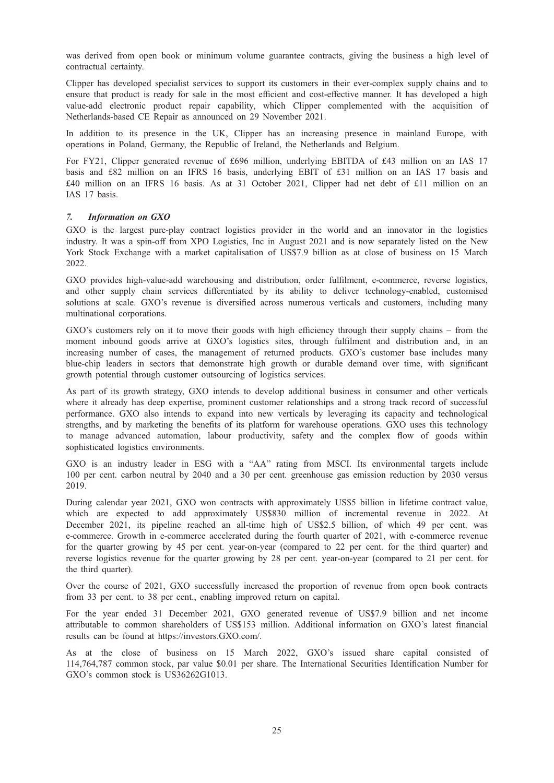was derived from open book or minimum volume guarantee contracts, giving the business a high level of contractual certainty.

Clipper has developed specialist services to support its customers in their ever-complex supply chains and to ensure that product is ready for sale in the most efficient and cost-effective manner. It has developed a high value-add electronic product repair capability, which Clipper complemented with the acquisition of Netherlands-based CE Repair as announced on 29 November 2021.

In addition to its presence in the UK, Clipper has an increasing presence in mainland Europe, with operations in Poland, Germany, the Republic of Ireland, the Netherlands and Belgium.

For FY21, Clipper generated revenue of £696 million, underlying EBITDA of £43 million on an IAS 17 basis and £82 million on an IFRS 16 basis, underlying EBIT of £31 million on an IAS 17 basis and £40 million on an IFRS 16 basis. As at 31 October 2021, Clipper had net debt of £11 million on an IAS 17 basis.

# $\overline{7}$ .

GXO is the largest pure-play contract logistics provider in the world and an innovator in the logistics industry. It was a spin-off from XPO Logistics, Inc in August 2021 and is now separately listed on the New York Stock Exchange with a market capitalisation of US\$7.9 billion as at close of business on 15 March 2022.

GXO provides high-value-add warehousing and distribution, order fulfilment, e-commerce, reverse logistics, and other supply chain services differentiated by its ability to deliver technology-enabled, customised solutions at scale. GXO's revenue is diversified across numerous verticals and customers, including many multinational corporations.

GXO's customers rely on it to move their goods with high efficiency through their supply chains – from the moment inbound goods arrive at GXO's logistics sites, through fulfilment and distribution and, in an increasing number of cases, the management of returned products. GXO's customer base includes many blue-chip leaders in sectors that demonstrate high growth or durable demand over time, with significant growth potential through customer outsourcing of logistics services.

As part of its growth strategy, GXO intends to develop additional business in consumer and other verticals where it already has deep expertise, prominent customer relationships and a strong track record of successful performance. GXO also intends to expand into new verticals by leveraging its capacity and technological strengths, and by marketing the benefits of its platform for warehouse operations. GXO uses this technology to manage advanced automation, labour productivity, safety and the complex flow of goods within sophisticated logistics environments.

GXO is an industry leader in ESG with a "AA" rating from MSCI. Its environmental targets include 100 per cent. carbon neutral by 2040 and a 30 per cent. greenhouse gas emission reduction by 2030 versus 2019.

During calendar year 2021, GXO won contracts with approximately US\$5 billion in lifetime contract value, which are expected to add approximately US\$830 million of incremental revenue in 2022. At December 2021, its pipeline reached an all-time high of US\$2.5 billion, of which 49 per cent. was e-commerce. Growth in e-commerce accelerated during the fourth quarter of 2021, with e-commerce revenue for the quarter growing by 45 per cent. year-on-year (compared to 22 per cent. for the third quarter) and reverse logistics revenue for the quarter growing by 28 per cent. year-on-year (compared to 21 per cent. for the third quarter).

Over the course of 2021, GXO successfully increased the proportion of revenue from open book contracts from 33 per cent. to 38 per cent., enabling improved return on capital.

For the year ended 31 December 2021, GXO generated revenue of US\$7.9 billion and net income attributable to common shareholders of US\$153 million. Additional information on GXO's latest financial results can be found at https://investors.GXO.com/.

As at the close of business on 15 March 2022, GXO's issued share capital consisted of 114,764,787 common stock, par value \$0.01 per share. The International Securities Identification Number for GXO's common stock is US36262G1013.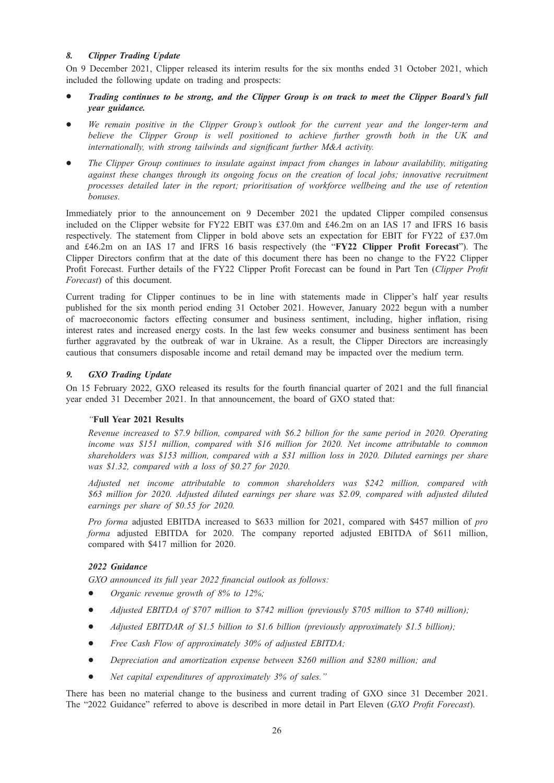On 9 December 2021, Clipper released its interim results for the six months ended 31 October 2021, which included the following update on trading and prospects:

- Trading continues to be strong, and the Clipper Group is on track to meet the Clipper Board's full vear guidance.  $y = 3$
- We remain positive in the Clipper Group's outlook for the current year and the longer-term and believe the Clipper Group is well positioned to achieve further growth both in the UK and internationally, with strong tailwinds and significant further M&A activity.
- The Clipper Group continues to insulate against impact from changes in labour availability, mitigating against these changes through its ongoing focus on the creation of local jobs; innovative recruitment processes detailed later in the report; prioritisation of workforce wellbeing and the use of retention bonuses.

Immediately prior to the announcement on 9 December 2021 the updated Clipper compiled consensus included on the Clipper website for FY22 EBIT was £37.0m and £46.2m on an IAS 17 and IFRS 16 basis respectively. The statement from Clipper in bold above sets an expectation for EBIT for FY22 of £37.0m and £46.2m on an IAS 17 and IFRS 16 basis respectively (the "FY22 Clipper Profit Forecast"). The Clipper Directors confirm that at the date of this document there has been no change to the FY22 Clipper Profit Forecast. Further details of the FY22 Clipper Profit Forecast can be found in Part Ten (Clipper Profit Forecast) of this document.

Current trading for Clipper continues to be in line with statements made in Clipper's half year results published for the six month period ending 31 October 2021. However, January 2022 begun with a number of macroeconomic factors effecting consumer and business sentiment, including, higher inflation, rising interest rates and increased energy costs. In the last few weeks consumer and business sentiment has been further aggravated by the outbreak of war in Ukraine. As a result, the Clipper Directors are increasingly cautious that consumers disposable income and retail demand may be impacted over the medium term.

on 15 February 2022, GXO released its results for the fourth financial quarter of 2021 and the full financial year ended 31 December 2021. In that announcement, the board of GXO stated that:

# "Full Year 2021 Results

Revenue increased to \$7.9 billion, compared with \$6.2 billion for the same period in 2020. Operating income was \$151 million, compared with \$16 million for 2020. Net income attributable to common shareholders was \$153 million, compared with a \$31 million loss in 2020. Diluted earnings per share was \$1.32, compared with a loss of \$0.27 for 2020.

Adjusted net income attributable to common shareholders was \$242 million, compared with \$63 million for 2020. Adjusted diluted earnings per share was \$2.09, compared with adjusted diluted earnings per share of \$0.55 for 2020.

Pro forma adjusted EBITDA increased to \$633 million for 2021, compared with \$457 million of pro forma adjusted EBITDA for 2020. The company reported adjusted EBITDA of \$611 million, compared with \$417 million for 2020.

2022 Guidance GXO announced its full year 2022 financial outlook as follows:

- Organic revenue growth of  $8\%$  to  $12\%$ ;
- Adjusted EBITDA of \$707 million to \$742 million (previously \$705 million to \$740 million);
- $\bullet$  Adjusted EBITDAR of \$1.5 billion to \$1.6 billion (previously approximately \$1.5 billion);
- Free Cash Flow of approximately 30% of adjusted EBITDA;
- Depreciation and amortization expense between \$260 million and \$280 million; and
- Net capital expenditures of approximately 3% of sales."

There has been no material change to the business and current trading of GXO since 31 December 2021. The "2022 Guidance" referred to above is described in more detail in Part Eleven (GXO Profit Forecast).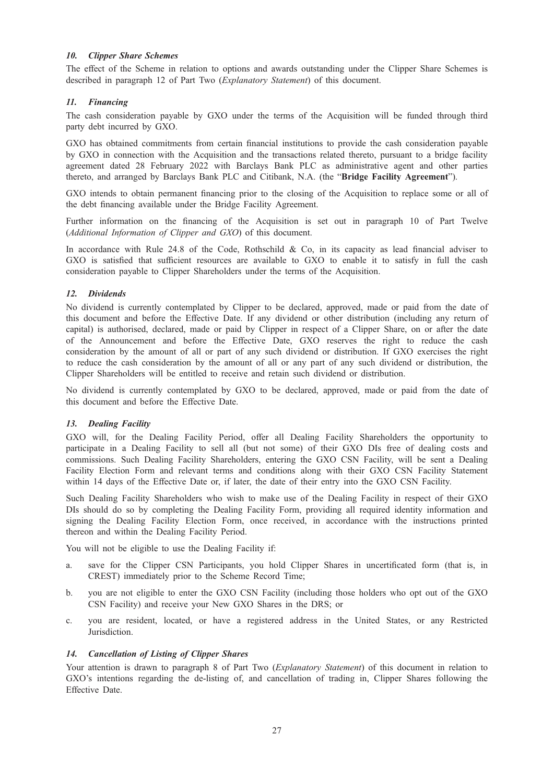The effect of the Scheme in relation to options and awards outstanding under the Clipper Share Schemes is described in paragraph 12 of Part Two (*Explanatory Statement*) of this document.

The cash consideration payable by GXO under the terms of the Acquisition will be funded through third party debt incurred by GXO.

GXO has obtained commitments from certain financial institutions to provide the cash consideration payable by GXO in connection with the Acquisition and the transactions related thereto, pursuant to a bridge facility agreement dated 28 February 2022 with Barclays Bank PLC as administrative agent and other parties thereto, and arranged by Barclays Bank PLC and Citibank, N.A. (the "Bridge Facility Agreement").

GXO intends to obtain permanent financing prior to the closing of the Acquisition to replace some or all of the debt financing available under the Bridge Facility Agreement.

Further information on the financing of the Acquisition is set out in paragraph 10 of Part Twelve (Additional Information of Clipper and GXO) of this document.

In accordance with Rule 24.8 of the Code, Rothschild & Co, in its capacity as lead financial adviser to GXO is satisfied that sufficient resources are available to GXO to enable it to satisfy in full the cash consideration payable to Clipper Shareholders under the terms of the Acquisition.

No dividend is currently contemplated by Clipper to be declared, approved, made or paid from the date of this document and before the Effective Date. If any dividend or other distribution (including any return of capital) is authorised, declared, made or paid by Clipper in respect of a Clipper Share, on or after the date of the Announcement and before the Effective Date, GXO reserves the right to reduce the cash consideration by the amount of all or part of any such dividend or distribution. If GXO exercises the right to reduce the cash consideration by the amount of all or any part of any such dividend or distribution, the Clipper Shareholders will be entitled to receive and retain such dividend or distribution.

No dividend is currently contemplated by GXO to be declared, approved, made or paid from the date of this document and before the Effective Date.

GXO will, for the Dealing Facility Period, offer all Dealing Facility Shareholders the opportunity to participate in a Dealing Facility to sell all (but not some) of their GXO DIs free of dealing costs and commissions. Such Dealing Facility Shareholders, entering the GXO CSN Facility, will be sent a Dealing Facility Election Form and relevant terms and conditions along with their GXO CSN Facility Statement within 14 days of the Effective Date or, if later, the date of their entry into the GXO CSN Facility.

Such Dealing Facility Shareholders who wish to make use of the Dealing Facility in respect of their GXO DIs should do so by completing the Dealing Facility Form, providing all required identity information and signing the Dealing Facility Election Form, once received, in accordance with the instructions printed thereon and within the Dealing Facility Period.

You will not be eligible to use the Dealing Facility if:

- a. save for the Clipper CSN Participants, you hold Clipper Shares in uncertificated form (that is, in CREST) immediately prior to the Scheme Record Time;
- b. you are not eligible to enter the GXO CSN Facility (including those holders who opt out of the GXO CSN Facility) and receive your New GXO Shares in the DRS; or
- c. you are resident, located, or have a registered address in the United States, or any Restricted Jurisdiction.

Your attention is drawn to paragraph 8 of Part Two (*Explanatory Statement*) of this document in relation to GXO's intentions regarding the de-listing of, and cancellation of trading in, Clipper Shares following the Effective Date.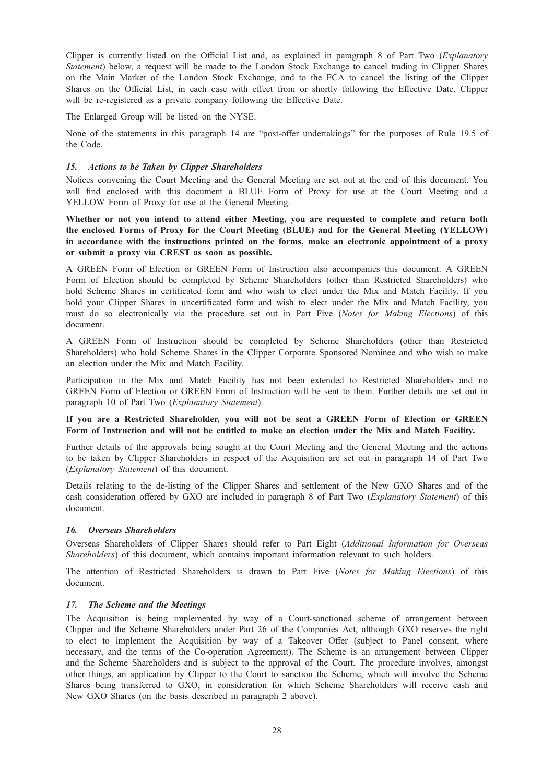Clipper is currently listed on the Official List and, as explained in paragraph 8 of Part Two (Explanatory Statement) below, a request will be made to the London Stock Exchange to cancel trading in Clipper Shares on the Main Market of the London Stock Exchange, and to the FCA to cancel the listing of the Clipper Shares on the Official List, in each case with effect from or shortly following the Effective Date. Clipper will be re-registered as a private company following the Effective Date.

The Enlarged Group will be listed on the NYSE.

None of the statements in this paragraph 14 are "post-offer undertakings" for the purposes of Rule 19.5 of the Code.

Notices convening the Court Meeting and the General Meeting are set out at the end of this document. You will find enclosed with this document a BLUE Form of Proxy for use at the Court Meeting and a YELLOW Form of Proxy for use at the General Meeting.

Whether or not you intend to attend either Meeting, you are requested to complete and return both the enclosed Forms of Proxy for the Court Meeting (BLUE) and for the General Meeting (YELLOW) in accordance with the instructions printed on the forms, make an electronic appointment of a proxy or submit a proxy via CREST as soon as possible.

A GREEN Form of Election or GREEN Form of Instruction also accompanies this document. A GREEN Form of Election should be completed by Scheme Shareholders (other than Restricted Shareholders) who hold Scheme Shares in certificated form and who wish to elect under the Mix and Match Facility. If you hold your Clipper Shares in uncertificated form and wish to elect under the Mix and Match Facility, you must do so electronically via the procedure set out in Part Five (Notes for Making Elections) of this document.

A GREEN Form of Instruction should be completed by Scheme Shareholders (other than Restricted Shareholders) who hold Scheme Shares in the Clipper Corporate Sponsored Nominee and who wish to make an election under the Mix and Match Facility.

Participation in the Mix and Match Facility has not been extended to Restricted Shareholders and no GREEN Form of Election or GREEN Form of Instruction will be sent to them. Further details are set out in paragraph 10 of Part Two (Explanatory Statement).

### If you are a Restricted Shareholder, you will not be sent a GREEN Form of Election or GREEN Form of Instruction and will not be entitled to make an election under the Mix and Match Facility.

Further details of the approvals being sought at the Court Meeting and the General Meeting and the actions to be taken by Clipper Shareholders in respect of the Acquisition are set out in paragraph 14 of Part Two (Explanatory Statement) of this document.

Details relating to the de-listing of the Clipper Shares and settlement of the New GXO Shares and of the cash consideration offered by GXO are included in paragraph 8 of Part Two (Explanatory Statement) of this document.

# 16. Overseas Shareholders

Overseas Shareholders of Clipper Shares should refer to Part Eight (Additional Information for Overseas Shareholders) of this document, which contains important information relevant to such holders.

The attention of Restricted Shareholders is drawn to Part Five (Notes for Making Elections) of this document.

The Acquisition is being implemented by way of a Court-sanctioned scheme of arrangement between Clipper and the Scheme Shareholders under Part 26 of the Companies Act, although GXO reserves the right to elect to implement the Acquisition by way of a Takeover Offer (subject to Panel consent, where necessary, and the terms of the Co-operation Agreement). The Scheme is an arrangement between Clipper and the Scheme Shareholders and is subject to the approval of the Court. The procedure involves, amongst other things, an application by Clipper to the Court to sanction the Scheme, which will involve the Scheme Shares being transferred to GXO, in consideration for which Scheme Shareholders will receive cash and New GXO Shares (on the basis described in paragraph 2 above).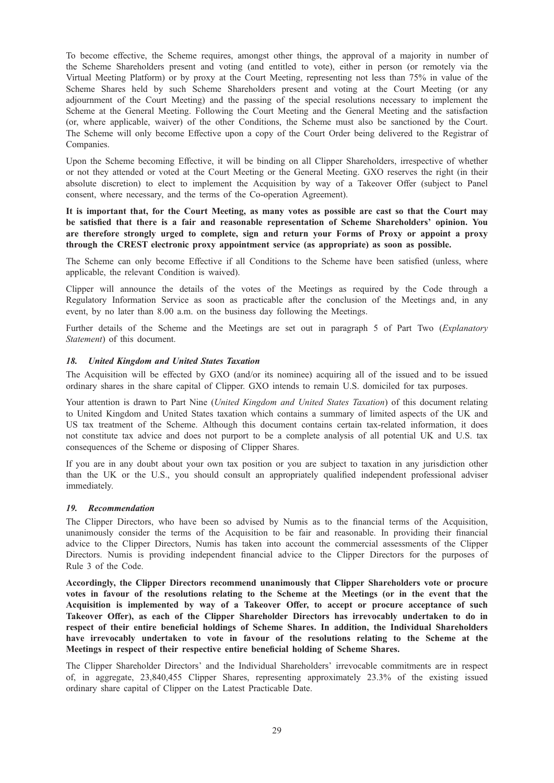To become effective, the Scheme requires, amongst other things, the approval of a majority in number of the Scheme Shareholders present and voting (and entitled to vote), either in person (or remotely via the Virtual Meeting Platform) or by proxy at the Court Meeting, representing not less than 75% in value of the Scheme Shares held by such Scheme Shareholders present and voting at the Court Meeting (or any adjournment of the Court Meeting) and the passing of the special resolutions necessary to implement the Scheme at the General Meeting. Following the Court Meeting and the General Meeting and the satisfaction (or, where applicable, waiver) of the other Conditions, the Scheme must also be sanctioned by the Court. The Scheme will only become Effective upon a copy of the Court Order being delivered to the Registrar of Companies.

Upon the Scheme becoming Effective, it will be binding on all Clipper Shareholders, irrespective of whether or not they attended or voted at the Court Meeting or the General Meeting. GXO reserves the right (in their absolute discretion) to elect to implement the Acquisition by way of a Takeover Offer (subject to Panel consent, where necessary, and the terms of the Co-operation Agreement).

It is important that, for the Court Meeting, as many votes as possible are cast so that the Court may be satisfied that there is a fair and reasonable representation of Scheme Shareholders' opinion. You are therefore strongly urged to complete, sign and return your Forms of Proxy or appoint a proxy through the CREST electronic proxy appointment service (as appropriate) as soon as possible.

The Scheme can only become Effective if all Conditions to the Scheme have been satisfied (unless, where applicable, the relevant Condition is waived).

Clipper will announce the details of the votes of the Meetings as required by the Code through a Regulatory Information Service as soon as practicable after the conclusion of the Meetings and, in any event, by no later than 8.00 a.m. on the business day following the Meetings.

Further details of the Scheme and the Meetings are set out in paragraph 5 of Part Two (Explanatory Statement) of this document.

The Acquisition will be effected by GXO (and/or its nominee) acquiring all of the issued and to be issued ordinary shares in the share capital of Clipper. GXO intends to remain U.S. domiciled for tax purposes.

Your attention is drawn to Part Nine (United Kingdom and United States Taxation) of this document relating to United Kingdom and United States taxation which contains a summary of limited aspects of the UK and US tax treatment of the Scheme. Although this document contains certain tax-related information, it does not constitute tax advice and does not purport to be a complete analysis of all potential UK and U.S. tax consequences of the Scheme or disposing of Clipper Shares.

If you are in any doubt about your own tax position or you are subject to taxation in any jurisdiction other than the UK or the U.S., you should consult an appropriately qualified independent professional adviser immediately.

The Clipper Directors, who have been so advised by Numis as to the financial terms of the Acquisition, unanimously consider the terms of the Acquisition to be fair and reasonable. In providing their financial advice to the Clipper Directors, Numis has taken into account the commercial assessments of the Clipper Directors. Numis is providing independent financial advice to the Clipper Directors for the purposes of Rule 3 of the Code.

Accordingly, the Clipper Directors recommend unanimously that Clipper Shareholders vote or procure votes in favour of the resolutions relating to the Scheme at the Meetings (or in the event that the Acquisition is implemented by way of a Takeover Offer, to accept or procure acceptance of such Takeover Offer), as each of the Clipper Shareholder Directors has irrevocably undertaken to do in respect of their entire beneficial holdings of Scheme Shares. In addition, the Individual Shareholders have irrevocably undertaken to vote in favour of the resolutions relating to the Scheme at the Meetings in respect of their respective entire beneficial holding of Scheme Shares.

The Clipper Shareholder Directors' and the Individual Shareholders' irrevocable commitments are in respect of, in aggregate, 23,840,455 Clipper Shares, representing approximately 23.3% of the existing issued ordinary share capital of Clipper on the Latest Practicable Date.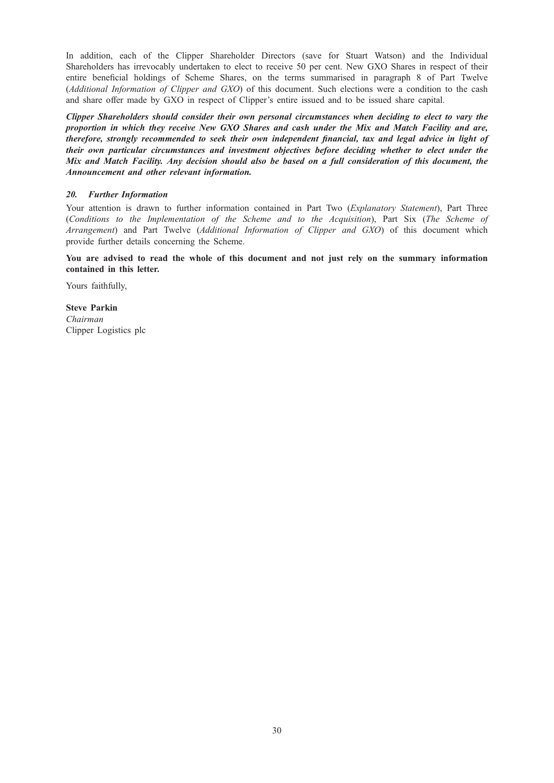In addition, each of the Clipper Shareholder Directors (save for Stuart Watson) and the Individual Shareholders has irrevocably undertaken to elect to receive 50 per cent. New GXO Shares in respect of their entire beneficial holdings of Scheme Shares, on the terms summarised in paragraph 8 of Part Twelve (Additional Information of Clipper and GXO) of this document. Such elections were a condition to the cash and share offer made by GXO in respect of Clipper's entire issued and to be issued share capital.

Clipper Shareholders should consider their own personal circumstances when deciding to elect to vary the proportion in which they receive New GXO Shares and cash under the Mix and Match Facility and are, therefore, strongly recommended to seek their own independent financial, tax and legal advice in light of<br>their own particular circumstances and investment objectives before deciding whether to elect under the their own particular circumstances and investment objectives before deciding whether to elect under the<br>Mix and Match Facility. Any decision should also be based on a full consideration of this document, the Announcement and other relevant information. Announcement and other relevant information.

Your attention is drawn to further information contained in Part Two (*Explanatory Statement*), Part Three (Conditions to the Implementation of the Scheme and to the Acquisition), Part Six (The Scheme of Arrangement) and Part Twelve (Additional Information of Clipper and GXO) of this document which provide further details concerning the Scheme.

You are advised to read the whole of this document and not just rely on the summary information contained in this letter.

Yours faithfully,

Steve Parkin Chairman Clipper Logistics plc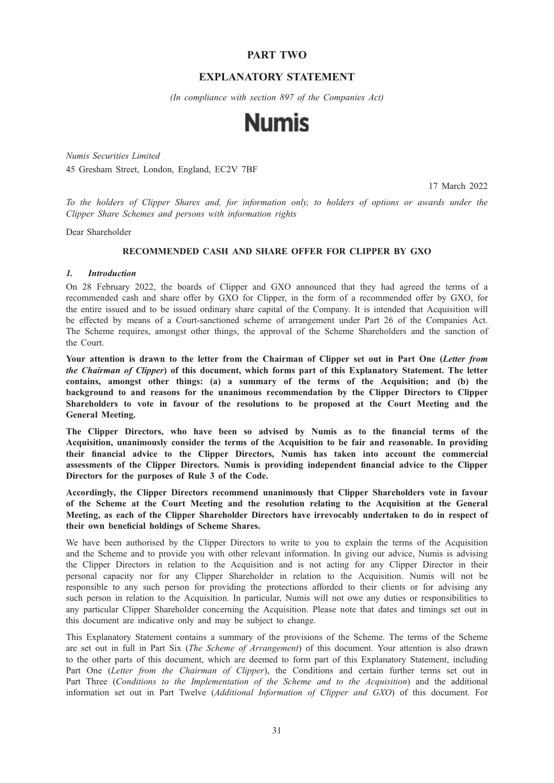# PART TWO

# EXPLANATORY STATEMENT

(In compliance with section 897 of the Companies Act)



Numis Securities Limited 45 Gresham Street, London, England, EC2V 7BF

17 March 2022

To the holders of Clipper Shares and, for information only, to holders of options or awards under the Clipper Share Schemes and persons with information rights

Dear Shareholder

## RECOMMENDED CASH AND SHARE OFFER FOR CLIPPER BY GXO

On 28 February 2022, the boards of Clipper and GXO announced that they had agreed the terms of a recommended cash and share offer by GXO for Clipper, in the form of a recommended offer by GXO, for the entire issued and to be issued ordinary share capital of the Company. It is intended that Acquisition will be effected by means of a Court-sanctioned scheme of arrangement under Part 26 of the Companies Act. The Scheme requires, amongst other things, the approval of the Scheme Shareholders and the sanction of the Court.

Your attention is drawn to the letter from the Chairman of Clipper set out in Part One (Letter from the Chairman of Clipper) of this document, which forms part of this Explanatory Statement. The letter contains, amongst other things: (a) a summary of the terms of the Acquisition; and (b) the background to and reasons for the unanimous recommendation by the Clipper Directors to Clipper Shareholders to vote in favour of the resolutions to be proposed at the Court Meeting and the General Meeting.

The Clipper Directors, who have been so advised by Numis as to the financial terms of the Acquisition, unanimously consider the terms of the Acquisition to be fair and reasonable. In providing their financial advice to the Clipper Directors, Numis has taken into account the commercial assessments of the Clipper Directors. Numis is providing independent financial advice to the Clipper Directors for the purposes of Rule 3 of the Code.

Accordingly, the Clipper Directors recommend unanimously that Clipper Shareholders vote in favour of the Scheme at the Court Meeting and the resolution relating to the Acquisition at the General Meeting, as each of the Clipper Shareholder Directors have irrevocably undertaken to do in respect of their own beneficial holdings of Scheme Shares.

We have been authorised by the Clipper Directors to write to you to explain the terms of the Acquisition and the Scheme and to provide you with other relevant information. In giving our advice, Numis is advising the Clipper Directors in relation to the Acquisition and is not acting for any Clipper Director in their personal capacity nor for any Clipper Shareholder in relation to the Acquisition. Numis will not be responsible to any such person for providing the protections afforded to their clients or for advising any such person in relation to the Acquisition. In particular, Numis will not owe any duties or responsibilities to any particular Clipper Shareholder concerning the Acquisition. Please note that dates and timings set out in this document are indicative only and may be subject to change.

This Explanatory Statement contains a summary of the provisions of the Scheme. The terms of the Scheme are set out in full in Part Six (The Scheme of Arrangement) of this document. Your attention is also drawn to the other parts of this document, which are deemed to form part of this Explanatory Statement, including Part One (Letter from the Chairman of Clipper), the Conditions and certain further terms set out in Part Three (Conditions to the Implementation of the Scheme and to the Acquisition) and the additional information set out in Part Twelve (Additional Information of Clipper and GXO) of this document. For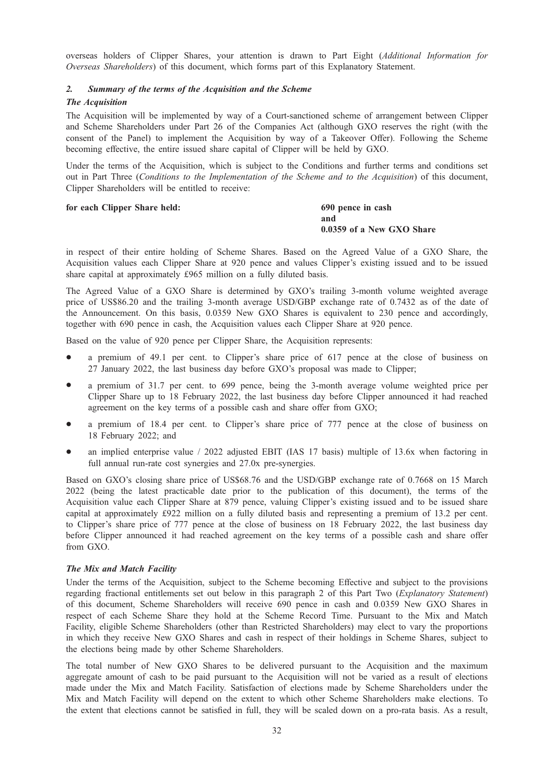overseas holders of Clipper Shares, your attention is drawn to Part Eight (Additional Information for Overseas Shareholders) of this document, which forms part of this Explanatory Statement.

# 2. Summary of the terms of the Acquisition and the Scheme<br>The Acquisition  $2.$

The Acquisition The Acquisition will be implemented by way of a Court-sanctioned scheme of arrangement between Clipper and Scheme Shareholders under Part 26 of the Companies Act (although GXO reserves the right (with the consent of the Panel) to implement the Acquisition by way of a Takeover Offer). Following the Scheme becoming effective, the entire issued share capital of Clipper will be held by GXO.

Under the terms of the Acquisition, which is subject to the Conditions and further terms and conditions set out in Part Three (Conditions to the Implementation of the Scheme and to the Acquisition) of this document, Clipper Shareholders will be entitled to receive:

### for each Clipper Share held: 690 pence in cash

and 0.0359 of a New GXO Share

in respect of their entire holding of Scheme Shares. Based on the Agreed Value of a GXO Share, the Acquisition values each Clipper Share at 920 pence and values Clipper's existing issued and to be issued share capital at approximately £965 million on a fully diluted basis.

The Agreed Value of a GXO Share is determined by GXO's trailing 3-month volume weighted average price of US\$86.20 and the trailing 3-month average USD/GBP exchange rate of 0.7432 as of the date of the Announcement. On this basis, 0.0359 New GXO Shares is equivalent to 230 pence and accordingly, together with 690 pence in cash, the Acquisition values each Clipper Share at 920 pence.

Based on the value of 920 pence per Clipper Share, the Acquisition represents:

- a premium of 49.1 per cent. to Clipper's share price of 617 pence at the close of business on 27 January 2022, the last business day before GXO's proposal was made to Clipper;
- a premium of 31.7 per cent. to 699 pence, being the 3-month average volume weighted price per Clipper Share up to 18 February 2022, the last business day before Clipper announced it had reached agreement on the key terms of a possible cash and share offer from GXO;
- a premium of 18.4 per cent. to Clipper's share price of 777 pence at the close of business on 18 February 2022; and
- an implied enterprise value / 2022 adjusted EBIT (IAS 17 basis) multiple of 13.6x when factoring in full annual run-rate cost synergies and 27.0x pre-synergies.

Based on GXO's closing share price of US\$68.76 and the USD/GBP exchange rate of 0.7668 on 15 March 2022 (being the latest practicable date prior to the publication of this document), the terms of the Acquisition value each Clipper Share at 879 pence, valuing Clipper's existing issued and to be issued share capital at approximately £922 million on a fully diluted basis and representing a premium of 13.2 per cent. to Clipper's share price of 777 pence at the close of business on 18 February 2022, the last business day before Clipper announced it had reached agreement on the key terms of a possible cash and share offer from GXO.

Under the terms of the Acquisition, subject to the Scheme becoming Effective and subject to the provisions regarding fractional entitlements set out below in this paragraph 2 of this Part Two (Explanatory Statement) of this document, Scheme Shareholders will receive 690 pence in cash and 0.0359 New GXO Shares in respect of each Scheme Share they hold at the Scheme Record Time. Pursuant to the Mix and Match Facility, eligible Scheme Shareholders (other than Restricted Shareholders) may elect to vary the proportions in which they receive New GXO Shares and cash in respect of their holdings in Scheme Shares, subject to the elections being made by other Scheme Shareholders.

The total number of New GXO Shares to be delivered pursuant to the Acquisition and the maximum aggregate amount of cash to be paid pursuant to the Acquisition will not be varied as a result of elections made under the Mix and Match Facility. Satisfaction of elections made by Scheme Shareholders under the Mix and Match Facility will depend on the extent to which other Scheme Shareholders make elections. To the extent that elections cannot be satisfied in full, they will be scaled down on a pro-rata basis. As a result,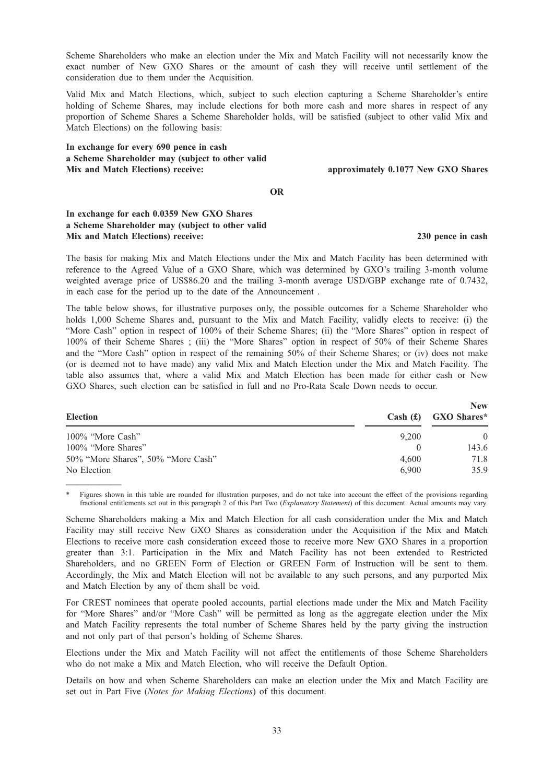Scheme Shareholders who make an election under the Mix and Match Facility will not necessarily know the exact number of New GXO Shares or the amount of cash they will receive until settlement of the consideration due to them under the Acquisition.

Valid Mix and Match Elections, which, subject to such election capturing a Scheme Shareholder's entire holding of Scheme Shares, may include elections for both more cash and more shares in respect of any proportion of Scheme Shares a Scheme Shareholder holds, will be satisfied (subject to other valid Mix and Match Elections) on the following basis:

In exchange for every 690 pence in cash a Scheme Shareholder may (subject to other valid Mix and Match Elections) receive: approximately 0.1077 New GXO Shares

OR

# In exchange for each 0.0359 New GXO Shares a Scheme Shareholder may (subject to other valid Mix and Match Elections) receive: 230 pence in cash

The basis for making Mix and Match Elections under the Mix and Match Facility has been determined with reference to the Agreed Value of a GXO Share, which was determined by GXO's trailing 3-month volume weighted average price of US\$86.20 and the trailing 3-month average USD/GBP exchange rate of 0.7432, in each case for the period up to the date of the Announcement .

The table below shows, for illustrative purposes only, the possible outcomes for a Scheme Shareholder who holds 1,000 Scheme Shares and, pursuant to the Mix and Match Facility, validly elects to receive: (i) the "More Cash" option in respect of 100% of their Scheme Shares; (ii) the "More Shares" option in respect of 100% of their Scheme Shares ; (iii) the "More Shares" option in respect of 50% of their Scheme Shares and the "More Cash" option in respect of the remaining 50% of their Scheme Shares; or (iv) does not make (or is deemed not to have made) any valid Mix and Match Election under the Mix and Match Facility. The table also assumes that, where a valid Mix and Match Election has been made for either cash or New GXO Shares, such election can be satisfied in full and no Pro-Rata Scale Down needs to occur.

| <b>Election</b>                                   | Cash(f)        | <b>New</b><br>GXO Shares* |
|---------------------------------------------------|----------------|---------------------------|
| $100\%$ "More Cash"                               | 9.200          | $\Omega$                  |
| 100% "More Shares"                                | $\theta$       | 143.6                     |
| 50% "More Shares", 50% "More Cash"<br>No Election | 4.600<br>6.900 | 71.8<br>35.9              |

————— Figures shown in this table are rounded for illustration purposes, and do not take into account the effect of the provisions regarding fractional entitlements set out in this paragraph 2 of this Part Two (Explanatory Statement) of this document. Actual amounts may vary.

Scheme Shareholders making a Mix and Match Election for all cash consideration under the Mix and Match Facility may still receive New GXO Shares as consideration under the Acquisition if the Mix and Match Elections to receive more cash consideration exceed those to receive more New GXO Shares in a proportion greater than 3:1. Participation in the Mix and Match Facility has not been extended to Restricted Shareholders, and no GREEN Form of Election or GREEN Form of Instruction will be sent to them. Accordingly, the Mix and Match Election will not be available to any such persons, and any purported Mix and Match Election by any of them shall be void.

For CREST nominees that operate pooled accounts, partial elections made under the Mix and Match Facility for "More Shares" and/or "More Cash" will be permitted as long as the aggregate election under the Mix and Match Facility represents the total number of Scheme Shares held by the party giving the instruction and not only part of that person's holding of Scheme Shares.

Elections under the Mix and Match Facility will not affect the entitlements of those Scheme Shareholders who do not make a Mix and Match Election, who will receive the Default Option.

Details on how and when Scheme Shareholders can make an election under the Mix and Match Facility are set out in Part Five (Notes for Making Elections) of this document.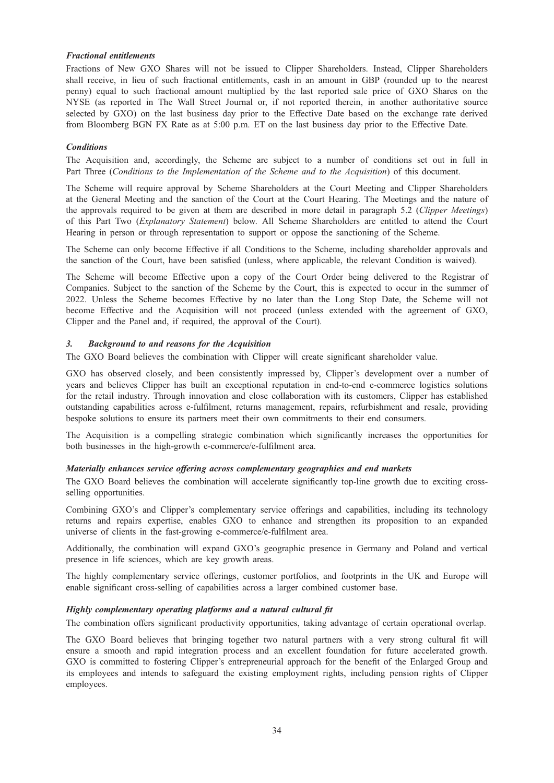# **Fractional entitlements**

Fractions of New GXO Shares will not be issued to Clipper Shareholders. Instead, Clipper Shareholders shall receive, in lieu of such fractional entitlements, cash in an amount in GBP (rounded up to the nearest penny) equal to such fractional amount multiplied by the last reported sale price of GXO Shares on the NYSE (as reported in The Wall Street Journal or, if not reported therein, in another authoritative source selected by GXO) on the last business day prior to the Effective Date based on the exchange rate derived from Bloomberg BGN FX Rate as at 5:00 p.m. ET on the last business day prior to the Effective Date.

## **Conditions**

The Acquisition and, accordingly, the Scheme are subject to a number of conditions set out in full in Part Three (Conditions to the Implementation of the Scheme and to the Acquisition) of this document.

The Scheme will require approval by Scheme Shareholders at the Court Meeting and Clipper Shareholders at the General Meeting and the sanction of the Court at the Court Hearing. The Meetings and the nature of the approvals required to be given at them are described in more detail in paragraph 5.2 (Clipper Meetings) of this Part Two (Explanatory Statement) below. All Scheme Shareholders are entitled to attend the Court Hearing in person or through representation to support or oppose the sanctioning of the Scheme.

The Scheme can only become Effective if all Conditions to the Scheme, including shareholder approvals and the sanction of the Court, have been satisfied (unless, where applicable, the relevant Condition is waived).

The Scheme will become Effective upon a copy of the Court Order being delivered to the Registrar of Companies. Subject to the sanction of the Scheme by the Court, this is expected to occur in the summer of 2022. Unless the Scheme becomes Effective by no later than the Long Stop Date, the Scheme will not become Effective and the Acquisition will not proceed (unless extended with the agreement of GXO, Clipper and the Panel and, if required, the approval of the Court).

### $\overline{3}$ .

The GXO Board believes the combination with Clipper will create significant shareholder value.

GXO has observed closely, and been consistently impressed by, Clipper's development over a number of years and believes Clipper has built an exceptional reputation in end-to-end e-commerce logistics solutions for the retail industry. Through innovation and close collaboration with its customers, Clipper has established outstanding capabilities across e-fulfilment, returns management, repairs, refurbishment and resale, providing bespoke solutions to ensure its partners meet their own commitments to their end consumers.

The Acquisition is a compelling strategic combination which significantly increases the opportunities for both businesses in the high-growth e-commerce/e-fulfilment area.

The GXO Board believes the combination will accelerate significantly top-line growth due to exciting crossselling opportunities.

Combining GXO's and Clipper's complementary service offerings and capabilities, including its technology returns and repairs expertise, enables GXO to enhance and strengthen its proposition to an expanded universe of clients in the fast-growing e-commerce/e-fulfilment area.

Additionally, the combination will expand GXO's geographic presence in Germany and Poland and vertical presence in life sciences, which are key growth areas.

The highly complementary service offerings, customer portfolios, and footprints in the UK and Europe will enable significant cross-selling of capabilities across a larger combined customer base.

# Highly complementary operating platforms and a natural cultural fit

The combination offers significant productivity opportunities, taking advantage of certain operational overlap.

The GXO Board believes that bringing together two natural partners with a very strong cultural fit will ensure a smooth and rapid integration process and an excellent foundation for future accelerated growth. GXO is committed to fostering Clipper's entrepreneurial approach for the benefit of the Enlarged Group and its employees and intends to safeguard the existing employment rights, including pension rights of Clipper employees.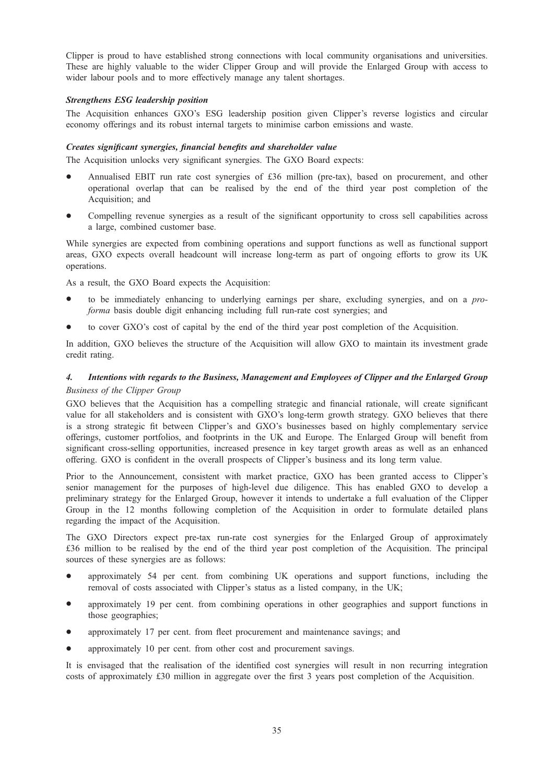Clipper is proud to have established strong connections with local community organisations and universities. These are highly valuable to the wider Clipper Group and will provide the Enlarged Group with access to wider labour pools and to more effectively manage any talent shortages.

Strengthens ESG leadership position The Acquisition enhances GXO's ESG leadership position given Clipper's reverse logistics and circular economy offerings and its robust internal targets to minimise carbon emissions and waste.

# Creates significant synergies, financial benefits and shareholder value

The Acquisition unlocks very significant synergies. The GXO Board expects:

- Annualised EBIT run rate cost synergies of £36 million (pre-tax), based on procurement, and other operational overlap that can be realised by the end of the third year post completion of the Acquisition; and
- \* Compelling revenue synergies as a result of the significant opportunity to cross sell capabilities across a large, combined customer base.

While synergies are expected from combining operations and support functions as well as functional support areas, GXO expects overall headcount will increase long-term as part of ongoing efforts to grow its UK operations.

As a result, the GXO Board expects the Acquisition:

- to be immediately enhancing to underlying earnings per share, excluding synergies, and on a proforma basis double digit enhancing including full run-rate cost synergies; and
- to cover GXO's cost of capital by the end of the third year post completion of the Acquisition.

In addition, GXO believes the structure of the Acquisition will allow GXO to maintain its investment grade credit rating.

### $\overline{4}$ . 4. Intentions with regards to the Business, Management and Employees of Clipper and the Enlarged Group Business of the Clipper Group

GXO believes that the Acquisition has a compelling strategic and financial rationale, will create significant value for all stakeholders and is consistent with GXO's long-term growth strategy. GXO believes that there is a strong strategic fit between Clipper's and GXO's businesses based on highly complementary service offerings, customer portfolios, and footprints in the UK and Europe. The Enlarged Group will benefit from significant cross-selling opportunities, increased presence in key target growth areas as well as an enhanced offering. GXO is confident in the overall prospects of Clipper's business and its long term value.

Prior to the Announcement, consistent with market practice, GXO has been granted access to Clipper's senior management for the purposes of high-level due diligence. This has enabled GXO to develop a preliminary strategy for the Enlarged Group, however it intends to undertake a full evaluation of the Clipper Group in the 12 months following completion of the Acquisition in order to formulate detailed plans regarding the impact of the Acquisition.

The GXO Directors expect pre-tax run-rate cost synergies for the Enlarged Group of approximately £36 million to be realised by the end of the third year post completion of the Acquisition. The principal sources of these synergies are as follows:

- approximately 54 per cent. from combining UK operations and support functions, including the removal of costs associated with Clipper's status as a listed company, in the UK;
- approximately 19 per cent. from combining operations in other geographies and support functions in those geographies;
- approximately 17 per cent. from fleet procurement and maintenance savings; and
- approximately 10 per cent. from other cost and procurement savings.

It is envisaged that the realisation of the identified cost synergies will result in non recurring integration costs of approximately £30 million in aggregate over the first 3 years post completion of the Acquisition.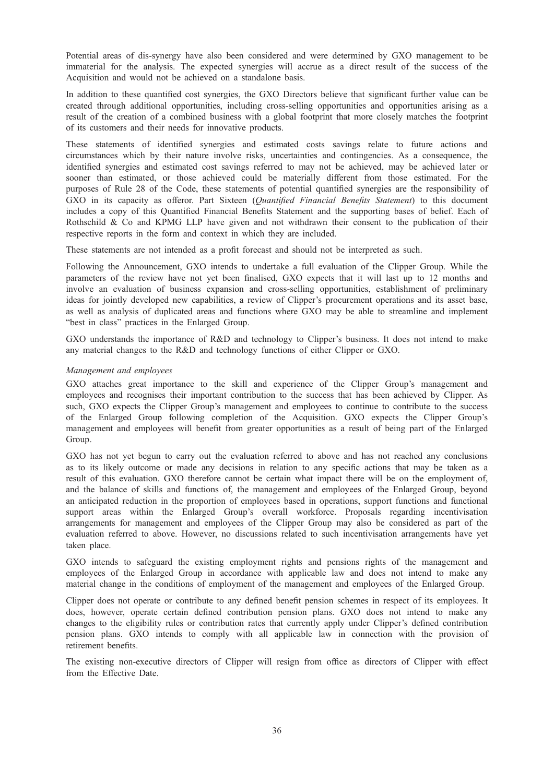Potential areas of dis-synergy have also been considered and were determined by GXO management to be immaterial for the analysis. The expected synergies will accrue as a direct result of the success of the Acquisition and would not be achieved on a standalone basis.

In addition to these quantified cost synergies, the GXO Directors believe that significant further value can be created through additional opportunities, including cross-selling opportunities and opportunities arising as a result of the creation of a combined business with a global footprint that more closely matches the footprint of its customers and their needs for innovative products.

These statements of identified synergies and estimated costs savings relate to future actions and circumstances which by their nature involve risks, uncertainties and contingencies. As a consequence, the identified synergies and estimated cost savings referred to may not be achieved, may be achieved later or sooner than estimated, or those achieved could be materially different from those estimated. For the purposes of Rule 28 of the Code, these statements of potential quantified synergies are the responsibility of GXO in its capacity as offeror. Part Sixteen (Quantified Financial Benefits Statement) to this document includes a copy of this Quantified Financial Benefits Statement and the supporting bases of belief. Each of Rothschild & Co and KPMG LLP have given and not withdrawn their consent to the publication of their respective reports in the form and context in which they are included.

These statements are not intended as a profit forecast and should not be interpreted as such.

Following the Announcement, GXO intends to undertake a full evaluation of the Clipper Group. While the parameters of the review have not yet been finalised, GXO expects that it will last up to 12 months and involve an evaluation of business expansion and cross-selling opportunities, establishment of preliminary ideas for jointly developed new capabilities, a review of Clipper's procurement operations and its asset base, as well as analysis of duplicated areas and functions where GXO may be able to streamline and implement "best in class" practices in the Enlarged Group.

GXO understands the importance of R&D and technology to Clipper's business. It does not intend to make any material changes to the R&D and technology functions of either Clipper or GXO.

# Management and employees

GXO attaches great importance to the skill and experience of the Clipper Group's management and employees and recognises their important contribution to the success that has been achieved by Clipper. As such, GXO expects the Clipper Group's management and employees to continue to contribute to the success of the Enlarged Group following completion of the Acquisition. GXO expects the Clipper Group's management and employees will benefit from greater opportunities as a result of being part of the Enlarged Group.

GXO has not yet begun to carry out the evaluation referred to above and has not reached any conclusions as to its likely outcome or made any decisions in relation to any specific actions that may be taken as a result of this evaluation. GXO therefore cannot be certain what impact there will be on the employment of, and the balance of skills and functions of, the management and employees of the Enlarged Group, beyond an anticipated reduction in the proportion of employees based in operations, support functions and functional support areas within the Enlarged Group's overall workforce. Proposals regarding incentivisation arrangements for management and employees of the Clipper Group may also be considered as part of the evaluation referred to above. However, no discussions related to such incentivisation arrangements have yet taken place.

GXO intends to safeguard the existing employment rights and pensions rights of the management and employees of the Enlarged Group in accordance with applicable law and does not intend to make any material change in the conditions of employment of the management and employees of the Enlarged Group.

Clipper does not operate or contribute to any defined benefit pension schemes in respect of its employees. It does, however, operate certain defined contribution pension plans. GXO does not intend to make any changes to the eligibility rules or contribution rates that currently apply under Clipper's defined contribution pension plans. GXO intends to comply with all applicable law in connection with the provision of retirement benefits.

The existing non-executive directors of Clipper will resign from office as directors of Clipper with effect from the Effective Date.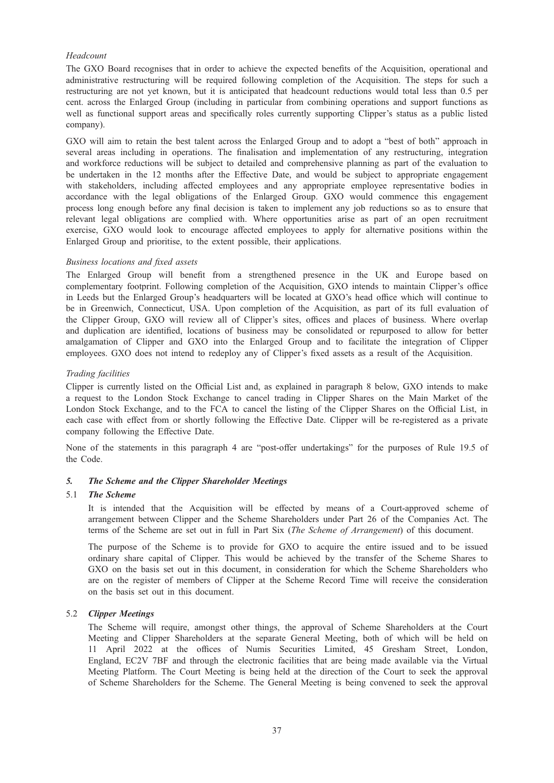### Headcount

The GXO Board recognises that in order to achieve the expected benefits of the Acquisition, operational and administrative restructuring will be required following completion of the Acquisition. The steps for such a restructuring are not yet known, but it is anticipated that headcount reductions would total less than 0.5 per cent. across the Enlarged Group (including in particular from combining operations and support functions as well as functional support areas and specifically roles currently supporting Clipper's status as a public listed company).

GXO will aim to retain the best talent across the Enlarged Group and to adopt a "best of both" approach in several areas including in operations. The finalisation and implementation of any restructuring, integration and workforce reductions will be subject to detailed and comprehensive planning as part of the evaluation to be undertaken in the 12 months after the Effective Date, and would be subject to appropriate engagement with stakeholders, including affected employees and any appropriate employee representative bodies in accordance with the legal obligations of the Enlarged Group. GXO would commence this engagement process long enough before any final decision is taken to implement any job reductions so as to ensure that relevant legal obligations are complied with. Where opportunities arise as part of an open recruitment exercise, GXO would look to encourage affected employees to apply for alternative positions within the Enlarged Group and prioritise, to the extent possible, their applications.

#### Business locations and fixed assets

The Enlarged Group will benefit from a strengthened presence in the UK and Europe based on complementary footprint. Following completion of the Acquisition, GXO intends to maintain Clipper's office in Leeds but the Enlarged Group's headquarters will be located at GXO's head office which will continue to be in Greenwich, Connecticut, USA. Upon completion of the Acquisition, as part of its full evaluation of the Clipper Group, GXO will review all of Clipper's sites, offices and places of business. Where overlap and duplication are identified, locations of business may be consolidated or repurposed to allow for better amalgamation of Clipper and GXO into the Enlarged Group and to facilitate the integration of Clipper employees. GXO does not intend to redeploy any of Clipper's fixed assets as a result of the Acquisition.

#### Trading facilities

Clipper is currently listed on the Official List and, as explained in paragraph 8 below, GXO intends to make a request to the London Stock Exchange to cancel trading in Clipper Shares on the Main Market of the London Stock Exchange, and to the FCA to cancel the listing of the Clipper Shares on the Official List, in each case with effect from or shortly following the Effective Date. Clipper will be re-registered as a private company following the Effective Date.

None of the statements in this paragraph 4 are "post-offer undertakings" for the purposes of Rule 19.5 of the Code.

# 5. The Scheme and the Clipper Shareholder Meetings<br>5.1 The Scheme

#### The Scheme

It is intended that the Acquisition will be effected by means of a Court-approved scheme of arrangement between Clipper and the Scheme Shareholders under Part 26 of the Companies Act. The terms of the Scheme are set out in full in Part Six (The Scheme of Arrangement) of this document.

The purpose of the Scheme is to provide for GXO to acquire the entire issued and to be issued ordinary share capital of Clipper. This would be achieved by the transfer of the Scheme Shares to GXO on the basis set out in this document, in consideration for which the Scheme Shareholders who are on the register of members of Clipper at the Scheme Record Time will receive the consideration on the basis set out in this document.

#### 5.2 Clipper Meetings

The Scheme will require, amongst other things, the approval of Scheme Shareholders at the Court Meeting and Clipper Shareholders at the separate General Meeting, both of which will be held on 11 April 2022 at the offices of Numis Securities Limited, 45 Gresham Street, London, England, EC2V 7BF and through the electronic facilities that are being made available via the Virtual Meeting Platform. The Court Meeting is being held at the direction of the Court to seek the approval of Scheme Shareholders for the Scheme. The General Meeting is being convened to seek the approval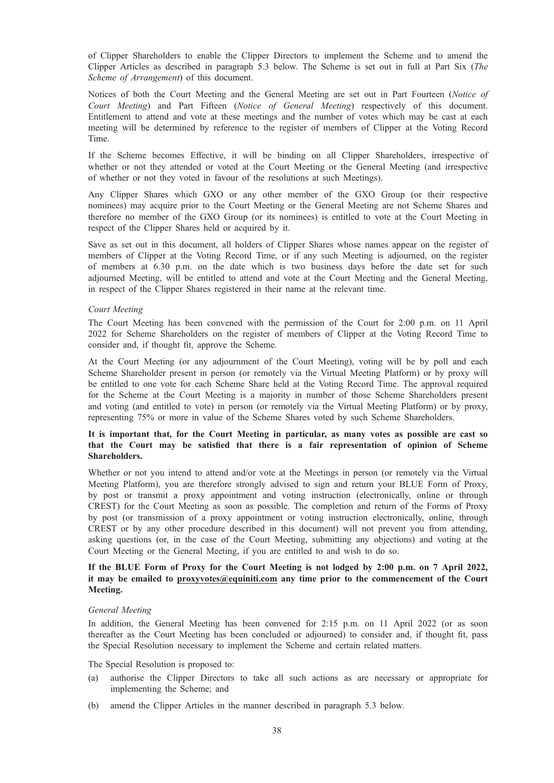of Clipper Shareholders to enable the Clipper Directors to implement the Scheme and to amend the Clipper Articles as described in paragraph 5.3 below. The Scheme is set out in full at Part Six (The Scheme of Arrangement) of this document.

Notices of both the Court Meeting and the General Meeting are set out in Part Fourteen (Notice of Court Meeting) and Part Fifteen (Notice of General Meeting) respectively of this document. Entitlement to attend and vote at these meetings and the number of votes which may be cast at each meeting will be determined by reference to the register of members of Clipper at the Voting Record Time.

If the Scheme becomes Effective, it will be binding on all Clipper Shareholders, irrespective of whether or not they attended or voted at the Court Meeting or the General Meeting (and irrespective of whether or not they voted in favour of the resolutions at such Meetings).

Any Clipper Shares which GXO or any other member of the GXO Group (or their respective nominees) may acquire prior to the Court Meeting or the General Meeting are not Scheme Shares and therefore no member of the GXO Group (or its nominees) is entitled to vote at the Court Meeting in respect of the Clipper Shares held or acquired by it.

Save as set out in this document, all holders of Clipper Shares whose names appear on the register of members of Clipper at the Voting Record Time, or if any such Meeting is adjourned, on the register of members at 6.30 p.m. on the date which is two business days before the date set for such adjourned Meeting, will be entitled to attend and vote at the Court Meeting and the General Meeting, in respect of the Clipper Shares registered in their name at the relevant time.

#### Court Meeting

The Court Meeting has been convened with the permission of the Court for 2:00 p.m. on 11 April 2022 for Scheme Shareholders on the register of members of Clipper at the Voting Record Time to consider and, if thought fit, approve the Scheme.

At the Court Meeting (or any adjournment of the Court Meeting), voting will be by poll and each Scheme Shareholder present in person (or remotely via the Virtual Meeting Platform) or by proxy will be entitled to one vote for each Scheme Share held at the Voting Record Time. The approval required for the Scheme at the Court Meeting is a majority in number of those Scheme Shareholders present and voting (and entitled to vote) in person (or remotely via the Virtual Meeting Platform) or by proxy, representing 75% or more in value of the Scheme Shares voted by such Scheme Shareholders.

# It is important that, for the Court Meeting in particular, as many votes as possible are cast so that the Court may be satisfied that there is a fair representation of opinion of Scheme Shareholders.

Whether or not you intend to attend and/or vote at the Meetings in person (or remotely via the Virtual Meeting Platform), you are therefore strongly advised to sign and return your BLUE Form of Proxy, by post or transmit a proxy appointment and voting instruction (electronically, online or through CREST) for the Court Meeting as soon as possible. The completion and return of the Forms of Proxy by post (or transmission of a proxy appointment or voting instruction electronically, online, through CREST or by any other procedure described in this document) will not prevent you from attending, asking questions (or, in the case of the Court Meeting, submitting any objections) and voting at the Court Meeting or the General Meeting, if you are entitled to and wish to do so.

### If the BLUE Form of Proxy for the Court Meeting is not lodged by 2:00 p.m. on 7 April 2022, it may be emailed to proxyvotes@equiniti.com any time prior to the commencement of the Court Meeting.

#### General Meeting

In addition, the General Meeting has been convened for 2:15 p.m. on 11 April 2022 (or as soon thereafter as the Court Meeting has been concluded or adjourned) to consider and, if thought fit, pass the Special Resolution necessary to implement the Scheme and certain related matters.

The Special Resolution is proposed to:

- (a) authorise the Clipper Directors to take all such actions as are necessary or appropriate for implementing the Scheme; and
- (b) amend the Clipper Articles in the manner described in paragraph 5.3 below.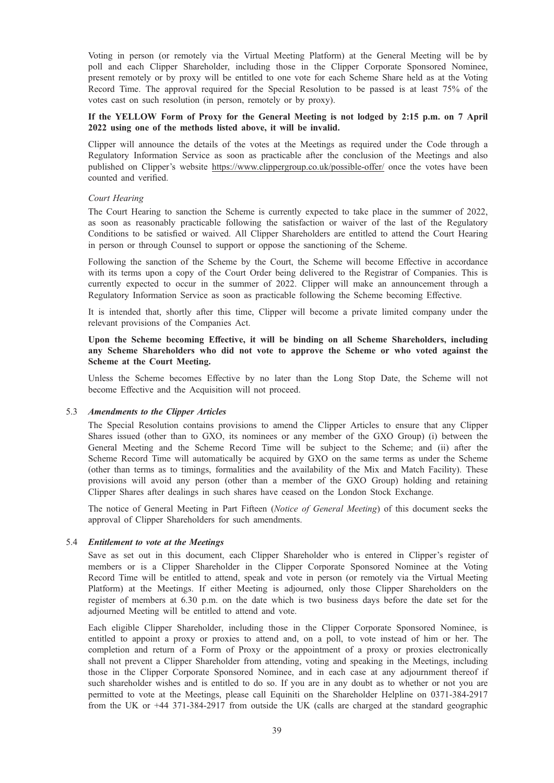Voting in person (or remotely via the Virtual Meeting Platform) at the General Meeting will be by poll and each Clipper Shareholder, including those in the Clipper Corporate Sponsored Nominee, present remotely or by proxy will be entitled to one vote for each Scheme Share held as at the Voting Record Time. The approval required for the Special Resolution to be passed is at least 75% of the votes cast on such resolution (in person, remotely or by proxy).

# If the YELLOW Form of Proxy for the General Meeting is not lodged by 2:15 p.m. on 7 April 2022 using one of the methods listed above, it will be invalid.

Clipper will announce the details of the votes at the Meetings as required under the Code through a Regulatory Information Service as soon as practicable after the conclusion of the Meetings and also published on Clipper's website https://www.clippergroup.co.uk/possible-offer/ once the votes have been counted and verified.

#### Court Hearing

The Court Hearing to sanction the Scheme is currently expected to take place in the summer of 2022, as soon as reasonably practicable following the satisfaction or waiver of the last of the Regulatory Conditions to be satisfied or waived. All Clipper Shareholders are entitled to attend the Court Hearing in person or through Counsel to support or oppose the sanctioning of the Scheme.

Following the sanction of the Scheme by the Court, the Scheme will become Effective in accordance with its terms upon a copy of the Court Order being delivered to the Registrar of Companies. This is currently expected to occur in the summer of 2022. Clipper will make an announcement through a Regulatory Information Service as soon as practicable following the Scheme becoming Effective.

It is intended that, shortly after this time, Clipper will become a private limited company under the relevant provisions of the Companies Act.

## Upon the Scheme becoming Effective, it will be binding on all Scheme Shareholders, including any Scheme Shareholders who did not vote to approve the Scheme or who voted against the Scheme at the Court Meeting.

Unless the Scheme becomes Effective by no later than the Long Stop Date, the Scheme will not become Effective and the Acquisition will not proceed.

#### 5.3 Amendments to the Clipper Articles

The Special Resolution contains provisions to amend the Clipper Articles to ensure that any Clipper Shares issued (other than to GXO, its nominees or any member of the GXO Group) (i) between the General Meeting and the Scheme Record Time will be subject to the Scheme; and (ii) after the Scheme Record Time will automatically be acquired by GXO on the same terms as under the Scheme (other than terms as to timings, formalities and the availability of the Mix and Match Facility). These provisions will avoid any person (other than a member of the GXO Group) holding and retaining Clipper Shares after dealings in such shares have ceased on the London Stock Exchange.

The notice of General Meeting in Part Fifteen (Notice of General Meeting) of this document seeks the approval of Clipper Shareholders for such amendments.

#### 5.4 Entitlement to vote at the Meetings

Save as set out in this document, each Clipper Shareholder who is entered in Clipper's register of members or is a Clipper Shareholder in the Clipper Corporate Sponsored Nominee at the Voting Record Time will be entitled to attend, speak and vote in person (or remotely via the Virtual Meeting Platform) at the Meetings. If either Meeting is adjourned, only those Clipper Shareholders on the register of members at 6.30 p.m. on the date which is two business days before the date set for the adjourned Meeting will be entitled to attend and vote.

Each eligible Clipper Shareholder, including those in the Clipper Corporate Sponsored Nominee, is entitled to appoint a proxy or proxies to attend and, on a poll, to vote instead of him or her. The completion and return of a Form of Proxy or the appointment of a proxy or proxies electronically shall not prevent a Clipper Shareholder from attending, voting and speaking in the Meetings, including those in the Clipper Corporate Sponsored Nominee, and in each case at any adjournment thereof if such shareholder wishes and is entitled to do so. If you are in any doubt as to whether or not you are permitted to vote at the Meetings, please call Equiniti on the Shareholder Helpline on 0371-384-2917 from the UK or +44 371-384-2917 from outside the UK (calls are charged at the standard geographic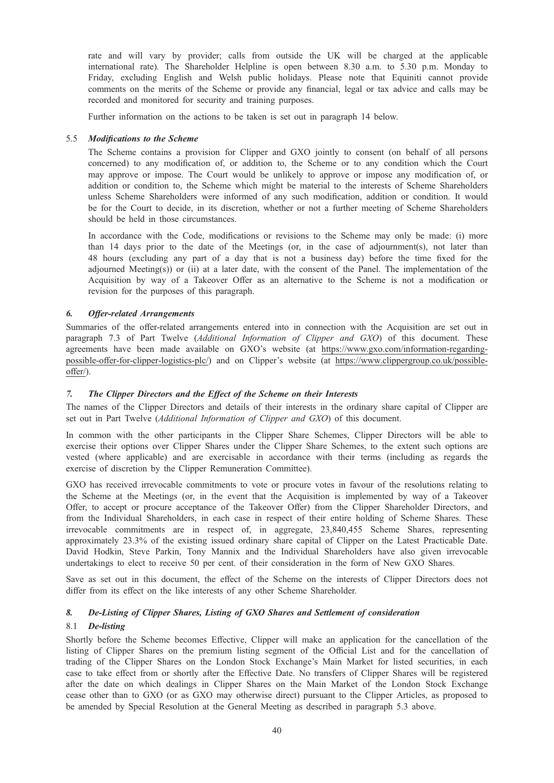rate and will vary by provider; calls from outside the UK will be charged at the applicable international rate). The Shareholder Helpline is open between 8.30 a.m. to 5.30 p.m. Monday to Friday, excluding English and Welsh public holidays. Please note that Equiniti cannot provide comments on the merits of the Scheme or provide any financial, legal or tax advice and calls may be recorded and monitored for security and training purposes.

Further information on the actions to be taken is set out in paragraph 14 below.

## 5.5 Modifications to the Scheme

The Scheme contains a provision for Clipper and GXO jointly to consent (on behalf of all persons concerned) to any modification of, or addition to, the Scheme or to any condition which the Court may approve or impose. The Court would be unlikely to approve or impose any modification of, or addition or condition to, the Scheme which might be material to the interests of Scheme Shareholders unless Scheme Shareholders were informed of any such modification, addition or condition. It would be for the Court to decide, in its discretion, whether or not a further meeting of Scheme Shareholders should be held in those circumstances.

In accordance with the Code, modifications or revisions to the Scheme may only be made: (i) more than 14 days prior to the date of the Meetings (or, in the case of adjournment(s), not later than 48 hours (excluding any part of a day that is not a business day) before the time fixed for the adjourned Meeting(s)) or (ii) at a later date, with the consent of the Panel. The implementation of the Acquisition by way of a Takeover Offer as an alternative to the Scheme is not a modification or revision for the purposes of this paragraph.

# 6.

Summaries of the offer-related arrangements entered into in connection with the Acquisition are set out in paragraph 7.3 of Part Twelve (Additional Information of Clipper and GXO) of this document. These agreements have been made available on GXO's website (at https://www.gxo.com/information-regardingpossible-offer-for-clipper-logistics-plc/) and on Clipper's website (at https://www.clippergroup.co.uk/possibleoffer/).

# $\overline{7}$ .

The names of the Clipper Directors and details of their interests in the ordinary share capital of Clipper are set out in Part Twelve (Additional Information of Clipper and GXO) of this document.

In common with the other participants in the Clipper Share Schemes, Clipper Directors will be able to exercise their options over Clipper Shares under the Clipper Share Schemes, to the extent such options are vested (where applicable) and are exercisable in accordance with their terms (including as regards the exercise of discretion by the Clipper Remuneration Committee).

GXO has received irrevocable commitments to vote or procure votes in favour of the resolutions relating to the Scheme at the Meetings (or, in the event that the Acquisition is implemented by way of a Takeover Offer, to accept or procure acceptance of the Takeover Offer) from the Clipper Shareholder Directors, and from the Individual Shareholders, in each case in respect of their entire holding of Scheme Shares. These irrevocable commitments are in respect of, in aggregate, 23,840,455 Scheme Shares, representing approximately 23.3% of the existing issued ordinary share capital of Clipper on the Latest Practicable Date. David Hodkin, Steve Parkin, Tony Mannix and the Individual Shareholders have also given irrevocable undertakings to elect to receive 50 per cent. of their consideration in the form of New GXO Shares.

Save as set out in this document, the effect of the Scheme on the interests of Clipper Directors does not differ from its effect on the like interests of any other Scheme Shareholder.

# 8. De-Listing of Clipper Shares, Listing of GXO Shares and Settlement of consideration

## 8.1 De-listing

Shortly before the Scheme becomes Effective, Clipper will make an application for the cancellation of the listing of Clipper Shares on the premium listing segment of the Official List and for the cancellation of trading of the Clipper Shares on the London Stock Exchange's Main Market for listed securities, in each case to take effect from or shortly after the Effective Date. No transfers of Clipper Shares will be registered after the date on which dealings in Clipper Shares on the Main Market of the London Stock Exchange cease other than to GXO (or as GXO may otherwise direct) pursuant to the Clipper Articles, as proposed to be amended by Special Resolution at the General Meeting as described in paragraph 5.3 above.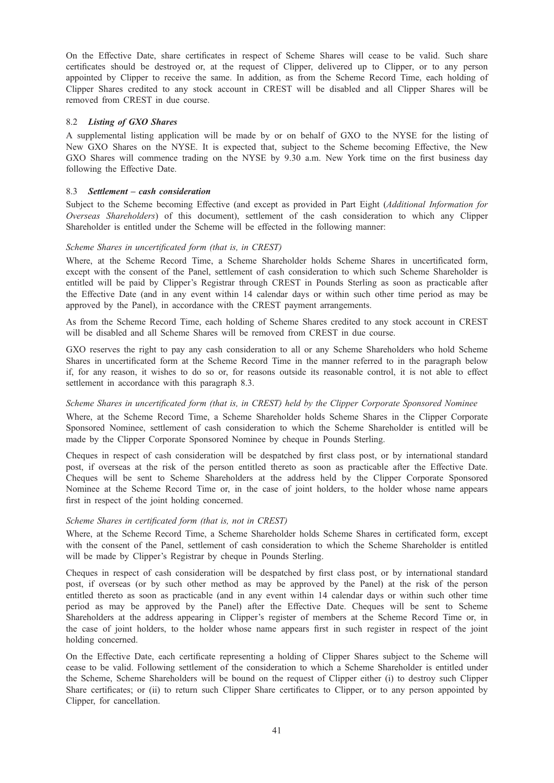On the Effective Date, share certificates in respect of Scheme Shares will cease to be valid. Such share certificates should be destroyed or, at the request of Clipper, delivered up to Clipper, or to any person appointed by Clipper to receive the same. In addition, as from the Scheme Record Time, each holding of Clipper Shares credited to any stock account in CREST will be disabled and all Clipper Shares will be removed from CREST in due course.

#### 8.2 Listing of GXO Shares

A supplemental listing application will be made by or on behalf of GXO to the NYSE for the listing of New GXO Shares on the NYSE. It is expected that, subject to the Scheme becoming Effective, the New GXO Shares will commence trading on the NYSE by 9.30 a.m. New York time on the first business day following the Effective Date.

#### 8.3 Settlement – cash consideration

Subject to the Scheme becoming Effective (and except as provided in Part Eight (Additional Information for Overseas Shareholders) of this document), settlement of the cash consideration to which any Clipper Shareholder is entitled under the Scheme will be effected in the following manner:

#### Scheme Shares in uncertificated form (that is, in CREST)

Where, at the Scheme Record Time, a Scheme Shareholder holds Scheme Shares in uncertificated form, except with the consent of the Panel, settlement of cash consideration to which such Scheme Shareholder is entitled will be paid by Clipper's Registrar through CREST in Pounds Sterling as soon as practicable after the Effective Date (and in any event within 14 calendar days or within such other time period as may be approved by the Panel), in accordance with the CREST payment arrangements.

As from the Scheme Record Time, each holding of Scheme Shares credited to any stock account in CREST will be disabled and all Scheme Shares will be removed from CREST in due course.

GXO reserves the right to pay any cash consideration to all or any Scheme Shareholders who hold Scheme Shares in uncertificated form at the Scheme Record Time in the manner referred to in the paragraph below if, for any reason, it wishes to do so or, for reasons outside its reasonable control, it is not able to effect settlement in accordance with this paragraph 8.3.

## Scheme Shares in uncertificated form (that is, in CREST) held by the Clipper Corporate Sponsored Nominee

Where, at the Scheme Record Time, a Scheme Shareholder holds Scheme Shares in the Clipper Corporate Sponsored Nominee, settlement of cash consideration to which the Scheme Shareholder is entitled will be made by the Clipper Corporate Sponsored Nominee by cheque in Pounds Sterling.

Cheques in respect of cash consideration will be despatched by first class post, or by international standard post, if overseas at the risk of the person entitled thereto as soon as practicable after the Effective Date. Cheques will be sent to Scheme Shareholders at the address held by the Clipper Corporate Sponsored Nominee at the Scheme Record Time or, in the case of joint holders, to the holder whose name appears first in respect of the joint holding concerned.

#### Scheme Shares in certificated form (that is, not in CREST)

Where, at the Scheme Record Time, a Scheme Shareholder holds Scheme Shares in certificated form, except with the consent of the Panel, settlement of cash consideration to which the Scheme Shareholder is entitled will be made by Clipper's Registrar by cheque in Pounds Sterling.

Cheques in respect of cash consideration will be despatched by first class post, or by international standard post, if overseas (or by such other method as may be approved by the Panel) at the risk of the person entitled thereto as soon as practicable (and in any event within 14 calendar days or within such other time period as may be approved by the Panel) after the Effective Date. Cheques will be sent to Scheme Shareholders at the address appearing in Clipper's register of members at the Scheme Record Time or, in the case of joint holders, to the holder whose name appears first in such register in respect of the joint holding concerned.

On the Effective Date, each certificate representing a holding of Clipper Shares subject to the Scheme will cease to be valid. Following settlement of the consideration to which a Scheme Shareholder is entitled under the Scheme, Scheme Shareholders will be bound on the request of Clipper either (i) to destroy such Clipper Share certificates; or (ii) to return such Clipper Share certificates to Clipper, or to any person appointed by Clipper, for cancellation.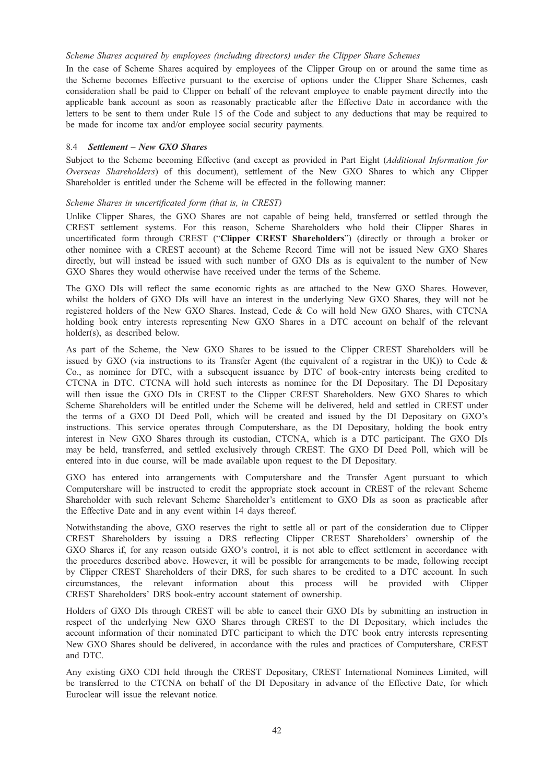#### Scheme Shares acquired by employees (including directors) under the Clipper Share Schemes

In the case of Scheme Shares acquired by employees of the Clipper Group on or around the same time as the Scheme becomes Effective pursuant to the exercise of options under the Clipper Share Schemes, cash consideration shall be paid to Clipper on behalf of the relevant employee to enable payment directly into the applicable bank account as soon as reasonably practicable after the Effective Date in accordance with the letters to be sent to them under Rule 15 of the Code and subject to any deductions that may be required to be made for income tax and/or employee social security payments.

#### 8.4 Settlement – New GXO Shares

Subject to the Scheme becoming Effective (and except as provided in Part Eight (Additional Information for Overseas Shareholders) of this document), settlement of the New GXO Shares to which any Clipper Shareholder is entitled under the Scheme will be effected in the following manner:

## Scheme Shares in uncertificated form (that is, in CREST)

Unlike Clipper Shares, the GXO Shares are not capable of being held, transferred or settled through the CREST settlement systems. For this reason, Scheme Shareholders who hold their Clipper Shares in uncertificated form through CREST ("Clipper CREST Shareholders") (directly or through a broker or other nominee with a CREST account) at the Scheme Record Time will not be issued New GXO Shares directly, but will instead be issued with such number of GXO DIs as is equivalent to the number of New GXO Shares they would otherwise have received under the terms of the Scheme.

The GXO DIs will reflect the same economic rights as are attached to the New GXO Shares. However, whilst the holders of GXO DIs will have an interest in the underlying New GXO Shares, they will not be registered holders of the New GXO Shares. Instead, Cede & Co will hold New GXO Shares, with CTCNA holding book entry interests representing New GXO Shares in a DTC account on behalf of the relevant holder(s), as described below.

As part of the Scheme, the New GXO Shares to be issued to the Clipper CREST Shareholders will be issued by GXO (via instructions to its Transfer Agent (the equivalent of a registrar in the UK)) to Cede & Co., as nominee for DTC, with a subsequent issuance by DTC of book-entry interests being credited to CTCNA in DTC. CTCNA will hold such interests as nominee for the DI Depositary. The DI Depositary will then issue the GXO DIs in CREST to the Clipper CREST Shareholders. New GXO Shares to which Scheme Shareholders will be entitled under the Scheme will be delivered, held and settled in CREST under the terms of a GXO DI Deed Poll, which will be created and issued by the DI Depositary on GXO's instructions. This service operates through Computershare, as the DI Depositary, holding the book entry interest in New GXO Shares through its custodian, CTCNA, which is a DTC participant. The GXO DIs may be held, transferred, and settled exclusively through CREST. The GXO DI Deed Poll, which will be entered into in due course, will be made available upon request to the DI Depositary.

GXO has entered into arrangements with Computershare and the Transfer Agent pursuant to which Computershare will be instructed to credit the appropriate stock account in CREST of the relevant Scheme Shareholder with such relevant Scheme Shareholder's entitlement to GXO DIs as soon as practicable after the Effective Date and in any event within 14 days thereof.

Notwithstanding the above, GXO reserves the right to settle all or part of the consideration due to Clipper CREST Shareholders by issuing a DRS reflecting Clipper CREST Shareholders' ownership of the GXO Shares if, for any reason outside GXO's control, it is not able to effect settlement in accordance with the procedures described above. However, it will be possible for arrangements to be made, following receipt by Clipper CREST Shareholders of their DRS, for such shares to be credited to a DTC account. In such circumstances, the relevant information about this process will be provided with Clipper CREST Shareholders' DRS book-entry account statement of ownership.

Holders of GXO DIs through CREST will be able to cancel their GXO DIs by submitting an instruction in respect of the underlying New GXO Shares through CREST to the DI Depositary, which includes the account information of their nominated DTC participant to which the DTC book entry interests representing New GXO Shares should be delivered, in accordance with the rules and practices of Computershare, CREST and DTC.

Any existing GXO CDI held through the CREST Depositary, CREST International Nominees Limited, will be transferred to the CTCNA on behalf of the DI Depositary in advance of the Effective Date, for which Euroclear will issue the relevant notice.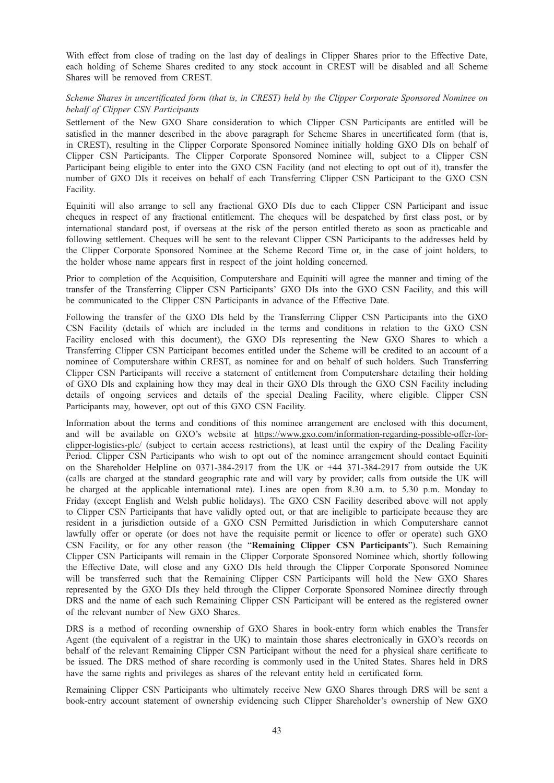With effect from close of trading on the last day of dealings in Clipper Shares prior to the Effective Date, each holding of Scheme Shares credited to any stock account in CREST will be disabled and all Scheme Shares will be removed from CREST.

# Scheme Shares in uncertificated form (that is, in CREST) held by the Clipper Corporate Sponsored Nominee on behalf of Clipper CSN Participants

Settlement of the New GXO Share consideration to which Clipper CSN Participants are entitled will be satisfied in the manner described in the above paragraph for Scheme Shares in uncertificated form (that is, in CREST), resulting in the Clipper Corporate Sponsored Nominee initially holding GXO DIs on behalf of Clipper CSN Participants. The Clipper Corporate Sponsored Nominee will, subject to a Clipper CSN Participant being eligible to enter into the GXO CSN Facility (and not electing to opt out of it), transfer the number of GXO DIs it receives on behalf of each Transferring Clipper CSN Participant to the GXO CSN Facility.

Equiniti will also arrange to sell any fractional GXO DIs due to each Clipper CSN Participant and issue cheques in respect of any fractional entitlement. The cheques will be despatched by first class post, or by international standard post, if overseas at the risk of the person entitled thereto as soon as practicable and following settlement. Cheques will be sent to the relevant Clipper CSN Participants to the addresses held by the Clipper Corporate Sponsored Nominee at the Scheme Record Time or, in the case of joint holders, to the holder whose name appears first in respect of the joint holding concerned.

Prior to completion of the Acquisition, Computershare and Equiniti will agree the manner and timing of the transfer of the Transferring Clipper CSN Participants' GXO DIs into the GXO CSN Facility, and this will be communicated to the Clipper CSN Participants in advance of the Effective Date.

Following the transfer of the GXO DIs held by the Transferring Clipper CSN Participants into the GXO CSN Facility (details of which are included in the terms and conditions in relation to the GXO CSN Facility enclosed with this document), the GXO DIs representing the New GXO Shares to which a Transferring Clipper CSN Participant becomes entitled under the Scheme will be credited to an account of a nominee of Computershare within CREST, as nominee for and on behalf of such holders. Such Transferring Clipper CSN Participants will receive a statement of entitlement from Computershare detailing their holding of GXO DIs and explaining how they may deal in their GXO DIs through the GXO CSN Facility including details of ongoing services and details of the special Dealing Facility, where eligible. Clipper CSN Participants may, however, opt out of this GXO CSN Facility.

Information about the terms and conditions of this nominee arrangement are enclosed with this document, and will be available on GXO's website at https://www.gxo.com/information-regarding-possible-offer-forclipper-logistics-plc/ (subject to certain access restrictions), at least until the expiry of the Dealing Facility Period. Clipper CSN Participants who wish to opt out of the nominee arrangement should contact Equiniti on the Shareholder Helpline on 0371-384-2917 from the UK or +44 371-384-2917 from outside the UK (calls are charged at the standard geographic rate and will vary by provider; calls from outside the UK will be charged at the applicable international rate). Lines are open from 8.30 a.m. to 5.30 p.m. Monday to Friday (except English and Welsh public holidays). The GXO CSN Facility described above will not apply to Clipper CSN Participants that have validly opted out, or that are ineligible to participate because they are resident in a jurisdiction outside of a GXO CSN Permitted Jurisdiction in which Computershare cannot lawfully offer or operate (or does not have the requisite permit or licence to offer or operate) such GXO CSN Facility, or for any other reason (the "Remaining Clipper CSN Participants"). Such Remaining Clipper CSN Participants will remain in the Clipper Corporate Sponsored Nominee which, shortly following the Effective Date, will close and any GXO DIs held through the Clipper Corporate Sponsored Nominee will be transferred such that the Remaining Clipper CSN Participants will hold the New GXO Shares represented by the GXO DIs they held through the Clipper Corporate Sponsored Nominee directly through DRS and the name of each such Remaining Clipper CSN Participant will be entered as the registered owner of the relevant number of New GXO Shares.

DRS is a method of recording ownership of GXO Shares in book-entry form which enables the Transfer Agent (the equivalent of a registrar in the UK) to maintain those shares electronically in GXO's records on behalf of the relevant Remaining Clipper CSN Participant without the need for a physical share certificate to be issued. The DRS method of share recording is commonly used in the United States. Shares held in DRS have the same rights and privileges as shares of the relevant entity held in certificated form.

Remaining Clipper CSN Participants who ultimately receive New GXO Shares through DRS will be sent a book-entry account statement of ownership evidencing such Clipper Shareholder's ownership of New GXO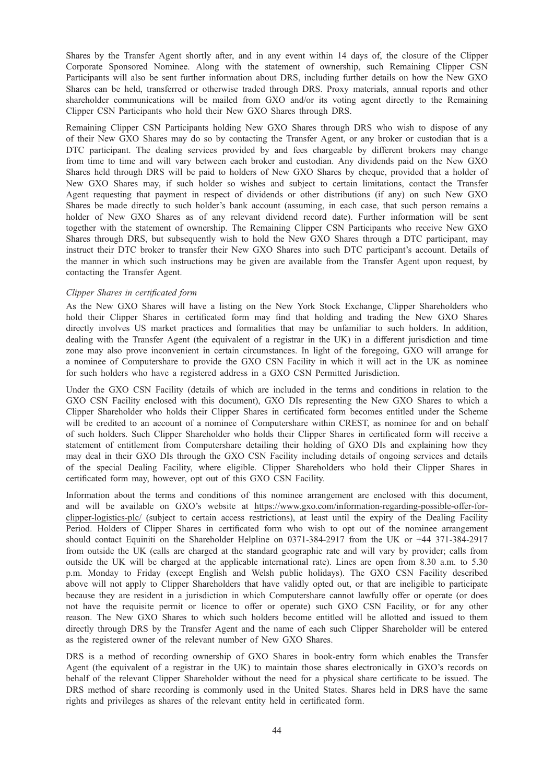Shares by the Transfer Agent shortly after, and in any event within 14 days of, the closure of the Clipper Corporate Sponsored Nominee. Along with the statement of ownership, such Remaining Clipper CSN Participants will also be sent further information about DRS, including further details on how the New GXO Shares can be held, transferred or otherwise traded through DRS. Proxy materials, annual reports and other shareholder communications will be mailed from GXO and/or its voting agent directly to the Remaining Clipper CSN Participants who hold their New GXO Shares through DRS.

Remaining Clipper CSN Participants holding New GXO Shares through DRS who wish to dispose of any of their New GXO Shares may do so by contacting the Transfer Agent, or any broker or custodian that is a DTC participant. The dealing services provided by and fees chargeable by different brokers may change from time to time and will vary between each broker and custodian. Any dividends paid on the New GXO Shares held through DRS will be paid to holders of New GXO Shares by cheque, provided that a holder of New GXO Shares may, if such holder so wishes and subject to certain limitations, contact the Transfer Agent requesting that payment in respect of dividends or other distributions (if any) on such New GXO Shares be made directly to such holder's bank account (assuming, in each case, that such person remains a holder of New GXO Shares as of any relevant dividend record date). Further information will be sent together with the statement of ownership. The Remaining Clipper CSN Participants who receive New GXO Shares through DRS, but subsequently wish to hold the New GXO Shares through a DTC participant, may instruct their DTC broker to transfer their New GXO Shares into such DTC participant's account. Details of the manner in which such instructions may be given are available from the Transfer Agent upon request, by contacting the Transfer Agent.

#### Clipper Shares in certificated form

As the New GXO Shares will have a listing on the New York Stock Exchange, Clipper Shareholders who hold their Clipper Shares in certificated form may find that holding and trading the New GXO Shares directly involves US market practices and formalities that may be unfamiliar to such holders. In addition, dealing with the Transfer Agent (the equivalent of a registrar in the UK) in a different jurisdiction and time zone may also prove inconvenient in certain circumstances. In light of the foregoing, GXO will arrange for a nominee of Computershare to provide the GXO CSN Facility in which it will act in the UK as nominee for such holders who have a registered address in a GXO CSN Permitted Jurisdiction.

Under the GXO CSN Facility (details of which are included in the terms and conditions in relation to the GXO CSN Facility enclosed with this document), GXO DIs representing the New GXO Shares to which a Clipper Shareholder who holds their Clipper Shares in certificated form becomes entitled under the Scheme will be credited to an account of a nominee of Computershare within CREST, as nominee for and on behalf of such holders. Such Clipper Shareholder who holds their Clipper Shares in certificated form will receive a statement of entitlement from Computershare detailing their holding of GXO DIs and explaining how they may deal in their GXO DIs through the GXO CSN Facility including details of ongoing services and details of the special Dealing Facility, where eligible. Clipper Shareholders who hold their Clipper Shares in certificated form may, however, opt out of this GXO CSN Facility.

Information about the terms and conditions of this nominee arrangement are enclosed with this document, and will be available on GXO's website at https://www.gxo.com/information-regarding-possible-offer-forclipper-logistics-plc/ (subject to certain access restrictions), at least until the expiry of the Dealing Facility Period. Holders of Clipper Shares in certificated form who wish to opt out of the nominee arrangement should contact Equiniti on the Shareholder Helpline on 0371-384-2917 from the UK or +44 371-384-2917 from outside the UK (calls are charged at the standard geographic rate and will vary by provider; calls from outside the UK will be charged at the applicable international rate). Lines are open from 8.30 a.m. to 5.30 p.m. Monday to Friday (except English and Welsh public holidays). The GXO CSN Facility described above will not apply to Clipper Shareholders that have validly opted out, or that are ineligible to participate because they are resident in a jurisdiction in which Computershare cannot lawfully offer or operate (or does not have the requisite permit or licence to offer or operate) such GXO CSN Facility, or for any other reason. The New GXO Shares to which such holders become entitled will be allotted and issued to them directly through DRS by the Transfer Agent and the name of each such Clipper Shareholder will be entered as the registered owner of the relevant number of New GXO Shares.

DRS is a method of recording ownership of GXO Shares in book-entry form which enables the Transfer Agent (the equivalent of a registrar in the UK) to maintain those shares electronically in GXO's records on behalf of the relevant Clipper Shareholder without the need for a physical share certificate to be issued. The DRS method of share recording is commonly used in the United States. Shares held in DRS have the same rights and privileges as shares of the relevant entity held in certificated form.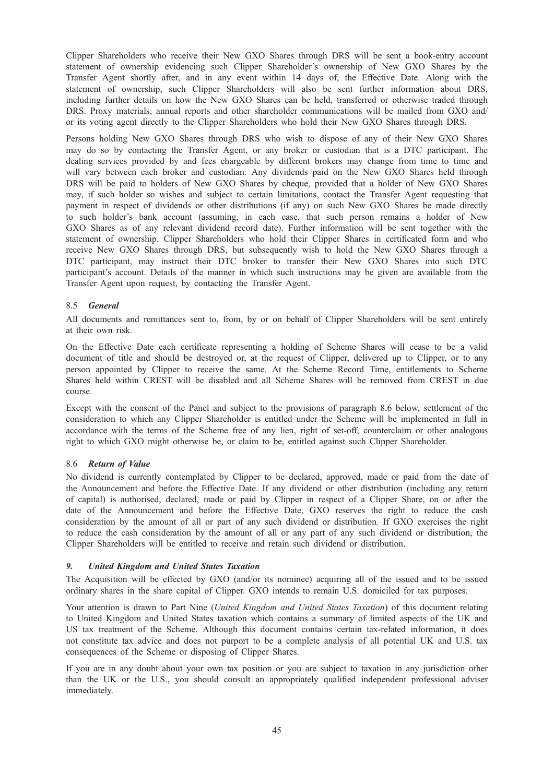Clipper Shareholders who receive their New GXO Shares through DRS will be sent a book-entry account statement of ownership evidencing such Clipper Shareholder's ownership of New GXO Shares by the Transfer Agent shortly after, and in any event within 14 days of, the Effective Date. Along with the statement of ownership, such Clipper Shareholders will also be sent further information about DRS, including further details on how the New GXO Shares can be held, transferred or otherwise traded through DRS. Proxy materials, annual reports and other shareholder communications will be mailed from GXO and/ or its voting agent directly to the Clipper Shareholders who hold their New GXO Shares through DRS.

Persons holding New GXO Shares through DRS who wish to dispose of any of their New GXO Shares may do so by contacting the Transfer Agent, or any broker or custodian that is a DTC participant. The dealing services provided by and fees chargeable by different brokers may change from time to time and will vary between each broker and custodian. Any dividends paid on the New GXO Shares held through DRS will be paid to holders of New GXO Shares by cheque, provided that a holder of New GXO Shares may, if such holder so wishes and subject to certain limitations, contact the Transfer Agent requesting that payment in respect of dividends or other distributions (if any) on such New GXO Shares be made directly to such holder's bank account (assuming, in each case, that such person remains a holder of New GXO Shares as of any relevant dividend record date). Further information will be sent together with the statement of ownership. Clipper Shareholders who hold their Clipper Shares in certificated form and who receive New GXO Shares through DRS, but subsequently wish to hold the New GXO Shares through a DTC participant, may instruct their DTC broker to transfer their New GXO Shares into such DTC participant's account. Details of the manner in which such instructions may be given are available from the Transfer Agent upon request, by contacting the Transfer Agent.

#### 8.5 General

All documents and remittances sent to, from, by or on behalf of Clipper Shareholders will be sent entirely at their own risk.

On the Effective Date each certificate representing a holding of Scheme Shares will cease to be a valid document of title and should be destroyed or, at the request of Clipper, delivered up to Clipper, or to any person appointed by Clipper to receive the same. At the Scheme Record Time, entitlements to Scheme Shares held within CREST will be disabled and all Scheme Shares will be removed from CREST in due course.

Except with the consent of the Panel and subject to the provisions of paragraph 8.6 below, settlement of the consideration to which any Clipper Shareholder is entitled under the Scheme will be implemented in full in accordance with the terms of the Scheme free of any lien, right of set-off, counterclaim or other analogous right to which GXO might otherwise be, or claim to be, entitled against such Clipper Shareholder.

## 8.6 Return of Value

No dividend is currently contemplated by Clipper to be declared, approved, made or paid from the date of the Announcement and before the Effective Date. If any dividend or other distribution (including any return of capital) is authorised, declared, made or paid by Clipper in respect of a Clipper Share, on or after the date of the Announcement and before the Effective Date, GXO reserves the right to reduce the cash consideration by the amount of all or part of any such dividend or distribution. If GXO exercises the right to reduce the cash consideration by the amount of all or any part of any such dividend or distribution, the Clipper Shareholders will be entitled to receive and retain such dividend or distribution.

#### $\mathbf{q}$

The Acquisition will be effected by GXO (and/or its nominee) acquiring all of the issued and to be issued ordinary shares in the share capital of Clipper. GXO intends to remain U.S. domiciled for tax purposes.

Your attention is drawn to Part Nine (United Kingdom and United States Taxation) of this document relating to United Kingdom and United States taxation which contains a summary of limited aspects of the UK and US tax treatment of the Scheme. Although this document contains certain tax-related information, it does not constitute tax advice and does not purport to be a complete analysis of all potential UK and U.S. tax consequences of the Scheme or disposing of Clipper Shares.

If you are in any doubt about your own tax position or you are subject to taxation in any jurisdiction other than the UK or the U.S., you should consult an appropriately qualified independent professional adviser immediately.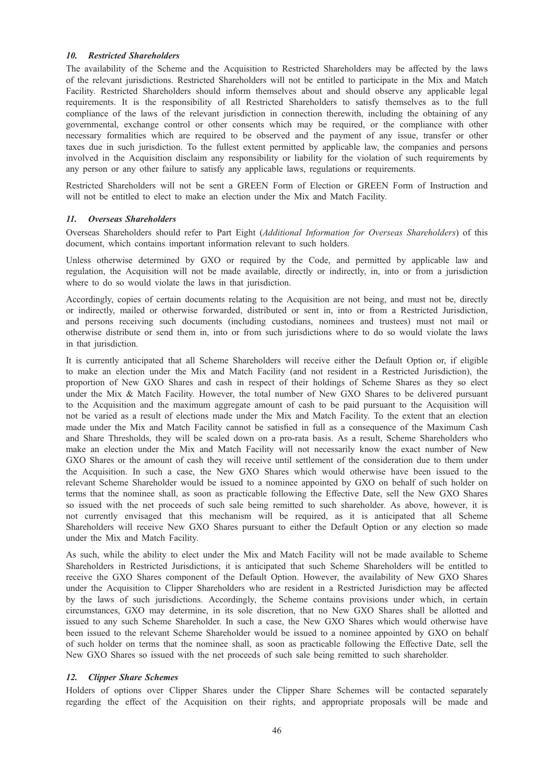#### **10.** Restricted Shareholders

The availability of the Scheme and the Acquisition to Restricted Shareholders may be affected by the laws of the relevant jurisdictions. Restricted Shareholders will not be entitled to participate in the Mix and Match Facility. Restricted Shareholders should inform themselves about and should observe any applicable legal requirements. It is the responsibility of all Restricted Shareholders to satisfy themselves as to the full compliance of the laws of the relevant jurisdiction in connection therewith, including the obtaining of any governmental, exchange control or other consents which may be required, or the compliance with other necessary formalities which are required to be observed and the payment of any issue, transfer or other taxes due in such jurisdiction. To the fullest extent permitted by applicable law, the companies and persons involved in the Acquisition disclaim any responsibility or liability for the violation of such requirements by any person or any other failure to satisfy any applicable laws, regulations or requirements.

Restricted Shareholders will not be sent a GREEN Form of Election or GREEN Form of Instruction and will not be entitled to elect to make an election under the Mix and Match Facility.

Overseas Shareholders should refer to Part Eight (Additional Information for Overseas Shareholders) of this document, which contains important information relevant to such holders.

Unless otherwise determined by GXO or required by the Code, and permitted by applicable law and regulation, the Acquisition will not be made available, directly or indirectly, in, into or from a jurisdiction where to do so would violate the laws in that jurisdiction.

Accordingly, copies of certain documents relating to the Acquisition are not being, and must not be, directly or indirectly, mailed or otherwise forwarded, distributed or sent in, into or from a Restricted Jurisdiction, and persons receiving such documents (including custodians, nominees and trustees) must not mail or otherwise distribute or send them in, into or from such jurisdictions where to do so would violate the laws in that jurisdiction.

It is currently anticipated that all Scheme Shareholders will receive either the Default Option or, if eligible to make an election under the Mix and Match Facility (and not resident in a Restricted Jurisdiction), the proportion of New GXO Shares and cash in respect of their holdings of Scheme Shares as they so elect under the Mix & Match Facility. However, the total number of New GXO Shares to be delivered pursuant to the Acquisition and the maximum aggregate amount of cash to be paid pursuant to the Acquisition will not be varied as a result of elections made under the Mix and Match Facility. To the extent that an election made under the Mix and Match Facility cannot be satisfied in full as a consequence of the Maximum Cash and Share Thresholds, they will be scaled down on a pro-rata basis. As a result, Scheme Shareholders who make an election under the Mix and Match Facility will not necessarily know the exact number of New GXO Shares or the amount of cash they will receive until settlement of the consideration due to them under the Acquisition. In such a case, the New GXO Shares which would otherwise have been issued to the relevant Scheme Shareholder would be issued to a nominee appointed by GXO on behalf of such holder on terms that the nominee shall, as soon as practicable following the Effective Date, sell the New GXO Shares so issued with the net proceeds of such sale being remitted to such shareholder. As above, however, it is not currently envisaged that this mechanism will be required, as it is anticipated that all Scheme Shareholders will receive New GXO Shares pursuant to either the Default Option or any election so made under the Mix and Match Facility.

As such, while the ability to elect under the Mix and Match Facility will not be made available to Scheme Shareholders in Restricted Jurisdictions, it is anticipated that such Scheme Shareholders will be entitled to receive the GXO Shares component of the Default Option. However, the availability of New GXO Shares under the Acquisition to Clipper Shareholders who are resident in a Restricted Jurisdiction may be affected by the laws of such jurisdictions. Accordingly, the Scheme contains provisions under which, in certain circumstances, GXO may determine, in its sole discretion, that no New GXO Shares shall be allotted and issued to any such Scheme Shareholder. In such a case, the New GXO Shares which would otherwise have been issued to the relevant Scheme Shareholder would be issued to a nominee appointed by GXO on behalf of such holder on terms that the nominee shall, as soon as practicable following the Effective Date, sell the New GXO Shares so issued with the net proceeds of such sale being remitted to such shareholder.

Holders of options over Clipper Shares under the Clipper Share Schemes will be contacted separately regarding the effect of the Acquisition on their rights, and appropriate proposals will be made and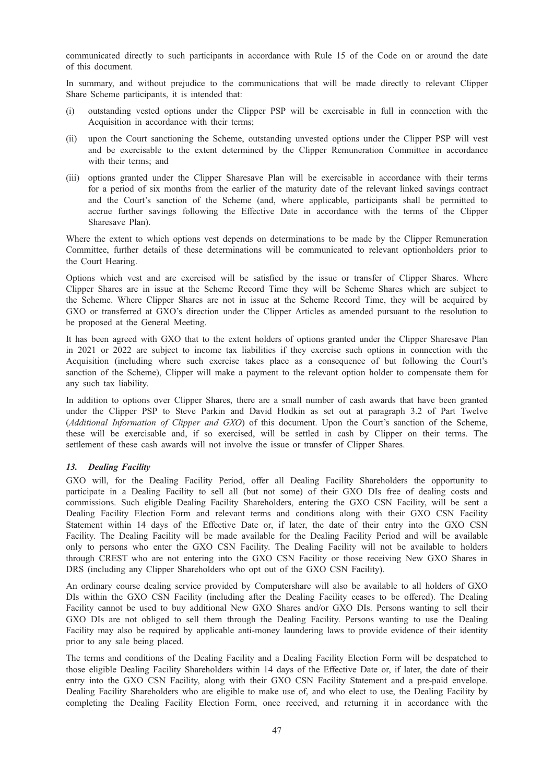communicated directly to such participants in accordance with Rule 15 of the Code on or around the date of this document.

In summary, and without prejudice to the communications that will be made directly to relevant Clipper Share Scheme participants, it is intended that:

- (i) outstanding vested options under the Clipper PSP will be exercisable in full in connection with the Acquisition in accordance with their terms;
- (ii) upon the Court sanctioning the Scheme, outstanding unvested options under the Clipper PSP will vest and be exercisable to the extent determined by the Clipper Remuneration Committee in accordance with their terms; and
- (iii) options granted under the Clipper Sharesave Plan will be exercisable in accordance with their terms for a period of six months from the earlier of the maturity date of the relevant linked savings contract and the Court's sanction of the Scheme (and, where applicable, participants shall be permitted to accrue further savings following the Effective Date in accordance with the terms of the Clipper Sharesave Plan).

Where the extent to which options vest depends on determinations to be made by the Clipper Remuneration Committee, further details of these determinations will be communicated to relevant optionholders prior to the Court Hearing.

Options which vest and are exercised will be satisfied by the issue or transfer of Clipper Shares. Where Clipper Shares are in issue at the Scheme Record Time they will be Scheme Shares which are subject to the Scheme. Where Clipper Shares are not in issue at the Scheme Record Time, they will be acquired by GXO or transferred at GXO's direction under the Clipper Articles as amended pursuant to the resolution to be proposed at the General Meeting.

It has been agreed with GXO that to the extent holders of options granted under the Clipper Sharesave Plan in 2021 or 2022 are subject to income tax liabilities if they exercise such options in connection with the Acquisition (including where such exercise takes place as a consequence of but following the Court's sanction of the Scheme), Clipper will make a payment to the relevant option holder to compensate them for any such tax liability.

In addition to options over Clipper Shares, there are a small number of cash awards that have been granted under the Clipper PSP to Steve Parkin and David Hodkin as set out at paragraph 3.2 of Part Twelve (Additional Information of Clipper and GXO) of this document. Upon the Court's sanction of the Scheme, these will be exercisable and, if so exercised, will be settled in cash by Clipper on their terms. The settlement of these cash awards will not involve the issue or transfer of Clipper Shares.

GXO will, for the Dealing Facility Period, offer all Dealing Facility Shareholders the opportunity to participate in a Dealing Facility to sell all (but not some) of their GXO DIs free of dealing costs and commissions. Such eligible Dealing Facility Shareholders, entering the GXO CSN Facility, will be sent a Dealing Facility Election Form and relevant terms and conditions along with their GXO CSN Facility Statement within 14 days of the Effective Date or, if later, the date of their entry into the GXO CSN Facility. The Dealing Facility will be made available for the Dealing Facility Period and will be available only to persons who enter the GXO CSN Facility. The Dealing Facility will not be available to holders through CREST who are not entering into the GXO CSN Facility or those receiving New GXO Shares in DRS (including any Clipper Shareholders who opt out of the GXO CSN Facility).

An ordinary course dealing service provided by Computershare will also be available to all holders of GXO DIs within the GXO CSN Facility (including after the Dealing Facility ceases to be offered). The Dealing Facility cannot be used to buy additional New GXO Shares and/or GXO DIs. Persons wanting to sell their GXO DIs are not obliged to sell them through the Dealing Facility. Persons wanting to use the Dealing Facility may also be required by applicable anti-money laundering laws to provide evidence of their identity prior to any sale being placed.

The terms and conditions of the Dealing Facility and a Dealing Facility Election Form will be despatched to those eligible Dealing Facility Shareholders within 14 days of the Effective Date or, if later, the date of their entry into the GXO CSN Facility, along with their GXO CSN Facility Statement and a pre-paid envelope. Dealing Facility Shareholders who are eligible to make use of, and who elect to use, the Dealing Facility by completing the Dealing Facility Election Form, once received, and returning it in accordance with the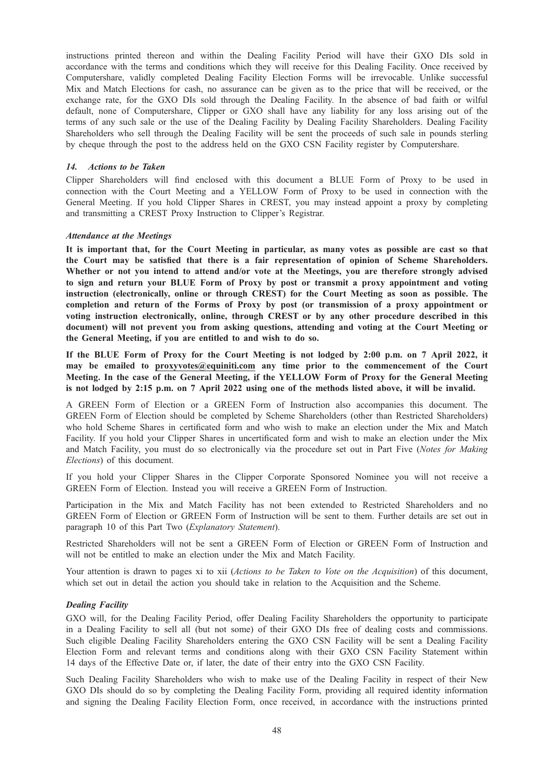instructions printed thereon and within the Dealing Facility Period will have their GXO DIs sold in accordance with the terms and conditions which they will receive for this Dealing Facility. Once received by Computershare, validly completed Dealing Facility Election Forms will be irrevocable. Unlike successful Mix and Match Elections for cash, no assurance can be given as to the price that will be received, or the exchange rate, for the GXO DIs sold through the Dealing Facility. In the absence of bad faith or wilful default, none of Computershare, Clipper or GXO shall have any liability for any loss arising out of the terms of any such sale or the use of the Dealing Facility by Dealing Facility Shareholders. Dealing Facility Shareholders who sell through the Dealing Facility will be sent the proceeds of such sale in pounds sterling by cheque through the post to the address held on the GXO CSN Facility register by Computershare.

Clipper Shareholders will find enclosed with this document a BLUE Form of Proxy to be used in connection with the Court Meeting and a YELLOW Form of Proxy to be used in connection with the General Meeting. If you hold Clipper Shares in CREST, you may instead appoint a proxy by completing and transmitting a CREST Proxy Instruction to Clipper's Registrar.

It is important that, for the Court Meeting in particular, as many votes as possible are cast so that the Court may be satisfied that there is a fair representation of opinion of Scheme Shareholders. Whether or not you intend to attend and/or vote at the Meetings, you are therefore strongly advised to sign and return your BLUE Form of Proxy by post or transmit a proxy appointment and voting instruction (electronically, online or through CREST) for the Court Meeting as soon as possible. The completion and return of the Forms of Proxy by post (or transmission of a proxy appointment or voting instruction electronically, online, through CREST or by any other procedure described in this document) will not prevent you from asking questions, attending and voting at the Court Meeting or the General Meeting, if you are entitled to and wish to do so.

If the BLUE Form of Proxy for the Court Meeting is not lodged by 2:00 p.m. on 7 April 2022, it may be emailed to proxyvotes@equiniti.com any time prior to the commencement of the Court Meeting. In the case of the General Meeting, if the YELLOW Form of Proxy for the General Meeting is not lodged by 2:15 p.m. on 7 April 2022 using one of the methods listed above, it will be invalid.

A GREEN Form of Election or a GREEN Form of Instruction also accompanies this document. The GREEN Form of Election should be completed by Scheme Shareholders (other than Restricted Shareholders) who hold Scheme Shares in certificated form and who wish to make an election under the Mix and Match Facility. If you hold your Clipper Shares in uncertificated form and wish to make an election under the Mix and Match Facility, you must do so electronically via the procedure set out in Part Five (Notes for Making Elections) of this document.

If you hold your Clipper Shares in the Clipper Corporate Sponsored Nominee you will not receive a GREEN Form of Election. Instead you will receive a GREEN Form of Instruction.

Participation in the Mix and Match Facility has not been extended to Restricted Shareholders and no GREEN Form of Election or GREEN Form of Instruction will be sent to them. Further details are set out in paragraph 10 of this Part Two (Explanatory Statement).

Restricted Shareholders will not be sent a GREEN Form of Election or GREEN Form of Instruction and will not be entitled to make an election under the Mix and Match Facility.

Your attention is drawn to pages xi to xii (*Actions to be Taken to Vote on the Acquisition*) of this document, which set out in detail the action you should take in relation to the Acquisition and the Scheme.

GXO will, for the Dealing Facility Period, offer Dealing Facility Shareholders the opportunity to participate in a Dealing Facility to sell all (but not some) of their GXO DIs free of dealing costs and commissions. Such eligible Dealing Facility Shareholders entering the GXO CSN Facility will be sent a Dealing Facility Election Form and relevant terms and conditions along with their GXO CSN Facility Statement within 14 days of the Effective Date or, if later, the date of their entry into the GXO CSN Facility.

Such Dealing Facility Shareholders who wish to make use of the Dealing Facility in respect of their New GXO DIs should do so by completing the Dealing Facility Form, providing all required identity information and signing the Dealing Facility Election Form, once received, in accordance with the instructions printed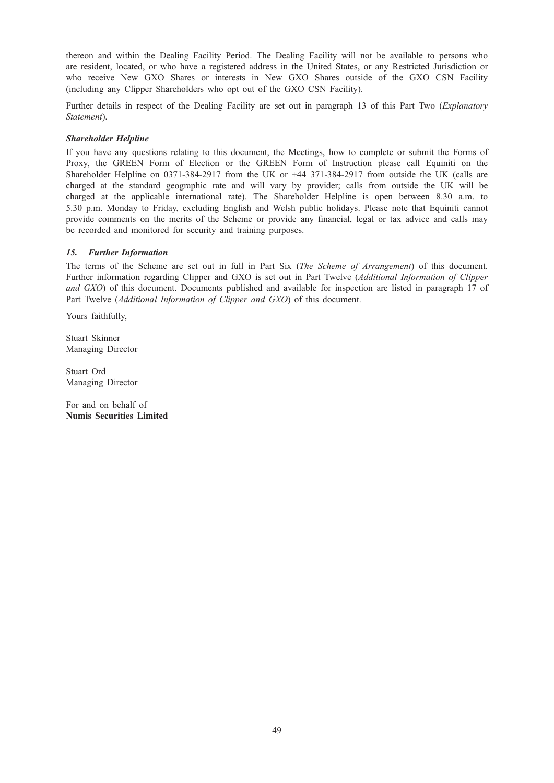thereon and within the Dealing Facility Period. The Dealing Facility will not be available to persons who are resident, located, or who have a registered address in the United States, or any Restricted Jurisdiction or who receive New GXO Shares or interests in New GXO Shares outside of the GXO CSN Facility (including any Clipper Shareholders who opt out of the GXO CSN Facility).

Further details in respect of the Dealing Facility are set out in paragraph 13 of this Part Two (Explanatory Statement).

If you have any questions relating to this document, the Meetings, how to complete or submit the Forms of Proxy, the GREEN Form of Election or the GREEN Form of Instruction please call Equiniti on the Shareholder Helpline on 0371-384-2917 from the UK or +44 371-384-2917 from outside the UK (calls are charged at the standard geographic rate and will vary by provider; calls from outside the UK will be charged at the applicable international rate). The Shareholder Helpline is open between 8.30 a.m. to 5.30 p.m. Monday to Friday, excluding English and Welsh public holidays. Please note that Equiniti cannot provide comments on the merits of the Scheme or provide any financial, legal or tax advice and calls may be recorded and monitored for security and training purposes.

The terms of the Scheme are set out in full in Part Six (*The Scheme of Arrangement*) of this document. Further information regarding Clipper and GXO is set out in Part Twelve (Additional Information of Clipper and GXO) of this document. Documents published and available for inspection are listed in paragraph 17 of Part Twelve (Additional Information of Clipper and GXO) of this document.

Yours faithfully,

Stuart Skinner Managing Director

Stuart Ord Managing Director

For and on behalf of Numis Securities Limited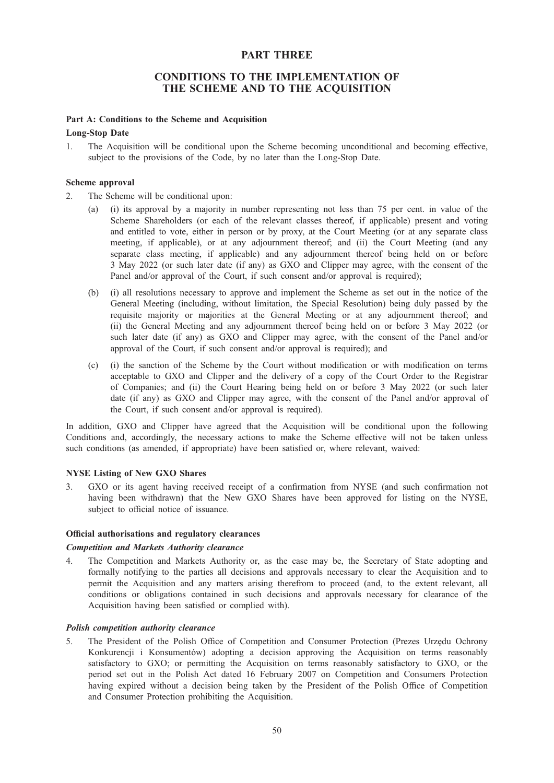# PART THREE

# CONDITIONS TO THE IMPLEMENTATION OF THE SCHEME AND TO THE ACQUISITION

#### Part A: Conditions to the Scheme and Acquisition

#### Long-Stop Date

1. The Acquisition will be conditional upon the Scheme becoming unconditional and becoming effective, subject to the provisions of the Code, by no later than the Long-Stop Date.

#### Scheme approval

2. The Scheme will be conditional upon:

- (a) (i) its approval by a majority in number representing not less than 75 per cent. in value of the Scheme Shareholders (or each of the relevant classes thereof, if applicable) present and voting and entitled to vote, either in person or by proxy, at the Court Meeting (or at any separate class meeting, if applicable), or at any adjournment thereof; and (ii) the Court Meeting (and any separate class meeting, if applicable) and any adjournment thereof being held on or before 3 May 2022 (or such later date (if any) as GXO and Clipper may agree, with the consent of the Panel and/or approval of the Court, if such consent and/or approval is required);
- (b) (i) all resolutions necessary to approve and implement the Scheme as set out in the notice of the General Meeting (including, without limitation, the Special Resolution) being duly passed by the requisite majority or majorities at the General Meeting or at any adjournment thereof; and (ii) the General Meeting and any adjournment thereof being held on or before 3 May 2022 (or such later date (if any) as GXO and Clipper may agree, with the consent of the Panel and/or approval of the Court, if such consent and/or approval is required); and
- (c) (i) the sanction of the Scheme by the Court without modification or with modification on terms acceptable to GXO and Clipper and the delivery of a copy of the Court Order to the Registrar of Companies; and (ii) the Court Hearing being held on or before 3 May 2022 (or such later date (if any) as GXO and Clipper may agree, with the consent of the Panel and/or approval of the Court, if such consent and/or approval is required).

In addition, GXO and Clipper have agreed that the Acquisition will be conditional upon the following Conditions and, accordingly, the necessary actions to make the Scheme effective will not be taken unless such conditions (as amended, if appropriate) have been satisfied or, where relevant, waived:

#### NYSE Listing of New GXO Shares

3. GXO or its agent having received receipt of a confirmation from NYSE (and such confirmation not having been withdrawn) that the New GXO Shares have been approved for listing on the NYSE, subject to official notice of issuance.

#### Official authorisations and regulatory clearances

#### Competition and Markets Authority clearance

4. The Competition and Markets Authority or, as the case may be, the Secretary of State adopting and formally notifying to the parties all decisions and approvals necessary to clear the Acquisition and to permit the Acquisition and any matters arising therefrom to proceed (and, to the extent relevant, all conditions or obligations contained in such decisions and approvals necessary for clearance of the Acquisition having been satisfied or complied with).

#### Polish competition authority clearance

5. The President of the Polish Office of Competition and Consumer Protection (Prezes Urzędu Ochrony Konkurencji i Konsumentów) adopting a decision approving the Acquisition on terms reasonably satisfactory to GXO; or permitting the Acquisition on terms reasonably satisfactory to GXO, or the period set out in the Polish Act dated 16 February 2007 on Competition and Consumers Protection having expired without a decision being taken by the President of the Polish Office of Competition and Consumer Protection prohibiting the Acquisition.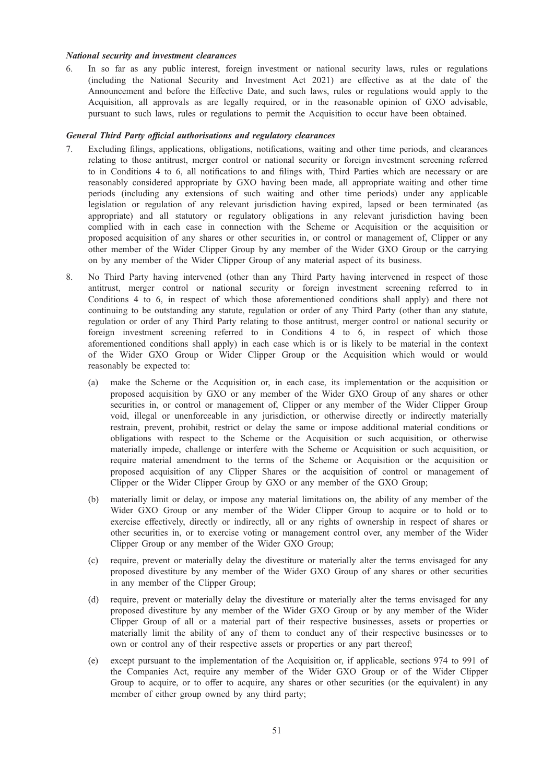#### National security and investment clearances

6. In so far as any public interest, foreign investment or national security laws, rules or regulations (including the National Security and Investment Act 2021) are effective as at the date of the Announcement and before the Effective Date, and such laws, rules or regulations would apply to the Acquisition, all approvals as are legally required, or in the reasonable opinion of GXO advisable, pursuant to such laws, rules or regulations to permit the Acquisition to occur have been obtained.

#### General Third Party official authorisations and regulatory clearances

- 7. Excluding filings, applications, obligations, notifications, waiting and other time periods, and clearances relating to those antitrust, merger control or national security or foreign investment screening referred to in Conditions 4 to 6, all notifications to and filings with, Third Parties which are necessary or are reasonably considered appropriate by GXO having been made, all appropriate waiting and other time periods (including any extensions of such waiting and other time periods) under any applicable legislation or regulation of any relevant jurisdiction having expired, lapsed or been terminated (as appropriate) and all statutory or regulatory obligations in any relevant jurisdiction having been complied with in each case in connection with the Scheme or Acquisition or the acquisition or proposed acquisition of any shares or other securities in, or control or management of, Clipper or any other member of the Wider Clipper Group by any member of the Wider GXO Group or the carrying on by any member of the Wider Clipper Group of any material aspect of its business.
- 8. No Third Party having intervened (other than any Third Party having intervened in respect of those antitrust, merger control or national security or foreign investment screening referred to in Conditions 4 to 6, in respect of which those aforementioned conditions shall apply) and there not continuing to be outstanding any statute, regulation or order of any Third Party (other than any statute, regulation or order of any Third Party relating to those antitrust, merger control or national security or foreign investment screening referred to in Conditions 4 to 6, in respect of which those aforementioned conditions shall apply) in each case which is or is likely to be material in the context of the Wider GXO Group or Wider Clipper Group or the Acquisition which would or would reasonably be expected to:
	- (a) make the Scheme or the Acquisition or, in each case, its implementation or the acquisition or proposed acquisition by GXO or any member of the Wider GXO Group of any shares or other securities in, or control or management of, Clipper or any member of the Wider Clipper Group void, illegal or unenforceable in any jurisdiction, or otherwise directly or indirectly materially restrain, prevent, prohibit, restrict or delay the same or impose additional material conditions or obligations with respect to the Scheme or the Acquisition or such acquisition, or otherwise materially impede, challenge or interfere with the Scheme or Acquisition or such acquisition, or require material amendment to the terms of the Scheme or Acquisition or the acquisition or proposed acquisition of any Clipper Shares or the acquisition of control or management of Clipper or the Wider Clipper Group by GXO or any member of the GXO Group;
	- (b) materially limit or delay, or impose any material limitations on, the ability of any member of the Wider GXO Group or any member of the Wider Clipper Group to acquire or to hold or to exercise effectively, directly or indirectly, all or any rights of ownership in respect of shares or other securities in, or to exercise voting or management control over, any member of the Wider Clipper Group or any member of the Wider GXO Group;
	- (c) require, prevent or materially delay the divestiture or materially alter the terms envisaged for any proposed divestiture by any member of the Wider GXO Group of any shares or other securities in any member of the Clipper Group;
	- (d) require, prevent or materially delay the divestiture or materially alter the terms envisaged for any proposed divestiture by any member of the Wider GXO Group or by any member of the Wider Clipper Group of all or a material part of their respective businesses, assets or properties or materially limit the ability of any of them to conduct any of their respective businesses or to own or control any of their respective assets or properties or any part thereof;
	- (e) except pursuant to the implementation of the Acquisition or, if applicable, sections 974 to 991 of the Companies Act, require any member of the Wider GXO Group or of the Wider Clipper Group to acquire, or to offer to acquire, any shares or other securities (or the equivalent) in any member of either group owned by any third party;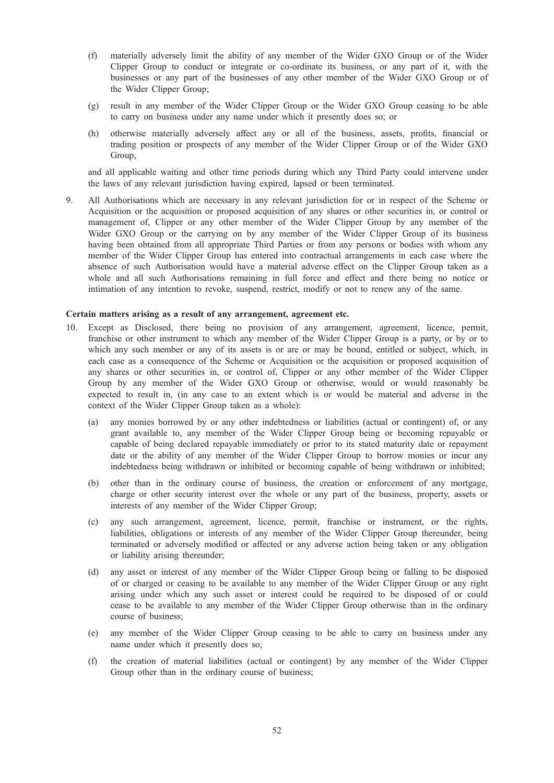- (f) materially adversely limit the ability of any member of the Wider GXO Group or of the Wider Clipper Group to conduct or integrate or co-ordinate its business, or any part of it, with the businesses or any part of the businesses of any other member of the Wider GXO Group or of the Wider Clipper Group;
- (g) result in any member of the Wider Clipper Group or the Wider GXO Group ceasing to be able to carry on business under any name under which it presently does so; or
- (h) otherwise materially adversely affect any or all of the business, assets, profits, financial or trading position or prospects of any member of the Wider Clipper Group or of the Wider GXO Group,

and all applicable waiting and other time periods during which any Third Party could intervene under the laws of any relevant jurisdiction having expired, lapsed or been terminated.

9. All Authorisations which are necessary in any relevant jurisdiction for or in respect of the Scheme or Acquisition or the acquisition or proposed acquisition of any shares or other securities in, or control or management of, Clipper or any other member of the Wider Clipper Group by any member of the Wider GXO Group or the carrying on by any member of the Wider Clipper Group of its business having been obtained from all appropriate Third Parties or from any persons or bodies with whom any member of the Wider Clipper Group has entered into contractual arrangements in each case where the absence of such Authorisation would have a material adverse effect on the Clipper Group taken as a whole and all such Authorisations remaining in full force and effect and there being no notice or intimation of any intention to revoke, suspend, restrict, modify or not to renew any of the same.

#### Certain matters arising as a result of any arrangement, agreement etc.

- 10. Except as Disclosed, there being no provision of any arrangement, agreement, licence, permit, franchise or other instrument to which any member of the Wider Clipper Group is a party, or by or to which any such member or any of its assets is or are or may be bound, entitled or subject, which, in each case as a consequence of the Scheme or Acquisition or the acquisition or proposed acquisition of any shares or other securities in, or control of, Clipper or any other member of the Wider Clipper Group by any member of the Wider GXO Group or otherwise, would or would reasonably be expected to result in, (in any case to an extent which is or would be material and adverse in the context of the Wider Clipper Group taken as a whole):
	- (a) any monies borrowed by or any other indebtedness or liabilities (actual or contingent) of, or any grant available to, any member of the Wider Clipper Group being or becoming repayable or capable of being declared repayable immediately or prior to its stated maturity date or repayment date or the ability of any member of the Wider Clipper Group to borrow monies or incur any indebtedness being withdrawn or inhibited or becoming capable of being withdrawn or inhibited;
	- (b) other than in the ordinary course of business, the creation or enforcement of any mortgage, charge or other security interest over the whole or any part of the business, property, assets or interests of any member of the Wider Clipper Group;
	- (c) any such arrangement, agreement, licence, permit, franchise or instrument, or the rights, liabilities, obligations or interests of any member of the Wider Clipper Group thereunder, being terminated or adversely modified or affected or any adverse action being taken or any obligation or liability arising thereunder;
	- (d) any asset or interest of any member of the Wider Clipper Group being or falling to be disposed of or charged or ceasing to be available to any member of the Wider Clipper Group or any right arising under which any such asset or interest could be required to be disposed of or could cease to be available to any member of the Wider Clipper Group otherwise than in the ordinary course of business;
	- (e) any member of the Wider Clipper Group ceasing to be able to carry on business under any name under which it presently does so;
	- (f) the creation of material liabilities (actual or contingent) by any member of the Wider Clipper Group other than in the ordinary course of business;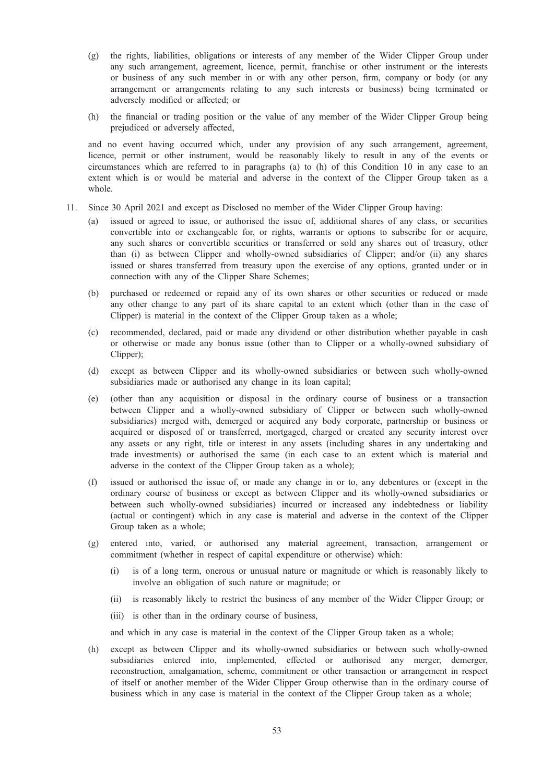- (g) the rights, liabilities, obligations or interests of any member of the Wider Clipper Group under any such arrangement, agreement, licence, permit, franchise or other instrument or the interests or business of any such member in or with any other person, firm, company or body (or any arrangement or arrangements relating to any such interests or business) being terminated or adversely modified or affected; or
- (h) the financial or trading position or the value of any member of the Wider Clipper Group being prejudiced or adversely affected,

and no event having occurred which, under any provision of any such arrangement, agreement, licence, permit or other instrument, would be reasonably likely to result in any of the events or circumstances which are referred to in paragraphs (a) to (h) of this Condition 10 in any case to an extent which is or would be material and adverse in the context of the Clipper Group taken as a whole.

- 11. Since 30 April 2021 and except as Disclosed no member of the Wider Clipper Group having:
	- (a) issued or agreed to issue, or authorised the issue of, additional shares of any class, or securities convertible into or exchangeable for, or rights, warrants or options to subscribe for or acquire, any such shares or convertible securities or transferred or sold any shares out of treasury, other than (i) as between Clipper and wholly-owned subsidiaries of Clipper; and/or (ii) any shares issued or shares transferred from treasury upon the exercise of any options, granted under or in connection with any of the Clipper Share Schemes;
	- (b) purchased or redeemed or repaid any of its own shares or other securities or reduced or made any other change to any part of its share capital to an extent which (other than in the case of Clipper) is material in the context of the Clipper Group taken as a whole;
	- (c) recommended, declared, paid or made any dividend or other distribution whether payable in cash or otherwise or made any bonus issue (other than to Clipper or a wholly-owned subsidiary of Clipper);
	- (d) except as between Clipper and its wholly-owned subsidiaries or between such wholly-owned subsidiaries made or authorised any change in its loan capital;
	- (e) (other than any acquisition or disposal in the ordinary course of business or a transaction between Clipper and a wholly-owned subsidiary of Clipper or between such wholly-owned subsidiaries) merged with, demerged or acquired any body corporate, partnership or business or acquired or disposed of or transferred, mortgaged, charged or created any security interest over any assets or any right, title or interest in any assets (including shares in any undertaking and trade investments) or authorised the same (in each case to an extent which is material and adverse in the context of the Clipper Group taken as a whole);
	- (f) issued or authorised the issue of, or made any change in or to, any debentures or (except in the ordinary course of business or except as between Clipper and its wholly-owned subsidiaries or between such wholly-owned subsidiaries) incurred or increased any indebtedness or liability (actual or contingent) which in any case is material and adverse in the context of the Clipper Group taken as a whole;
	- (g) entered into, varied, or authorised any material agreement, transaction, arrangement or commitment (whether in respect of capital expenditure or otherwise) which:
		- (i) is of a long term, onerous or unusual nature or magnitude or which is reasonably likely to involve an obligation of such nature or magnitude; or
		- (ii) is reasonably likely to restrict the business of any member of the Wider Clipper Group; or
		- (iii) is other than in the ordinary course of business,

and which in any case is material in the context of the Clipper Group taken as a whole;

(h) except as between Clipper and its wholly-owned subsidiaries or between such wholly-owned subsidiaries entered into, implemented, effected or authorised any merger, demerger, reconstruction, amalgamation, scheme, commitment or other transaction or arrangement in respect of itself or another member of the Wider Clipper Group otherwise than in the ordinary course of business which in any case is material in the context of the Clipper Group taken as a whole;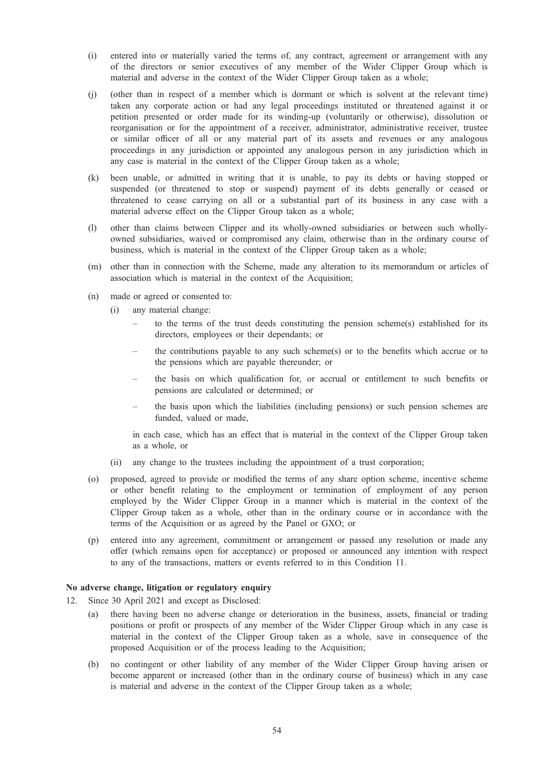- (i) entered into or materially varied the terms of, any contract, agreement or arrangement with any of the directors or senior executives of any member of the Wider Clipper Group which is material and adverse in the context of the Wider Clipper Group taken as a whole;
- (j) (other than in respect of a member which is dormant or which is solvent at the relevant time) taken any corporate action or had any legal proceedings instituted or threatened against it or petition presented or order made for its winding-up (voluntarily or otherwise), dissolution or reorganisation or for the appointment of a receiver, administrator, administrative receiver, trustee or similar officer of all or any material part of its assets and revenues or any analogous proceedings in any jurisdiction or appointed any analogous person in any jurisdiction which in any case is material in the context of the Clipper Group taken as a whole;
- (k) been unable, or admitted in writing that it is unable, to pay its debts or having stopped or suspended (or threatened to stop or suspend) payment of its debts generally or ceased or threatened to cease carrying on all or a substantial part of its business in any case with a material adverse effect on the Clipper Group taken as a whole;
- (l) other than claims between Clipper and its wholly-owned subsidiaries or between such whollyowned subsidiaries, waived or compromised any claim, otherwise than in the ordinary course of business, which is material in the context of the Clipper Group taken as a whole;
- (m) other than in connection with the Scheme, made any alteration to its memorandum or articles of association which is material in the context of the Acquisition;
- (n) made or agreed or consented to:
	- (i) any material change:
		- to the terms of the trust deeds constituting the pension scheme(s) established for its directors, employees or their dependants; or
		- the contributions payable to any such scheme(s) or to the benefits which accrue or to the pensions which are payable thereunder; or
		- the basis on which qualification for, or accrual or entitlement to such benefits or pensions are calculated or determined; or
		- the basis upon which the liabilities (including pensions) or such pension schemes are funded, valued or made,

in each case, which has an effect that is material in the context of the Clipper Group taken as a whole, or

- (ii) any change to the trustees including the appointment of a trust corporation;
- (o) proposed, agreed to provide or modified the terms of any share option scheme, incentive scheme or other benefit relating to the employment or termination of employment of any person employed by the Wider Clipper Group in a manner which is material in the context of the Clipper Group taken as a whole, other than in the ordinary course or in accordance with the terms of the Acquisition or as agreed by the Panel or GXO; or
- (p) entered into any agreement, commitment or arrangement or passed any resolution or made any offer (which remains open for acceptance) or proposed or announced any intention with respect to any of the transactions, matters or events referred to in this Condition 11.

# No adverse change, litigation or regulatory enquiry

- 12. Since 30 April 2021 and except as Disclosed:
	- (a) there having been no adverse change or deterioration in the business, assets, financial or trading positions or profit or prospects of any member of the Wider Clipper Group which in any case is material in the context of the Clipper Group taken as a whole, save in consequence of the proposed Acquisition or of the process leading to the Acquisition;
	- (b) no contingent or other liability of any member of the Wider Clipper Group having arisen or become apparent or increased (other than in the ordinary course of business) which in any case is material and adverse in the context of the Clipper Group taken as a whole;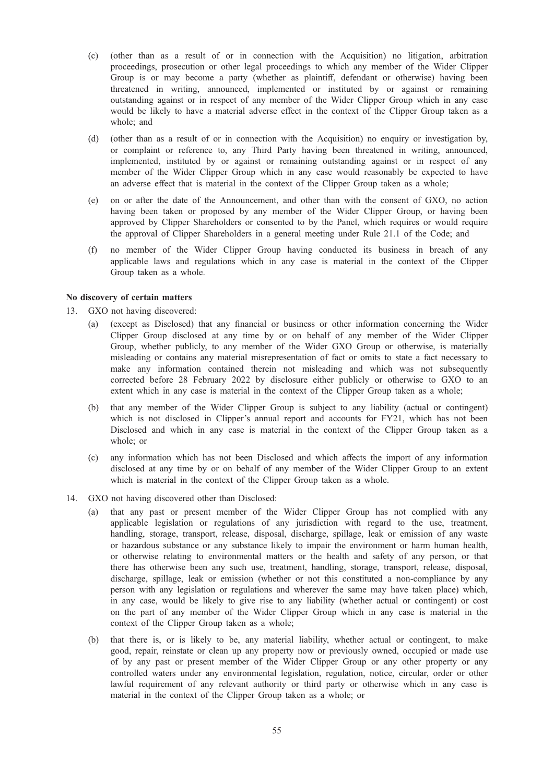- (c) (other than as a result of or in connection with the Acquisition) no litigation, arbitration proceedings, prosecution or other legal proceedings to which any member of the Wider Clipper Group is or may become a party (whether as plaintiff, defendant or otherwise) having been threatened in writing, announced, implemented or instituted by or against or remaining outstanding against or in respect of any member of the Wider Clipper Group which in any case would be likely to have a material adverse effect in the context of the Clipper Group taken as a whole; and
- (d) (other than as a result of or in connection with the Acquisition) no enquiry or investigation by, or complaint or reference to, any Third Party having been threatened in writing, announced, implemented, instituted by or against or remaining outstanding against or in respect of any member of the Wider Clipper Group which in any case would reasonably be expected to have an adverse effect that is material in the context of the Clipper Group taken as a whole;
- (e) on or after the date of the Announcement, and other than with the consent of GXO, no action having been taken or proposed by any member of the Wider Clipper Group, or having been approved by Clipper Shareholders or consented to by the Panel, which requires or would require the approval of Clipper Shareholders in a general meeting under Rule 21.1 of the Code; and
- (f) no member of the Wider Clipper Group having conducted its business in breach of any applicable laws and regulations which in any case is material in the context of the Clipper Group taken as a whole.

#### No discovery of certain matters

13. GXO not having discovered:

- (a) (except as Disclosed) that any financial or business or other information concerning the Wider Clipper Group disclosed at any time by or on behalf of any member of the Wider Clipper Group, whether publicly, to any member of the Wider GXO Group or otherwise, is materially misleading or contains any material misrepresentation of fact or omits to state a fact necessary to make any information contained therein not misleading and which was not subsequently corrected before 28 February 2022 by disclosure either publicly or otherwise to GXO to an extent which in any case is material in the context of the Clipper Group taken as a whole;
- (b) that any member of the Wider Clipper Group is subject to any liability (actual or contingent) which is not disclosed in Clipper's annual report and accounts for FY21, which has not been Disclosed and which in any case is material in the context of the Clipper Group taken as a whole; or
- (c) any information which has not been Disclosed and which affects the import of any information disclosed at any time by or on behalf of any member of the Wider Clipper Group to an extent which is material in the context of the Clipper Group taken as a whole.
- 14. GXO not having discovered other than Disclosed:
	- (a) that any past or present member of the Wider Clipper Group has not complied with any applicable legislation or regulations of any jurisdiction with regard to the use, treatment, handling, storage, transport, release, disposal, discharge, spillage, leak or emission of any waste or hazardous substance or any substance likely to impair the environment or harm human health, or otherwise relating to environmental matters or the health and safety of any person, or that there has otherwise been any such use, treatment, handling, storage, transport, release, disposal, discharge, spillage, leak or emission (whether or not this constituted a non-compliance by any person with any legislation or regulations and wherever the same may have taken place) which, in any case, would be likely to give rise to any liability (whether actual or contingent) or cost on the part of any member of the Wider Clipper Group which in any case is material in the context of the Clipper Group taken as a whole;
	- (b) that there is, or is likely to be, any material liability, whether actual or contingent, to make good, repair, reinstate or clean up any property now or previously owned, occupied or made use of by any past or present member of the Wider Clipper Group or any other property or any controlled waters under any environmental legislation, regulation, notice, circular, order or other lawful requirement of any relevant authority or third party or otherwise which in any case is material in the context of the Clipper Group taken as a whole; or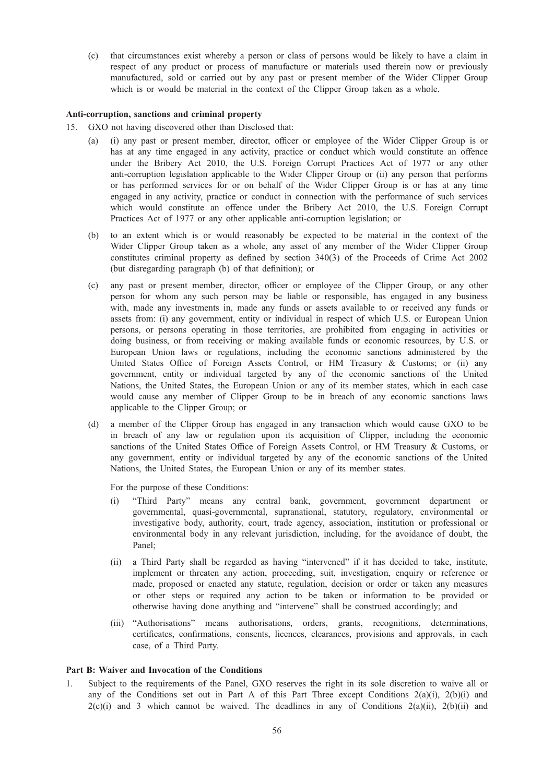(c) that circumstances exist whereby a person or class of persons would be likely to have a claim in respect of any product or process of manufacture or materials used therein now or previously manufactured, sold or carried out by any past or present member of the Wider Clipper Group which is or would be material in the context of the Clipper Group taken as a whole.

#### Anti-corruption, sanctions and criminal property

- 15. GXO not having discovered other than Disclosed that:
	- (i) any past or present member, director, officer or employee of the Wider Clipper Group is or has at any time engaged in any activity, practice or conduct which would constitute an offence under the Bribery Act 2010, the U.S. Foreign Corrupt Practices Act of 1977 or any other anti‑corruption legislation applicable to the Wider Clipper Group or (ii) any person that performs or has performed services for or on behalf of the Wider Clipper Group is or has at any time engaged in any activity, practice or conduct in connection with the performance of such services which would constitute an offence under the Bribery Act 2010, the U.S. Foreign Corrupt Practices Act of 1977 or any other applicable anti-corruption legislation; or
	- (b) to an extent which is or would reasonably be expected to be material in the context of the Wider Clipper Group taken as a whole, any asset of any member of the Wider Clipper Group constitutes criminal property as defined by section 340(3) of the Proceeds of Crime Act 2002 (but disregarding paragraph (b) of that definition); or
	- (c) any past or present member, director, officer or employee of the Clipper Group, or any other person for whom any such person may be liable or responsible, has engaged in any business with, made any investments in, made any funds or assets available to or received any funds or assets from: (i) any government, entity or individual in respect of which U.S. or European Union persons, or persons operating in those territories, are prohibited from engaging in activities or doing business, or from receiving or making available funds or economic resources, by U.S. or European Union laws or regulations, including the economic sanctions administered by the United States Office of Foreign Assets Control, or HM Treasury & Customs; or (ii) any government, entity or individual targeted by any of the economic sanctions of the United Nations, the United States, the European Union or any of its member states, which in each case would cause any member of Clipper Group to be in breach of any economic sanctions laws applicable to the Clipper Group; or
	- (d) a member of the Clipper Group has engaged in any transaction which would cause GXO to be in breach of any law or regulation upon its acquisition of Clipper, including the economic sanctions of the United States Office of Foreign Assets Control, or HM Treasury & Customs, or any government, entity or individual targeted by any of the economic sanctions of the United Nations, the United States, the European Union or any of its member states.

For the purpose of these Conditions:

- (i) "Third Party" means any central bank, government, government department or governmental, quasi-governmental, supranational, statutory, regulatory, environmental or investigative body, authority, court, trade agency, association, institution or professional or environmental body in any relevant jurisdiction, including, for the avoidance of doubt, the Panel;
- (ii) a Third Party shall be regarded as having "intervened" if it has decided to take, institute, implement or threaten any action, proceeding, suit, investigation, enquiry or reference or made, proposed or enacted any statute, regulation, decision or order or taken any measures or other steps or required any action to be taken or information to be provided or otherwise having done anything and "intervene" shall be construed accordingly; and
- (iii) "Authorisations" means authorisations, orders, grants, recognitions, determinations, certificates, confirmations, consents, licences, clearances, provisions and approvals, in each case, of a Third Party.

#### Part B: Waiver and Invocation of the Conditions

Subject to the requirements of the Panel, GXO reserves the right in its sole discretion to waive all or any of the Conditions set out in Part A of this Part Three except Conditions  $2(a)(i)$ ,  $2(b)(i)$  and  $2(c)(i)$  and 3 which cannot be waived. The deadlines in any of Conditions  $2(a)(ii)$ ,  $2(b)(ii)$  and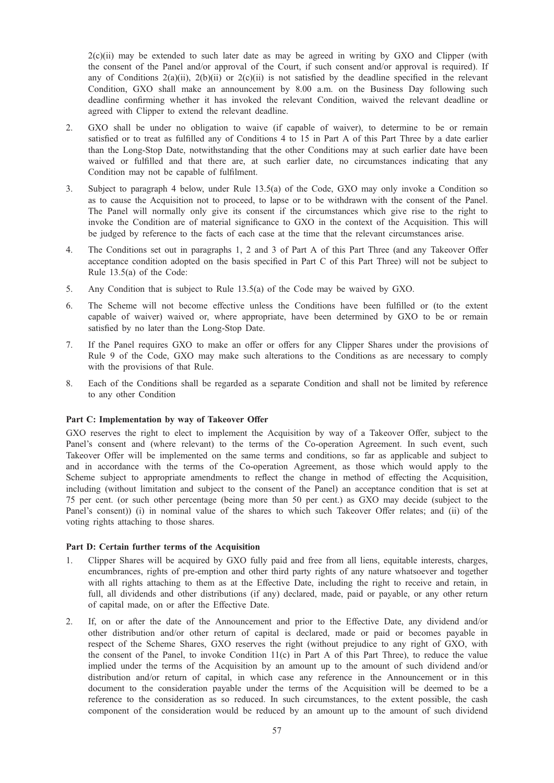$2(c)(ii)$  may be extended to such later date as may be agreed in writing by GXO and Clipper (with the consent of the Panel and/or approval of the Court, if such consent and/or approval is required). If any of Conditions  $2(a)(ii)$ ,  $2(b)(ii)$  or  $2(c)(ii)$  is not satisfied by the deadline specified in the relevant Condition, GXO shall make an announcement by 8.00 a.m. on the Business Day following such deadline confirming whether it has invoked the relevant Condition, waived the relevant deadline or agreed with Clipper to extend the relevant deadline.

- 2. GXO shall be under no obligation to waive (if capable of waiver), to determine to be or remain satisfied or to treat as fulfilled any of Conditions 4 to 15 in Part A of this Part Three by a date earlier than the Long-Stop Date, notwithstanding that the other Conditions may at such earlier date have been waived or fulfilled and that there are, at such earlier date, no circumstances indicating that any Condition may not be capable of fulfilment.
- 3. Subject to paragraph 4 below, under Rule 13.5(a) of the Code, GXO may only invoke a Condition so as to cause the Acquisition not to proceed, to lapse or to be withdrawn with the consent of the Panel. The Panel will normally only give its consent if the circumstances which give rise to the right to invoke the Condition are of material significance to GXO in the context of the Acquisition. This will be judged by reference to the facts of each case at the time that the relevant circumstances arise.
- 4. The Conditions set out in paragraphs 1, 2 and 3 of Part A of this Part Three (and any Takeover Offer acceptance condition adopted on the basis specified in Part C of this Part Three) will not be subject to Rule 13.5(a) of the Code:
- 5. Any Condition that is subject to Rule 13.5(a) of the Code may be waived by GXO.
- 6. The Scheme will not become effective unless the Conditions have been fulfilled or (to the extent capable of waiver) waived or, where appropriate, have been determined by GXO to be or remain satisfied by no later than the Long-Stop Date.
- 7. If the Panel requires GXO to make an offer or offers for any Clipper Shares under the provisions of Rule 9 of the Code, GXO may make such alterations to the Conditions as are necessary to comply with the provisions of that Rule.
- 8. Each of the Conditions shall be regarded as a separate Condition and shall not be limited by reference to any other Condition

#### Part C: Implementation by way of Takeover Offer

GXO reserves the right to elect to implement the Acquisition by way of a Takeover Offer, subject to the Panel's consent and (where relevant) to the terms of the Co-operation Agreement. In such event, such Takeover Offer will be implemented on the same terms and conditions, so far as applicable and subject to and in accordance with the terms of the Co-operation Agreement, as those which would apply to the Scheme subject to appropriate amendments to reflect the change in method of effecting the Acquisition, including (without limitation and subject to the consent of the Panel) an acceptance condition that is set at 75 per cent. (or such other percentage (being more than 50 per cent.) as GXO may decide (subject to the Panel's consent)) (i) in nominal value of the shares to which such Takeover Offer relates; and (ii) of the voting rights attaching to those shares.

#### Part D: Certain further terms of the Acquisition

- 1. Clipper Shares will be acquired by GXO fully paid and free from all liens, equitable interests, charges, encumbrances, rights of pre-emption and other third party rights of any nature whatsoever and together with all rights attaching to them as at the Effective Date, including the right to receive and retain, in full, all dividends and other distributions (if any) declared, made, paid or payable, or any other return of capital made, on or after the Effective Date.
- 2. If, on or after the date of the Announcement and prior to the Effective Date, any dividend and/or other distribution and/or other return of capital is declared, made or paid or becomes payable in respect of the Scheme Shares, GXO reserves the right (without prejudice to any right of GXO, with the consent of the Panel, to invoke Condition 11(c) in Part A of this Part Three), to reduce the value implied under the terms of the Acquisition by an amount up to the amount of such dividend and/or distribution and/or return of capital, in which case any reference in the Announcement or in this document to the consideration payable under the terms of the Acquisition will be deemed to be a reference to the consideration as so reduced. In such circumstances, to the extent possible, the cash component of the consideration would be reduced by an amount up to the amount of such dividend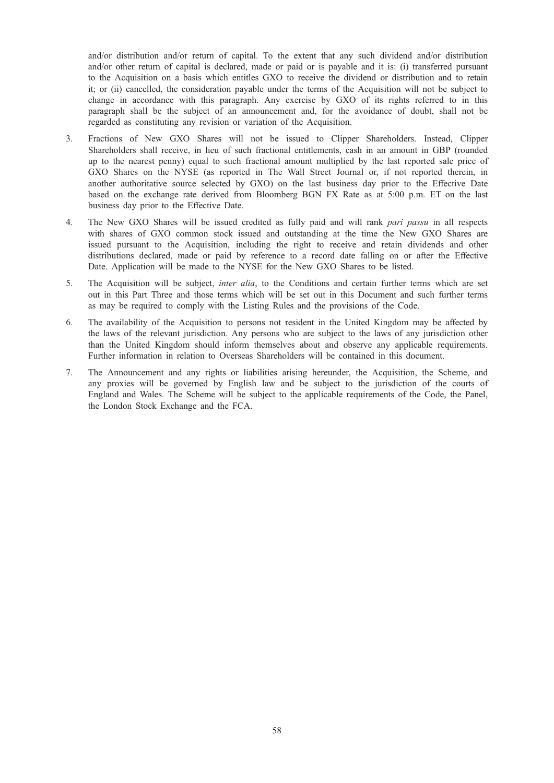and/or distribution and/or return of capital. To the extent that any such dividend and/or distribution and/or other return of capital is declared, made or paid or is payable and it is: (i) transferred pursuant to the Acquisition on a basis which entitles GXO to receive the dividend or distribution and to retain it; or (ii) cancelled, the consideration payable under the terms of the Acquisition will not be subject to change in accordance with this paragraph. Any exercise by GXO of its rights referred to in this paragraph shall be the subject of an announcement and, for the avoidance of doubt, shall not be regarded as constituting any revision or variation of the Acquisition.

- 3. Fractions of New GXO Shares will not be issued to Clipper Shareholders. Instead, Clipper Shareholders shall receive, in lieu of such fractional entitlements, cash in an amount in GBP (rounded up to the nearest penny) equal to such fractional amount multiplied by the last reported sale price of GXO Shares on the NYSE (as reported in The Wall Street Journal or, if not reported therein, in another authoritative source selected by GXO) on the last business day prior to the Effective Date based on the exchange rate derived from Bloomberg BGN FX Rate as at 5:00 p.m. ET on the last business day prior to the Effective Date.
- 4. The New GXO Shares will be issued credited as fully paid and will rank pari passu in all respects with shares of GXO common stock issued and outstanding at the time the New GXO Shares are issued pursuant to the Acquisition, including the right to receive and retain dividends and other distributions declared, made or paid by reference to a record date falling on or after the Effective Date. Application will be made to the NYSE for the New GXO Shares to be listed.
- 5. The Acquisition will be subject, *inter alia*, to the Conditions and certain further terms which are set out in this Part Three and those terms which will be set out in this Document and such further terms as may be required to comply with the Listing Rules and the provisions of the Code.
- 6. The availability of the Acquisition to persons not resident in the United Kingdom may be affected by the laws of the relevant jurisdiction. Any persons who are subject to the laws of any jurisdiction other than the United Kingdom should inform themselves about and observe any applicable requirements. Further information in relation to Overseas Shareholders will be contained in this document.
- 7. The Announcement and any rights or liabilities arising hereunder, the Acquisition, the Scheme, and any proxies will be governed by English law and be subject to the jurisdiction of the courts of England and Wales. The Scheme will be subject to the applicable requirements of the Code, the Panel, the London Stock Exchange and the FCA.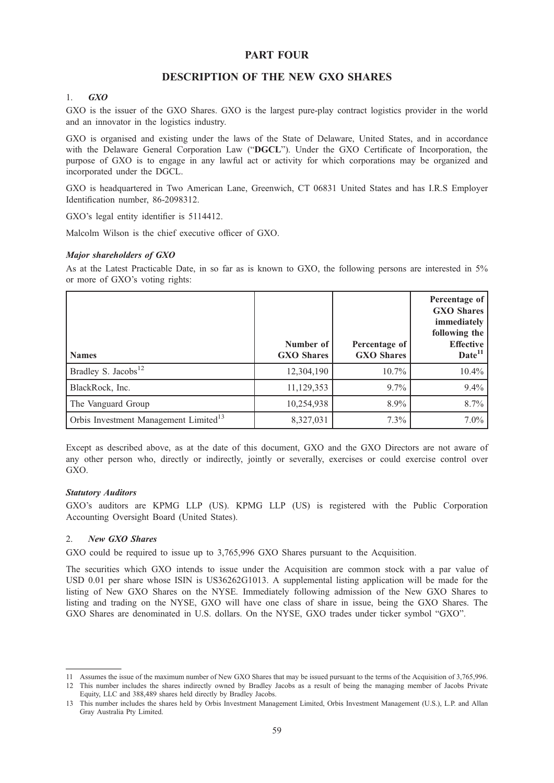# PART FOUR

# DESCRIPTION OF THE NEW GXO SHARES

# 1. GXO

GXO is the issuer of the GXO Shares. GXO is the largest pure-play contract logistics provider in the world and an innovator in the logistics industry.

GXO is organised and existing under the laws of the State of Delaware, United States, and in accordance with the Delaware General Corporation Law ("DGCL"). Under the GXO Certificate of Incorporation, the purpose of GXO is to engage in any lawful act or activity for which corporations may be organized and incorporated under the DGCL.

GXO is headquartered in Two American Lane, Greenwich, CT 06831 United States and has I.R.S Employer Identification number, 86-2098312.

GXO's legal entity identifier is 5114412.

Malcolm Wilson is the chief executive officer of GXO.

#### Major shareholders of GXO

As at the Latest Practicable Date, in so far as is known to GXO, the following persons are interested in 5% or more of GXO's voting rights:

| <b>Names</b>                                      | Number of<br><b>GXO</b> Shares | Percentage of<br><b>GXO</b> Shares | Percentage of<br><b>GXO Shares</b><br>immediately  <br>following the<br><b>Effective</b><br>Date <sup>11</sup> |
|---------------------------------------------------|--------------------------------|------------------------------------|----------------------------------------------------------------------------------------------------------------|
| Bradley S. Jacobs <sup>12</sup>                   | 12,304,190                     | $10.7\%$                           | $10.4\%$                                                                                                       |
| BlackRock, Inc.                                   | 11,129,353                     | $9.7\%$                            | $9.4\%$                                                                                                        |
| The Vanguard Group                                | 10,254,938                     | 8.9%                               | 8.7%                                                                                                           |
| Orbis Investment Management Limited <sup>13</sup> | 8,327,031                      | 7.3%                               | $7.0\%$                                                                                                        |

Except as described above, as at the date of this document, GXO and the GXO Directors are not aware of any other person who, directly or indirectly, jointly or severally, exercises or could exercise control over GXO.

#### Statutory Auditors

GXO's auditors are KPMG LLP (US). KPMG LLP (US) is registered with the Public Corporation Accounting Oversight Board (United States).

#### 2. New GXO Shares

GXO could be required to issue up to 3,765,996 GXO Shares pursuant to the Acquisition.

The securities which GXO intends to issue under the Acquisition are common stock with a par value of USD 0.01 per share whose ISIN is US36262G1013. A supplemental listing application will be made for the listing of New GXO Shares on the NYSE. Immediately following admission of the New GXO Shares to listing and trading on the NYSE, GXO will have one class of share in issue, being the GXO Shares. The GXO Shares are denominated in U.S. dollars. On the NYSE, GXO trades under ticker symbol "GXO".

<sup>11</sup> Assumes the issue of the maximum number of New GXO Shares that may be issued pursuant to the terms of the Acquisition of 3,765,996.

<sup>12</sup> This number includes the shares indirectly owned by Bradley Jacobs as a result of being the managing member of Jacobs Private Equity, LLC and 388,489 shares held directly by Bradley Jacobs.

<sup>13</sup> This number includes the shares held by Orbis Investment Management Limited, Orbis Investment Management (U.S.), L.P. and Allan Gray Australia Pty Limited.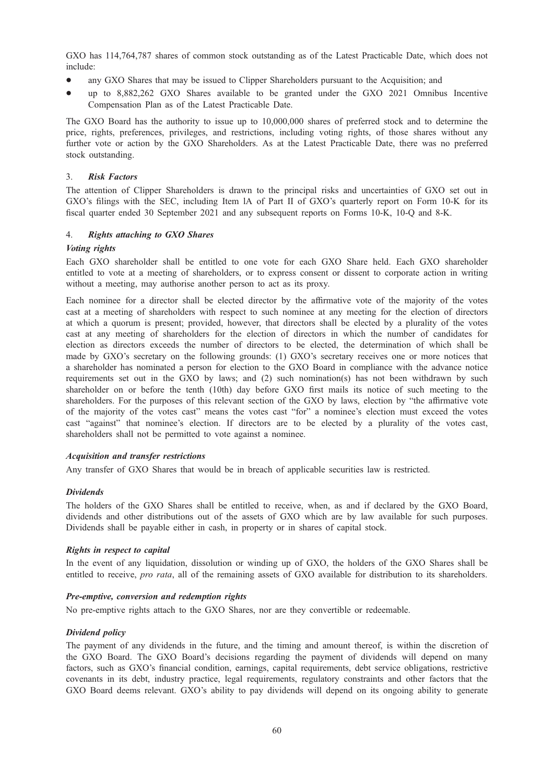GXO has 114,764,787 shares of common stock outstanding as of the Latest Practicable Date, which does not include:

- any GXO Shares that may be issued to Clipper Shareholders pursuant to the Acquisition; and
- \* up to 8,882,262 GXO Shares available to be granted under the GXO 2021 Omnibus Incentive Compensation Plan as of the Latest Practicable Date.

The GXO Board has the authority to issue up to 10,000,000 shares of preferred stock and to determine the price, rights, preferences, privileges, and restrictions, including voting rights, of those shares without any further vote or action by the GXO Shareholders. As at the Latest Practicable Date, there was no preferred stock outstanding.

#### 3. Risk Factors

The attention of Clipper Shareholders is drawn to the principal risks and uncertainties of GXO set out in GXO's filings with the SEC, including Item lA of Part II of GXO's quarterly report on Form 10-K for its fiscal quarter ended 30 September 2021 and any subsequent reports on Forms 10-K, 10-Q and 8-K.

#### 4. Rights attaching to GXO Shares

#### Voting rights

Each GXO shareholder shall be entitled to one vote for each GXO Share held. Each GXO shareholder entitled to vote at a meeting of shareholders, or to express consent or dissent to corporate action in writing without a meeting, may authorise another person to act as its proxy.

Each nominee for a director shall be elected director by the affirmative vote of the majority of the votes cast at a meeting of shareholders with respect to such nominee at any meeting for the election of directors at which a quorum is present; provided, however, that directors shall be elected by a plurality of the votes cast at any meeting of shareholders for the election of directors in which the number of candidates for election as directors exceeds the number of directors to be elected, the determination of which shall be made by GXO's secretary on the following grounds: (1) GXO's secretary receives one or more notices that a shareholder has nominated a person for election to the GXO Board in compliance with the advance notice requirements set out in the GXO by laws; and (2) such nomination(s) has not been withdrawn by such shareholder on or before the tenth (10th) day before GXO first mails its notice of such meeting to the shareholders. For the purposes of this relevant section of the GXO by laws, election by "the affirmative vote of the majority of the votes cast" means the votes cast "for" a nominee's election must exceed the votes cast "against" that nominee's election. If directors are to be elected by a plurality of the votes cast, shareholders shall not be permitted to vote against a nominee.

#### Acquisition and transfer restrictions

Any transfer of GXO Shares that would be in breach of applicable securities law is restricted.

#### Dividends

The holders of the GXO Shares shall be entitled to receive, when, as and if declared by the GXO Board, dividends and other distributions out of the assets of GXO which are by law available for such purposes. Dividends shall be payable either in cash, in property or in shares of capital stock.

#### Rights in respect to capital

In the event of any liquidation, dissolution or winding up of GXO, the holders of the GXO Shares shall be entitled to receive, pro rata, all of the remaining assets of GXO available for distribution to its shareholders.

#### Pre-emptive, conversion and redemption rights

No pre-emptive rights attach to the GXO Shares, nor are they convertible or redeemable.

#### Dividend policy

The payment of any dividends in the future, and the timing and amount thereof, is within the discretion of the GXO Board. The GXO Board's decisions regarding the payment of dividends will depend on many factors, such as GXO's financial condition, earnings, capital requirements, debt service obligations, restrictive covenants in its debt, industry practice, legal requirements, regulatory constraints and other factors that the GXO Board deems relevant. GXO's ability to pay dividends will depend on its ongoing ability to generate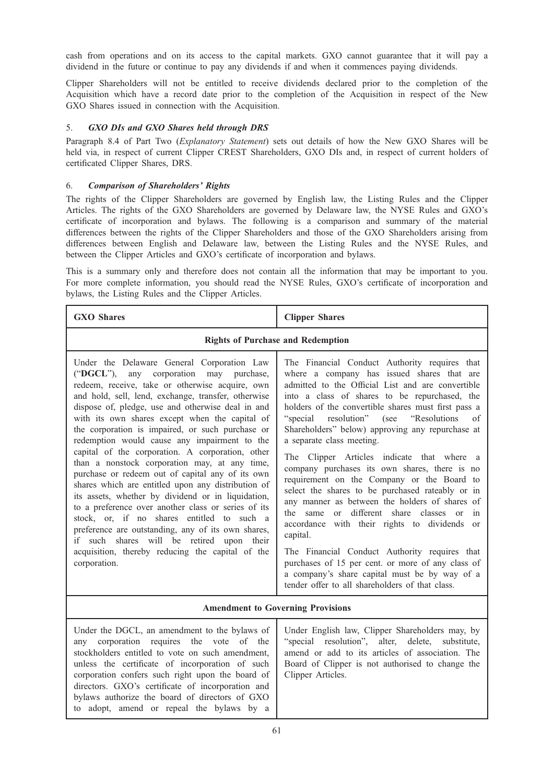cash from operations and on its access to the capital markets. GXO cannot guarantee that it will pay a dividend in the future or continue to pay any dividends if and when it commences paying dividends.

Clipper Shareholders will not be entitled to receive dividends declared prior to the completion of the Acquisition which have a record date prior to the completion of the Acquisition in respect of the New GXO Shares issued in connection with the Acquisition.

# 5. GXO DIs and GXO Shares held through DRS

Paragraph 8.4 of Part Two (Explanatory Statement) sets out details of how the New GXO Shares will be held via, in respect of current Clipper CREST Shareholders, GXO DIs and, in respect of current holders of certificated Clipper Shares, DRS.

# 6. Comparison of Shareholders' Rights

The rights of the Clipper Shareholders are governed by English law, the Listing Rules and the Clipper Articles. The rights of the GXO Shareholders are governed by Delaware law, the NYSE Rules and GXO's certificate of incorporation and bylaws. The following is a comparison and summary of the material differences between the rights of the Clipper Shareholders and those of the GXO Shareholders arising from differences between English and Delaware law, between the Listing Rules and the NYSE Rules, and between the Clipper Articles and GXO's certificate of incorporation and bylaws.

This is a summary only and therefore does not contain all the information that may be important to you. For more complete information, you should read the NYSE Rules, GXO's certificate of incorporation and bylaws, the Listing Rules and the Clipper Articles.

| <b>GXO</b> Shares                                                                                                                                                                                                                                                                                                                                                                                                                                                                                                                                                                                                                                                                                                                                                                                                                                                                                                                                              | <b>Clipper Shares</b>                                                                                                                                                                                                                                                                                                                                                                                                                                                                                                                                                                                                                                                                                                                                                                                                                                                                                                                                                                                       |  |  |
|----------------------------------------------------------------------------------------------------------------------------------------------------------------------------------------------------------------------------------------------------------------------------------------------------------------------------------------------------------------------------------------------------------------------------------------------------------------------------------------------------------------------------------------------------------------------------------------------------------------------------------------------------------------------------------------------------------------------------------------------------------------------------------------------------------------------------------------------------------------------------------------------------------------------------------------------------------------|-------------------------------------------------------------------------------------------------------------------------------------------------------------------------------------------------------------------------------------------------------------------------------------------------------------------------------------------------------------------------------------------------------------------------------------------------------------------------------------------------------------------------------------------------------------------------------------------------------------------------------------------------------------------------------------------------------------------------------------------------------------------------------------------------------------------------------------------------------------------------------------------------------------------------------------------------------------------------------------------------------------|--|--|
| <b>Rights of Purchase and Redemption</b>                                                                                                                                                                                                                                                                                                                                                                                                                                                                                                                                                                                                                                                                                                                                                                                                                                                                                                                       |                                                                                                                                                                                                                                                                                                                                                                                                                                                                                                                                                                                                                                                                                                                                                                                                                                                                                                                                                                                                             |  |  |
| Under the Delaware General Corporation Law<br>("DGCL"), any corporation may purchase,<br>redeem, receive, take or otherwise acquire, own<br>and hold, sell, lend, exchange, transfer, otherwise<br>dispose of, pledge, use and otherwise deal in and<br>with its own shares except when the capital of<br>the corporation is impaired, or such purchase or<br>redemption would cause any impairment to the<br>capital of the corporation. A corporation, other<br>than a nonstock corporation may, at any time,<br>purchase or redeem out of capital any of its own<br>shares which are entitled upon any distribution of<br>its assets, whether by dividend or in liquidation,<br>to a preference over another class or series of its<br>stock, or, if no shares entitled to such a<br>preference are outstanding, any of its own shares,<br>if such shares will be retired upon<br>their<br>acquisition, thereby reducing the capital of the<br>corporation. | The Financial Conduct Authority requires that<br>where a company has issued shares that are<br>admitted to the Official List and are convertible<br>into a class of shares to be repurchased, the<br>holders of the convertible shares must first pass a<br>resolution"<br>"Resolutions"<br>"special<br>(see<br>of<br>Shareholders" below) approving any repurchase at<br>a separate class meeting.<br>The Clipper Articles indicate that where a<br>company purchases its own shares, there is no<br>requirement on the Company or the Board to<br>select the shares to be purchased rateably or in<br>any manner as between the holders of shares of<br>different share classes or<br>the same<br><sub>or</sub><br>in<br>accordance with their rights to dividends<br><sub>or</sub><br>capital.<br>The Financial Conduct Authority requires that<br>purchases of 15 per cent. or more of any class of<br>a company's share capital must be by way of a<br>tender offer to all shareholders of that class. |  |  |
| <b>Amendment to Governing Provisions</b>                                                                                                                                                                                                                                                                                                                                                                                                                                                                                                                                                                                                                                                                                                                                                                                                                                                                                                                       |                                                                                                                                                                                                                                                                                                                                                                                                                                                                                                                                                                                                                                                                                                                                                                                                                                                                                                                                                                                                             |  |  |
| Under the DGCL, an amendment to the bylaws of<br>corporation requires the vote of the<br>any<br>stockholders entitled to vote on such amendment,<br>unless the certificate of incorporation of such                                                                                                                                                                                                                                                                                                                                                                                                                                                                                                                                                                                                                                                                                                                                                            | Under English law, Clipper Shareholders may, by<br>"special resolution", alter, delete, substitute,<br>amend or add to its articles of association. The<br>Board of Clipper is not authorised to change the                                                                                                                                                                                                                                                                                                                                                                                                                                                                                                                                                                                                                                                                                                                                                                                                 |  |  |

unless the certificate of incorporation of such corporation confers such right upon the board of directors. GXO's certificate of incorporation and bylaws authorize the board of directors of GXO to adopt, amend or repeal the bylaws by a

Clipper Articles.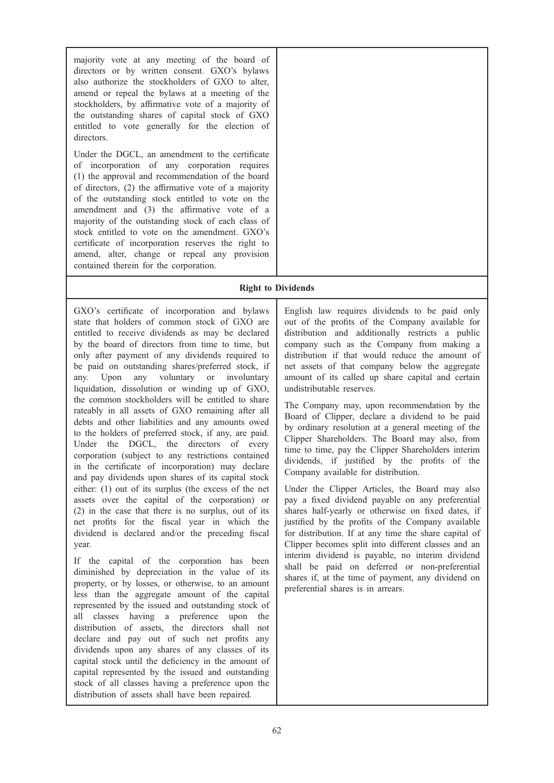majority vote at any meeting of the board of directors or by written consent. GXO's bylaws also authorize the stockholders of GXO to alter, amend or repeal the bylaws at a meeting of the stockholders, by affirmative vote of a majority of the outstanding shares of capital stock of GXO entitled to vote generally for the election of directors.

Under the DGCL, an amendment to the certificate of incorporation of any corporation requires (1) the approval and recommendation of the board of directors, (2) the affirmative vote of a majority of the outstanding stock entitled to vote on the amendment and (3) the affirmative vote of a majority of the outstanding stock of each class of stock entitled to vote on the amendment. GXO's certificate of incorporation reserves the right to amend, alter, change or repeal any provision contained therein for the corporation.

# Right to Dividends

GXO's certificate of incorporation and bylaws state that holders of common stock of GXO are entitled to receive dividends as may be declared by the board of directors from time to time, but only after payment of any dividends required to be paid on outstanding shares/preferred stock, if any. Upon any voluntary or involuntary liquidation, dissolution or winding up of GXO, the common stockholders will be entitled to share rateably in all assets of GXO remaining after all debts and other liabilities and any amounts owed to the holders of preferred stock, if any, are paid. Under the DGCL, the directors of every corporation (subject to any restrictions contained in the certificate of incorporation) may declare and pay dividends upon shares of its capital stock either: (1) out of its surplus (the excess of the net assets over the capital of the corporation) or (2) in the case that there is no surplus, out of its net profits for the fiscal year in which the dividend is declared and/or the preceding fiscal year.

If the capital of the corporation has been diminished by depreciation in the value of its property, or by losses, or otherwise, to an amount less than the aggregate amount of the capital represented by the issued and outstanding stock of all classes having a preference upon the distribution of assets, the directors shall not declare and pay out of such net profits any dividends upon any shares of any classes of its capital stock until the deficiency in the amount of capital represented by the issued and outstanding stock of all classes having a preference upon the distribution of assets shall have been repaired.

English law requires dividends to be paid only out of the profits of the Company available for distribution and additionally restricts a public company such as the Company from making a distribution if that would reduce the amount of net assets of that company below the aggregate amount of its called up share capital and certain undistributable reserves.

The Company may, upon recommendation by the Board of Clipper, declare a dividend to be paid by ordinary resolution at a general meeting of the Clipper Shareholders. The Board may also, from time to time, pay the Clipper Shareholders interim dividends, if justified by the profits of the Company available for distribution.

Under the Clipper Articles, the Board may also pay a fixed dividend payable on any preferential shares half-yearly or otherwise on fixed dates, if justified by the profits of the Company available for distribution. If at any time the share capital of Clipper becomes split into different classes and an interim dividend is payable, no interim dividend shall be paid on deferred or non-preferential shares if, at the time of payment, any dividend on preferential shares is in arrears.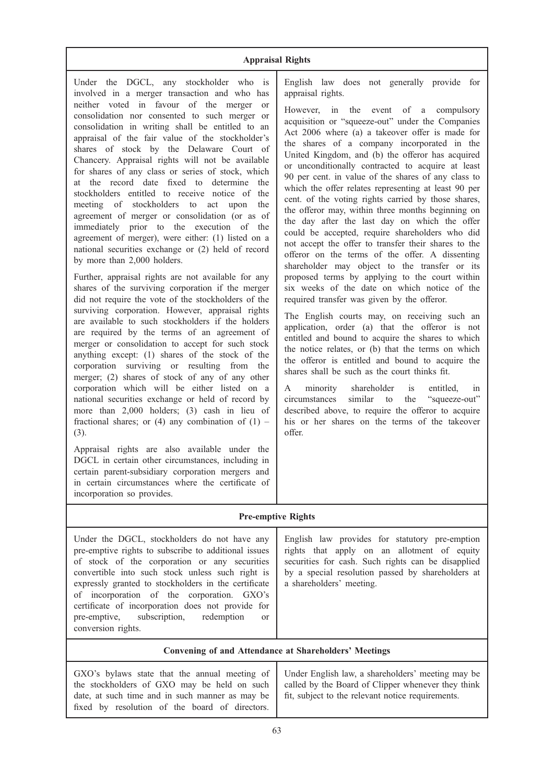# Appraisal Rights

Under the DGCL, any stockholder who is involved in a merger transaction and who has neither voted in favour of the merger or consolidation nor consented to such merger or consolidation in writing shall be entitled to an appraisal of the fair value of the stockholder's shares of stock by the Delaware Court of Chancery. Appraisal rights will not be available for shares of any class or series of stock, which at the record date fixed to determine the stockholders entitled to receive notice of the meeting of stockholders to act upon the agreement of merger or consolidation (or as of immediately prior to the execution of the agreement of merger), were either: (1) listed on a national securities exchange or (2) held of record by more than 2,000 holders.

Further, appraisal rights are not available for any shares of the surviving corporation if the merger did not require the vote of the stockholders of the surviving corporation. However, appraisal rights are available to such stockholders if the holders are required by the terms of an agreement of merger or consolidation to accept for such stock anything except: (1) shares of the stock of the corporation surviving or resulting from the merger; (2) shares of stock of any of any other corporation which will be either listed on a national securities exchange or held of record by more than 2,000 holders; (3) cash in lieu of fractional shares; or (4) any combination of  $(1)$  – (3).

Appraisal rights are also available under the DGCL in certain other circumstances, including in certain parent-subsidiary corporation mergers and in certain circumstances where the certificate of incorporation so provides.

English law does not generally provide for appraisal rights.

However, in the event of a compulsory acquisition or "squeeze-out" under the Companies Act 2006 where (a) a takeover offer is made for the shares of a company incorporated in the United Kingdom, and (b) the offeror has acquired or unconditionally contracted to acquire at least 90 per cent. in value of the shares of any class to which the offer relates representing at least 90 per cent. of the voting rights carried by those shares, the offeror may, within three months beginning on the day after the last day on which the offer could be accepted, require shareholders who did not accept the offer to transfer their shares to the offeror on the terms of the offer. A dissenting shareholder may object to the transfer or its proposed terms by applying to the court within six weeks of the date on which notice of the required transfer was given by the offeror.

The English courts may, on receiving such an application, order (a) that the offeror is not entitled and bound to acquire the shares to which the notice relates, or (b) that the terms on which the offeror is entitled and bound to acquire the shares shall be such as the court thinks fit.

A minority shareholder is entitled, in circumstances similar to the "squeeze-out" described above, to require the offeror to acquire his or her shares on the terms of the takeover offer.

# Pre-emptive Rights

Under the DGCL, stockholders do not have any pre-emptive rights to subscribe to additional issues of stock of the corporation or any securities convertible into such stock unless such right is expressly granted to stockholders in the certificate of incorporation of the corporation. GXO's certificate of incorporation does not provide for pre-emptive, subscription, redemption or conversion rights.

English law provides for statutory pre-emption rights that apply on an allotment of equity securities for cash. Such rights can be disapplied by a special resolution passed by shareholders at a shareholders' meeting.

# Convening of and Attendance at Shareholders' Meetings

GXO's bylaws state that the annual meeting of the stockholders of GXO may be held on such date, at such time and in such manner as may be fixed by resolution of the board of directors. Under English law, a shareholders' meeting may be called by the Board of Clipper whenever they think fit, subject to the relevant notice requirements.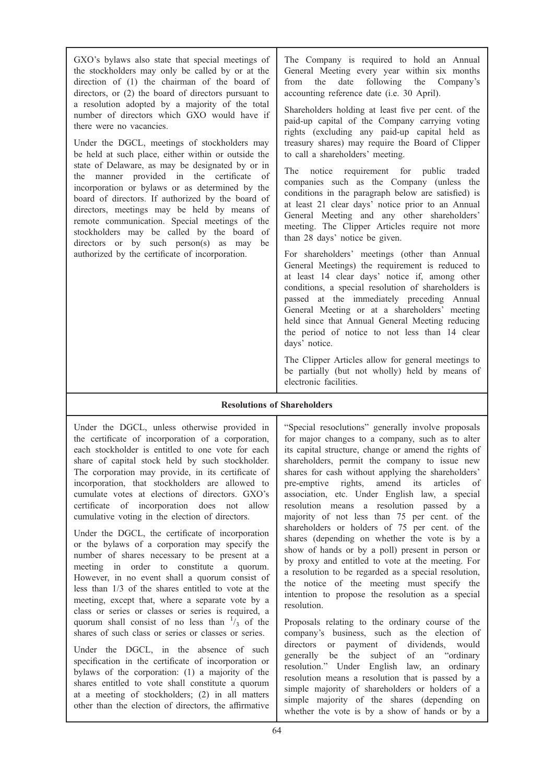GXO's bylaws also state that special meetings of the stockholders may only be called by or at the direction of (1) the chairman of the board of directors, or (2) the board of directors pursuant to a resolution adopted by a majority of the total number of directors which GXO would have if there were no vacancies.

Under the DGCL, meetings of stockholders may be held at such place, either within or outside the state of Delaware, as may be designated by or in the manner provided in the certificate of incorporation or bylaws or as determined by the board of directors. If authorized by the board of directors, meetings may be held by means of remote communication. Special meetings of the stockholders may be called by the board of directors or by such person(s) as may be authorized by the certificate of incorporation.

The Company is required to hold an Annual General Meeting every year within six months from the date following the Company's accounting reference date (i.e. 30 April).

Shareholders holding at least five per cent. of the paid-up capital of the Company carrying voting rights (excluding any paid-up capital held as treasury shares) may require the Board of Clipper to call a shareholders' meeting.

The notice requirement for public traded companies such as the Company (unless the conditions in the paragraph below are satisfied) is at least 21 clear days' notice prior to an Annual General Meeting and any other shareholders' meeting. The Clipper Articles require not more than 28 days' notice be given.

For shareholders' meetings (other than Annual General Meetings) the requirement is reduced to at least 14 clear days' notice if, among other conditions, a special resolution of shareholders is passed at the immediately preceding Annual General Meeting or at a shareholders' meeting held since that Annual General Meeting reducing the period of notice to not less than 14 clear days' notice.

The Clipper Articles allow for general meetings to be partially (but not wholly) held by means of electronic facilities.

# Resolutions of Shareholders

Under the DGCL, unless otherwise provided in the certificate of incorporation of a corporation, each stockholder is entitled to one vote for each share of capital stock held by such stockholder. The corporation may provide, in its certificate of incorporation, that stockholders are allowed to cumulate votes at elections of directors. GXO's certificate of incorporation does not allow cumulative voting in the election of directors.

Under the DGCL, the certificate of incorporation or the bylaws of a corporation may specify the number of shares necessary to be present at a meeting in order to constitute a quorum. However, in no event shall a quorum consist of less than 1/3 of the shares entitled to vote at the meeting, except that, where a separate vote by a class or series or classes or series is required, a quorum shall consist of no less than  $\frac{1}{3}$  of the shares of such class or series or classes or series.

Under the DGCL, in the absence of such specification in the certificate of incorporation or bylaws of the corporation: (1) a majority of the shares entitled to vote shall constitute a quorum at a meeting of stockholders; (2) in all matters other than the election of directors, the affirmative

"Special resoclutions" generally involve proposals for major changes to a company, such as to alter its capital structure, change or amend the rights of shareholders, permit the company to issue new shares for cash without applying the shareholders' pre-emptive rights, amend its articles of association, etc. Under English law, a special resolution means a resolution passed by a majority of not less than 75 per cent. of the shareholders or holders of 75 per cent. of the shares (depending on whether the vote is by a show of hands or by a poll) present in person or by proxy and entitled to vote at the meeting. For a resolution to be regarded as a special resolution, the notice of the meeting must specify the intention to propose the resolution as a special resolution.

Proposals relating to the ordinary course of the company's business, such as the election of directors or payment of dividends, would generally be the subject of an "ordinary resolution." Under English law, an ordinary resolution means a resolution that is passed by a simple majority of shareholders or holders of a simple majority of the shares (depending on whether the vote is by a show of hands or by a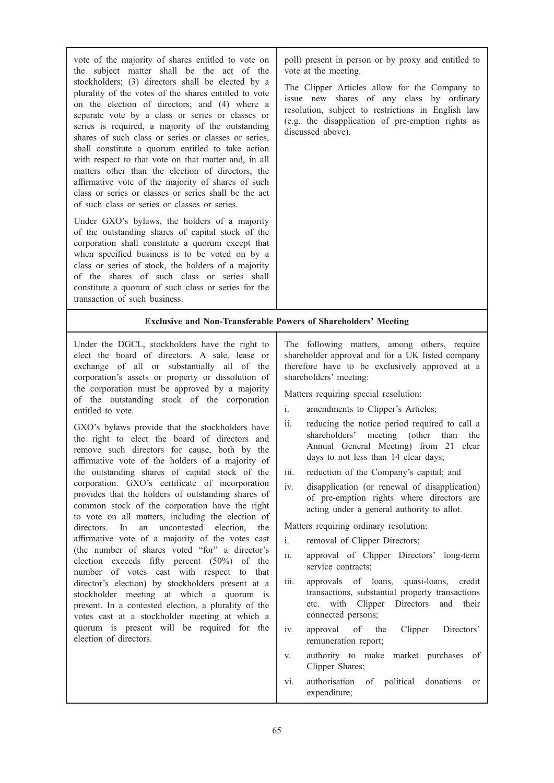| vote of the majority of shares entitled to vote on<br>the subject matter shall be the act of the<br>stockholders; (3) directors shall be elected by a<br>plurality of the votes of the shares entitled to vote<br>on the election of directors; and (4) where a<br>separate vote by a class or series or classes or<br>series is required, a majority of the outstanding<br>shares of such class or series or classes or series,<br>shall constitute a quorum entitled to take action<br>with respect to that vote on that matter and, in all<br>matters other than the election of directors, the<br>affirmative vote of the majority of shares of such<br>class or series or classes or series shall be the act<br>of such class or series or classes or series.<br>Under GXO's bylaws, the holders of a majority<br>of the outstanding shares of capital stock of the<br>corporation shall constitute a quorum except that<br>when specified business is to be voted on by a<br>class or series of stock, the holders of a majority<br>of the shares of such class or series shall<br>constitute a quorum of such class or series for the<br>transaction of such business.                                                                                                                                                                        | poll) present in person or by proxy and entitled to<br>vote at the meeting.<br>The Clipper Articles allow for the Company to<br>issue new shares of any class by ordinary<br>resolution, subject to restrictions in English law<br>(e.g. the disapplication of pre-emption rights as<br>discussed above).                                                                                                                                                                                                                                                                                                                                                                                                                                                                                                                                                                                                                                                                                                                                                                                                                                                                                                                                                 |
|------------------------------------------------------------------------------------------------------------------------------------------------------------------------------------------------------------------------------------------------------------------------------------------------------------------------------------------------------------------------------------------------------------------------------------------------------------------------------------------------------------------------------------------------------------------------------------------------------------------------------------------------------------------------------------------------------------------------------------------------------------------------------------------------------------------------------------------------------------------------------------------------------------------------------------------------------------------------------------------------------------------------------------------------------------------------------------------------------------------------------------------------------------------------------------------------------------------------------------------------------------------------------------------------------------------------------------------------------|-----------------------------------------------------------------------------------------------------------------------------------------------------------------------------------------------------------------------------------------------------------------------------------------------------------------------------------------------------------------------------------------------------------------------------------------------------------------------------------------------------------------------------------------------------------------------------------------------------------------------------------------------------------------------------------------------------------------------------------------------------------------------------------------------------------------------------------------------------------------------------------------------------------------------------------------------------------------------------------------------------------------------------------------------------------------------------------------------------------------------------------------------------------------------------------------------------------------------------------------------------------|
|                                                                                                                                                                                                                                                                                                                                                                                                                                                                                                                                                                                                                                                                                                                                                                                                                                                                                                                                                                                                                                                                                                                                                                                                                                                                                                                                                      | <b>Exclusive and Non-Transferable Powers of Shareholders' Meeting</b>                                                                                                                                                                                                                                                                                                                                                                                                                                                                                                                                                                                                                                                                                                                                                                                                                                                                                                                                                                                                                                                                                                                                                                                     |
| Under the DGCL, stockholders have the right to<br>elect the board of directors. A sale, lease or<br>exchange of all or substantially all of the<br>corporation's assets or property or dissolution of<br>the corporation must be approved by a majority<br>of the outstanding stock of the corporation<br>entitled to vote.<br>GXO's bylaws provide that the stockholders have<br>the right to elect the board of directors and<br>remove such directors for cause, both by the<br>affirmative vote of the holders of a majority of<br>the outstanding shares of capital stock of the<br>corporation. GXO's certificate of incorporation<br>provides that the holders of outstanding shares of<br>common stock of the corporation have the right<br>to vote on all matters, including the election of<br>directors.<br>In<br>an<br>uncontested election,<br>the<br>affirmative vote of a majority of the votes cast<br>(the number of shares voted "for" a director's<br>election exceeds fifty percent (50%) of the<br>number of votes cast with respect to that<br>director's election) by stockholders present at a<br>stockholder meeting at which a quorum is<br>present. In a contested election, a plurality of the<br>votes cast at a stockholder meeting at which a<br>quorum is present will be required for the<br>election of directors. | The following matters, among others, require<br>shareholder approval and for a UK listed company<br>therefore have to be exclusively approved at a<br>shareholders' meeting:<br>Matters requiring special resolution:<br>i.<br>amendments to Clipper's Articles;<br>ii.<br>reducing the notice period required to call a<br>meeting (other<br>shareholders'<br>than<br>the<br>Annual General Meeting) from 21 clear<br>days to not less than 14 clear days;<br>reduction of the Company's capital; and<br>iii.<br>iv.<br>disapplication (or renewal of disapplication)<br>of pre-emption rights where directors are<br>acting under a general authority to allot.<br>Matters requiring ordinary resolution:<br>i.<br>removal of Clipper Directors;<br>$\ddot{\textbf{i}}$<br>approval of Clipper Directors' long-term<br>service contracts;<br>approvals of loans, quasi-loans,<br>iii.<br>credit<br>transactions, substantial property transactions<br>etc. with Clipper Directors<br>and their<br>connected persons;<br>Clipper<br>Directors'<br>iv.<br>approval<br>of<br>the<br>remuneration report;<br>authority to make market purchases of<br>V.<br>Clipper Shares;<br>authorisation of political donations<br>vi.<br><sub>or</sub><br>expenditure; |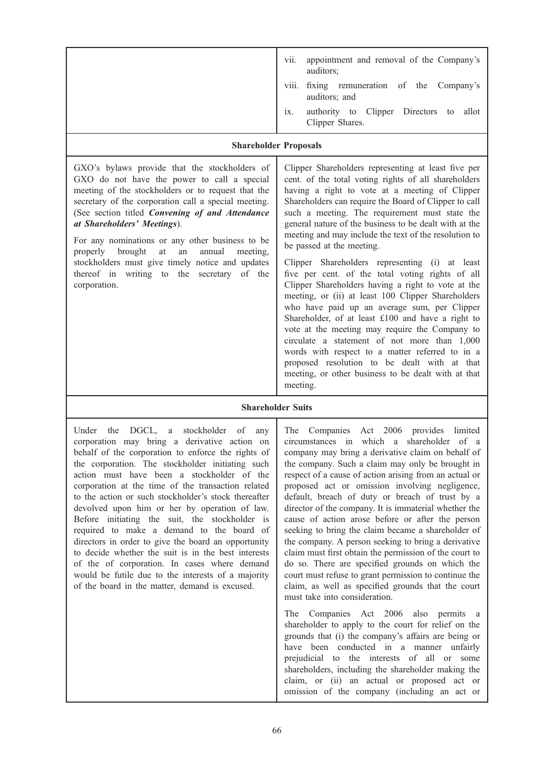|                                                                                                                                                                                                                                                                                                                                                                                                                                                                                                                            | vii.<br>appointment and removal of the Company's<br>auditors;<br>fixing remuneration of the Company's<br>Viii.<br>auditors; and<br>authority to Clipper Directors to<br>allot<br>ix.<br>Clipper Shares.<br><b>Shareholder Proposals</b>                                                                                                                                                                                                                                                                                                                                                                                                                                                                                                                                                                                                                                                                                                                                                                                 |  |
|----------------------------------------------------------------------------------------------------------------------------------------------------------------------------------------------------------------------------------------------------------------------------------------------------------------------------------------------------------------------------------------------------------------------------------------------------------------------------------------------------------------------------|-------------------------------------------------------------------------------------------------------------------------------------------------------------------------------------------------------------------------------------------------------------------------------------------------------------------------------------------------------------------------------------------------------------------------------------------------------------------------------------------------------------------------------------------------------------------------------------------------------------------------------------------------------------------------------------------------------------------------------------------------------------------------------------------------------------------------------------------------------------------------------------------------------------------------------------------------------------------------------------------------------------------------|--|
| GXO's bylaws provide that the stockholders of<br>GXO do not have the power to call a special<br>meeting of the stockholders or to request that the<br>secretary of the corporation call a special meeting.<br>(See section titled Convening of and Attendance<br>at Shareholders' Meetings).<br>For any nominations or any other business to be<br>brought<br>properly<br>at<br>annual<br>an<br>meeting.<br>stockholders must give timely notice and updates<br>thereof in writing to the secretary of the<br>corporation. | Clipper Shareholders representing at least five per<br>cent. of the total voting rights of all shareholders<br>having a right to vote at a meeting of Clipper<br>Shareholders can require the Board of Clipper to call<br>such a meeting. The requirement must state the<br>general nature of the business to be dealt with at the<br>meeting and may include the text of the resolution to<br>be passed at the meeting.<br>Clipper Shareholders representing (i) at least<br>five per cent. of the total voting rights of all<br>Clipper Shareholders having a right to vote at the<br>meeting, or (ii) at least 100 Clipper Shareholders<br>who have paid up an average sum, per Clipper<br>Shareholder, of at least £100 and have a right to<br>vote at the meeting may require the Company to<br>circulate a statement of not more than 1,000<br>words with respect to a matter referred to in a<br>proposed resolution to be dealt with at that<br>meeting, or other business to be dealt with at that<br>meeting. |  |
| <b>Shareholder Suits</b>                                                                                                                                                                                                                                                                                                                                                                                                                                                                                                   |                                                                                                                                                                                                                                                                                                                                                                                                                                                                                                                                                                                                                                                                                                                                                                                                                                                                                                                                                                                                                         |  |

# Shareholder Suits

Under the DGCL, a stockholder of any corporation may bring a derivative action on behalf of the corporation to enforce the rights of the corporation. The stockholder initiating such action must have been a stockholder of the corporation at the time of the transaction related to the action or such stockholder's stock thereafter devolved upon him or her by operation of law. Before initiating the suit, the stockholder is required to make a demand to the board of directors in order to give the board an opportunity to decide whether the suit is in the best interests of the of corporation. In cases where demand would be futile due to the interests of a majority of the board in the matter, demand is excused.

The Companies Act 2006 provides limited circumstances in which a shareholder of a company may bring a derivative claim on behalf of the company. Such a claim may only be brought in respect of a cause of action arising from an actual or proposed act or omission involving negligence, default, breach of duty or breach of trust by a director of the company. It is immaterial whether the cause of action arose before or after the person seeking to bring the claim became a shareholder of the company. A person seeking to bring a derivative claim must first obtain the permission of the court to do so. There are specified grounds on which the court must refuse to grant permission to continue the claim, as well as specified grounds that the court must take into consideration.

The Companies Act 2006 also permits a shareholder to apply to the court for relief on the grounds that (i) the company's affairs are being or have been conducted in a manner unfairly prejudicial to the interests of all or some shareholders, including the shareholder making the claim, or (ii) an actual or proposed act or omission of the company (including an act or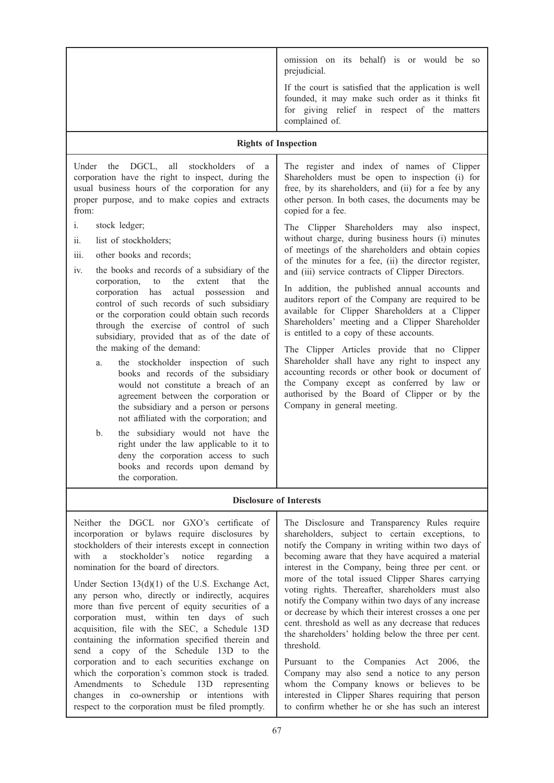| omission on its behalf) is or would be so<br>prejudicial.<br>If the court is satisfied that the application is well<br>founded, it may make such order as it thinks fit<br>for giving relief in respect of the matters<br>complained of.                                                                                                                                                                                                                                                                                                                                                                                                                                                                                                                                                                                                                                                                                                                                                                                                         |
|--------------------------------------------------------------------------------------------------------------------------------------------------------------------------------------------------------------------------------------------------------------------------------------------------------------------------------------------------------------------------------------------------------------------------------------------------------------------------------------------------------------------------------------------------------------------------------------------------------------------------------------------------------------------------------------------------------------------------------------------------------------------------------------------------------------------------------------------------------------------------------------------------------------------------------------------------------------------------------------------------------------------------------------------------|
| <b>Rights of Inspection</b>                                                                                                                                                                                                                                                                                                                                                                                                                                                                                                                                                                                                                                                                                                                                                                                                                                                                                                                                                                                                                      |
| The register and index of names of Clipper<br>Shareholders must be open to inspection (i) for<br>free, by its shareholders, and (ii) for a fee by any<br>other person. In both cases, the documents may be<br>copied for a fee.<br>The Clipper Shareholders may also inspect,<br>without charge, during business hours (i) minutes<br>of meetings of the shareholders and obtain copies<br>of the minutes for a fee, (ii) the director register,<br>and (iii) service contracts of Clipper Directors.<br>In addition, the published annual accounts and<br>auditors report of the Company are required to be<br>available for Clipper Shareholders at a Clipper<br>Shareholders' meeting and a Clipper Shareholder<br>is entitled to a copy of these accounts.<br>The Clipper Articles provide that no Clipper<br>Shareholder shall have any right to inspect any<br>accounting records or other book or document of<br>the Company except as conferred by law or<br>authorised by the Board of Clipper or by the<br>Company in general meeting. |
|                                                                                                                                                                                                                                                                                                                                                                                                                                                                                                                                                                                                                                                                                                                                                                                                                                                                                                                                                                                                                                                  |
| <b>Disclosure of Interests</b>                                                                                                                                                                                                                                                                                                                                                                                                                                                                                                                                                                                                                                                                                                                                                                                                                                                                                                                                                                                                                   |
| The Disclosure and Transparency Rules require<br>shareholders, subject to certain exceptions, to<br>notify the Company in writing within two days of<br>becoming aware that they have acquired a material<br>interest in the Company, being three per cent. or<br>more of the total issued Clipper Shares carrying<br>voting rights. Thereafter, shareholders must also<br>notify the Company within two days of any increase<br>or decrease by which their interest crosses a one per<br>cent. threshold as well as any decrease that reduces<br>the shareholders' holding below the three per cent.<br>threshold.<br>Pursuant to the Companies Act 2006, the<br>Company may also send a notice to any person<br>whom the Company knows or believes to be<br>interested in Clipper Shares requiring that person<br>to confirm whether he or she has such an interest                                                                                                                                                                            |
|                                                                                                                                                                                                                                                                                                                                                                                                                                                                                                                                                                                                                                                                                                                                                                                                                                                                                                                                                                                                                                                  |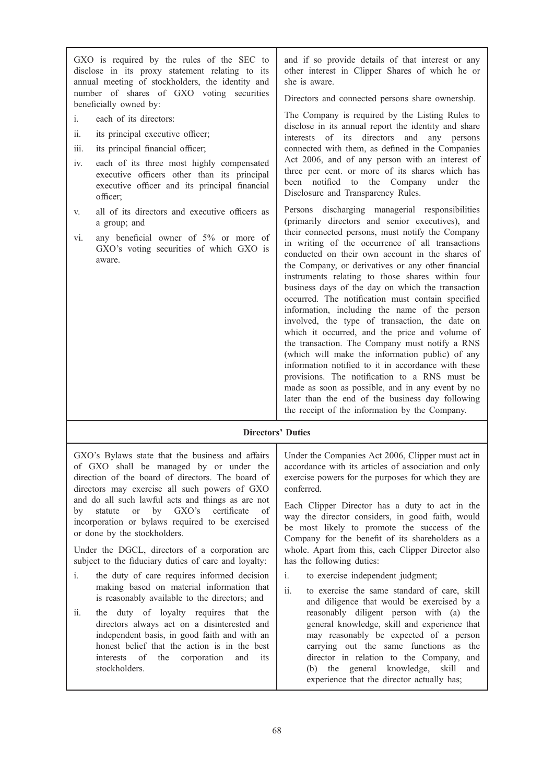| GXO is required by the rules of the SEC to<br>disclose in its proxy statement relating to its<br>annual meeting of stockholders, the identity and<br>number of shares of GXO voting securities<br>beneficially owned by:                                                                                                                                                                                                                                         | and if so provide details of that interest or any<br>other interest in Clipper Shares of which he or<br>she is aware.<br>Directors and connected persons share ownership.                                                                                                                                                                                                                                                                                                                                                                                                                                                                                                                                                                                                                                                                                                                                                                                                                                                                                                                                                                                                                                                                                                                                                                                                                                                     |
|------------------------------------------------------------------------------------------------------------------------------------------------------------------------------------------------------------------------------------------------------------------------------------------------------------------------------------------------------------------------------------------------------------------------------------------------------------------|-------------------------------------------------------------------------------------------------------------------------------------------------------------------------------------------------------------------------------------------------------------------------------------------------------------------------------------------------------------------------------------------------------------------------------------------------------------------------------------------------------------------------------------------------------------------------------------------------------------------------------------------------------------------------------------------------------------------------------------------------------------------------------------------------------------------------------------------------------------------------------------------------------------------------------------------------------------------------------------------------------------------------------------------------------------------------------------------------------------------------------------------------------------------------------------------------------------------------------------------------------------------------------------------------------------------------------------------------------------------------------------------------------------------------------|
| each of its directors:<br>i.<br>ii.<br>its principal executive officer;<br>iii.<br>its principal financial officer;<br>each of its three most highly compensated<br>iv.<br>executive officers other than its principal<br>executive officer and its principal financial<br>officer;<br>all of its directors and executive officers as<br>V.<br>a group; and<br>any beneficial owner of 5% or more of<br>vi.<br>GXO's voting securities of which GXO is<br>aware. | The Company is required by the Listing Rules to<br>disclose in its annual report the identity and share<br>interests of its directors and any persons<br>connected with them, as defined in the Companies<br>Act 2006, and of any person with an interest of<br>three per cent. or more of its shares which has<br>been notified<br>to<br>the Company<br>under<br>the<br>Disclosure and Transparency Rules.<br>Persons discharging managerial responsibilities<br>(primarily directors and senior executives), and<br>their connected persons, must notify the Company<br>in writing of the occurrence of all transactions<br>conducted on their own account in the shares of<br>the Company, or derivatives or any other financial<br>instruments relating to those shares within four<br>business days of the day on which the transaction<br>occurred. The notification must contain specified<br>information, including the name of the person<br>involved, the type of transaction, the date on<br>which it occurred, and the price and volume of<br>the transaction. The Company must notify a RNS<br>(which will make the information public) of any<br>information notified to it in accordance with these<br>provisions. The notification to a RNS must be<br>made as soon as possible, and in any event by no<br>later than the end of the business day following<br>the receipt of the information by the Company. |

# Directors' Duties

GXO's Bylaws state that the business and affairs of GXO shall be managed by or under the direction of the board of directors. The board of directors may exercise all such powers of GXO and do all such lawful acts and things as are not by statute or by GXO's certificate of incorporation or bylaws required to be exercised or done by the stockholders.

Under the DGCL, directors of a corporation are subject to the fiduciary duties of care and loyalty:

- i. the duty of care requires informed decision making based on material information that is reasonably available to the directors; and
- ii. the duty of loyalty requires that the directors always act on a disinterested and independent basis, in good faith and with an honest belief that the action is in the best interests of the corporation and its stockholders.

Under the Companies Act 2006, Clipper must act in accordance with its articles of association and only exercise powers for the purposes for which they are conferred.

Each Clipper Director has a duty to act in the way the director considers, in good faith, would be most likely to promote the success of the Company for the benefit of its shareholders as a whole. Apart from this, each Clipper Director also has the following duties:

- i. to exercise independent judgment;
- ii. to exercise the same standard of care, skill and diligence that would be exercised by a reasonably diligent person with (a) the general knowledge, skill and experience that may reasonably be expected of a person carrying out the same functions as the director in relation to the Company, and (b) the general knowledge, skill and experience that the director actually has;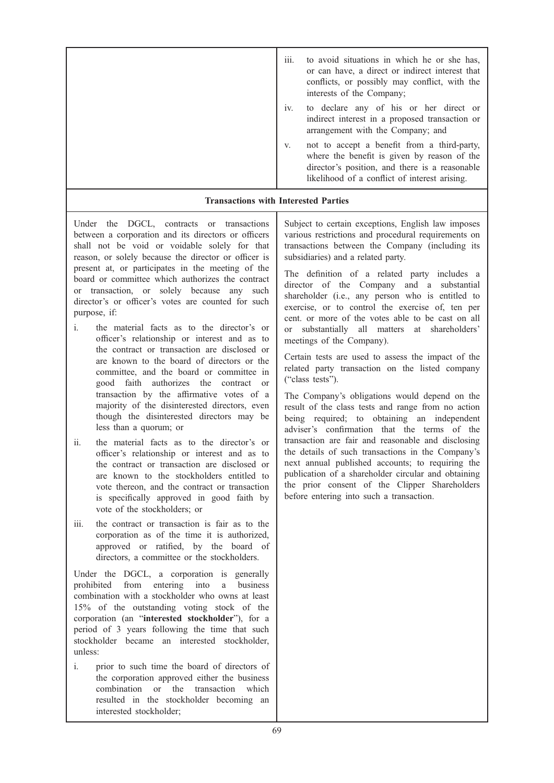| $\cdots$<br>111. | to avoid situations in which he or she has,<br>or can have, a direct or indirect interest that<br>conflicts, or possibly may conflict, with the<br>interests of the Company;                  |
|------------------|-----------------------------------------------------------------------------------------------------------------------------------------------------------------------------------------------|
| iv.              | to declare any of his or her direct or<br>indirect interest in a proposed transaction or<br>arrangement with the Company; and                                                                 |
| V.               | not to accept a benefit from a third-party,<br>where the benefit is given by reason of the<br>director's position, and there is a reasonable<br>likelihood of a conflict of interest arising. |

# Transactions with Interested Parties

Under the DGCL, contracts or transactions between a corporation and its directors or officers shall not be void or voidable solely for that reason, or solely because the director or officer is present at, or participates in the meeting of the board or committee which authorizes the contract or transaction, or solely because any such director's or officer's votes are counted for such purpose, if:

- i. the material facts as to the director's or officer's relationship or interest and as to the contract or transaction are disclosed or are known to the board of directors or the committee, and the board or committee in good faith authorizes the contract or transaction by the affirmative votes of a majority of the disinterested directors, even though the disinterested directors may be less than a quorum; or
- ii. the material facts as to the director's or officer's relationship or interest and as to the contract or transaction are disclosed or are known to the stockholders entitled to vote thereon, and the contract or transaction is specifically approved in good faith by vote of the stockholders; or
- iii. the contract or transaction is fair as to the corporation as of the time it is authorized, approved or ratified, by the board of directors, a committee or the stockholders.

Under the DGCL, a corporation is generally prohibited from entering into a business combination with a stockholder who owns at least 15% of the outstanding voting stock of the corporation (an "interested stockholder"), for a period of 3 years following the time that such stockholder became an interested stockholder, unless:

i. prior to such time the board of directors of the corporation approved either the business combination or the transaction which resulted in the stockholder becoming an interested stockholder;

Subject to certain exceptions, English law imposes various restrictions and procedural requirements on transactions between the Company (including its subsidiaries) and a related party.

The definition of a related party includes a director of the Company and a substantial shareholder (i.e., any person who is entitled to exercise, or to control the exercise of, ten per cent. or more of the votes able to be cast on all or substantially all matters at shareholders' meetings of the Company).

Certain tests are used to assess the impact of the related party transaction on the listed company ("class tests").

The Company's obligations would depend on the result of the class tests and range from no action being required; to obtaining an independent adviser's confirmation that the terms of the transaction are fair and reasonable and disclosing the details of such transactions in the Company's next annual published accounts; to requiring the publication of a shareholder circular and obtaining the prior consent of the Clipper Shareholders before entering into such a transaction.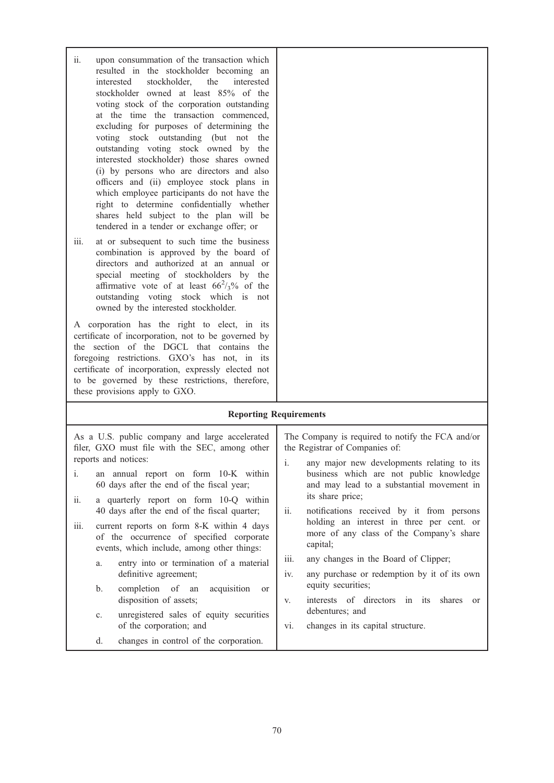ii. upon consummation of the transaction which resulted in the stockholder becoming an interested stockholder, the interested stockholder owned at least 85% of the voting stock of the corporation outstanding at the time the transaction commenced, excluding for purposes of determining the voting stock outstanding (but not the outstanding voting stock owned by the interested stockholder) those shares owned (i) by persons who are directors and also officers and (ii) employee stock plans in which employee participants do not have the right to determine confidentially whether shares held subject to the plan will be tendered in a tender or exchange offer; or iii. at or subsequent to such time the business combination is approved by the board of directors and authorized at an annual or special meeting of stockholders by the affirmative vote of at least  $66^2$ /<sub>3</sub>% of the

A corporation has the right to elect, in its certificate of incorporation, not to be governed by the section of the DGCL that contains the foregoing restrictions. GXO's has not, in its certificate of incorporation, expressly elected not to be governed by these restrictions, therefore, these provisions apply to GXO.

owned by the interested stockholder.

outstanding voting stock which is not

#### Reporting Requirements

| $\mathbf{i}$ .<br>11.<br>iii. | As a U.S. public company and large accelerated<br>filer, GXO must file with the SEC, among other<br>reports and notices:<br>an annual report on form 10-K within<br>60 days after the end of the fiscal year;<br>a quarterly report on form 10-Q within<br>40 days after the end of the fiscal quarter;<br>current reports on form 8-K within 4 days | i.<br>ii. | The Company is required to notify the FCA and/or<br>the Registrar of Companies of:<br>any major new developments relating to its<br>business which are not public knowledge<br>and may lead to a substantial movement in<br>its share price;<br>notifications received by it from persons<br>holding an interest in three per cent. or<br>more of any class of the Company's share |
|-------------------------------|------------------------------------------------------------------------------------------------------------------------------------------------------------------------------------------------------------------------------------------------------------------------------------------------------------------------------------------------------|-----------|------------------------------------------------------------------------------------------------------------------------------------------------------------------------------------------------------------------------------------------------------------------------------------------------------------------------------------------------------------------------------------|
|                               | of the occurrence of specified corporate<br>events, which include, among other things:                                                                                                                                                                                                                                                               |           | capital;                                                                                                                                                                                                                                                                                                                                                                           |
|                               | entry into or termination of a material<br>a.                                                                                                                                                                                                                                                                                                        | iii.      | any changes in the Board of Clipper;                                                                                                                                                                                                                                                                                                                                               |
|                               | definitive agreement;                                                                                                                                                                                                                                                                                                                                | 1V.       | any purchase or redemption by it of its own<br>equity securities;                                                                                                                                                                                                                                                                                                                  |
|                               | completion of an acquisition<br>b.<br><sub>or</sub><br>disposition of assets;                                                                                                                                                                                                                                                                        | V.        | interests of directors in its shares<br>$\alpha$                                                                                                                                                                                                                                                                                                                                   |
| $\mathbf{c}$ .                | unregistered sales of equity securities                                                                                                                                                                                                                                                                                                              |           | debentures; and                                                                                                                                                                                                                                                                                                                                                                    |
|                               | of the corporation; and                                                                                                                                                                                                                                                                                                                              | vi.       | changes in its capital structure.                                                                                                                                                                                                                                                                                                                                                  |
|                               | changes in control of the corporation.<br>$d_{\cdot}$                                                                                                                                                                                                                                                                                                |           |                                                                                                                                                                                                                                                                                                                                                                                    |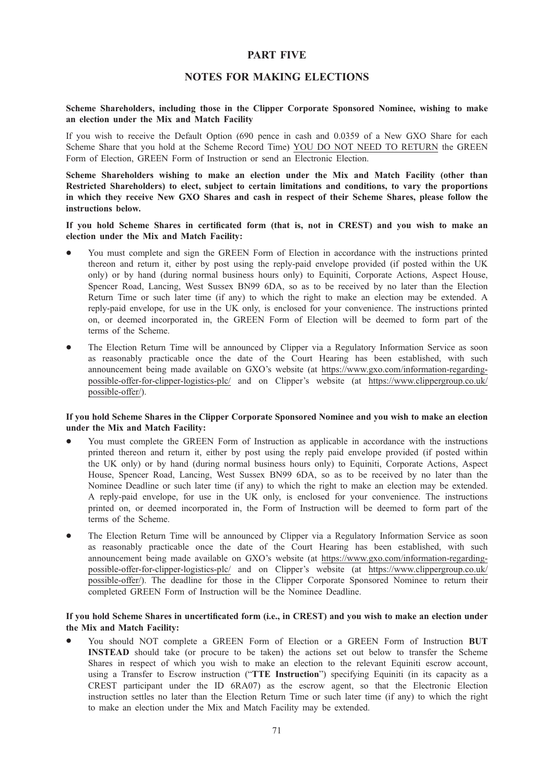# PART FIVE

# NOTES FOR MAKING ELECTIONS

#### Scheme Shareholders, including those in the Clipper Corporate Sponsored Nominee, wishing to make an election under the Mix and Match Facility

If you wish to receive the Default Option (690 pence in cash and 0.0359 of a New GXO Share for each Scheme Share that you hold at the Scheme Record Time) YOU DO NOT NEED TO RETURN the GREEN Form of Election, GREEN Form of Instruction or send an Electronic Election.

Scheme Shareholders wishing to make an election under the Mix and Match Facility (other than Restricted Shareholders) to elect, subject to certain limitations and conditions, to vary the proportions in which they receive New GXO Shares and cash in respect of their Scheme Shares, please follow the instructions below.

If you hold Scheme Shares in certificated form (that is, not in CREST) and you wish to make an election under the Mix and Match Facility:

- You must complete and sign the GREEN Form of Election in accordance with the instructions printed thereon and return it, either by post using the reply-paid envelope provided (if posted within the UK only) or by hand (during normal business hours only) to Equiniti, Corporate Actions, Aspect House, Spencer Road, Lancing, West Sussex BN99 6DA, so as to be received by no later than the Election Return Time or such later time (if any) to which the right to make an election may be extended. A reply-paid envelope, for use in the UK only, is enclosed for your convenience. The instructions printed on, or deemed incorporated in, the GREEN Form of Election will be deemed to form part of the terms of the Scheme.
- The Election Return Time will be announced by Clipper via a Regulatory Information Service as soon as reasonably practicable once the date of the Court Hearing has been established, with such announcement being made available on GXO's website (at https://www.gxo.com/information-regardingpossible-offer-for-clipper-logistics-plc/ and on Clipper's website (at https://www.clippergroup.co.uk/ possible-offer/).

#### If you hold Scheme Shares in the Clipper Corporate Sponsored Nominee and you wish to make an election under the Mix and Match Facility:

- You must complete the GREEN Form of Instruction as applicable in accordance with the instructions printed thereon and return it, either by post using the reply paid envelope provided (if posted within the UK only) or by hand (during normal business hours only) to Equiniti, Corporate Actions, Aspect House, Spencer Road, Lancing, West Sussex BN99 6DA, so as to be received by no later than the Nominee Deadline or such later time (if any) to which the right to make an election may be extended. A reply-paid envelope, for use in the UK only, is enclosed for your convenience. The instructions printed on, or deemed incorporated in, the Form of Instruction will be deemed to form part of the terms of the Scheme.
- The Election Return Time will be announced by Clipper via a Regulatory Information Service as soon as reasonably practicable once the date of the Court Hearing has been established, with such announcement being made available on GXO's website (at https://www.gxo.com/information-regardingpossible-offer-for-clipper-logistics-plc/ and on Clipper's website (at https://www.clippergroup.co.uk/ possible-offer/). The deadline for those in the Clipper Corporate Sponsored Nominee to return their completed GREEN Form of Instruction will be the Nominee Deadline.

# If you hold Scheme Shares in uncertificated form (i.e., in CREST) and you wish to make an election under the Mix and Match Facility:

You should NOT complete a GREEN Form of Election or a GREEN Form of Instruction BUT INSTEAD should take (or procure to be taken) the actions set out below to transfer the Scheme Shares in respect of which you wish to make an election to the relevant Equiniti escrow account, using a Transfer to Escrow instruction ("TTE Instruction") specifying Equiniti (in its capacity as a CREST participant under the ID 6RA07) as the escrow agent, so that the Electronic Election instruction settles no later than the Election Return Time or such later time (if any) to which the right to make an election under the Mix and Match Facility may be extended.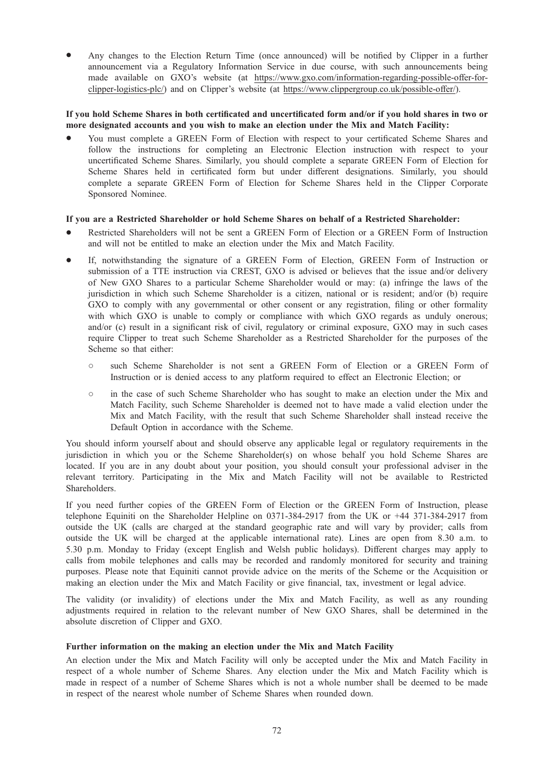Any changes to the Election Return Time (once announced) will be notified by Clipper in a further announcement via a Regulatory Information Service in due course, with such announcements being made available on GXO's website (at https://www.gxo.com/information-regarding-possible-offer-forclipper-logistics-plc/) and on Clipper's website (at https://www.clippergroup.co.uk/possible-offer/).

#### If you hold Scheme Shares in both certificated and uncertificated form and/or if you hold shares in two or more designated accounts and you wish to make an election under the Mix and Match Facility:

You must complete a GREEN Form of Election with respect to your certificated Scheme Shares and follow the instructions for completing an Electronic Election instruction with respect to your uncertificated Scheme Shares. Similarly, you should complete a separate GREEN Form of Election for Scheme Shares held in certificated form but under different designations. Similarly, you should complete a separate GREEN Form of Election for Scheme Shares held in the Clipper Corporate Sponsored Nominee.

## If you are a Restricted Shareholder or hold Scheme Shares on behalf of a Restricted Shareholder:

- \* Restricted Shareholders will not be sent a GREEN Form of Election or a GREEN Form of Instruction and will not be entitled to make an election under the Mix and Match Facility.
- If, notwithstanding the signature of a GREEN Form of Election, GREEN Form of Instruction or submission of a TTE instruction via CREST, GXO is advised or believes that the issue and/or delivery of New GXO Shares to a particular Scheme Shareholder would or may: (a) infringe the laws of the jurisdiction in which such Scheme Shareholder is a citizen, national or is resident; and/or (b) require GXO to comply with any governmental or other consent or any registration, filing or other formality with which GXO is unable to comply or compliance with which GXO regards as unduly onerous; and/or (c) result in a significant risk of civil, regulatory or criminal exposure, GXO may in such cases require Clipper to treat such Scheme Shareholder as a Restricted Shareholder for the purposes of the Scheme so that either:
	- such Scheme Shareholder is not sent a GREEN Form of Election or a GREEN Form of Instruction or is denied access to any platform required to effect an Electronic Election; or
	- in the case of such Scheme Shareholder who has sought to make an election under the Mix and Match Facility, such Scheme Shareholder is deemed not to have made a valid election under the Mix and Match Facility, with the result that such Scheme Shareholder shall instead receive the Default Option in accordance with the Scheme.

You should inform yourself about and should observe any applicable legal or regulatory requirements in the jurisdiction in which you or the Scheme Shareholder(s) on whose behalf you hold Scheme Shares are located. If you are in any doubt about your position, you should consult your professional adviser in the relevant territory. Participating in the Mix and Match Facility will not be available to Restricted Shareholders.

If you need further copies of the GREEN Form of Election or the GREEN Form of Instruction, please telephone Equiniti on the Shareholder Helpline on 0371-384-2917 from the UK or +44 371-384-2917 from outside the UK (calls are charged at the standard geographic rate and will vary by provider; calls from outside the UK will be charged at the applicable international rate). Lines are open from 8.30 a.m. to 5.30 p.m. Monday to Friday (except English and Welsh public holidays). Different charges may apply to calls from mobile telephones and calls may be recorded and randomly monitored for security and training purposes. Please note that Equiniti cannot provide advice on the merits of the Scheme or the Acquisition or making an election under the Mix and Match Facility or give financial, tax, investment or legal advice.

The validity (or invalidity) of elections under the Mix and Match Facility, as well as any rounding adjustments required in relation to the relevant number of New GXO Shares, shall be determined in the absolute discretion of Clipper and GXO.

## Further information on the making an election under the Mix and Match Facility

An election under the Mix and Match Facility will only be accepted under the Mix and Match Facility in respect of a whole number of Scheme Shares. Any election under the Mix and Match Facility which is made in respect of a number of Scheme Shares which is not a whole number shall be deemed to be made in respect of the nearest whole number of Scheme Shares when rounded down.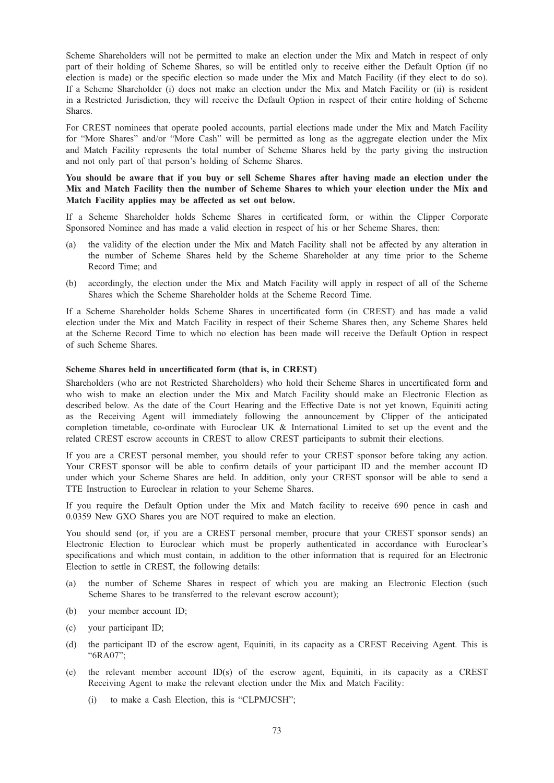Scheme Shareholders will not be permitted to make an election under the Mix and Match in respect of only part of their holding of Scheme Shares, so will be entitled only to receive either the Default Option (if no election is made) or the specific election so made under the Mix and Match Facility (if they elect to do so). If a Scheme Shareholder (i) does not make an election under the Mix and Match Facility or (ii) is resident in a Restricted Jurisdiction, they will receive the Default Option in respect of their entire holding of Scheme Shares.

For CREST nominees that operate pooled accounts, partial elections made under the Mix and Match Facility for "More Shares" and/or "More Cash" will be permitted as long as the aggregate election under the Mix and Match Facility represents the total number of Scheme Shares held by the party giving the instruction and not only part of that person's holding of Scheme Shares.

You should be aware that if you buy or sell Scheme Shares after having made an election under the Mix and Match Facility then the number of Scheme Shares to which your election under the Mix and Match Facility applies may be affected as set out below.

If a Scheme Shareholder holds Scheme Shares in certificated form, or within the Clipper Corporate Sponsored Nominee and has made a valid election in respect of his or her Scheme Shares, then:

- (a) the validity of the election under the Mix and Match Facility shall not be affected by any alteration in the number of Scheme Shares held by the Scheme Shareholder at any time prior to the Scheme Record Time; and
- (b) accordingly, the election under the Mix and Match Facility will apply in respect of all of the Scheme Shares which the Scheme Shareholder holds at the Scheme Record Time.

If a Scheme Shareholder holds Scheme Shares in uncertificated form (in CREST) and has made a valid election under the Mix and Match Facility in respect of their Scheme Shares then, any Scheme Shares held at the Scheme Record Time to which no election has been made will receive the Default Option in respect of such Scheme Shares.

#### Scheme Shares held in uncertificated form (that is, in CREST)

Shareholders (who are not Restricted Shareholders) who hold their Scheme Shares in uncertificated form and who wish to make an election under the Mix and Match Facility should make an Electronic Election as described below. As the date of the Court Hearing and the Effective Date is not yet known, Equiniti acting as the Receiving Agent will immediately following the announcement by Clipper of the anticipated completion timetable, co-ordinate with Euroclear UK & International Limited to set up the event and the related CREST escrow accounts in CREST to allow CREST participants to submit their elections.

If you are a CREST personal member, you should refer to your CREST sponsor before taking any action. Your CREST sponsor will be able to confirm details of your participant ID and the member account ID under which your Scheme Shares are held. In addition, only your CREST sponsor will be able to send a TTE Instruction to Euroclear in relation to your Scheme Shares.

If you require the Default Option under the Mix and Match facility to receive 690 pence in cash and 0.0359 New GXO Shares you are NOT required to make an election.

You should send (or, if you are a CREST personal member, procure that your CREST sponsor sends) an Electronic Election to Euroclear which must be properly authenticated in accordance with Euroclear's specifications and which must contain, in addition to the other information that is required for an Electronic Election to settle in CREST, the following details:

- (a) the number of Scheme Shares in respect of which you are making an Electronic Election (such Scheme Shares to be transferred to the relevant escrow account);
- (b) your member account ID;
- (c) your participant ID;
- (d) the participant ID of the escrow agent, Equiniti, in its capacity as a CREST Receiving Agent. This is "6RA07";
- (e) the relevant member account ID(s) of the escrow agent, Equiniti, in its capacity as a CREST Receiving Agent to make the relevant election under the Mix and Match Facility:
	- (i) to make a Cash Election, this is "CLPMJCSH";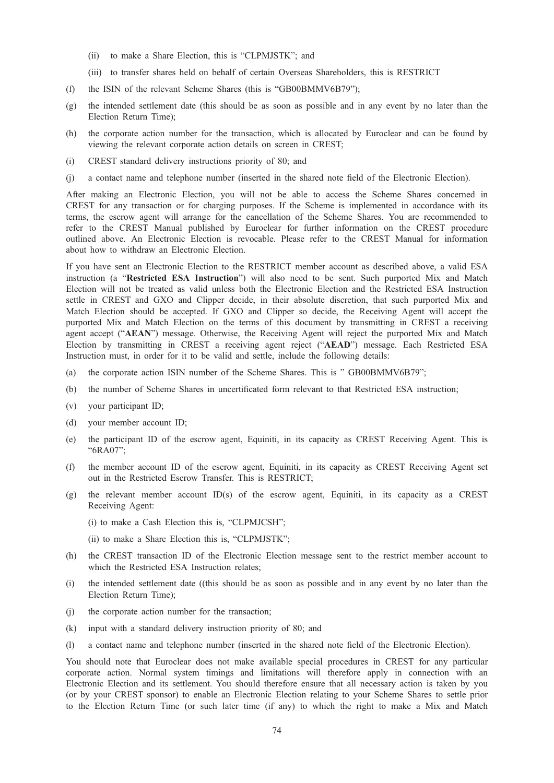- (ii) to make a Share Election, this is "CLPMJSTK"; and
- (iii) to transfer shares held on behalf of certain Overseas Shareholders, this is RESTRICT
- (f) the ISIN of the relevant Scheme Shares (this is "GB00BMMV6B79");
- (g) the intended settlement date (this should be as soon as possible and in any event by no later than the Election Return Time);
- (h) the corporate action number for the transaction, which is allocated by Euroclear and can be found by viewing the relevant corporate action details on screen in CREST;
- (i) CREST standard delivery instructions priority of 80; and
- (j) a contact name and telephone number (inserted in the shared note field of the Electronic Election).

After making an Electronic Election, you will not be able to access the Scheme Shares concerned in CREST for any transaction or for charging purposes. If the Scheme is implemented in accordance with its terms, the escrow agent will arrange for the cancellation of the Scheme Shares. You are recommended to refer to the CREST Manual published by Euroclear for further information on the CREST procedure outlined above. An Electronic Election is revocable. Please refer to the CREST Manual for information about how to withdraw an Electronic Election.

If you have sent an Electronic Election to the RESTRICT member account as described above, a valid ESA instruction (a "Restricted ESA Instruction") will also need to be sent. Such purported Mix and Match Election will not be treated as valid unless both the Electronic Election and the Restricted ESA Instruction settle in CREST and GXO and Clipper decide, in their absolute discretion, that such purported Mix and Match Election should be accepted. If GXO and Clipper so decide, the Receiving Agent will accept the purported Mix and Match Election on the terms of this document by transmitting in CREST a receiving agent accept ("AEAN") message. Otherwise, the Receiving Agent will reject the purported Mix and Match Election by transmitting in CREST a receiving agent reject ("AEAD") message. Each Restricted ESA Instruction must, in order for it to be valid and settle, include the following details:

- (a) the corporate action ISIN number of the Scheme Shares. This is " GB00BMMV6B79";
- (b) the number of Scheme Shares in uncertificated form relevant to that Restricted ESA instruction;
- (v) your participant ID;
- (d) your member account ID;
- (e) the participant ID of the escrow agent, Equiniti, in its capacity as CREST Receiving Agent. This is "6RA07";
- (f) the member account ID of the escrow agent, Equiniti, in its capacity as CREST Receiving Agent set out in the Restricted Escrow Transfer. This is RESTRICT;
- (g) the relevant member account ID(s) of the escrow agent, Equiniti, in its capacity as a CREST Receiving Agent:
	- (i) to make a Cash Election this is, "CLPMJCSH";
	- (ii) to make a Share Election this is, "CLPMJSTK";
- (h) the CREST transaction ID of the Electronic Election message sent to the restrict member account to which the Restricted ESA Instruction relates;
- (i) the intended settlement date ((this should be as soon as possible and in any event by no later than the Election Return Time);
- (j) the corporate action number for the transaction;
- (k) input with a standard delivery instruction priority of 80; and
- (l) a contact name and telephone number (inserted in the shared note field of the Electronic Election).

You should note that Euroclear does not make available special procedures in CREST for any particular corporate action. Normal system timings and limitations will therefore apply in connection with an Electronic Election and its settlement. You should therefore ensure that all necessary action is taken by you (or by your CREST sponsor) to enable an Electronic Election relating to your Scheme Shares to settle prior to the Election Return Time (or such later time (if any) to which the right to make a Mix and Match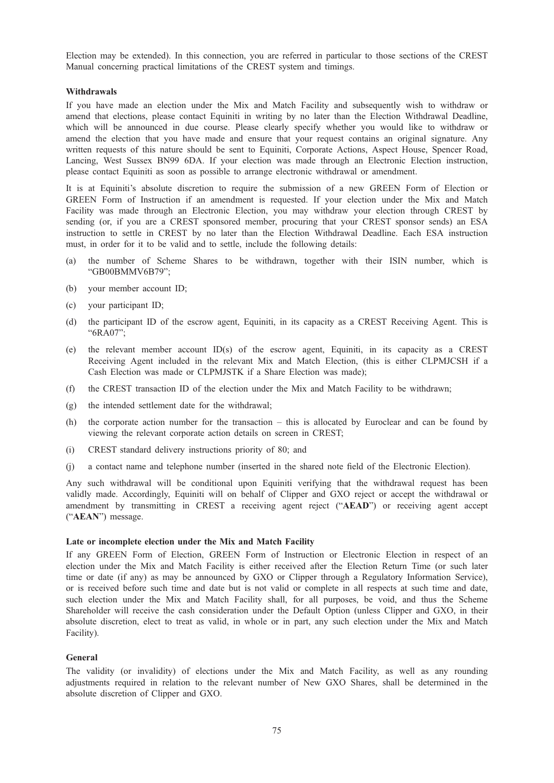Election may be extended). In this connection, you are referred in particular to those sections of the CREST Manual concerning practical limitations of the CREST system and timings.

### **Withdrawals**

If you have made an election under the Mix and Match Facility and subsequently wish to withdraw or amend that elections, please contact Equiniti in writing by no later than the Election Withdrawal Deadline, which will be announced in due course. Please clearly specify whether you would like to withdraw or amend the election that you have made and ensure that your request contains an original signature. Any written requests of this nature should be sent to Equiniti, Corporate Actions, Aspect House, Spencer Road, Lancing, West Sussex BN99 6DA. If your election was made through an Electronic Election instruction, please contact Equiniti as soon as possible to arrange electronic withdrawal or amendment.

It is at Equiniti's absolute discretion to require the submission of a new GREEN Form of Election or GREEN Form of Instruction if an amendment is requested. If your election under the Mix and Match Facility was made through an Electronic Election, you may withdraw your election through CREST by sending (or, if you are a CREST sponsored member, procuring that your CREST sponsor sends) an ESA instruction to settle in CREST by no later than the Election Withdrawal Deadline. Each ESA instruction must, in order for it to be valid and to settle, include the following details:

- (a) the number of Scheme Shares to be withdrawn, together with their ISIN number, which is "GB00BMMV6B79";
- (b) your member account ID;
- (c) your participant ID;
- (d) the participant ID of the escrow agent, Equiniti, in its capacity as a CREST Receiving Agent. This is "6RA07";
- (e) the relevant member account ID(s) of the escrow agent, Equiniti, in its capacity as a CREST Receiving Agent included in the relevant Mix and Match Election, (this is either CLPMJCSH if a Cash Election was made or CLPMJSTK if a Share Election was made);
- (f) the CREST transaction ID of the election under the Mix and Match Facility to be withdrawn;
- (g) the intended settlement date for the withdrawal;
- (h) the corporate action number for the transaction this is allocated by Euroclear and can be found by viewing the relevant corporate action details on screen in CREST;
- (i) CREST standard delivery instructions priority of 80; and
- (j) a contact name and telephone number (inserted in the shared note field of the Electronic Election).

Any such withdrawal will be conditional upon Equiniti verifying that the withdrawal request has been validly made. Accordingly, Equiniti will on behalf of Clipper and GXO reject or accept the withdrawal or amendment by transmitting in CREST a receiving agent reject ("AEAD") or receiving agent accept ("AEAN") message.

#### Late or incomplete election under the Mix and Match Facility

If any GREEN Form of Election, GREEN Form of Instruction or Electronic Election in respect of an election under the Mix and Match Facility is either received after the Election Return Time (or such later time or date (if any) as may be announced by GXO or Clipper through a Regulatory Information Service), or is received before such time and date but is not valid or complete in all respects at such time and date, such election under the Mix and Match Facility shall, for all purposes, be void, and thus the Scheme Shareholder will receive the cash consideration under the Default Option (unless Clipper and GXO, in their absolute discretion, elect to treat as valid, in whole or in part, any such election under the Mix and Match Facility).

### General

The validity (or invalidity) of elections under the Mix and Match Facility, as well as any rounding adjustments required in relation to the relevant number of New GXO Shares, shall be determined in the absolute discretion of Clipper and GXO.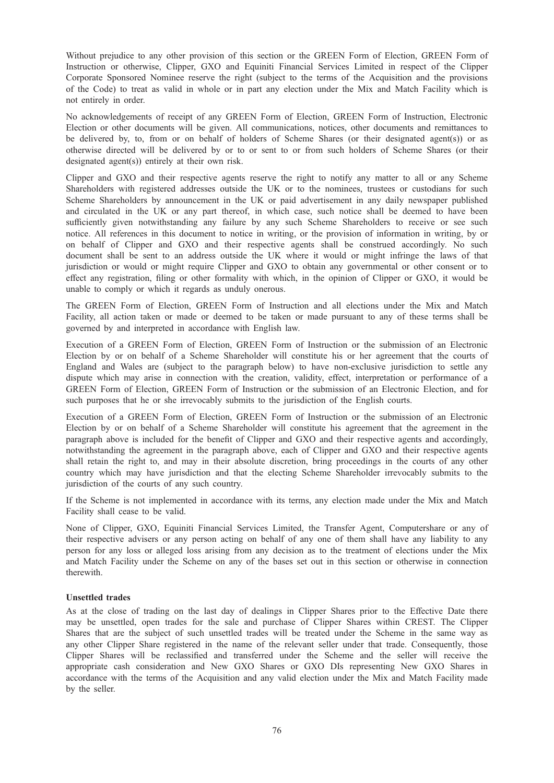Without prejudice to any other provision of this section or the GREEN Form of Election, GREEN Form of Instruction or otherwise, Clipper, GXO and Equiniti Financial Services Limited in respect of the Clipper Corporate Sponsored Nominee reserve the right (subject to the terms of the Acquisition and the provisions of the Code) to treat as valid in whole or in part any election under the Mix and Match Facility which is not entirely in order.

No acknowledgements of receipt of any GREEN Form of Election, GREEN Form of Instruction, Electronic Election or other documents will be given. All communications, notices, other documents and remittances to be delivered by, to, from or on behalf of holders of Scheme Shares (or their designated agent(s)) or as otherwise directed will be delivered by or to or sent to or from such holders of Scheme Shares (or their designated agent(s)) entirely at their own risk.

Clipper and GXO and their respective agents reserve the right to notify any matter to all or any Scheme Shareholders with registered addresses outside the UK or to the nominees, trustees or custodians for such Scheme Shareholders by announcement in the UK or paid advertisement in any daily newspaper published and circulated in the UK or any part thereof, in which case, such notice shall be deemed to have been sufficiently given notwithstanding any failure by any such Scheme Shareholders to receive or see such notice. All references in this document to notice in writing, or the provision of information in writing, by or on behalf of Clipper and GXO and their respective agents shall be construed accordingly. No such document shall be sent to an address outside the UK where it would or might infringe the laws of that jurisdiction or would or might require Clipper and GXO to obtain any governmental or other consent or to effect any registration, filing or other formality with which, in the opinion of Clipper or GXO, it would be unable to comply or which it regards as unduly onerous.

The GREEN Form of Election, GREEN Form of Instruction and all elections under the Mix and Match Facility, all action taken or made or deemed to be taken or made pursuant to any of these terms shall be governed by and interpreted in accordance with English law.

Execution of a GREEN Form of Election, GREEN Form of Instruction or the submission of an Electronic Election by or on behalf of a Scheme Shareholder will constitute his or her agreement that the courts of England and Wales are (subject to the paragraph below) to have non-exclusive jurisdiction to settle any dispute which may arise in connection with the creation, validity, effect, interpretation or performance of a GREEN Form of Election, GREEN Form of Instruction or the submission of an Electronic Election, and for such purposes that he or she irrevocably submits to the jurisdiction of the English courts.

Execution of a GREEN Form of Election, GREEN Form of Instruction or the submission of an Electronic Election by or on behalf of a Scheme Shareholder will constitute his agreement that the agreement in the paragraph above is included for the benefit of Clipper and GXO and their respective agents and accordingly, notwithstanding the agreement in the paragraph above, each of Clipper and GXO and their respective agents shall retain the right to, and may in their absolute discretion, bring proceedings in the courts of any other country which may have jurisdiction and that the electing Scheme Shareholder irrevocably submits to the jurisdiction of the courts of any such country.

If the Scheme is not implemented in accordance with its terms, any election made under the Mix and Match Facility shall cease to be valid.

None of Clipper, GXO, Equiniti Financial Services Limited, the Transfer Agent, Computershare or any of their respective advisers or any person acting on behalf of any one of them shall have any liability to any person for any loss or alleged loss arising from any decision as to the treatment of elections under the Mix and Match Facility under the Scheme on any of the bases set out in this section or otherwise in connection therewith.

### Unsettled trades

As at the close of trading on the last day of dealings in Clipper Shares prior to the Effective Date there may be unsettled, open trades for the sale and purchase of Clipper Shares within CREST. The Clipper Shares that are the subject of such unsettled trades will be treated under the Scheme in the same way as any other Clipper Share registered in the name of the relevant seller under that trade. Consequently, those Clipper Shares will be reclassified and transferred under the Scheme and the seller will receive the appropriate cash consideration and New GXO Shares or GXO DIs representing New GXO Shares in accordance with the terms of the Acquisition and any valid election under the Mix and Match Facility made by the seller.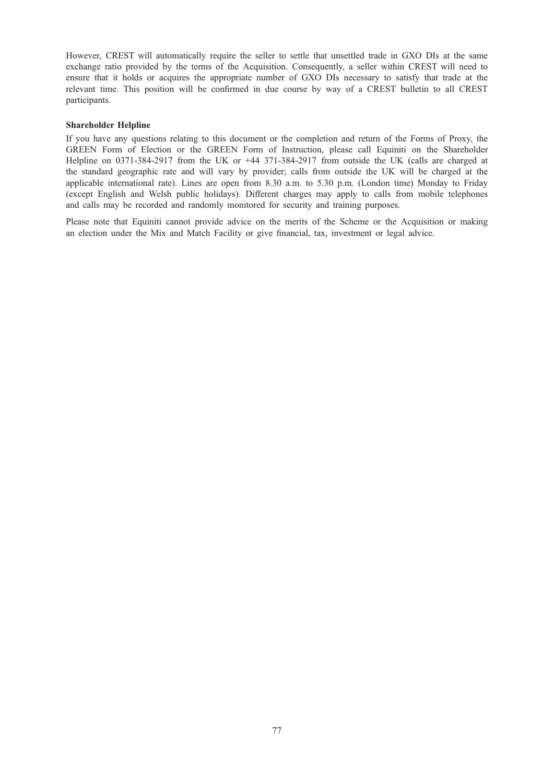However, CREST will automatically require the seller to settle that unsettled trade in GXO DIs at the same exchange ratio provided by the terms of the Acquisition. Consequently, a seller within CREST will need to ensure that it holds or acquires the appropriate number of GXO DIs necessary to satisfy that trade at the relevant time. This position will be confirmed in due course by way of a CREST bulletin to all CREST participants.

### Shareholder Helpline

If you have any questions relating to this document or the completion and return of the Forms of Proxy, the GREEN Form of Election or the GREEN Form of Instruction, please call Equiniti on the Shareholder Helpline on 0371-384-2917 from the UK or +44 371-384-2917 from outside the UK (calls are charged at the standard geographic rate and will vary by provider; calls from outside the UK will be charged at the applicable international rate). Lines are open from 8.30 a.m. to 5.30 p.m. (London time) Monday to Friday (except English and Welsh public holidays). Different charges may apply to calls from mobile telephones and calls may be recorded and randomly monitored for security and training purposes.

Please note that Equiniti cannot provide advice on the merits of the Scheme or the Acquisition or making an election under the Mix and Match Facility or give financial, tax, investment or legal advice.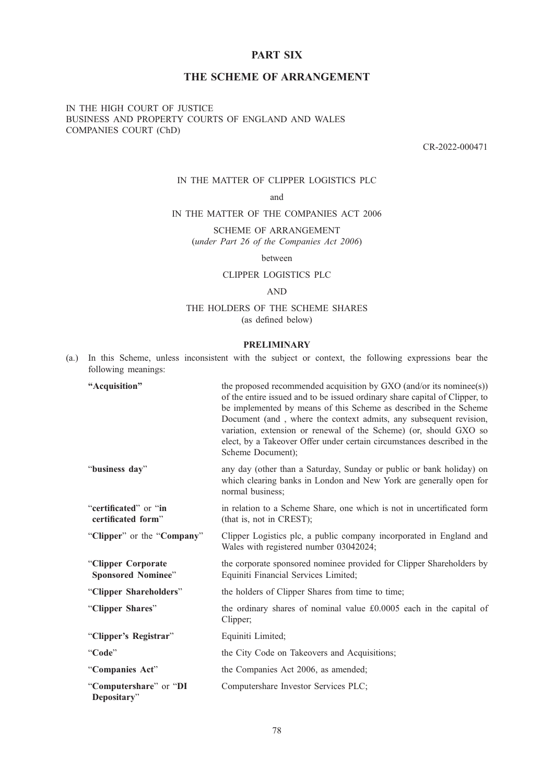# PART SIX

# THE SCHEME OF ARRANGEMENT

# IN THE HIGH COURT OF JUSTICE BUSINESS AND PROPERTY COURTS OF ENGLAND AND WALES COMPANIES COURT (ChD)

CR-2022-000471

# IN THE MATTER OF CLIPPER LOGISTICS PLC

and

# IN THE MATTER OF THE COMPANIES ACT 2006

SCHEME OF ARRANGEMENT (under Part 26 of the Companies Act 2006)

between

### CLIPPER LOGISTICS PLC

### AND

# THE HOLDERS OF THE SCHEME SHARES (as defined below)

### PRELIMINARY

(a.) In this Scheme, unless inconsistent with the subject or context, the following expressions bear the following meanings:

| "Acquisition"                                   | the proposed recommended acquisition by GXO (and/or its nominee(s))<br>of the entire issued and to be issued ordinary share capital of Clipper, to<br>be implemented by means of this Scheme as described in the Scheme<br>Document (and, where the context admits, any subsequent revision,<br>variation, extension or renewal of the Scheme) (or, should GXO so<br>elect, by a Takeover Offer under certain circumstances described in the<br>Scheme Document); |
|-------------------------------------------------|-------------------------------------------------------------------------------------------------------------------------------------------------------------------------------------------------------------------------------------------------------------------------------------------------------------------------------------------------------------------------------------------------------------------------------------------------------------------|
| "business day"                                  | any day (other than a Saturday, Sunday or public or bank holiday) on<br>which clearing banks in London and New York are generally open for<br>normal business;                                                                                                                                                                                                                                                                                                    |
| "certificated" or "in<br>certificated form"     | in relation to a Scheme Share, one which is not in uncertificated form<br>(that is, not in CREST);                                                                                                                                                                                                                                                                                                                                                                |
| "Clipper" or the "Company"                      | Clipper Logistics plc, a public company incorporated in England and<br>Wales with registered number 03042024;                                                                                                                                                                                                                                                                                                                                                     |
| "Clipper Corporate<br><b>Sponsored Nominee"</b> | the corporate sponsored nominee provided for Clipper Shareholders by<br>Equiniti Financial Services Limited;                                                                                                                                                                                                                                                                                                                                                      |
| "Clipper Shareholders"                          | the holders of Clipper Shares from time to time;                                                                                                                                                                                                                                                                                                                                                                                                                  |
| "Clipper Shares"                                | the ordinary shares of nominal value £0.0005 each in the capital of<br>Clipper;                                                                                                                                                                                                                                                                                                                                                                                   |
| "Clipper's Registrar"                           | Equiniti Limited;                                                                                                                                                                                                                                                                                                                                                                                                                                                 |
| "Code"                                          | the City Code on Takeovers and Acquisitions;                                                                                                                                                                                                                                                                                                                                                                                                                      |
| "Companies Act"                                 | the Companies Act 2006, as amended;                                                                                                                                                                                                                                                                                                                                                                                                                               |
| "Computershare" or "DI<br>Depositary"           | Computershare Investor Services PLC;                                                                                                                                                                                                                                                                                                                                                                                                                              |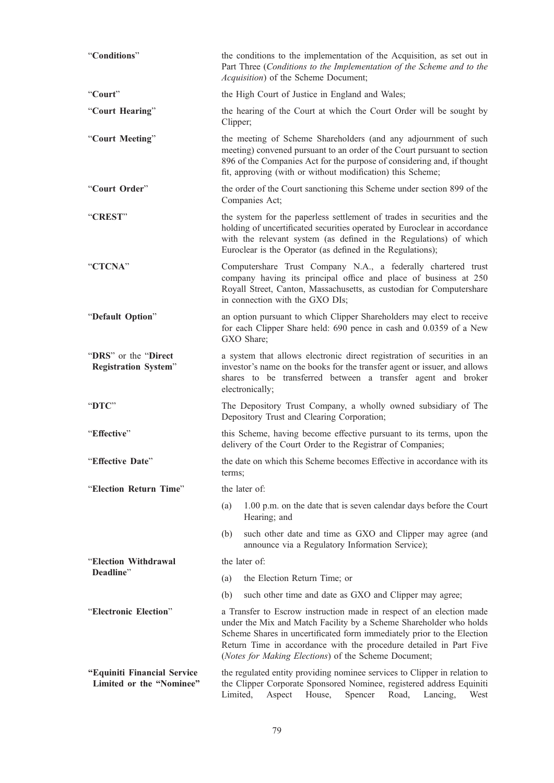| "Conditions"                                            | the conditions to the implementation of the Acquisition, as set out in<br>Part Three (Conditions to the Implementation of the Scheme and to the<br>Acquisition) of the Scheme Document;                                                                                                                                                            |  |  |  |  |  |
|---------------------------------------------------------|----------------------------------------------------------------------------------------------------------------------------------------------------------------------------------------------------------------------------------------------------------------------------------------------------------------------------------------------------|--|--|--|--|--|
| "Court"                                                 | the High Court of Justice in England and Wales;                                                                                                                                                                                                                                                                                                    |  |  |  |  |  |
| "Court Hearing"                                         | the hearing of the Court at which the Court Order will be sought by<br>Clipper;                                                                                                                                                                                                                                                                    |  |  |  |  |  |
| "Court Meeting"                                         | the meeting of Scheme Shareholders (and any adjournment of such<br>meeting) convened pursuant to an order of the Court pursuant to section<br>896 of the Companies Act for the purpose of considering and, if thought<br>fit, approving (with or without modification) this Scheme;                                                                |  |  |  |  |  |
| "Court Order"                                           | the order of the Court sanctioning this Scheme under section 899 of the<br>Companies Act;                                                                                                                                                                                                                                                          |  |  |  |  |  |
| "CREST"                                                 | the system for the paperless settlement of trades in securities and the<br>holding of uncertificated securities operated by Euroclear in accordance<br>with the relevant system (as defined in the Regulations) of which<br>Euroclear is the Operator (as defined in the Regulations);                                                             |  |  |  |  |  |
| "CTCNA"                                                 | Computershare Trust Company N.A., a federally chartered trust<br>company having its principal office and place of business at 250<br>Royall Street, Canton, Massachusetts, as custodian for Computershare<br>in connection with the GXO DIs;                                                                                                       |  |  |  |  |  |
| "Default Option"                                        | an option pursuant to which Clipper Shareholders may elect to receive<br>for each Clipper Share held: 690 pence in cash and 0.0359 of a New<br>GXO Share;                                                                                                                                                                                          |  |  |  |  |  |
| "DRS" or the "Direct"<br><b>Registration System"</b>    | a system that allows electronic direct registration of securities in an<br>investor's name on the books for the transfer agent or issuer, and allows<br>shares to be transferred between a transfer agent and broker<br>electronically;                                                                                                            |  |  |  |  |  |
| "DTC"                                                   | The Depository Trust Company, a wholly owned subsidiary of The<br>Depository Trust and Clearing Corporation;                                                                                                                                                                                                                                       |  |  |  |  |  |
| "Effective"                                             | this Scheme, having become effective pursuant to its terms, upon the<br>delivery of the Court Order to the Registrar of Companies;                                                                                                                                                                                                                 |  |  |  |  |  |
| "Effective Date"                                        | the date on which this Scheme becomes Effective in accordance with its<br>terms;                                                                                                                                                                                                                                                                   |  |  |  |  |  |
| "Election Return Time"                                  | the later of:                                                                                                                                                                                                                                                                                                                                      |  |  |  |  |  |
|                                                         | 1.00 p.m. on the date that is seven calendar days before the Court<br>(a)<br>Hearing; and                                                                                                                                                                                                                                                          |  |  |  |  |  |
|                                                         | such other date and time as GXO and Clipper may agree (and<br>(b)<br>announce via a Regulatory Information Service);                                                                                                                                                                                                                               |  |  |  |  |  |
| "Election Withdrawal                                    | the later of:                                                                                                                                                                                                                                                                                                                                      |  |  |  |  |  |
| Deadline"                                               | the Election Return Time; or<br>(a)                                                                                                                                                                                                                                                                                                                |  |  |  |  |  |
|                                                         | (b)<br>such other time and date as GXO and Clipper may agree;                                                                                                                                                                                                                                                                                      |  |  |  |  |  |
| "Electronic Election"                                   | a Transfer to Escrow instruction made in respect of an election made<br>under the Mix and Match Facility by a Scheme Shareholder who holds<br>Scheme Shares in uncertificated form immediately prior to the Election<br>Return Time in accordance with the procedure detailed in Part Five<br>(Notes for Making Elections) of the Scheme Document; |  |  |  |  |  |
| "Equiniti Financial Service<br>Limited or the "Nominee" | the regulated entity providing nominee services to Clipper in relation to<br>the Clipper Corporate Sponsored Nominee, registered address Equiniti<br>Limited,<br>Aspect<br>House,<br>Spencer<br>Road,<br>Lancing,<br>West                                                                                                                          |  |  |  |  |  |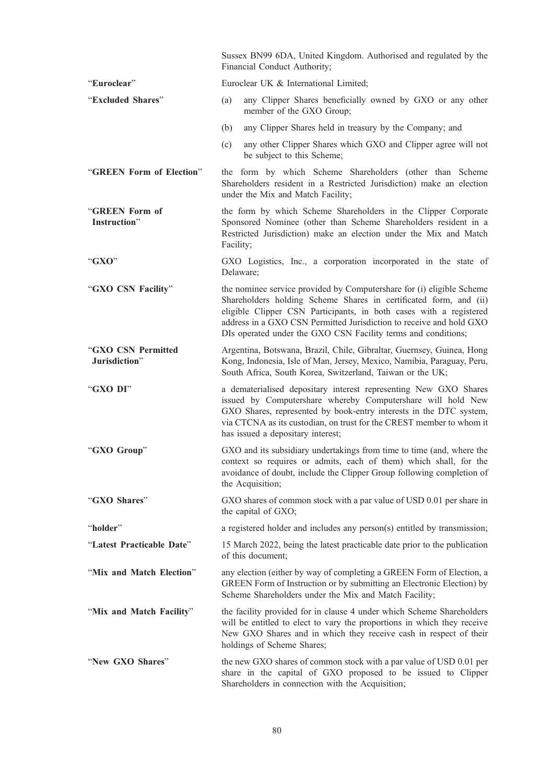|                                     | Sussex BN99 6DA, United Kingdom. Authorised and regulated by the<br>Financial Conduct Authority;                                                                                                                                                                                                                                                         |  |  |  |
|-------------------------------------|----------------------------------------------------------------------------------------------------------------------------------------------------------------------------------------------------------------------------------------------------------------------------------------------------------------------------------------------------------|--|--|--|
| "Euroclear"                         | Euroclear UK & International Limited;                                                                                                                                                                                                                                                                                                                    |  |  |  |
| "Excluded Shares"                   | any Clipper Shares beneficially owned by GXO or any other<br>(a)<br>member of the GXO Group;                                                                                                                                                                                                                                                             |  |  |  |
|                                     | any Clipper Shares held in treasury by the Company; and<br>(b)                                                                                                                                                                                                                                                                                           |  |  |  |
|                                     | any other Clipper Shares which GXO and Clipper agree will not<br>(c)<br>be subject to this Scheme;                                                                                                                                                                                                                                                       |  |  |  |
| "GREEN Form of Election"            | the form by which Scheme Shareholders (other than Scheme<br>Shareholders resident in a Restricted Jurisdiction) make an election<br>under the Mix and Match Facility;                                                                                                                                                                                    |  |  |  |
| "GREEN Form of<br>Instruction"      | the form by which Scheme Shareholders in the Clipper Corporate<br>Sponsored Nominee (other than Scheme Shareholders resident in a<br>Restricted Jurisdiction) make an election under the Mix and Match<br>Facility;                                                                                                                                      |  |  |  |
| "GXO"                               | GXO Logistics, Inc., a corporation incorporated in the state of<br>Delaware;                                                                                                                                                                                                                                                                             |  |  |  |
| "GXO CSN Facility"                  | the nominee service provided by Computershare for (i) eligible Scheme<br>Shareholders holding Scheme Shares in certificated form, and (ii)<br>eligible Clipper CSN Participants, in both cases with a registered<br>address in a GXO CSN Permitted Jurisdiction to receive and hold GXO<br>DIs operated under the GXO CSN Facility terms and conditions; |  |  |  |
| "GXO CSN Permitted<br>Jurisdiction" | Argentina, Botswana, Brazil, Chile, Gibraltar, Guernsey, Guinea, Hong<br>Kong, Indonesia, Isle of Man, Jersey, Mexico, Namibia, Paraguay, Peru,<br>South Africa, South Korea, Switzerland, Taiwan or the UK;                                                                                                                                             |  |  |  |
| "GXO DI"                            | a dematerialised depositary interest representing New GXO Shares<br>issued by Computershare whereby Computershare will hold New<br>GXO Shares, represented by book-entry interests in the DTC system,<br>via CTCNA as its custodian, on trust for the CREST member to whom it<br>has issued a depositary interest;                                       |  |  |  |
| "GXO Group"                         | GXO and its subsidiary undertakings from time to time (and, where the<br>context so requires or admits, each of them) which shall, for the<br>avoidance of doubt, include the Clipper Group following completion of<br>the Acquisition;                                                                                                                  |  |  |  |
| "GXO Shares"                        | GXO shares of common stock with a par value of USD 0.01 per share in<br>the capital of GXO;                                                                                                                                                                                                                                                              |  |  |  |
| "holder"                            | a registered holder and includes any person(s) entitled by transmission;                                                                                                                                                                                                                                                                                 |  |  |  |
| "Latest Practicable Date"           | 15 March 2022, being the latest practicable date prior to the publication<br>of this document;                                                                                                                                                                                                                                                           |  |  |  |
| "Mix and Match Election"            | any election (either by way of completing a GREEN Form of Election, a<br>GREEN Form of Instruction or by submitting an Electronic Election) by<br>Scheme Shareholders under the Mix and Match Facility;                                                                                                                                                  |  |  |  |
| "Mix and Match Facility"            | the facility provided for in clause 4 under which Scheme Shareholders<br>will be entitled to elect to vary the proportions in which they receive<br>New GXO Shares and in which they receive cash in respect of their<br>holdings of Scheme Shares;                                                                                                      |  |  |  |
| "New GXO Shares"                    | the new GXO shares of common stock with a par value of USD 0.01 per<br>share in the capital of GXO proposed to be issued to Clipper<br>Shareholders in connection with the Acquisition;                                                                                                                                                                  |  |  |  |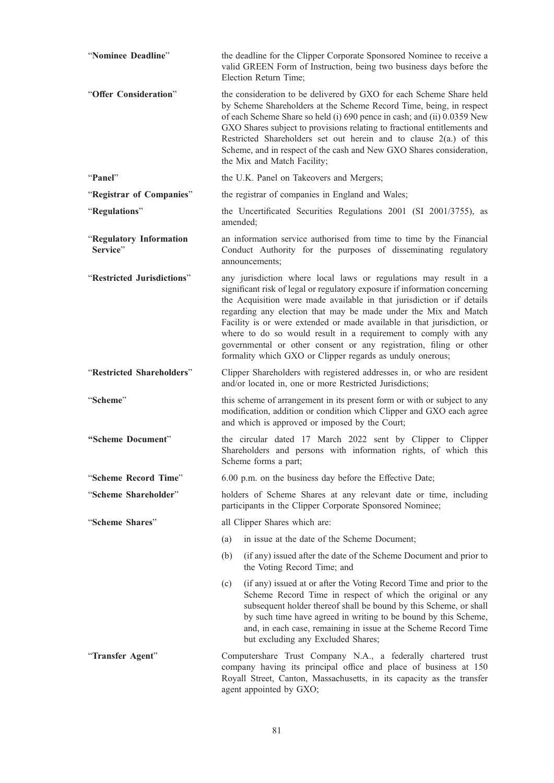| "Nominee Deadline"                  | the deadline for the Clipper Corporate Sponsored Nominee to receive a<br>valid GREEN Form of Instruction, being two business days before the<br>Election Return Time;                                                                                                                                                                                                                                                                                                                                                                                                        |  |  |
|-------------------------------------|------------------------------------------------------------------------------------------------------------------------------------------------------------------------------------------------------------------------------------------------------------------------------------------------------------------------------------------------------------------------------------------------------------------------------------------------------------------------------------------------------------------------------------------------------------------------------|--|--|
| "Offer Consideration"               | the consideration to be delivered by GXO for each Scheme Share held<br>by Scheme Shareholders at the Scheme Record Time, being, in respect<br>of each Scheme Share so held (i) 690 pence in cash; and (ii) 0.0359 New<br>GXO Shares subject to provisions relating to fractional entitlements and<br>Restricted Shareholders set out herein and to clause 2(a.) of this<br>Scheme, and in respect of the cash and New GXO Shares consideration,<br>the Mix and Match Facility;                                                                                               |  |  |
| "Panel"                             | the U.K. Panel on Takeovers and Mergers;                                                                                                                                                                                                                                                                                                                                                                                                                                                                                                                                     |  |  |
| "Registrar of Companies"            | the registrar of companies in England and Wales;                                                                                                                                                                                                                                                                                                                                                                                                                                                                                                                             |  |  |
| "Regulations"                       | the Uncertificated Securities Regulations 2001 (SI 2001/3755), as<br>amended:                                                                                                                                                                                                                                                                                                                                                                                                                                                                                                |  |  |
| "Regulatory Information<br>Service" | an information service authorised from time to time by the Financial<br>Conduct Authority for the purposes of disseminating regulatory<br>announcements:                                                                                                                                                                                                                                                                                                                                                                                                                     |  |  |
| "Restricted Jurisdictions"          | any jurisdiction where local laws or regulations may result in a<br>significant risk of legal or regulatory exposure if information concerning<br>the Acquisition were made available in that jurisdiction or if details<br>regarding any election that may be made under the Mix and Match<br>Facility is or were extended or made available in that jurisdiction, or<br>where to do so would result in a requirement to comply with any<br>governmental or other consent or any registration, filing or other<br>formality which GXO or Clipper regards as unduly onerous; |  |  |
| "Restricted Shareholders"           | Clipper Shareholders with registered addresses in, or who are resident<br>and/or located in, one or more Restricted Jurisdictions;                                                                                                                                                                                                                                                                                                                                                                                                                                           |  |  |
| "Scheme"                            | this scheme of arrangement in its present form or with or subject to any<br>modification, addition or condition which Clipper and GXO each agree<br>and which is approved or imposed by the Court;                                                                                                                                                                                                                                                                                                                                                                           |  |  |
| "Scheme Document"                   | the circular dated 17 March 2022 sent by Clipper to Clipper<br>Shareholders and persons with information rights, of which this<br>Scheme forms a part;                                                                                                                                                                                                                                                                                                                                                                                                                       |  |  |
| "Scheme Record Time"                | 6.00 p.m. on the business day before the Effective Date;                                                                                                                                                                                                                                                                                                                                                                                                                                                                                                                     |  |  |
| "Scheme Shareholder"                | holders of Scheme Shares at any relevant date or time, including<br>participants in the Clipper Corporate Sponsored Nominee;                                                                                                                                                                                                                                                                                                                                                                                                                                                 |  |  |
| "Scheme Shares"                     | all Clipper Shares which are:                                                                                                                                                                                                                                                                                                                                                                                                                                                                                                                                                |  |  |
|                                     | in issue at the date of the Scheme Document;<br>(a)                                                                                                                                                                                                                                                                                                                                                                                                                                                                                                                          |  |  |
|                                     | (b)<br>(if any) issued after the date of the Scheme Document and prior to<br>the Voting Record Time; and                                                                                                                                                                                                                                                                                                                                                                                                                                                                     |  |  |
|                                     | (if any) issued at or after the Voting Record Time and prior to the<br>(c)<br>Scheme Record Time in respect of which the original or any<br>subsequent holder thereof shall be bound by this Scheme, or shall<br>by such time have agreed in writing to be bound by this Scheme,<br>and, in each case, remaining in issue at the Scheme Record Time<br>but excluding any Excluded Shares;                                                                                                                                                                                    |  |  |
| "Transfer Agent"                    | Computershare Trust Company N.A., a federally chartered trust<br>company having its principal office and place of business at 150<br>Royall Street, Canton, Massachusetts, in its capacity as the transfer<br>agent appointed by GXO;                                                                                                                                                                                                                                                                                                                                        |  |  |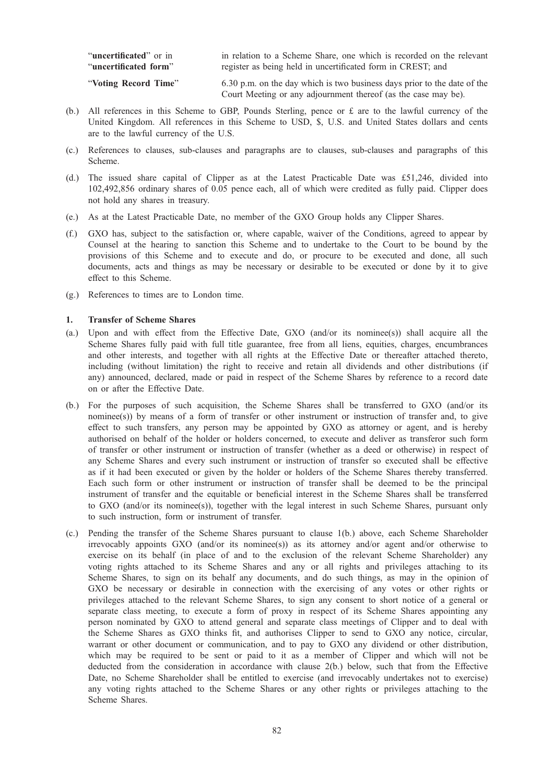| "uncertificated" or in | in relation to a Scheme Share, one which is recorded on the relevant                                                                       |
|------------------------|--------------------------------------------------------------------------------------------------------------------------------------------|
| "uncertificated form"  | register as being held in uncertificated form in CREST; and                                                                                |
| "Voting Record Time"   | 6.30 p.m. on the day which is two business days prior to the date of the<br>Court Meeting or any adjournment thereof (as the case may be). |

- (b.) All references in this Scheme to GBP, Pounds Sterling, pence or  $\pounds$  are to the lawful currency of the United Kingdom. All references in this Scheme to USD, \$, U.S. and United States dollars and cents are to the lawful currency of the U.S.
- (c.) References to clauses, sub-clauses and paragraphs are to clauses, sub-clauses and paragraphs of this Scheme.
- (d.) The issued share capital of Clipper as at the Latest Practicable Date was £51,246, divided into 102,492,856 ordinary shares of 0.05 pence each, all of which were credited as fully paid. Clipper does not hold any shares in treasury.
- (e.) As at the Latest Practicable Date, no member of the GXO Group holds any Clipper Shares.
- (f.) GXO has, subject to the satisfaction or, where capable, waiver of the Conditions, agreed to appear by Counsel at the hearing to sanction this Scheme and to undertake to the Court to be bound by the provisions of this Scheme and to execute and do, or procure to be executed and done, all such documents, acts and things as may be necessary or desirable to be executed or done by it to give effect to this Scheme.
- (g.) References to times are to London time.

### 1. Transfer of Scheme Shares

- (a.) Upon and with effect from the Effective Date, GXO (and/or its nominee(s)) shall acquire all the Scheme Shares fully paid with full title guarantee, free from all liens, equities, charges, encumbrances and other interests, and together with all rights at the Effective Date or thereafter attached thereto, including (without limitation) the right to receive and retain all dividends and other distributions (if any) announced, declared, made or paid in respect of the Scheme Shares by reference to a record date on or after the Effective Date.
- (b.) For the purposes of such acquisition, the Scheme Shares shall be transferred to GXO (and/or its nominee(s)) by means of a form of transfer or other instrument or instruction of transfer and, to give effect to such transfers, any person may be appointed by GXO as attorney or agent, and is hereby authorised on behalf of the holder or holders concerned, to execute and deliver as transferor such form of transfer or other instrument or instruction of transfer (whether as a deed or otherwise) in respect of any Scheme Shares and every such instrument or instruction of transfer so executed shall be effective as if it had been executed or given by the holder or holders of the Scheme Shares thereby transferred. Each such form or other instrument or instruction of transfer shall be deemed to be the principal instrument of transfer and the equitable or beneficial interest in the Scheme Shares shall be transferred to GXO (and/or its nominee(s)), together with the legal interest in such Scheme Shares, pursuant only to such instruction, form or instrument of transfer.
- (c.) Pending the transfer of the Scheme Shares pursuant to clause 1(b.) above, each Scheme Shareholder irrevocably appoints GXO (and/or its nominee(s)) as its attorney and/or agent and/or otherwise to exercise on its behalf (in place of and to the exclusion of the relevant Scheme Shareholder) any voting rights attached to its Scheme Shares and any or all rights and privileges attaching to its Scheme Shares, to sign on its behalf any documents, and do such things, as may in the opinion of GXO be necessary or desirable in connection with the exercising of any votes or other rights or privileges attached to the relevant Scheme Shares, to sign any consent to short notice of a general or separate class meeting, to execute a form of proxy in respect of its Scheme Shares appointing any person nominated by GXO to attend general and separate class meetings of Clipper and to deal with the Scheme Shares as GXO thinks fit, and authorises Clipper to send to GXO any notice, circular, warrant or other document or communication, and to pay to GXO any dividend or other distribution, which may be required to be sent or paid to it as a member of Clipper and which will not be deducted from the consideration in accordance with clause 2(b.) below, such that from the Effective Date, no Scheme Shareholder shall be entitled to exercise (and irrevocably undertakes not to exercise) any voting rights attached to the Scheme Shares or any other rights or privileges attaching to the Scheme Shares.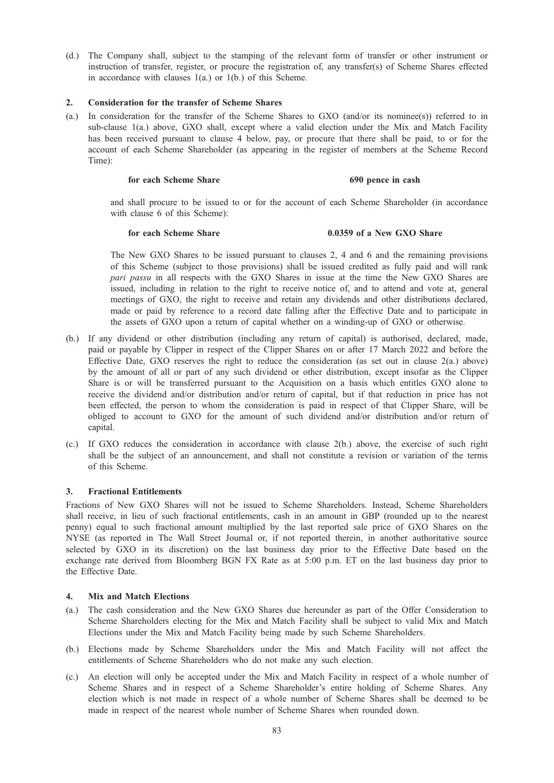(d.) The Company shall, subject to the stamping of the relevant form of transfer or other instrument or instruction of transfer, register, or procure the registration of, any transfer(s) of Scheme Shares effected in accordance with clauses 1(a.) or 1(b.) of this Scheme.

### 2. Consideration for the transfer of Scheme Shares

(a.) In consideration for the transfer of the Scheme Shares to GXO (and/or its nominee(s)) referred to in sub-clause 1(a.) above, GXO shall, except where a valid election under the Mix and Match Facility has been received pursuant to clause 4 below, pay, or procure that there shall be paid, to or for the account of each Scheme Shareholder (as appearing in the register of members at the Scheme Record Time):

### for each Scheme Share 690 pence in cash

and shall procure to be issued to or for the account of each Scheme Shareholder (in accordance with clause 6 of this Scheme):

# for each Scheme Share **0.0359** of a New GXO Share

The New GXO Shares to be issued pursuant to clauses 2, 4 and 6 and the remaining provisions of this Scheme (subject to those provisions) shall be issued credited as fully paid and will rank pari passu in all respects with the GXO Shares in issue at the time the New GXO Shares are issued, including in relation to the right to receive notice of, and to attend and vote at, general meetings of GXO, the right to receive and retain any dividends and other distributions declared, made or paid by reference to a record date falling after the Effective Date and to participate in the assets of GXO upon a return of capital whether on a winding-up of GXO or otherwise.

- (b.) If any dividend or other distribution (including any return of capital) is authorised, declared, made, paid or payable by Clipper in respect of the Clipper Shares on or after 17 March 2022 and before the Effective Date, GXO reserves the right to reduce the consideration (as set out in clause 2(a.) above) by the amount of all or part of any such dividend or other distribution, except insofar as the Clipper Share is or will be transferred pursuant to the Acquisition on a basis which entitles GXO alone to receive the dividend and/or distribution and/or return of capital, but if that reduction in price has not been effected, the person to whom the consideration is paid in respect of that Clipper Share, will be obliged to account to GXO for the amount of such dividend and/or distribution and/or return of capital.
- (c.) If GXO reduces the consideration in accordance with clause 2(b.) above, the exercise of such right shall be the subject of an announcement, and shall not constitute a revision or variation of the terms of this Scheme.

#### 3. Fractional Entitlements

Fractions of New GXO Shares will not be issued to Scheme Shareholders. Instead, Scheme Shareholders shall receive, in lieu of such fractional entitlements, cash in an amount in GBP (rounded up to the nearest penny) equal to such fractional amount multiplied by the last reported sale price of GXO Shares on the NYSE (as reported in The Wall Street Journal or, if not reported therein, in another authoritative source selected by GXO in its discretion) on the last business day prior to the Effective Date based on the exchange rate derived from Bloomberg BGN FX Rate as at 5:00 p.m. ET on the last business day prior to the Effective Date.

### 4. Mix and Match Elections

- (a.) The cash consideration and the New GXO Shares due hereunder as part of the Offer Consideration to Scheme Shareholders electing for the Mix and Match Facility shall be subject to valid Mix and Match Elections under the Mix and Match Facility being made by such Scheme Shareholders.
- (b.) Elections made by Scheme Shareholders under the Mix and Match Facility will not affect the entitlements of Scheme Shareholders who do not make any such election.
- (c.) An election will only be accepted under the Mix and Match Facility in respect of a whole number of Scheme Shares and in respect of a Scheme Shareholder's entire holding of Scheme Shares. Any election which is not made in respect of a whole number of Scheme Shares shall be deemed to be made in respect of the nearest whole number of Scheme Shares when rounded down.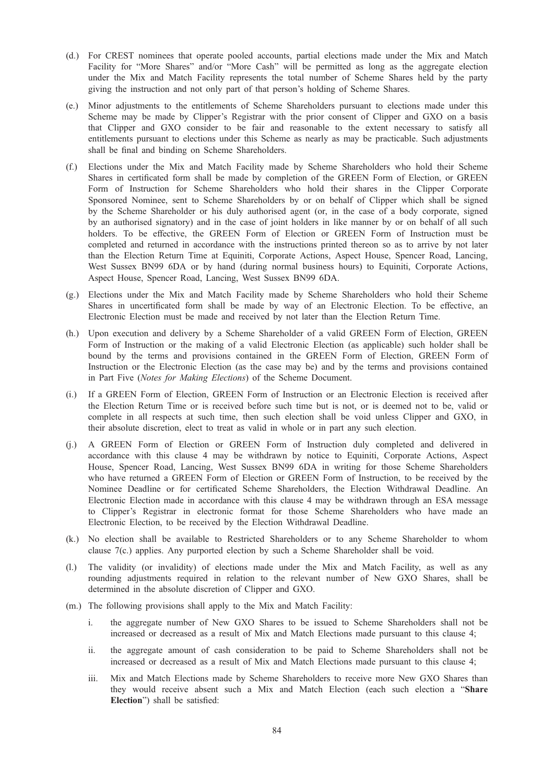- (d.) For CREST nominees that operate pooled accounts, partial elections made under the Mix and Match Facility for "More Shares" and/or "More Cash" will be permitted as long as the aggregate election under the Mix and Match Facility represents the total number of Scheme Shares held by the party giving the instruction and not only part of that person's holding of Scheme Shares.
- (e.) Minor adjustments to the entitlements of Scheme Shareholders pursuant to elections made under this Scheme may be made by Clipper's Registrar with the prior consent of Clipper and GXO on a basis that Clipper and GXO consider to be fair and reasonable to the extent necessary to satisfy all entitlements pursuant to elections under this Scheme as nearly as may be practicable. Such adjustments shall be final and binding on Scheme Shareholders.
- (f.) Elections under the Mix and Match Facility made by Scheme Shareholders who hold their Scheme Shares in certificated form shall be made by completion of the GREEN Form of Election, or GREEN Form of Instruction for Scheme Shareholders who hold their shares in the Clipper Corporate Sponsored Nominee, sent to Scheme Shareholders by or on behalf of Clipper which shall be signed by the Scheme Shareholder or his duly authorised agent (or, in the case of a body corporate, signed by an authorised signatory) and in the case of joint holders in like manner by or on behalf of all such holders. To be effective, the GREEN Form of Election or GREEN Form of Instruction must be completed and returned in accordance with the instructions printed thereon so as to arrive by not later than the Election Return Time at Equiniti, Corporate Actions, Aspect House, Spencer Road, Lancing, West Sussex BN99 6DA or by hand (during normal business hours) to Equiniti, Corporate Actions, Aspect House, Spencer Road, Lancing, West Sussex BN99 6DA.
- (g.) Elections under the Mix and Match Facility made by Scheme Shareholders who hold their Scheme Shares in uncertificated form shall be made by way of an Electronic Election. To be effective, an Electronic Election must be made and received by not later than the Election Return Time.
- (h.) Upon execution and delivery by a Scheme Shareholder of a valid GREEN Form of Election, GREEN Form of Instruction or the making of a valid Electronic Election (as applicable) such holder shall be bound by the terms and provisions contained in the GREEN Form of Election, GREEN Form of Instruction or the Electronic Election (as the case may be) and by the terms and provisions contained in Part Five (Notes for Making Elections) of the Scheme Document.
- (i.) If a GREEN Form of Election, GREEN Form of Instruction or an Electronic Election is received after the Election Return Time or is received before such time but is not, or is deemed not to be, valid or complete in all respects at such time, then such election shall be void unless Clipper and GXO, in their absolute discretion, elect to treat as valid in whole or in part any such election.
- (j.) A GREEN Form of Election or GREEN Form of Instruction duly completed and delivered in accordance with this clause 4 may be withdrawn by notice to Equiniti, Corporate Actions, Aspect House, Spencer Road, Lancing, West Sussex BN99 6DA in writing for those Scheme Shareholders who have returned a GREEN Form of Election or GREEN Form of Instruction, to be received by the Nominee Deadline or for certificated Scheme Shareholders, the Election Withdrawal Deadline. An Electronic Election made in accordance with this clause 4 may be withdrawn through an ESA message to Clipper's Registrar in electronic format for those Scheme Shareholders who have made an Electronic Election, to be received by the Election Withdrawal Deadline.
- (k.) No election shall be available to Restricted Shareholders or to any Scheme Shareholder to whom clause 7(c.) applies. Any purported election by such a Scheme Shareholder shall be void.
- (l.) The validity (or invalidity) of elections made under the Mix and Match Facility, as well as any rounding adjustments required in relation to the relevant number of New GXO Shares, shall be determined in the absolute discretion of Clipper and GXO.
- (m.) The following provisions shall apply to the Mix and Match Facility:
	- i. the aggregate number of New GXO Shares to be issued to Scheme Shareholders shall not be increased or decreased as a result of Mix and Match Elections made pursuant to this clause 4;
	- ii. the aggregate amount of cash consideration to be paid to Scheme Shareholders shall not be increased or decreased as a result of Mix and Match Elections made pursuant to this clause 4;
	- iii. Mix and Match Elections made by Scheme Shareholders to receive more New GXO Shares than they would receive absent such a Mix and Match Election (each such election a "Share Election") shall be satisfied: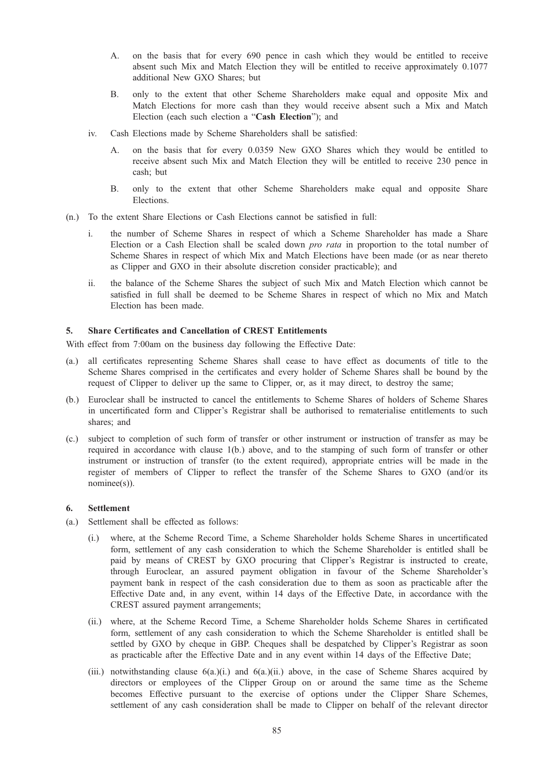- A. on the basis that for every 690 pence in cash which they would be entitled to receive absent such Mix and Match Election they will be entitled to receive approximately 0.1077 additional New GXO Shares; but
- B. only to the extent that other Scheme Shareholders make equal and opposite Mix and Match Elections for more cash than they would receive absent such a Mix and Match Election (each such election a "Cash Election"); and
- iv. Cash Elections made by Scheme Shareholders shall be satisfied:
	- A. on the basis that for every 0.0359 New GXO Shares which they would be entitled to receive absent such Mix and Match Election they will be entitled to receive 230 pence in cash; but
	- B. only to the extent that other Scheme Shareholders make equal and opposite Share Elections.
- (n.) To the extent Share Elections or Cash Elections cannot be satisfied in full:
	- i. the number of Scheme Shares in respect of which a Scheme Shareholder has made a Share Election or a Cash Election shall be scaled down pro rata in proportion to the total number of Scheme Shares in respect of which Mix and Match Elections have been made (or as near thereto as Clipper and GXO in their absolute discretion consider practicable); and
	- ii. the balance of the Scheme Shares the subject of such Mix and Match Election which cannot be satisfied in full shall be deemed to be Scheme Shares in respect of which no Mix and Match Election has been made.

### 5. Share Certificates and Cancellation of CREST Entitlements

With effect from 7:00am on the business day following the Effective Date:

- (a.) all certificates representing Scheme Shares shall cease to have effect as documents of title to the Scheme Shares comprised in the certificates and every holder of Scheme Shares shall be bound by the request of Clipper to deliver up the same to Clipper, or, as it may direct, to destroy the same;
- (b.) Euroclear shall be instructed to cancel the entitlements to Scheme Shares of holders of Scheme Shares in uncertificated form and Clipper's Registrar shall be authorised to rematerialise entitlements to such shares; and
- (c.) subject to completion of such form of transfer or other instrument or instruction of transfer as may be required in accordance with clause 1(b.) above, and to the stamping of such form of transfer or other instrument or instruction of transfer (to the extent required), appropriate entries will be made in the register of members of Clipper to reflect the transfer of the Scheme Shares to GXO (and/or its nominee(s)).

#### 6. Settlement

- (a.) Settlement shall be effected as follows:
	- (i.) where, at the Scheme Record Time, a Scheme Shareholder holds Scheme Shares in uncertificated form, settlement of any cash consideration to which the Scheme Shareholder is entitled shall be paid by means of CREST by GXO procuring that Clipper's Registrar is instructed to create, through Euroclear, an assured payment obligation in favour of the Scheme Shareholder's payment bank in respect of the cash consideration due to them as soon as practicable after the Effective Date and, in any event, within 14 days of the Effective Date, in accordance with the CREST assured payment arrangements;
	- (ii.) where, at the Scheme Record Time, a Scheme Shareholder holds Scheme Shares in certificated form, settlement of any cash consideration to which the Scheme Shareholder is entitled shall be settled by GXO by cheque in GBP. Cheques shall be despatched by Clipper's Registrar as soon as practicable after the Effective Date and in any event within 14 days of the Effective Date;
	- (iii.) notwithstanding clause 6(a.)(i.) and 6(a.)(ii.) above, in the case of Scheme Shares acquired by directors or employees of the Clipper Group on or around the same time as the Scheme becomes Effective pursuant to the exercise of options under the Clipper Share Schemes, settlement of any cash consideration shall be made to Clipper on behalf of the relevant director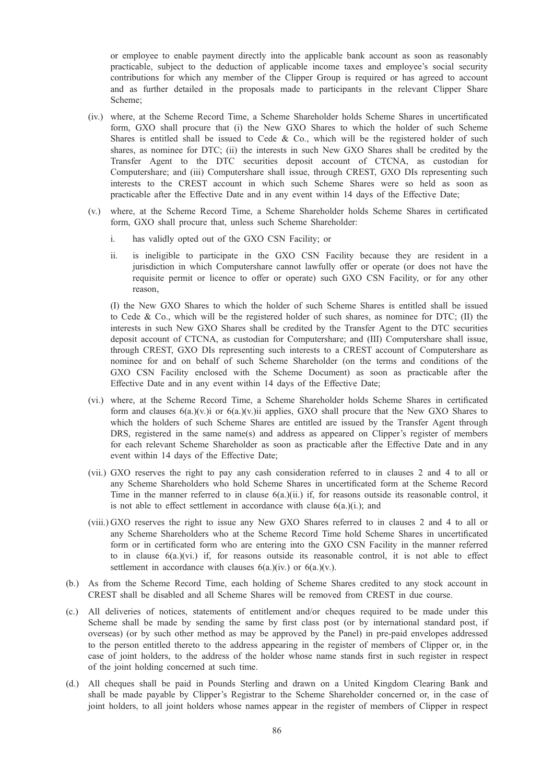or employee to enable payment directly into the applicable bank account as soon as reasonably practicable, subject to the deduction of applicable income taxes and employee's social security contributions for which any member of the Clipper Group is required or has agreed to account and as further detailed in the proposals made to participants in the relevant Clipper Share Scheme;

- (iv.) where, at the Scheme Record Time, a Scheme Shareholder holds Scheme Shares in uncertificated form, GXO shall procure that (i) the New GXO Shares to which the holder of such Scheme Shares is entitled shall be issued to Cede & Co., which will be the registered holder of such shares, as nominee for DTC; (ii) the interests in such New GXO Shares shall be credited by the Transfer Agent to the DTC securities deposit account of CTCNA, as custodian for Computershare; and (iii) Computershare shall issue, through CREST, GXO DIs representing such interests to the CREST account in which such Scheme Shares were so held as soon as practicable after the Effective Date and in any event within 14 days of the Effective Date;
- (v.) where, at the Scheme Record Time, a Scheme Shareholder holds Scheme Shares in certificated form, GXO shall procure that, unless such Scheme Shareholder:
	- i. has validly opted out of the GXO CSN Facility; or
	- ii. is ineligible to participate in the GXO CSN Facility because they are resident in a jurisdiction in which Computershare cannot lawfully offer or operate (or does not have the requisite permit or licence to offer or operate) such GXO CSN Facility, or for any other reason,

(I) the New GXO Shares to which the holder of such Scheme Shares is entitled shall be issued to Cede & Co., which will be the registered holder of such shares, as nominee for DTC; (II) the interests in such New GXO Shares shall be credited by the Transfer Agent to the DTC securities deposit account of CTCNA, as custodian for Computershare; and (III) Computershare shall issue, through CREST, GXO DIs representing such interests to a CREST account of Computershare as nominee for and on behalf of such Scheme Shareholder (on the terms and conditions of the GXO CSN Facility enclosed with the Scheme Document) as soon as practicable after the Effective Date and in any event within 14 days of the Effective Date;

- (vi.) where, at the Scheme Record Time, a Scheme Shareholder holds Scheme Shares in certificated form and clauses  $6(a)$ (v.)i or  $6(a)$ (v.)ii applies, GXO shall procure that the New GXO Shares to which the holders of such Scheme Shares are entitled are issued by the Transfer Agent through DRS, registered in the same name(s) and address as appeared on Clipper's register of members for each relevant Scheme Shareholder as soon as practicable after the Effective Date and in any event within 14 days of the Effective Date;
- (vii.) GXO reserves the right to pay any cash consideration referred to in clauses 2 and 4 to all or any Scheme Shareholders who hold Scheme Shares in uncertificated form at the Scheme Record Time in the manner referred to in clause  $6(a)$  (ii.) if, for reasons outside its reasonable control, it is not able to effect settlement in accordance with clause 6(a.)(i.); and
- (viii.) GXO reserves the right to issue any New GXO Shares referred to in clauses 2 and 4 to all or any Scheme Shareholders who at the Scheme Record Time hold Scheme Shares in uncertificated form or in certificated form who are entering into the GXO CSN Facility in the manner referred to in clause  $6(a)$ (vi.) if, for reasons outside its reasonable control, it is not able to effect settlement in accordance with clauses  $6(a)(iv)$  or  $6(a)(v)$ .
- (b.) As from the Scheme Record Time, each holding of Scheme Shares credited to any stock account in CREST shall be disabled and all Scheme Shares will be removed from CREST in due course.
- (c.) All deliveries of notices, statements of entitlement and/or cheques required to be made under this Scheme shall be made by sending the same by first class post (or by international standard post, if overseas) (or by such other method as may be approved by the Panel) in pre-paid envelopes addressed to the person entitled thereto to the address appearing in the register of members of Clipper or, in the case of joint holders, to the address of the holder whose name stands first in such register in respect of the joint holding concerned at such time.
- (d.) All cheques shall be paid in Pounds Sterling and drawn on a United Kingdom Clearing Bank and shall be made payable by Clipper's Registrar to the Scheme Shareholder concerned or, in the case of joint holders, to all joint holders whose names appear in the register of members of Clipper in respect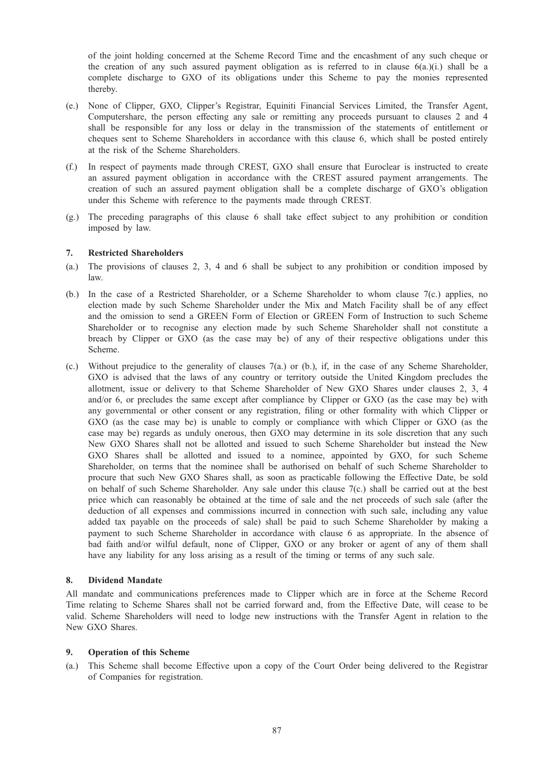of the joint holding concerned at the Scheme Record Time and the encashment of any such cheque or the creation of any such assured payment obligation as is referred to in clause  $6(a)(i)$ , shall be a complete discharge to GXO of its obligations under this Scheme to pay the monies represented thereby.

- (e.) None of Clipper, GXO, Clipper's Registrar, Equiniti Financial Services Limited, the Transfer Agent, Computershare, the person effecting any sale or remitting any proceeds pursuant to clauses 2 and 4 shall be responsible for any loss or delay in the transmission of the statements of entitlement or cheques sent to Scheme Shareholders in accordance with this clause 6, which shall be posted entirely at the risk of the Scheme Shareholders.
- (f.) In respect of payments made through CREST, GXO shall ensure that Euroclear is instructed to create an assured payment obligation in accordance with the CREST assured payment arrangements. The creation of such an assured payment obligation shall be a complete discharge of GXO's obligation under this Scheme with reference to the payments made through CREST.
- (g.) The preceding paragraphs of this clause 6 shall take effect subject to any prohibition or condition imposed by law.

### 7. Restricted Shareholders

- (a.) The provisions of clauses 2, 3, 4 and 6 shall be subject to any prohibition or condition imposed by law.
- (b.) In the case of a Restricted Shareholder, or a Scheme Shareholder to whom clause 7(c.) applies, no election made by such Scheme Shareholder under the Mix and Match Facility shall be of any effect and the omission to send a GREEN Form of Election or GREEN Form of Instruction to such Scheme Shareholder or to recognise any election made by such Scheme Shareholder shall not constitute a breach by Clipper or GXO (as the case may be) of any of their respective obligations under this Scheme.
- (c.) Without prejudice to the generality of clauses 7(a.) or (b.), if, in the case of any Scheme Shareholder, GXO is advised that the laws of any country or territory outside the United Kingdom precludes the allotment, issue or delivery to that Scheme Shareholder of New GXO Shares under clauses 2, 3, 4 and/or 6, or precludes the same except after compliance by Clipper or GXO (as the case may be) with any governmental or other consent or any registration, filing or other formality with which Clipper or GXO (as the case may be) is unable to comply or compliance with which Clipper or GXO (as the case may be) regards as unduly onerous, then GXO may determine in its sole discretion that any such New GXO Shares shall not be allotted and issued to such Scheme Shareholder but instead the New GXO Shares shall be allotted and issued to a nominee, appointed by GXO, for such Scheme Shareholder, on terms that the nominee shall be authorised on behalf of such Scheme Shareholder to procure that such New GXO Shares shall, as soon as practicable following the Effective Date, be sold on behalf of such Scheme Shareholder. Any sale under this clause 7(c.) shall be carried out at the best price which can reasonably be obtained at the time of sale and the net proceeds of such sale (after the deduction of all expenses and commissions incurred in connection with such sale, including any value added tax payable on the proceeds of sale) shall be paid to such Scheme Shareholder by making a payment to such Scheme Shareholder in accordance with clause 6 as appropriate. In the absence of bad faith and/or wilful default, none of Clipper, GXO or any broker or agent of any of them shall have any liability for any loss arising as a result of the timing or terms of any such sale.

#### 8. Dividend Mandate

All mandate and communications preferences made to Clipper which are in force at the Scheme Record Time relating to Scheme Shares shall not be carried forward and, from the Effective Date, will cease to be valid. Scheme Shareholders will need to lodge new instructions with the Transfer Agent in relation to the New GXO Shares.

#### 9. Operation of this Scheme

(a.) This Scheme shall become Effective upon a copy of the Court Order being delivered to the Registrar of Companies for registration.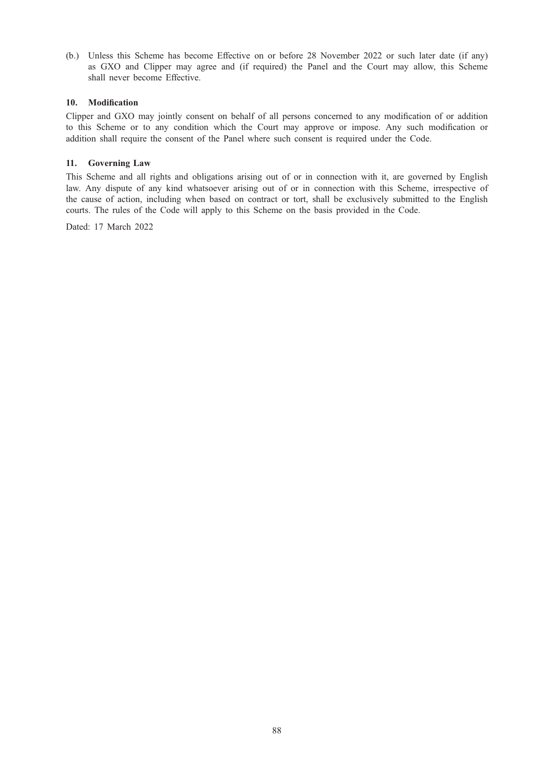(b.) Unless this Scheme has become Effective on or before 28 November 2022 or such later date (if any) as GXO and Clipper may agree and (if required) the Panel and the Court may allow, this Scheme shall never become Effective.

### 10. Modification

Clipper and GXO may jointly consent on behalf of all persons concerned to any modification of or addition to this Scheme or to any condition which the Court may approve or impose. Any such modification or addition shall require the consent of the Panel where such consent is required under the Code.

### 11. Governing Law

This Scheme and all rights and obligations arising out of or in connection with it, are governed by English law. Any dispute of any kind whatsoever arising out of or in connection with this Scheme, irrespective of the cause of action, including when based on contract or tort, shall be exclusively submitted to the English courts. The rules of the Code will apply to this Scheme on the basis provided in the Code.

Dated: 17 March 2022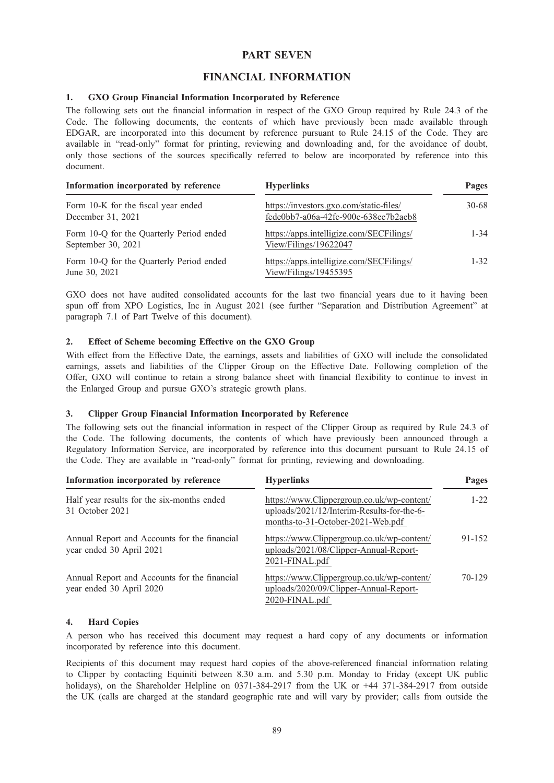# PART SEVEN

# FINANCIAL INFORMATION

### 1. GXO Group Financial Information Incorporated by Reference

The following sets out the financial information in respect of the GXO Group required by Rule 24.3 of the Code. The following documents, the contents of which have previously been made available through EDGAR, are incorporated into this document by reference pursuant to Rule 24.15 of the Code. They are available in "read-only" format for printing, reviewing and downloading and, for the avoidance of doubt, only those sections of the sources specifically referred to below are incorporated by reference into this document.

| Information incorporated by reference                          | <b>Hyperlinks</b>                                                               | Pages     |
|----------------------------------------------------------------|---------------------------------------------------------------------------------|-----------|
| Form 10-K for the fiscal year ended<br>December 31, 2021       | https://investors.gxo.com/static-files/<br>fcde0bb7-a06a-42fc-900c-638ee7b2aeb8 | $30 - 68$ |
| Form 10-Q for the Quarterly Period ended<br>September 30, 2021 | https://apps.intelligize.com/SECFilings/<br>View/Filings/19622047               | $1 - 34$  |
| Form 10-Q for the Quarterly Period ended<br>June 30, 2021      | https://apps.intelligize.com/SECFilings/<br>View/Filings/19455395               | $1 - 32$  |

GXO does not have audited consolidated accounts for the last two financial years due to it having been spun off from XPO Logistics, Inc in August 2021 (see further "Separation and Distribution Agreement" at paragraph 7.1 of Part Twelve of this document).

### 2. Effect of Scheme becoming Effective on the GXO Group

With effect from the Effective Date, the earnings, assets and liabilities of GXO will include the consolidated earnings, assets and liabilities of the Clipper Group on the Effective Date. Following completion of the Offer, GXO will continue to retain a strong balance sheet with financial flexibility to continue to invest in the Enlarged Group and pursue GXO's strategic growth plans.

### 3. Clipper Group Financial Information Incorporated by Reference

The following sets out the financial information in respect of the Clipper Group as required by Rule 24.3 of the Code. The following documents, the contents of which have previously been announced through a Regulatory Information Service, are incorporated by reference into this document pursuant to Rule 24.15 of the Code. They are available in "read-only" format for printing, reviewing and downloading.

| Information incorporated by reference                                    | <b>Hyperlinks</b>                                                                                                             | Pages    |  |
|--------------------------------------------------------------------------|-------------------------------------------------------------------------------------------------------------------------------|----------|--|
| Half year results for the six-months ended<br>31 October 2021            | https://www.Clippergroup.co.uk/wp-content/<br>uploads/2021/12/Interim-Results-for-the-6-<br>months-to-31-October-2021-Web.pdf | $1 - 22$ |  |
| Annual Report and Accounts for the financial<br>year ended 30 April 2021 | https://www.Clippergroup.co.uk/wp-content/<br>uploads/2021/08/Clipper-Annual-Report-<br>2021-FINAL.pdf                        | 91-152   |  |
| Annual Report and Accounts for the financial<br>year ended 30 April 2020 | https://www.Clippergroup.co.uk/wp-content/<br>uploads/2020/09/Clipper-Annual-Report-<br>2020-FINAL.pdf                        | 70-129   |  |

#### 4. Hard Copies

A person who has received this document may request a hard copy of any documents or information incorporated by reference into this document.

Recipients of this document may request hard copies of the above-referenced financial information relating to Clipper by contacting Equiniti between 8.30 a.m. and 5.30 p.m. Monday to Friday (except UK public holidays), on the Shareholder Helpline on 0371-384-2917 from the UK or +44 371-384-2917 from outside the UK (calls are charged at the standard geographic rate and will vary by provider; calls from outside the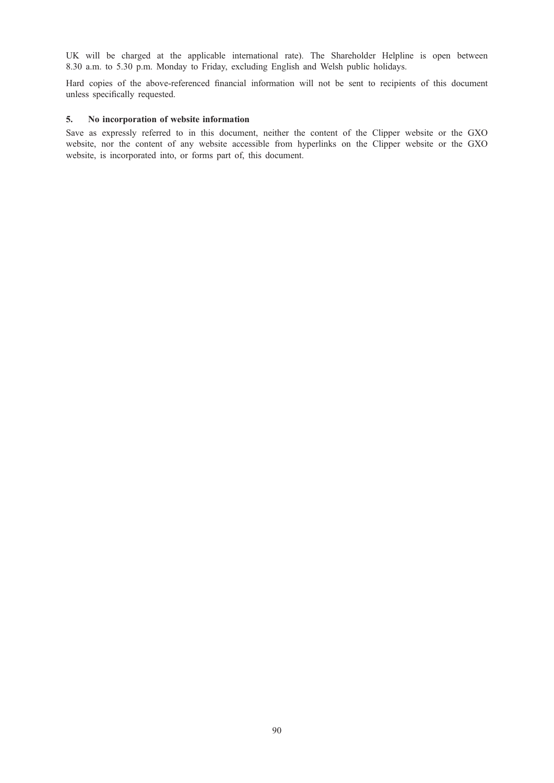UK will be charged at the applicable international rate). The Shareholder Helpline is open between 8.30 a.m. to 5.30 p.m. Monday to Friday, excluding English and Welsh public holidays.

Hard copies of the above-referenced financial information will not be sent to recipients of this document unless specifically requested.

### 5. No incorporation of website information

Save as expressly referred to in this document, neither the content of the Clipper website or the GXO website, nor the content of any website accessible from hyperlinks on the Clipper website or the GXO website, is incorporated into, or forms part of, this document.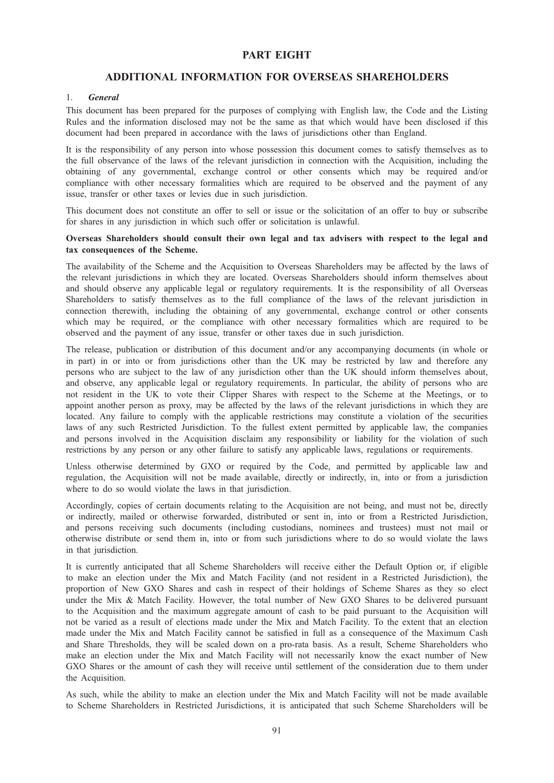# PART EIGHT

# ADDITIONAL INFORMATION FOR OVERSEAS SHAREHOLDERS

### 1. General

This document has been prepared for the purposes of complying with English law, the Code and the Listing Rules and the information disclosed may not be the same as that which would have been disclosed if this document had been prepared in accordance with the laws of jurisdictions other than England.

It is the responsibility of any person into whose possession this document comes to satisfy themselves as to the full observance of the laws of the relevant jurisdiction in connection with the Acquisition, including the obtaining of any governmental, exchange control or other consents which may be required and/or compliance with other necessary formalities which are required to be observed and the payment of any issue, transfer or other taxes or levies due in such jurisdiction.

This document does not constitute an offer to sell or issue or the solicitation of an offer to buy or subscribe for shares in any jurisdiction in which such offer or solicitation is unlawful.

### Overseas Shareholders should consult their own legal and tax advisers with respect to the legal and tax consequences of the Scheme.

The availability of the Scheme and the Acquisition to Overseas Shareholders may be affected by the laws of the relevant jurisdictions in which they are located. Overseas Shareholders should inform themselves about and should observe any applicable legal or regulatory requirements. It is the responsibility of all Overseas Shareholders to satisfy themselves as to the full compliance of the laws of the relevant jurisdiction in connection therewith, including the obtaining of any governmental, exchange control or other consents which may be required, or the compliance with other necessary formalities which are required to be observed and the payment of any issue, transfer or other taxes due in such jurisdiction.

The release, publication or distribution of this document and/or any accompanying documents (in whole or in part) in or into or from jurisdictions other than the UK may be restricted by law and therefore any persons who are subject to the law of any jurisdiction other than the UK should inform themselves about, and observe, any applicable legal or regulatory requirements. In particular, the ability of persons who are not resident in the UK to vote their Clipper Shares with respect to the Scheme at the Meetings, or to appoint another person as proxy, may be affected by the laws of the relevant jurisdictions in which they are located. Any failure to comply with the applicable restrictions may constitute a violation of the securities laws of any such Restricted Jurisdiction. To the fullest extent permitted by applicable law, the companies and persons involved in the Acquisition disclaim any responsibility or liability for the violation of such restrictions by any person or any other failure to satisfy any applicable laws, regulations or requirements.

Unless otherwise determined by GXO or required by the Code, and permitted by applicable law and regulation, the Acquisition will not be made available, directly or indirectly, in, into or from a jurisdiction where to do so would violate the laws in that jurisdiction.

Accordingly, copies of certain documents relating to the Acquisition are not being, and must not be, directly or indirectly, mailed or otherwise forwarded, distributed or sent in, into or from a Restricted Jurisdiction, and persons receiving such documents (including custodians, nominees and trustees) must not mail or otherwise distribute or send them in, into or from such jurisdictions where to do so would violate the laws in that jurisdiction.

It is currently anticipated that all Scheme Shareholders will receive either the Default Option or, if eligible to make an election under the Mix and Match Facility (and not resident in a Restricted Jurisdiction), the proportion of New GXO Shares and cash in respect of their holdings of Scheme Shares as they so elect under the Mix & Match Facility. However, the total number of New GXO Shares to be delivered pursuant to the Acquisition and the maximum aggregate amount of cash to be paid pursuant to the Acquisition will not be varied as a result of elections made under the Mix and Match Facility. To the extent that an election made under the Mix and Match Facility cannot be satisfied in full as a consequence of the Maximum Cash and Share Thresholds, they will be scaled down on a pro-rata basis. As a result, Scheme Shareholders who make an election under the Mix and Match Facility will not necessarily know the exact number of New GXO Shares or the amount of cash they will receive until settlement of the consideration due to them under the Acquisition.

As such, while the ability to make an election under the Mix and Match Facility will not be made available to Scheme Shareholders in Restricted Jurisdictions, it is anticipated that such Scheme Shareholders will be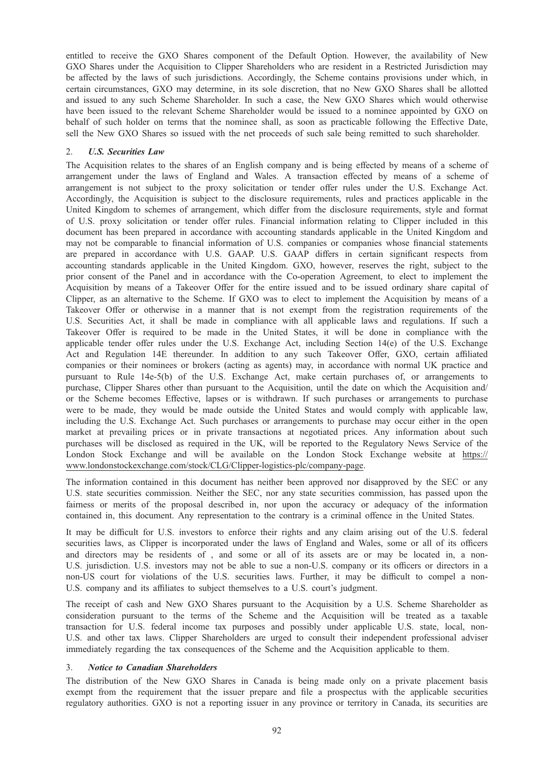entitled to receive the GXO Shares component of the Default Option. However, the availability of New GXO Shares under the Acquisition to Clipper Shareholders who are resident in a Restricted Jurisdiction may be affected by the laws of such jurisdictions. Accordingly, the Scheme contains provisions under which, in certain circumstances, GXO may determine, in its sole discretion, that no New GXO Shares shall be allotted and issued to any such Scheme Shareholder. In such a case, the New GXO Shares which would otherwise have been issued to the relevant Scheme Shareholder would be issued to a nominee appointed by GXO on behalf of such holder on terms that the nominee shall, as soon as practicable following the Effective Date, sell the New GXO Shares so issued with the net proceeds of such sale being remitted to such shareholder.

### 2. U.S. Securities Law

The Acquisition relates to the shares of an English company and is being effected by means of a scheme of arrangement under the laws of England and Wales. A transaction effected by means of a scheme of arrangement is not subject to the proxy solicitation or tender offer rules under the U.S. Exchange Act. Accordingly, the Acquisition is subject to the disclosure requirements, rules and practices applicable in the United Kingdom to schemes of arrangement, which differ from the disclosure requirements, style and format of U.S. proxy solicitation or tender offer rules. Financial information relating to Clipper included in this document has been prepared in accordance with accounting standards applicable in the United Kingdom and may not be comparable to financial information of U.S. companies or companies whose financial statements are prepared in accordance with U.S. GAAP. U.S. GAAP differs in certain significant respects from accounting standards applicable in the United Kingdom. GXO, however, reserves the right, subject to the prior consent of the Panel and in accordance with the Co-operation Agreement, to elect to implement the Acquisition by means of a Takeover Offer for the entire issued and to be issued ordinary share capital of Clipper, as an alternative to the Scheme. If GXO was to elect to implement the Acquisition by means of a Takeover Offer or otherwise in a manner that is not exempt from the registration requirements of the U.S. Securities Act, it shall be made in compliance with all applicable laws and regulations. If such a Takeover Offer is required to be made in the United States, it will be done in compliance with the applicable tender offer rules under the U.S. Exchange Act, including Section 14(e) of the U.S. Exchange Act and Regulation 14E thereunder. In addition to any such Takeover Offer, GXO, certain affiliated companies or their nominees or brokers (acting as agents) may, in accordance with normal UK practice and pursuant to Rule 14e-5(b) of the U.S. Exchange Act, make certain purchases of, or arrangements to purchase, Clipper Shares other than pursuant to the Acquisition, until the date on which the Acquisition and/ or the Scheme becomes Effective, lapses or is withdrawn. If such purchases or arrangements to purchase were to be made, they would be made outside the United States and would comply with applicable law, including the U.S. Exchange Act. Such purchases or arrangements to purchase may occur either in the open market at prevailing prices or in private transactions at negotiated prices. Any information about such purchases will be disclosed as required in the UK, will be reported to the Regulatory News Service of the London Stock Exchange and will be available on the London Stock Exchange website at https:// www.londonstockexchange.com/stock/CLG/Clipper-logistics-plc/company-page.

The information contained in this document has neither been approved nor disapproved by the SEC or any U.S. state securities commission. Neither the SEC, nor any state securities commission, has passed upon the fairness or merits of the proposal described in, nor upon the accuracy or adequacy of the information contained in, this document. Any representation to the contrary is a criminal offence in the United States.

It may be difficult for U.S. investors to enforce their rights and any claim arising out of the U.S. federal securities laws, as Clipper is incorporated under the laws of England and Wales, some or all of its officers and directors may be residents of , and some or all of its assets are or may be located in, a non-U.S. jurisdiction. U.S. investors may not be able to sue a non-U.S. company or its officers or directors in a non-US court for violations of the U.S. securities laws. Further, it may be difficult to compel a non-U.S. company and its affiliates to subject themselves to a U.S. court's judgment.

The receipt of cash and New GXO Shares pursuant to the Acquisition by a U.S. Scheme Shareholder as consideration pursuant to the terms of the Scheme and the Acquisition will be treated as a taxable transaction for U.S. federal income tax purposes and possibly under applicable U.S. state, local, non-U.S. and other tax laws. Clipper Shareholders are urged to consult their independent professional adviser immediately regarding the tax consequences of the Scheme and the Acquisition applicable to them.

### 3. Notice to Canadian Shareholders

The distribution of the New GXO Shares in Canada is being made only on a private placement basis exempt from the requirement that the issuer prepare and file a prospectus with the applicable securities regulatory authorities. GXO is not a reporting issuer in any province or territory in Canada, its securities are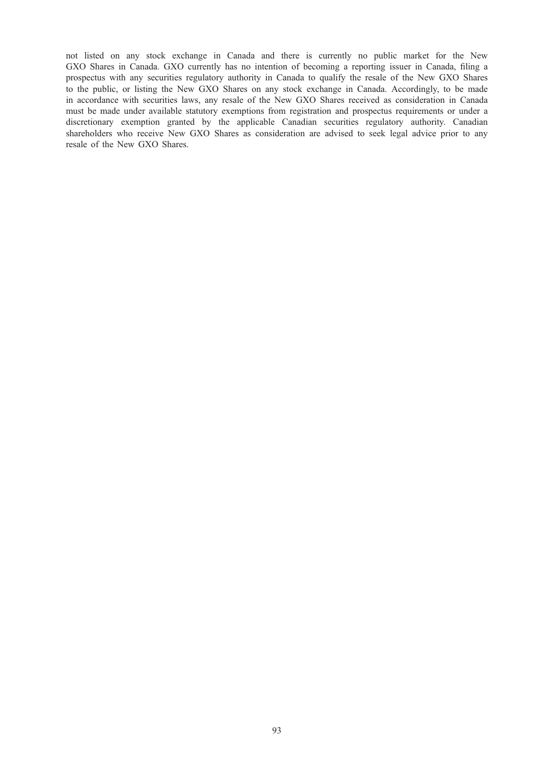not listed on any stock exchange in Canada and there is currently no public market for the New GXO Shares in Canada. GXO currently has no intention of becoming a reporting issuer in Canada, filing a prospectus with any securities regulatory authority in Canada to qualify the resale of the New GXO Shares to the public, or listing the New GXO Shares on any stock exchange in Canada. Accordingly, to be made in accordance with securities laws, any resale of the New GXO Shares received as consideration in Canada must be made under available statutory exemptions from registration and prospectus requirements or under a discretionary exemption granted by the applicable Canadian securities regulatory authority. Canadian shareholders who receive New GXO Shares as consideration are advised to seek legal advice prior to any resale of the New GXO Shares.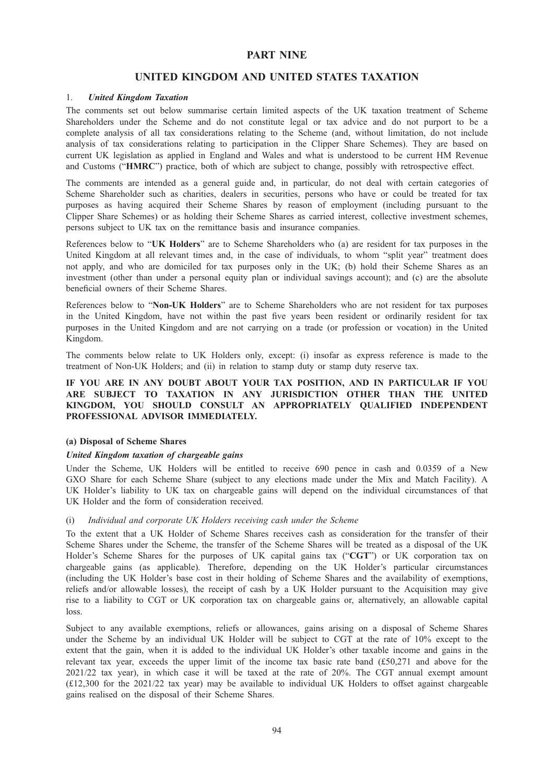# PART NINE

# UNITED KINGDOM AND UNITED STATES TAXATION

### 1. United Kingdom Taxation

The comments set out below summarise certain limited aspects of the UK taxation treatment of Scheme Shareholders under the Scheme and do not constitute legal or tax advice and do not purport to be a complete analysis of all tax considerations relating to the Scheme (and, without limitation, do not include analysis of tax considerations relating to participation in the Clipper Share Schemes). They are based on current UK legislation as applied in England and Wales and what is understood to be current HM Revenue and Customs ("HMRC") practice, both of which are subject to change, possibly with retrospective effect.

The comments are intended as a general guide and, in particular, do not deal with certain categories of Scheme Shareholder such as charities, dealers in securities, persons who have or could be treated for tax purposes as having acquired their Scheme Shares by reason of employment (including pursuant to the Clipper Share Schemes) or as holding their Scheme Shares as carried interest, collective investment schemes, persons subject to UK tax on the remittance basis and insurance companies.

References below to "UK Holders" are to Scheme Shareholders who (a) are resident for tax purposes in the United Kingdom at all relevant times and, in the case of individuals, to whom "split year" treatment does not apply, and who are domiciled for tax purposes only in the UK; (b) hold their Scheme Shares as an investment (other than under a personal equity plan or individual savings account); and (c) are the absolute beneficial owners of their Scheme Shares.

References below to "Non-UK Holders" are to Scheme Shareholders who are not resident for tax purposes in the United Kingdom, have not within the past five years been resident or ordinarily resident for tax purposes in the United Kingdom and are not carrying on a trade (or profession or vocation) in the United Kingdom.

The comments below relate to UK Holders only, except: (i) insofar as express reference is made to the treatment of Non-UK Holders; and (ii) in relation to stamp duty or stamp duty reserve tax.

# IF YOU ARE IN ANY DOUBT ABOUT YOUR TAX POSITION, AND IN PARTICULAR IF YOU ARE SUBJECT TO TAXATION IN ANY JURISDICTION OTHER THAN THE UNITED KINGDOM, YOU SHOULD CONSULT AN APPROPRIATELY QUALIFIED INDEPENDENT PROFESSIONAL ADVISOR IMMEDIATELY.

### (a) Disposal of Scheme Shares

### United Kingdom taxation of chargeable gains

Under the Scheme, UK Holders will be entitled to receive 690 pence in cash and 0.0359 of a New GXO Share for each Scheme Share (subject to any elections made under the Mix and Match Facility). A UK Holder's liability to UK tax on chargeable gains will depend on the individual circumstances of that UK Holder and the form of consideration received.

#### (i) Individual and corporate UK Holders receiving cash under the Scheme

To the extent that a UK Holder of Scheme Shares receives cash as consideration for the transfer of their Scheme Shares under the Scheme, the transfer of the Scheme Shares will be treated as a disposal of the UK Holder's Scheme Shares for the purposes of UK capital gains tax ("CGT") or UK corporation tax on chargeable gains (as applicable). Therefore, depending on the UK Holder's particular circumstances (including the UK Holder's base cost in their holding of Scheme Shares and the availability of exemptions, reliefs and/or allowable losses), the receipt of cash by a UK Holder pursuant to the Acquisition may give rise to a liability to CGT or UK corporation tax on chargeable gains or, alternatively, an allowable capital loss.

Subject to any available exemptions, reliefs or allowances, gains arising on a disposal of Scheme Shares under the Scheme by an individual UK Holder will be subject to CGT at the rate of 10% except to the extent that the gain, when it is added to the individual UK Holder's other taxable income and gains in the relevant tax year, exceeds the upper limit of the income tax basic rate band (£50,271 and above for the 2021/22 tax year), in which case it will be taxed at the rate of 20%. The CGT annual exempt amount (£12,300 for the 2021/22 tax year) may be available to individual UK Holders to offset against chargeable gains realised on the disposal of their Scheme Shares.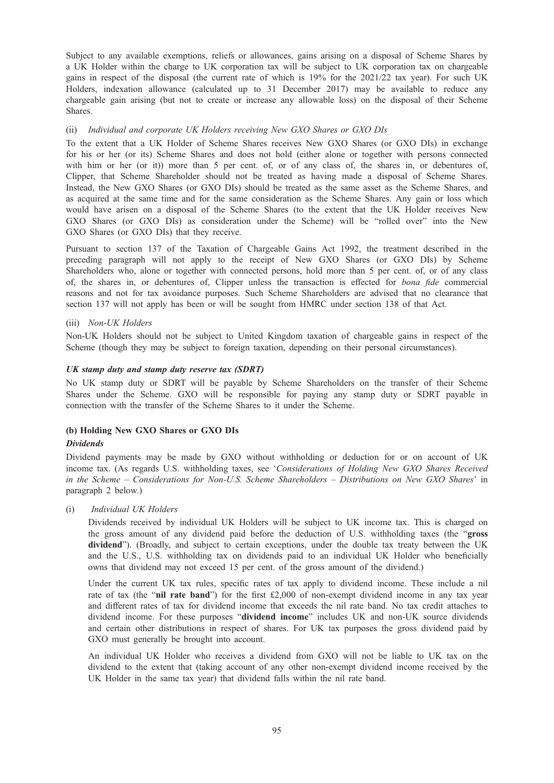Subject to any available exemptions, reliefs or allowances, gains arising on a disposal of Scheme Shares by a UK Holder within the charge to UK corporation tax will be subject to UK corporation tax on chargeable gains in respect of the disposal (the current rate of which is 19% for the 2021/22 tax year). For such UK Holders, indexation allowance (calculated up to 31 December 2017) may be available to reduce any chargeable gain arising (but not to create or increase any allowable loss) on the disposal of their Scheme Shares.

#### (ii) Individual and corporate UK Holders receiving New GXO Shares or GXO DIs

To the extent that a UK Holder of Scheme Shares receives New GXO Shares (or GXO DIs) in exchange for his or her (or its) Scheme Shares and does not hold (either alone or together with persons connected with him or her (or it)) more than 5 per cent. of, or of any class of, the shares in, or debentures of, Clipper, that Scheme Shareholder should not be treated as having made a disposal of Scheme Shares. Instead, the New GXO Shares (or GXO DIs) should be treated as the same asset as the Scheme Shares, and as acquired at the same time and for the same consideration as the Scheme Shares. Any gain or loss which would have arisen on a disposal of the Scheme Shares (to the extent that the UK Holder receives New GXO Shares (or GXO DIs) as consideration under the Scheme) will be "rolled over" into the New GXO Shares (or GXO DIs) that they receive.

Pursuant to section 137 of the Taxation of Chargeable Gains Act 1992, the treatment described in the preceding paragraph will not apply to the receipt of New GXO Shares (or GXO DIs) by Scheme Shareholders who, alone or together with connected persons, hold more than 5 per cent. of, or of any class of, the shares in, or debentures of, Clipper unless the transaction is effected for bona fide commercial reasons and not for tax avoidance purposes. Such Scheme Shareholders are advised that no clearance that section 137 will not apply has been or will be sought from HMRC under section 138 of that Act.

#### (iii) Non-UK Holders

Non-UK Holders should not be subject to United Kingdom taxation of chargeable gains in respect of the Scheme (though they may be subject to foreign taxation, depending on their personal circumstances).

#### UK stamp duty and stamp duty reserve tax (SDRT)

No UK stamp duty or SDRT will be payable by Scheme Shareholders on the transfer of their Scheme Shares under the Scheme. GXO will be responsible for paying any stamp duty or SDRT payable in connection with the transfer of the Scheme Shares to it under the Scheme.

#### (b) Holding New GXO Shares or GXO DIs

#### Dividends

Dividend payments may be made by GXO without withholding or deduction for or on account of UK income tax. (As regards U.S. withholding taxes, see 'Considerations of Holding New GXO Shares Received in the Scheme – Considerations for Non-U.S. Scheme Shareholders – Distributions on New GXO Shares' in paragraph 2 below.)

#### (i) Individual UK Holders

Dividends received by individual UK Holders will be subject to UK income tax. This is charged on the gross amount of any dividend paid before the deduction of U.S. withholding taxes (the "gross dividend"). (Broadly, and subject to certain exceptions, under the double tax treaty between the UK and the U.S., U.S. withholding tax on dividends paid to an individual UK Holder who beneficially owns that dividend may not exceed 15 per cent. of the gross amount of the dividend.)

Under the current UK tax rules, specific rates of tax apply to dividend income. These include a nil rate of tax (the "nil rate band") for the first £2,000 of non-exempt dividend income in any tax year and different rates of tax for dividend income that exceeds the nil rate band. No tax credit attaches to dividend income. For these purposes "dividend income" includes UK and non-UK source dividends and certain other distributions in respect of shares. For UK tax purposes the gross dividend paid by GXO must generally be brought into account.

An individual UK Holder who receives a dividend from GXO will not be liable to UK tax on the dividend to the extent that (taking account of any other non-exempt dividend income received by the UK Holder in the same tax year) that dividend falls within the nil rate band.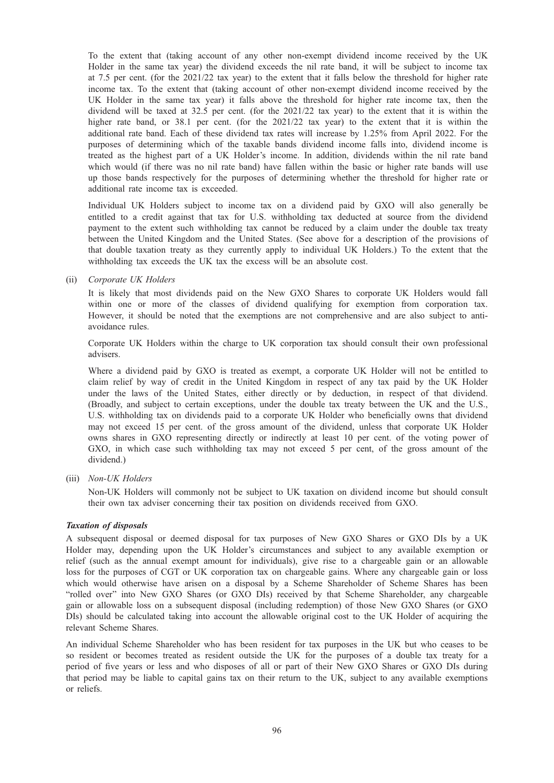To the extent that (taking account of any other non-exempt dividend income received by the UK Holder in the same tax year) the dividend exceeds the nil rate band, it will be subject to income tax at 7.5 per cent. (for the 2021/22 tax year) to the extent that it falls below the threshold for higher rate income tax. To the extent that (taking account of other non-exempt dividend income received by the UK Holder in the same tax year) it falls above the threshold for higher rate income tax, then the dividend will be taxed at 32.5 per cent. (for the 2021/22 tax year) to the extent that it is within the higher rate band, or 38.1 per cent. (for the 2021/22 tax year) to the extent that it is within the additional rate band. Each of these dividend tax rates will increase by 1.25% from April 2022. For the purposes of determining which of the taxable bands dividend income falls into, dividend income is treated as the highest part of a UK Holder's income. In addition, dividends within the nil rate band which would (if there was no nil rate band) have fallen within the basic or higher rate bands will use up those bands respectively for the purposes of determining whether the threshold for higher rate or additional rate income tax is exceeded.

Individual UK Holders subject to income tax on a dividend paid by GXO will also generally be entitled to a credit against that tax for U.S. withholding tax deducted at source from the dividend payment to the extent such withholding tax cannot be reduced by a claim under the double tax treaty between the United Kingdom and the United States. (See above for a description of the provisions of that double taxation treaty as they currently apply to individual UK Holders.) To the extent that the withholding tax exceeds the UK tax the excess will be an absolute cost.

### (ii) Corporate UK Holders

It is likely that most dividends paid on the New GXO Shares to corporate UK Holders would fall within one or more of the classes of dividend qualifying for exemption from corporation tax. However, it should be noted that the exemptions are not comprehensive and are also subject to antiavoidance rules.

Corporate UK Holders within the charge to UK corporation tax should consult their own professional advisers.

Where a dividend paid by GXO is treated as exempt, a corporate UK Holder will not be entitled to claim relief by way of credit in the United Kingdom in respect of any tax paid by the UK Holder under the laws of the United States, either directly or by deduction, in respect of that dividend. (Broadly, and subject to certain exceptions, under the double tax treaty between the UK and the U.S., U.S. withholding tax on dividends paid to a corporate UK Holder who beneficially owns that dividend may not exceed 15 per cent. of the gross amount of the dividend, unless that corporate UK Holder owns shares in GXO representing directly or indirectly at least 10 per cent. of the voting power of GXO, in which case such withholding tax may not exceed 5 per cent, of the gross amount of the dividend.)

(iii) Non-UK Holders

Non-UK Holders will commonly not be subject to UK taxation on dividend income but should consult their own tax adviser concerning their tax position on dividends received from GXO.

#### Taxation of disposals

A subsequent disposal or deemed disposal for tax purposes of New GXO Shares or GXO DIs by a UK Holder may, depending upon the UK Holder's circumstances and subject to any available exemption or relief (such as the annual exempt amount for individuals), give rise to a chargeable gain or an allowable loss for the purposes of CGT or UK corporation tax on chargeable gains. Where any chargeable gain or loss which would otherwise have arisen on a disposal by a Scheme Shareholder of Scheme Shares has been "rolled over" into New GXO Shares (or GXO DIs) received by that Scheme Shareholder, any chargeable gain or allowable loss on a subsequent disposal (including redemption) of those New GXO Shares (or GXO DIs) should be calculated taking into account the allowable original cost to the UK Holder of acquiring the relevant Scheme Shares.

An individual Scheme Shareholder who has been resident for tax purposes in the UK but who ceases to be so resident or becomes treated as resident outside the UK for the purposes of a double tax treaty for a period of five years or less and who disposes of all or part of their New GXO Shares or GXO DIs during that period may be liable to capital gains tax on their return to the UK, subject to any available exemptions or reliefs.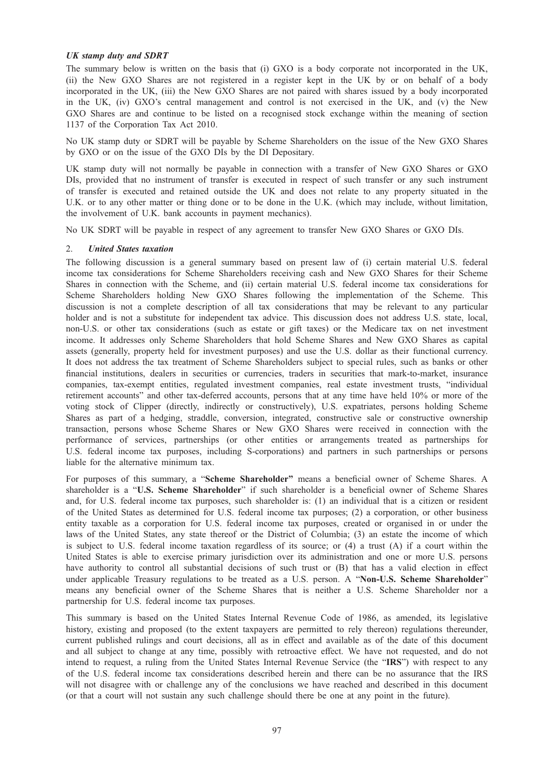### UK stamp duty and SDRT

The summary below is written on the basis that (i) GXO is a body corporate not incorporated in the UK, (ii) the New GXO Shares are not registered in a register kept in the UK by or on behalf of a body incorporated in the UK, (iii) the New GXO Shares are not paired with shares issued by a body incorporated in the UK, (iv) GXO's central management and control is not exercised in the UK, and (v) the New GXO Shares are and continue to be listed on a recognised stock exchange within the meaning of section 1137 of the Corporation Tax Act 2010.

No UK stamp duty or SDRT will be payable by Scheme Shareholders on the issue of the New GXO Shares by GXO or on the issue of the GXO DIs by the DI Depositary.

UK stamp duty will not normally be payable in connection with a transfer of New GXO Shares or GXO DIs, provided that no instrument of transfer is executed in respect of such transfer or any such instrument of transfer is executed and retained outside the UK and does not relate to any property situated in the U.K. or to any other matter or thing done or to be done in the U.K. (which may include, without limitation, the involvement of U.K. bank accounts in payment mechanics).

No UK SDRT will be payable in respect of any agreement to transfer New GXO Shares or GXO DIs.

### 2. United States taxation

The following discussion is a general summary based on present law of (i) certain material U.S. federal income tax considerations for Scheme Shareholders receiving cash and New GXO Shares for their Scheme Shares in connection with the Scheme, and (ii) certain material U.S. federal income tax considerations for Scheme Shareholders holding New GXO Shares following the implementation of the Scheme. This discussion is not a complete description of all tax considerations that may be relevant to any particular holder and is not a substitute for independent tax advice. This discussion does not address U.S. state, local, non-U.S. or other tax considerations (such as estate or gift taxes) or the Medicare tax on net investment income. It addresses only Scheme Shareholders that hold Scheme Shares and New GXO Shares as capital assets (generally, property held for investment purposes) and use the U.S. dollar as their functional currency. It does not address the tax treatment of Scheme Shareholders subject to special rules, such as banks or other financial institutions, dealers in securities or currencies, traders in securities that mark-to-market, insurance companies, tax-exempt entities, regulated investment companies, real estate investment trusts, "individual retirement accounts" and other tax-deferred accounts, persons that at any time have held 10% or more of the voting stock of Clipper (directly, indirectly or constructively), U.S. expatriates, persons holding Scheme Shares as part of a hedging, straddle, conversion, integrated, constructive sale or constructive ownership transaction, persons whose Scheme Shares or New GXO Shares were received in connection with the performance of services, partnerships (or other entities or arrangements treated as partnerships for U.S. federal income tax purposes, including S-corporations) and partners in such partnerships or persons liable for the alternative minimum tax.

For purposes of this summary, a "Scheme Shareholder" means a beneficial owner of Scheme Shares. A shareholder is a "U.S. Scheme Shareholder" if such shareholder is a beneficial owner of Scheme Shares and, for U.S. federal income tax purposes, such shareholder is: (1) an individual that is a citizen or resident of the United States as determined for U.S. federal income tax purposes; (2) a corporation, or other business entity taxable as a corporation for U.S. federal income tax purposes, created or organised in or under the laws of the United States, any state thereof or the District of Columbia; (3) an estate the income of which is subject to U.S. federal income taxation regardless of its source; or (4) a trust (A) if a court within the United States is able to exercise primary jurisdiction over its administration and one or more U.S. persons have authority to control all substantial decisions of such trust or (B) that has a valid election in effect under applicable Treasury regulations to be treated as a U.S. person. A "Non-U.S. Scheme Shareholder" means any beneficial owner of the Scheme Shares that is neither a U.S. Scheme Shareholder nor a partnership for U.S. federal income tax purposes.

This summary is based on the United States Internal Revenue Code of 1986, as amended, its legislative history, existing and proposed (to the extent taxpayers are permitted to rely thereon) regulations thereunder, current published rulings and court decisions, all as in effect and available as of the date of this document and all subject to change at any time, possibly with retroactive effect. We have not requested, and do not intend to request, a ruling from the United States Internal Revenue Service (the "IRS") with respect to any of the U.S. federal income tax considerations described herein and there can be no assurance that the IRS will not disagree with or challenge any of the conclusions we have reached and described in this document (or that a court will not sustain any such challenge should there be one at any point in the future).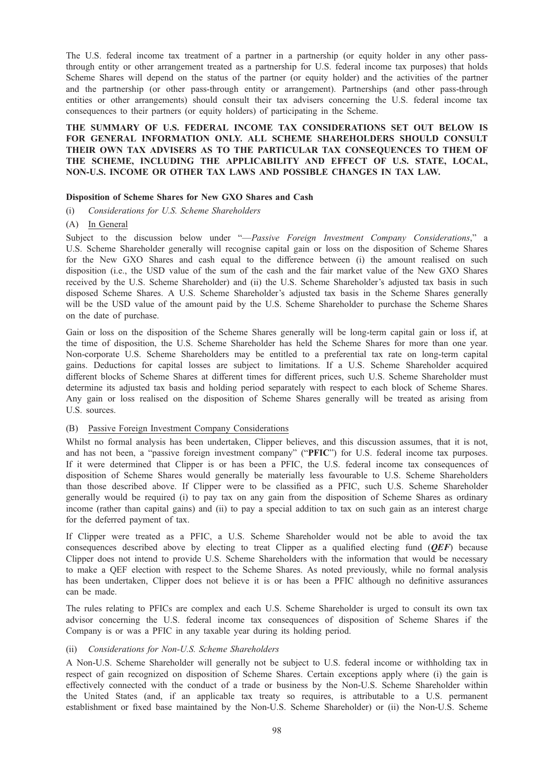The U.S. federal income tax treatment of a partner in a partnership (or equity holder in any other passthrough entity or other arrangement treated as a partnership for U.S. federal income tax purposes) that holds Scheme Shares will depend on the status of the partner (or equity holder) and the activities of the partner and the partnership (or other pass-through entity or arrangement). Partnerships (and other pass-through entities or other arrangements) should consult their tax advisers concerning the U.S. federal income tax consequences to their partners (or equity holders) of participating in the Scheme.

# THE SUMMARY OF U.S. FEDERAL INCOME TAX CONSIDERATIONS SET OUT BELOW IS FOR GENERAL INFORMATION ONLY. ALL SCHEME SHAREHOLDERS SHOULD CONSULT THEIR OWN TAX ADVISERS AS TO THE PARTICULAR TAX CONSEQUENCES TO THEM OF THE SCHEME, INCLUDING THE APPLICABILITY AND EFFECT OF U.S. STATE, LOCAL, NON-U.S. INCOME OR OTHER TAX LAWS AND POSSIBLE CHANGES IN TAX LAW.

#### Disposition of Scheme Shares for New GXO Shares and Cash

(i) Considerations for U.S. Scheme Shareholders

#### (A) In General

Subject to the discussion below under "—*Passive Foreign Investment Company Considerations*," a U.S. Scheme Shareholder generally will recognise capital gain or loss on the disposition of Scheme Shares for the New GXO Shares and cash equal to the difference between (i) the amount realised on such disposition (i.e., the USD value of the sum of the cash and the fair market value of the New GXO Shares received by the U.S. Scheme Shareholder) and (ii) the U.S. Scheme Shareholder's adjusted tax basis in such disposed Scheme Shares. A U.S. Scheme Shareholder's adjusted tax basis in the Scheme Shares generally will be the USD value of the amount paid by the U.S. Scheme Shareholder to purchase the Scheme Shares on the date of purchase.

Gain or loss on the disposition of the Scheme Shares generally will be long-term capital gain or loss if, at the time of disposition, the U.S. Scheme Shareholder has held the Scheme Shares for more than one year. Non-corporate U.S. Scheme Shareholders may be entitled to a preferential tax rate on long-term capital gains. Deductions for capital losses are subject to limitations. If a U.S. Scheme Shareholder acquired different blocks of Scheme Shares at different times for different prices, such U.S. Scheme Shareholder must determine its adjusted tax basis and holding period separately with respect to each block of Scheme Shares. Any gain or loss realised on the disposition of Scheme Shares generally will be treated as arising from U.S. sources.

#### (B) Passive Foreign Investment Company Considerations

Whilst no formal analysis has been undertaken, Clipper believes, and this discussion assumes, that it is not, and has not been, a "passive foreign investment company" ("PFIC") for U.S. federal income tax purposes. If it were determined that Clipper is or has been a PFIC, the U.S. federal income tax consequences of disposition of Scheme Shares would generally be materially less favourable to U.S. Scheme Shareholders than those described above. If Clipper were to be classified as a PFIC, such U.S. Scheme Shareholder generally would be required (i) to pay tax on any gain from the disposition of Scheme Shares as ordinary income (rather than capital gains) and (ii) to pay a special addition to tax on such gain as an interest charge for the deferred payment of tax.

If Clipper were treated as a PFIC, a U.S. Scheme Shareholder would not be able to avoid the tax consequences described above by electing to treat Clipper as a qualified electing fund  $(OEF)$  because Clipper does not intend to provide U.S. Scheme Shareholders with the information that would be necessary to make a QEF election with respect to the Scheme Shares. As noted previously, while no formal analysis has been undertaken, Clipper does not believe it is or has been a PFIC although no definitive assurances can be made.

The rules relating to PFICs are complex and each U.S. Scheme Shareholder is urged to consult its own tax advisor concerning the U.S. federal income tax consequences of disposition of Scheme Shares if the Company is or was a PFIC in any taxable year during its holding period.

#### (ii) Considerations for Non-U.S. Scheme Shareholders

A Non-U.S. Scheme Shareholder will generally not be subject to U.S. federal income or withholding tax in respect of gain recognized on disposition of Scheme Shares. Certain exceptions apply where (i) the gain is effectively connected with the conduct of a trade or business by the Non-U.S. Scheme Shareholder within the United States (and, if an applicable tax treaty so requires, is attributable to a U.S. permanent establishment or fixed base maintained by the Non-U.S. Scheme Shareholder) or (ii) the Non-U.S. Scheme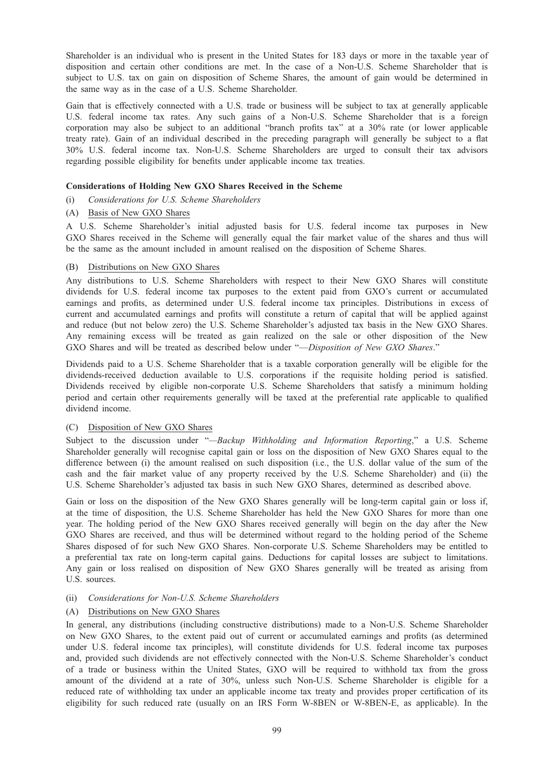Shareholder is an individual who is present in the United States for 183 days or more in the taxable year of disposition and certain other conditions are met. In the case of a Non-U.S. Scheme Shareholder that is subject to U.S. tax on gain on disposition of Scheme Shares, the amount of gain would be determined in the same way as in the case of a U.S. Scheme Shareholder.

Gain that is effectively connected with a U.S. trade or business will be subject to tax at generally applicable U.S. federal income tax rates. Any such gains of a Non-U.S. Scheme Shareholder that is a foreign corporation may also be subject to an additional "branch profits tax" at a 30% rate (or lower applicable treaty rate). Gain of an individual described in the preceding paragraph will generally be subject to a flat 30% U.S. federal income tax. Non-U.S. Scheme Shareholders are urged to consult their tax advisors regarding possible eligibility for benefits under applicable income tax treaties.

### Considerations of Holding New GXO Shares Received in the Scheme

- (i) Considerations for U.S. Scheme Shareholders
- (A) Basis of New GXO Shares

A U.S. Scheme Shareholder's initial adjusted basis for U.S. federal income tax purposes in New GXO Shares received in the Scheme will generally equal the fair market value of the shares and thus will be the same as the amount included in amount realised on the disposition of Scheme Shares.

### (B) Distributions on New GXO Shares

Any distributions to U.S. Scheme Shareholders with respect to their New GXO Shares will constitute dividends for U.S. federal income tax purposes to the extent paid from GXO's current or accumulated earnings and profits, as determined under U.S. federal income tax principles. Distributions in excess of current and accumulated earnings and profits will constitute a return of capital that will be applied against and reduce (but not below zero) the U.S. Scheme Shareholder's adjusted tax basis in the New GXO Shares. Any remaining excess will be treated as gain realized on the sale or other disposition of the New GXO Shares and will be treated as described below under "—Disposition of New GXO Shares."

Dividends paid to a U.S. Scheme Shareholder that is a taxable corporation generally will be eligible for the dividends-received deduction available to U.S. corporations if the requisite holding period is satisfied. Dividends received by eligible non-corporate U.S. Scheme Shareholders that satisfy a minimum holding period and certain other requirements generally will be taxed at the preferential rate applicable to qualified dividend income.

### (C) Disposition of New GXO Shares

Subject to the discussion under "-Backup Withholding and Information Reporting," a U.S. Scheme Shareholder generally will recognise capital gain or loss on the disposition of New GXO Shares equal to the difference between (i) the amount realised on such disposition (i.e., the U.S. dollar value of the sum of the cash and the fair market value of any property received by the U.S. Scheme Shareholder) and (ii) the U.S. Scheme Shareholder's adjusted tax basis in such New GXO Shares, determined as described above.

Gain or loss on the disposition of the New GXO Shares generally will be long-term capital gain or loss if, at the time of disposition, the U.S. Scheme Shareholder has held the New GXO Shares for more than one year. The holding period of the New GXO Shares received generally will begin on the day after the New GXO Shares are received, and thus will be determined without regard to the holding period of the Scheme Shares disposed of for such New GXO Shares. Non-corporate U.S. Scheme Shareholders may be entitled to a preferential tax rate on long-term capital gains. Deductions for capital losses are subject to limitations. Any gain or loss realised on disposition of New GXO Shares generally will be treated as arising from U.S. sources.

### (ii) Considerations for Non-U.S. Scheme Shareholders

### (A) Distributions on New GXO Shares

In general, any distributions (including constructive distributions) made to a Non-U.S. Scheme Shareholder on New GXO Shares, to the extent paid out of current or accumulated earnings and profits (as determined under U.S. federal income tax principles), will constitute dividends for U.S. federal income tax purposes and, provided such dividends are not effectively connected with the Non-U.S. Scheme Shareholder's conduct of a trade or business within the United States, GXO will be required to withhold tax from the gross amount of the dividend at a rate of 30%, unless such Non-U.S. Scheme Shareholder is eligible for a reduced rate of withholding tax under an applicable income tax treaty and provides proper certification of its eligibility for such reduced rate (usually on an IRS Form W-8BEN or W-8BEN-E, as applicable). In the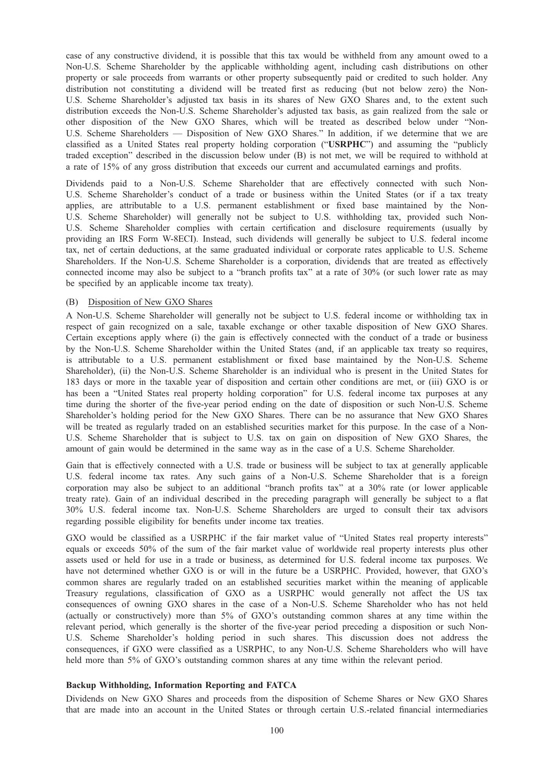case of any constructive dividend, it is possible that this tax would be withheld from any amount owed to a Non-U.S. Scheme Shareholder by the applicable withholding agent, including cash distributions on other property or sale proceeds from warrants or other property subsequently paid or credited to such holder. Any distribution not constituting a dividend will be treated first as reducing (but not below zero) the Non-U.S. Scheme Shareholder's adjusted tax basis in its shares of New GXO Shares and, to the extent such distribution exceeds the Non-U.S. Scheme Shareholder's adjusted tax basis, as gain realized from the sale or other disposition of the New GXO Shares, which will be treated as described below under "Non-U.S. Scheme Shareholders — Disposition of New GXO Shares." In addition, if we determine that we are classified as a United States real property holding corporation ("USRPHC") and assuming the "publicly traded exception" described in the discussion below under (B) is not met, we will be required to withhold at a rate of 15% of any gross distribution that exceeds our current and accumulated earnings and profits.

Dividends paid to a Non-U.S. Scheme Shareholder that are effectively connected with such Non-U.S. Scheme Shareholder's conduct of a trade or business within the United States (or if a tax treaty applies, are attributable to a U.S. permanent establishment or fixed base maintained by the Non-U.S. Scheme Shareholder) will generally not be subject to U.S. withholding tax, provided such Non-U.S. Scheme Shareholder complies with certain certification and disclosure requirements (usually by providing an IRS Form W-8ECI). Instead, such dividends will generally be subject to U.S. federal income tax, net of certain deductions, at the same graduated individual or corporate rates applicable to U.S. Scheme Shareholders. If the Non-U.S. Scheme Shareholder is a corporation, dividends that are treated as effectively connected income may also be subject to a "branch profits tax" at a rate of 30% (or such lower rate as may be specified by an applicable income tax treaty).

## (B) Disposition of New GXO Shares

A Non-U.S. Scheme Shareholder will generally not be subject to U.S. federal income or withholding tax in respect of gain recognized on a sale, taxable exchange or other taxable disposition of New GXO Shares. Certain exceptions apply where (i) the gain is effectively connected with the conduct of a trade or business by the Non-U.S. Scheme Shareholder within the United States (and, if an applicable tax treaty so requires, is attributable to a U.S. permanent establishment or fixed base maintained by the Non-U.S. Scheme Shareholder), (ii) the Non-U.S. Scheme Shareholder is an individual who is present in the United States for 183 days or more in the taxable year of disposition and certain other conditions are met, or (iii) GXO is or has been a "United States real property holding corporation" for U.S. federal income tax purposes at any time during the shorter of the five-year period ending on the date of disposition or such Non-U.S. Scheme Shareholder's holding period for the New GXO Shares. There can be no assurance that New GXO Shares will be treated as regularly traded on an established securities market for this purpose. In the case of a Non-U.S. Scheme Shareholder that is subject to U.S. tax on gain on disposition of New GXO Shares, the amount of gain would be determined in the same way as in the case of a U.S. Scheme Shareholder.

Gain that is effectively connected with a U.S. trade or business will be subject to tax at generally applicable U.S. federal income tax rates. Any such gains of a Non-U.S. Scheme Shareholder that is a foreign corporation may also be subject to an additional "branch profits tax" at a 30% rate (or lower applicable treaty rate). Gain of an individual described in the preceding paragraph will generally be subject to a flat 30% U.S. federal income tax. Non-U.S. Scheme Shareholders are urged to consult their tax advisors regarding possible eligibility for benefits under income tax treaties.

GXO would be classified as a USRPHC if the fair market value of "United States real property interests" equals or exceeds 50% of the sum of the fair market value of worldwide real property interests plus other assets used or held for use in a trade or business, as determined for U.S. federal income tax purposes. We have not determined whether GXO is or will in the future be a USRPHC. Provided, however, that GXO's common shares are regularly traded on an established securities market within the meaning of applicable Treasury regulations, classification of GXO as a USRPHC would generally not affect the US tax consequences of owning GXO shares in the case of a Non-U.S. Scheme Shareholder who has not held (actually or constructively) more than 5% of GXO's outstanding common shares at any time within the relevant period, which generally is the shorter of the five-year period preceding a disposition or such Non-U.S. Scheme Shareholder's holding period in such shares. This discussion does not address the consequences, if GXO were classified as a USRPHC, to any Non-U.S. Scheme Shareholders who will have held more than 5% of GXO's outstanding common shares at any time within the relevant period.

#### Backup Withholding, Information Reporting and FATCA

Dividends on New GXO Shares and proceeds from the disposition of Scheme Shares or New GXO Shares that are made into an account in the United States or through certain U.S.-related financial intermediaries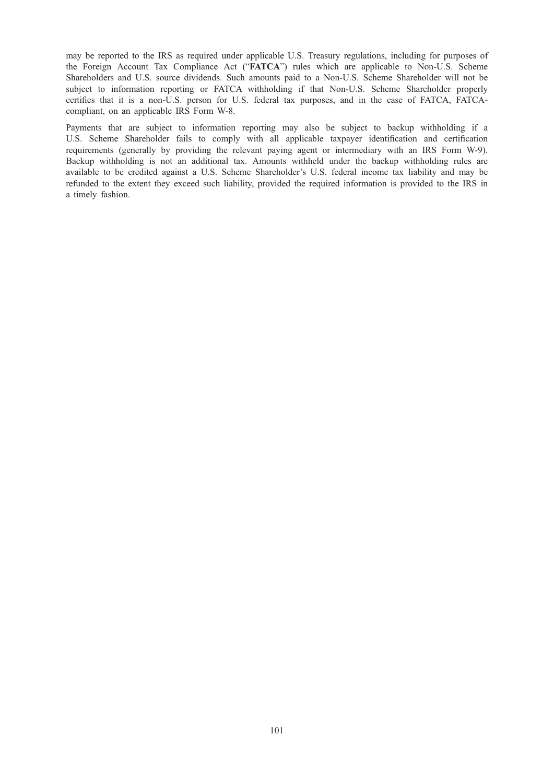may be reported to the IRS as required under applicable U.S. Treasury regulations, including for purposes of the Foreign Account Tax Compliance Act ("FATCA") rules which are applicable to Non-U.S. Scheme Shareholders and U.S. source dividends. Such amounts paid to a Non-U.S. Scheme Shareholder will not be subject to information reporting or FATCA withholding if that Non-U.S. Scheme Shareholder properly certifies that it is a non-U.S. person for U.S. federal tax purposes, and in the case of FATCA, FATCAcompliant, on an applicable IRS Form W-8.

Payments that are subject to information reporting may also be subject to backup withholding if a U.S. Scheme Shareholder fails to comply with all applicable taxpayer identification and certification requirements (generally by providing the relevant paying agent or intermediary with an IRS Form W-9). Backup withholding is not an additional tax. Amounts withheld under the backup withholding rules are available to be credited against a U.S. Scheme Shareholder's U.S. federal income tax liability and may be refunded to the extent they exceed such liability, provided the required information is provided to the IRS in a timely fashion.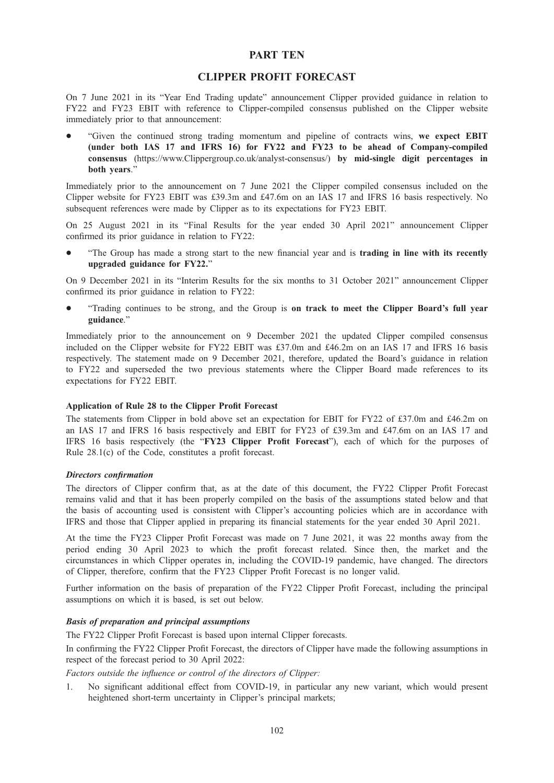# PART TEN

# CLIPPER PROFIT FORECAST

On 7 June 2021 in its "Year End Trading update" announcement Clipper provided guidance in relation to FY22 and FY23 EBIT with reference to Clipper-compiled consensus published on the Clipper website immediately prior to that announcement:

\* "Given the continued strong trading momentum and pipeline of contracts wins, we expect EBIT (under both IAS 17 and IFRS 16) for FY22 and FY23 to be ahead of Company-compiled consensus (https://www.Clippergroup.co.uk/analyst-consensus/) by mid-single digit percentages in both years."

Immediately prior to the announcement on 7 June 2021 the Clipper compiled consensus included on the Clipper website for FY23 EBIT was £39.3m and £47.6m on an IAS 17 and IFRS 16 basis respectively. No subsequent references were made by Clipper as to its expectations for FY23 EBIT.

On 25 August 2021 in its "Final Results for the year ended 30 April 2021" announcement Clipper confirmed its prior guidance in relation to FY22:

\* "The Group has made a strong start to the new financial year and is trading in line with its recently upgraded guidance for FY22."

On 9 December 2021 in its "Interim Results for the six months to 31 October 2021" announcement Clipper confirmed its prior guidance in relation to FY22:

\* "Trading continues to be strong, and the Group is on track to meet the Clipper Board's full year guidance."

Immediately prior to the announcement on 9 December 2021 the updated Clipper compiled consensus included on the Clipper website for FY22 EBIT was £37.0m and £46.2m on an IAS 17 and IFRS 16 basis respectively. The statement made on 9 December 2021, therefore, updated the Board's guidance in relation to FY22 and superseded the two previous statements where the Clipper Board made references to its expectations for FY22 EBIT.

### Application of Rule 28 to the Clipper Profit Forecast

The statements from Clipper in bold above set an expectation for EBIT for FY22 of £37.0m and £46.2m on an IAS 17 and IFRS 16 basis respectively and EBIT for FY23 of £39.3m and £47.6m on an IAS 17 and IFRS 16 basis respectively (the "FY23 Clipper Profit Forecast"), each of which for the purposes of Rule 28.1(c) of the Code, constitutes a profit forecast.

### Directors confirmation

The directors of Clipper confirm that, as at the date of this document, the FY22 Clipper Profit Forecast remains valid and that it has been properly compiled on the basis of the assumptions stated below and that the basis of accounting used is consistent with Clipper's accounting policies which are in accordance with IFRS and those that Clipper applied in preparing its financial statements for the year ended 30 April 2021.

At the time the FY23 Clipper Profit Forecast was made on 7 June 2021, it was 22 months away from the period ending 30 April 2023 to which the profit forecast related. Since then, the market and the circumstances in which Clipper operates in, including the COVID-19 pandemic, have changed. The directors of Clipper, therefore, confirm that the FY23 Clipper Profit Forecast is no longer valid.

Further information on the basis of preparation of the FY22 Clipper Profit Forecast, including the principal assumptions on which it is based, is set out below.

# Basis of preparation and principal assumptions

The FY22 Clipper Profit Forecast is based upon internal Clipper forecasts.

In confirming the FY22 Clipper Profit Forecast, the directors of Clipper have made the following assumptions in respect of the forecast period to 30 April 2022:

Factors outside the influence or control of the directors of Clipper:

1. No significant additional effect from COVID-19, in particular any new variant, which would present heightened short-term uncertainty in Clipper's principal markets;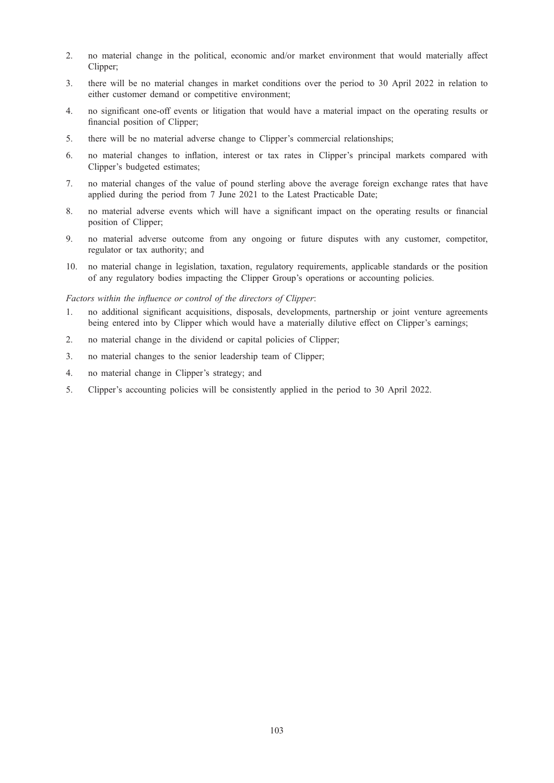- 2. no material change in the political, economic and/or market environment that would materially affect Clipper;
- 3. there will be no material changes in market conditions over the period to 30 April 2022 in relation to either customer demand or competitive environment;
- 4. no significant one-off events or litigation that would have a material impact on the operating results or financial position of Clipper;
- 5. there will be no material adverse change to Clipper's commercial relationships;
- 6. no material changes to inflation, interest or tax rates in Clipper's principal markets compared with Clipper's budgeted estimates;
- 7. no material changes of the value of pound sterling above the average foreign exchange rates that have applied during the period from 7 June 2021 to the Latest Practicable Date;
- 8. no material adverse events which will have a significant impact on the operating results or financial position of Clipper;
- 9. no material adverse outcome from any ongoing or future disputes with any customer, competitor, regulator or tax authority; and
- 10. no material change in legislation, taxation, regulatory requirements, applicable standards or the position of any regulatory bodies impacting the Clipper Group's operations or accounting policies.

### Factors within the influence or control of the directors of Clipper:

- 1. no additional significant acquisitions, disposals, developments, partnership or joint venture agreements being entered into by Clipper which would have a materially dilutive effect on Clipper's earnings;
- 2. no material change in the dividend or capital policies of Clipper;
- 3. no material changes to the senior leadership team of Clipper;
- 4. no material change in Clipper's strategy; and
- 5. Clipper's accounting policies will be consistently applied in the period to 30 April 2022.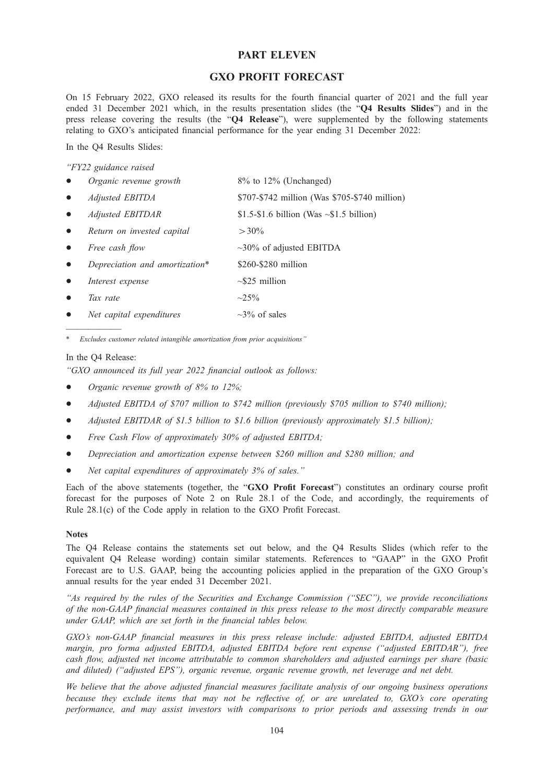# PART ELEVEN

# GXO PROFIT FORECAST

On 15 February 2022, GXO released its results for the fourth financial quarter of 2021 and the full year ended 31 December 2021 which, in the results presentation slides (the "Q4 Results Slides") and in the press release covering the results (the "Q4 Release"), were supplemented by the following statements relating to GXO's anticipated financial performance for the year ending 31 December 2022:

In the Q4 Results Slides:

"FY22 guidance raised

|           | Organic revenue growth         | $8\%$ to 12% (Unchanged)                       |
|-----------|--------------------------------|------------------------------------------------|
|           | Adjusted EBITDA                | \$707-\$742 million (Was \$705-\$740 million)  |
|           | Adjusted EBITDAR               | \$1.5-\$1.6 billion (Was $\sim$ \$1.5 billion) |
| $\bullet$ | Return on invested capital     | $>30\%$                                        |
| $\bullet$ | Free cash flow                 | $\sim$ 30% of adjusted EBITDA                  |
|           | Depreciation and amortization* | \$260-\$280 million                            |
|           | Interest expense               | $\sim$ \$25 million                            |
|           | Tax rate                       | $\sim 25\%$                                    |
|           | Net capital expenditures       | $\sim$ 3% of sales                             |

————— Excludes customer related intangible amortization from prior acquisitions"

#### In the Q4 Release:

"GXO announced its full year 2022 financial outlook as follows:

- Organic revenue growth of  $8\%$  to  $12\%$ ;
- Adjusted EBITDA of \$707 million to \$742 million (previously \$705 million to \$740 million);
- Adjusted EBITDAR of \$1.5 billion to \$1.6 billion (previously approximately \$1.5 billion);
- Free Cash Flow of approximately 30% of adjusted EBITDA;
- Depreciation and amortization expense between \$260 million and \$280 million; and
- Net capital expenditures of approximately 3% of sales."

Each of the above statements (together, the "GXO Profit Forecast") constitutes an ordinary course profit forecast for the purposes of Note 2 on Rule 28.1 of the Code, and accordingly, the requirements of Rule 28.1(c) of the Code apply in relation to the GXO Profit Forecast.

### Notes

The Q4 Release contains the statements set out below, and the Q4 Results Slides (which refer to the equivalent Q4 Release wording) contain similar statements. References to "GAAP" in the GXO Profit Forecast are to U.S. GAAP, being the accounting policies applied in the preparation of the GXO Group's annual results for the year ended 31 December 2021.

"As required by the rules of the Securities and Exchange Commission ("SEC"), we provide reconciliations of the non-GAAP financial measures contained in this press release to the most directly comparable measure under GAAP, which are set forth in the financial tables below.

GXO's non-GAAP financial measures in this press release include: adjusted EBITDA, adjusted EBITDA margin, pro forma adjusted EBITDA, adjusted EBITDA before rent expense ("adjusted EBITDAR"), free cash flow, adjusted net income attributable to common shareholders and adjusted earnings per share (basic and diluted) ("adjusted EPS"), organic revenue, organic revenue growth, net leverage and net debt.

We believe that the above adjusted financial measures facilitate analysis of our ongoing business operations because they exclude items that may not be reflective of, or are unrelated to, GXO's core operating performance, and may assist investors with comparisons to prior periods and assessing trends in our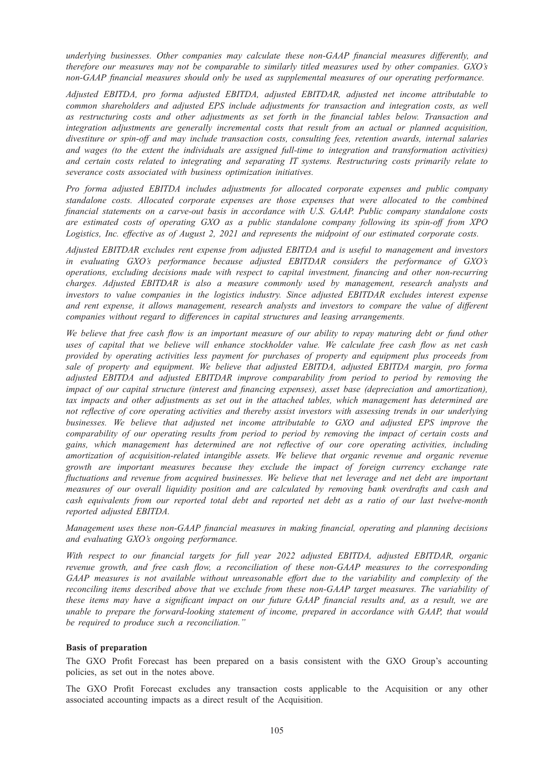underlying businesses. Other companies may calculate these non-GAAP financial measures differently, and therefore our measures may not be comparable to similarly titled measures used by other companies. GXO's non-GAAP financial measures should only be used as supplemental measures of our operating performance.

Adjusted EBITDA, pro forma adjusted EBITDA, adjusted EBITDAR, adjusted net income attributable to common shareholders and adjusted EPS include adjustments for transaction and integration costs, as well as restructuring costs and other adjustments as set forth in the financial tables below. Transaction and integration adjustments are generally incremental costs that result from an actual or planned acquisition, divestiture or spin-off and may include transaction costs, consulting fees, retention awards, internal salaries and wages (to the extent the individuals are assigned full-time to integration and transformation activities) and certain costs related to integrating and separating IT systems. Restructuring costs primarily relate to severance costs associated with business optimization initiatives.

Pro forma adjusted EBITDA includes adjustments for allocated corporate expenses and public company standalone costs. Allocated corporate expenses are those expenses that were allocated to the combined financial statements on a carve-out basis in accordance with U.S. GAAP. Public company standalone costs are estimated costs of operating GXO as a public standalone company following its spin-off from XPO Logistics, Inc. effective as of August 2, 2021 and represents the midpoint of our estimated corporate costs.

Adjusted EBITDAR excludes rent expense from adjusted EBITDA and is useful to management and investors in evaluating GXO's performance because adjusted EBITDAR considers the performance of GXO's operations, excluding decisions made with respect to capital investment, financing and other non-recurring charges. Adjusted EBITDAR is also a measure commonly used by management, research analysts and investors to value companies in the logistics industry. Since adjusted EBITDAR excludes interest expense and rent expense, it allows management, research analysts and investors to compare the value of different companies without regard to differences in capital structures and leasing arrangements.

We believe that free cash flow is an important measure of our ability to repay maturing debt or fund other uses of capital that we believe will enhance stockholder value. We calculate free cash flow as net cash provided by operating activities less payment for purchases of property and equipment plus proceeds from sale of property and equipment. We believe that adjusted EBITDA, adjusted EBITDA margin, pro forma adjusted EBITDA and adjusted EBITDAR improve comparability from period to period by removing the impact of our capital structure (interest and financing expenses), asset base (depreciation and amortization), tax impacts and other adjustments as set out in the attached tables, which management has determined are not reflective of core operating activities and thereby assist investors with assessing trends in our underlying businesses. We believe that adjusted net income attributable to GXO and adjusted EPS improve the comparability of our operating results from period to period by removing the impact of certain costs and gains, which management has determined are not reflective of our core operating activities, including amortization of acquisition-related intangible assets. We believe that organic revenue and organic revenue growth are important measures because they exclude the impact of foreign currency exchange rate fluctuations and revenue from acquired businesses. We believe that net leverage and net debt are important measures of our overall liquidity position and are calculated by removing bank overdrafts and cash and cash equivalents from our reported total debt and reported net debt as a ratio of our last twelve-month reported adjusted EBITDA.

Management uses these non-GAAP financial measures in making financial, operating and planning decisions and evaluating GXO's ongoing performance.

With respect to our financial targets for full year 2022 adjusted EBITDA, adjusted EBITDAR, organic revenue growth, and free cash flow, a reconciliation of these non-GAAP measures to the corresponding GAAP measures is not available without unreasonable effort due to the variability and complexity of the reconciling items described above that we exclude from these non-GAAP target measures. The variability of these items may have a significant impact on our future GAAP financial results and, as a result, we are unable to prepare the forward-looking statement of income, prepared in accordance with GAAP, that would be required to produce such a reconciliation."

#### Basis of preparation

The GXO Profit Forecast has been prepared on a basis consistent with the GXO Group's accounting policies, as set out in the notes above.

The GXO Profit Forecast excludes any transaction costs applicable to the Acquisition or any other associated accounting impacts as a direct result of the Acquisition.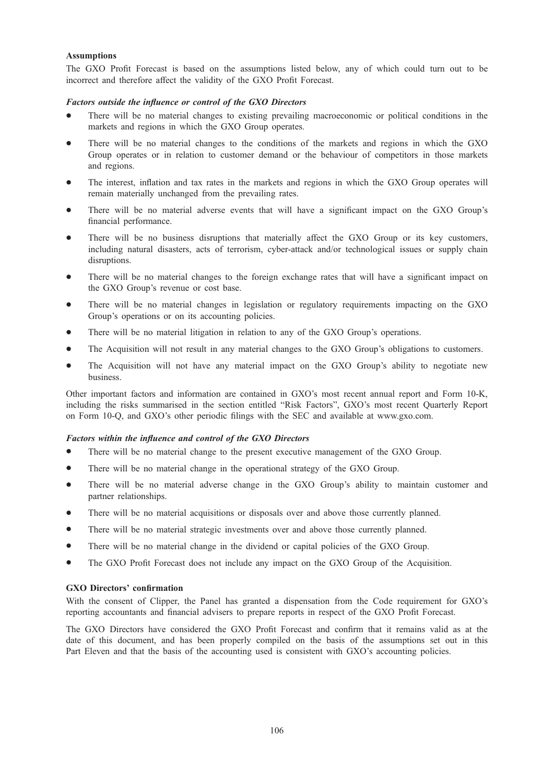### Assumptions

The GXO Profit Forecast is based on the assumptions listed below, any of which could turn out to be incorrect and therefore affect the validity of the GXO Profit Forecast.

### Factors outside the influence or control of the GXO Directors

- There will be no material changes to existing prevailing macroeconomic or political conditions in the markets and regions in which the GXO Group operates.
- There will be no material changes to the conditions of the markets and regions in which the GXO Group operates or in relation to customer demand or the behaviour of competitors in those markets and regions.
- The interest, inflation and tax rates in the markets and regions in which the GXO Group operates will remain materially unchanged from the prevailing rates.
- \* There will be no material adverse events that will have a significant impact on the GXO Group's financial performance.
- There will be no business disruptions that materially affect the GXO Group or its key customers, including natural disasters, acts of terrorism, cyber-attack and/or technological issues or supply chain disruptions.
- There will be no material changes to the foreign exchange rates that will have a significant impact on the GXO Group's revenue or cost base.
- There will be no material changes in legislation or regulatory requirements impacting on the GXO Group's operations or on its accounting policies.
- There will be no material litigation in relation to any of the GXO Group's operations.
- The Acquisition will not result in any material changes to the GXO Group's obligations to customers.
- The Acquisition will not have any material impact on the GXO Group's ability to negotiate new business.

Other important factors and information are contained in GXO's most recent annual report and Form 10-K, including the risks summarised in the section entitled "Risk Factors", GXO's most recent Quarterly Report on Form 10-Q, and GXO's other periodic filings with the SEC and available at www.gxo.com.

#### Factors within the influence and control of the GXO Directors

- There will be no material change to the present executive management of the GXO Group.
- There will be no material change in the operational strategy of the GXO Group.
- There will be no material adverse change in the GXO Group's ability to maintain customer and partner relationships.
- \* There will be no material acquisitions or disposals over and above those currently planned.
- There will be no material strategic investments over and above those currently planned.
- There will be no material change in the dividend or capital policies of the GXO Group.
- The GXO Profit Forecast does not include any impact on the GXO Group of the Acquisition.

### GXO Directors' confirmation

With the consent of Clipper, the Panel has granted a dispensation from the Code requirement for GXO's reporting accountants and financial advisers to prepare reports in respect of the GXO Profit Forecast.

The GXO Directors have considered the GXO Profit Forecast and confirm that it remains valid as at the date of this document, and has been properly compiled on the basis of the assumptions set out in this Part Eleven and that the basis of the accounting used is consistent with GXO's accounting policies.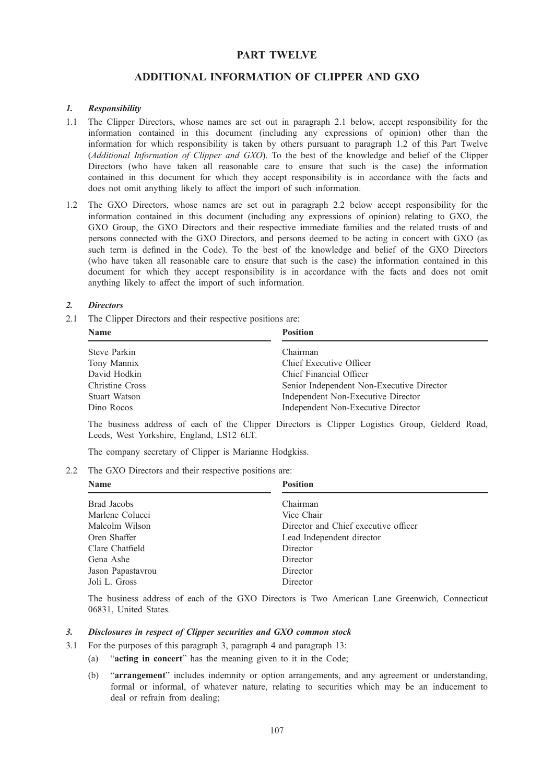# PART TWELVE

# ADDITIONAL INFORMATION OF CLIPPER AND GXO

#### 1. Responsibility

- 1.1 The Clipper Directors, whose names are set out in paragraph 2.1 below, accept responsibility for the information contained in this document (including any expressions of opinion) other than the information for which responsibility is taken by others pursuant to paragraph 1.2 of this Part Twelve (Additional Information of Clipper and GXO). To the best of the knowledge and belief of the Clipper Directors (who have taken all reasonable care to ensure that such is the case) the information contained in this document for which they accept responsibility is in accordance with the facts and does not omit anything likely to affect the import of such information.
- 1.2 The GXO Directors, whose names are set out in paragraph 2.2 below accept responsibility for the information contained in this document (including any expressions of opinion) relating to GXO, the GXO Group, the GXO Directors and their respective immediate families and the related trusts of and persons connected with the GXO Directors, and persons deemed to be acting in concert with GXO (as such term is defined in the Code). To the best of the knowledge and belief of the GXO Directors (who have taken all reasonable care to ensure that such is the case) the information contained in this document for which they accept responsibility is in accordance with the facts and does not omit anything likely to affect the import of such information.

#### 2. Directors

2.1 The Clipper Directors and their respective positions are:

| <b>Name</b>            | <b>Position</b>                           |
|------------------------|-------------------------------------------|
| Steve Parkin           | Chairman                                  |
| Tony Mannix            | Chief Executive Officer                   |
| David Hodkin           | Chief Financial Officer                   |
| <b>Christine Cross</b> | Senior Independent Non-Executive Director |
| Stuart Watson          | Independent Non-Executive Director        |
| Dino Rocos             | Independent Non-Executive Director        |

The business address of each of the Clipper Directors is Clipper Logistics Group, Gelderd Road, Leeds, West Yorkshire, England, LS12 6LT.

The company secretary of Clipper is Marianne Hodgkiss.

2.2 The GXO Directors and their respective positions are:

| <b>Name</b>       | <b>Position</b>                      |  |  |
|-------------------|--------------------------------------|--|--|
| Brad Jacobs       | Chairman                             |  |  |
| Marlene Colucci   | Vice Chair                           |  |  |
| Malcolm Wilson    | Director and Chief executive officer |  |  |
| Oren Shaffer      | Lead Independent director            |  |  |
| Clare Chatfield   | Director                             |  |  |
| Gena Ashe         | Director                             |  |  |
| Jason Papastavrou | Director                             |  |  |
| Joli L. Gross     | Director                             |  |  |

The business address of each of the GXO Directors is Two American Lane Greenwich, Connecticut 06831, United States.

## 3. Disclosures in respect of Clipper securities and GXO common stock

- 3.1 For the purposes of this paragraph 3, paragraph 4 and paragraph 13:
	- (a) "acting in concert" has the meaning given to it in the Code;
	- (b) "arrangement" includes indemnity or option arrangements, and any agreement or understanding, formal or informal, of whatever nature, relating to securities which may be an inducement to deal or refrain from dealing;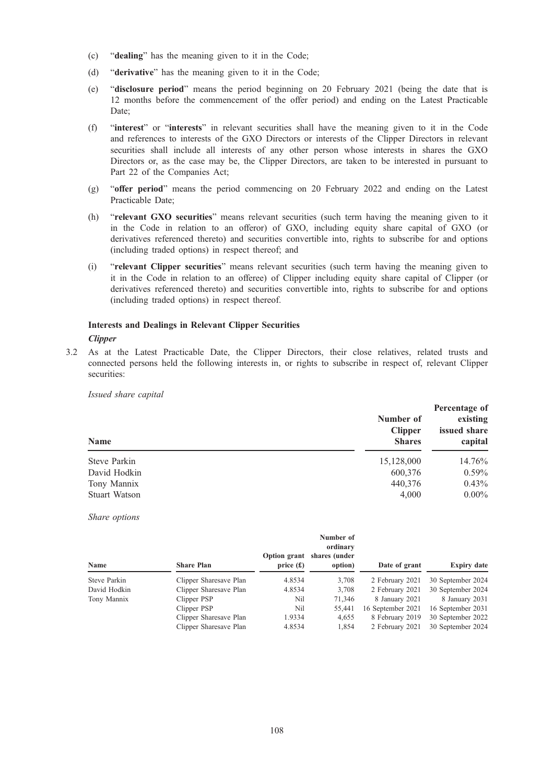- (c) "dealing" has the meaning given to it in the Code;
- (d) "derivative" has the meaning given to it in the Code;
- (e) "disclosure period" means the period beginning on 20 February 2021 (being the date that is 12 months before the commencement of the offer period) and ending on the Latest Practicable Date;
- (f) "interest" or "interests" in relevant securities shall have the meaning given to it in the Code and references to interests of the GXO Directors or interests of the Clipper Directors in relevant securities shall include all interests of any other person whose interests in shares the GXO Directors or, as the case may be, the Clipper Directors, are taken to be interested in pursuant to Part 22 of the Companies Act;
- (g) "offer period" means the period commencing on 20 February 2022 and ending on the Latest Practicable Date;
- (h) "relevant GXO securities" means relevant securities (such term having the meaning given to it in the Code in relation to an offeror) of GXO, including equity share capital of GXO (or derivatives referenced thereto) and securities convertible into, rights to subscribe for and options (including traded options) in respect thereof; and
- (i) "relevant Clipper securities" means relevant securities (such term having the meaning given to it in the Code in relation to an offeree) of Clipper including equity share capital of Clipper (or derivatives referenced thereto) and securities convertible into, rights to subscribe for and options (including traded options) in respect thereof.

# Interests and Dealings in Relevant Clipper Securities **Clipper**

3.2 As at the Latest Practicable Date, the Clipper Directors, their close relatives, related trusts and connected persons held the following interests in, or rights to subscribe in respect of, relevant Clipper securities:

Issued share capital

| Name          | Number of<br><b>Clipper</b><br><b>Shares</b> | Percentage of<br>existing<br>issued share<br>capital |
|---------------|----------------------------------------------|------------------------------------------------------|
| Steve Parkin  | 15,128,000                                   | 14.76%                                               |
| David Hodkin  | 600,376                                      | $0.59\%$                                             |
| Tony Mannix   | 440,376                                      | $0.43\%$                                             |
| Stuart Watson | 4.000                                        | $0.00\%$                                             |

Share options

| <b>Name</b>  | <b>Share Plan</b>      | <b>Option grant</b><br>price $(f)$ | Number of<br>ordinary<br>shares (under<br>option) | Date of grant     | <b>Expiry date</b> |
|--------------|------------------------|------------------------------------|---------------------------------------------------|-------------------|--------------------|
| Steve Parkin | Clipper Sharesave Plan | 4.8534                             | 3,708                                             | 2 February 2021   | 30 September 2024  |
| David Hodkin | Clipper Sharesave Plan | 4.8534                             | 3,708                                             | 2 February 2021   | 30 September 2024  |
| Tony Mannix  | Clipper PSP            | Nil                                | 71,346                                            | 8 January 2021    | 8 January 2031     |
|              | Clipper PSP            | Nil                                | 55,441                                            | 16 September 2021 | 16 September 2031  |
|              | Clipper Sharesave Plan | 1.9334                             | 4,655                                             | 8 February 2019   | 30 September 2022  |
|              | Clipper Sharesave Plan | 4.8534                             | 1.854                                             | 2 February 2021   | 30 September 2024  |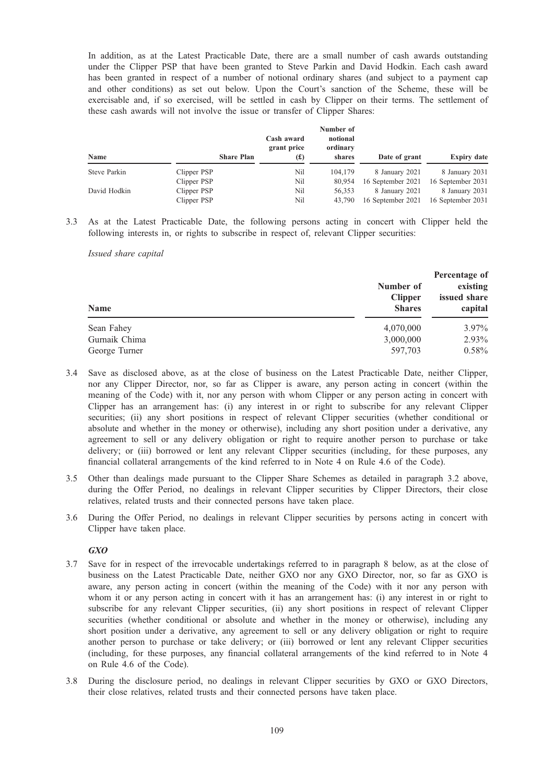In addition, as at the Latest Practicable Date, there are a small number of cash awards outstanding under the Clipper PSP that have been granted to Steve Parkin and David Hodkin. Each cash award has been granted in respect of a number of notional ordinary shares (and subject to a payment cap and other conditions) as set out below. Upon the Court's sanction of the Scheme, these will be exercisable and, if so exercised, will be settled in cash by Clipper on their terms. The settlement of these cash awards will not involve the issue or transfer of Clipper Shares:

| <b>Name</b>  | <b>Share Plan</b> | Cash award<br>grant price<br>$f(\textbf{f})$ | Number of<br>notional<br>ordinary<br>shares | Date of grant     | <b>Expiry date</b> |
|--------------|-------------------|----------------------------------------------|---------------------------------------------|-------------------|--------------------|
| Steve Parkin | Clipper PSP       | Nil                                          | 104,179                                     | 8 January 2021    | 8 January 2031     |
|              | Clipper PSP       | Nil                                          | 80,954                                      | 16 September 2021 | 16 September 2031  |
| David Hodkin | Clipper PSP       | Nil                                          | 56.353                                      | 8 January 2021    | 8 January 2031     |
|              | Clipper PSP       | Nil                                          | 43,790                                      | 16 September 2021 | 16 September 2031  |

3.3 As at the Latest Practicable Date, the following persons acting in concert with Clipper held the following interests in, or rights to subscribe in respect of, relevant Clipper securities:

Issued share capital

| <b>Name</b>                    | Number of<br><b>Clipper</b><br><b>Shares</b> | Percentage of<br>existing<br>issued share<br>capital |  |
|--------------------------------|----------------------------------------------|------------------------------------------------------|--|
| Sean Fahey                     | 4,070,000                                    | 3.97%                                                |  |
| Gurnaik Chima<br>George Turner | 3,000,000<br>597,703                         | 2.93%<br>$0.58\%$                                    |  |

- 3.4 Save as disclosed above, as at the close of business on the Latest Practicable Date, neither Clipper, nor any Clipper Director, nor, so far as Clipper is aware, any person acting in concert (within the meaning of the Code) with it, nor any person with whom Clipper or any person acting in concert with Clipper has an arrangement has: (i) any interest in or right to subscribe for any relevant Clipper securities; (ii) any short positions in respect of relevant Clipper securities (whether conditional or absolute and whether in the money or otherwise), including any short position under a derivative, any agreement to sell or any delivery obligation or right to require another person to purchase or take delivery; or (iii) borrowed or lent any relevant Clipper securities (including, for these purposes, any financial collateral arrangements of the kind referred to in Note 4 on Rule 4.6 of the Code).
- 3.5 Other than dealings made pursuant to the Clipper Share Schemes as detailed in paragraph 3.2 above, during the Offer Period, no dealings in relevant Clipper securities by Clipper Directors, their close relatives, related trusts and their connected persons have taken place.
- 3.6 During the Offer Period, no dealings in relevant Clipper securities by persons acting in concert with Clipper have taken place.

GXO

- 3.7 Save for in respect of the irrevocable undertakings referred to in paragraph 8 below, as at the close of business on the Latest Practicable Date, neither GXO nor any GXO Director, nor, so far as GXO is aware, any person acting in concert (within the meaning of the Code) with it nor any person with whom it or any person acting in concert with it has an arrangement has: (i) any interest in or right to subscribe for any relevant Clipper securities, (ii) any short positions in respect of relevant Clipper securities (whether conditional or absolute and whether in the money or otherwise), including any short position under a derivative, any agreement to sell or any delivery obligation or right to require another person to purchase or take delivery; or (iii) borrowed or lent any relevant Clipper securities (including, for these purposes, any financial collateral arrangements of the kind referred to in Note 4 on Rule 4.6 of the Code).
- 3.8 During the disclosure period, no dealings in relevant Clipper securities by GXO or GXO Directors, their close relatives, related trusts and their connected persons have taken place.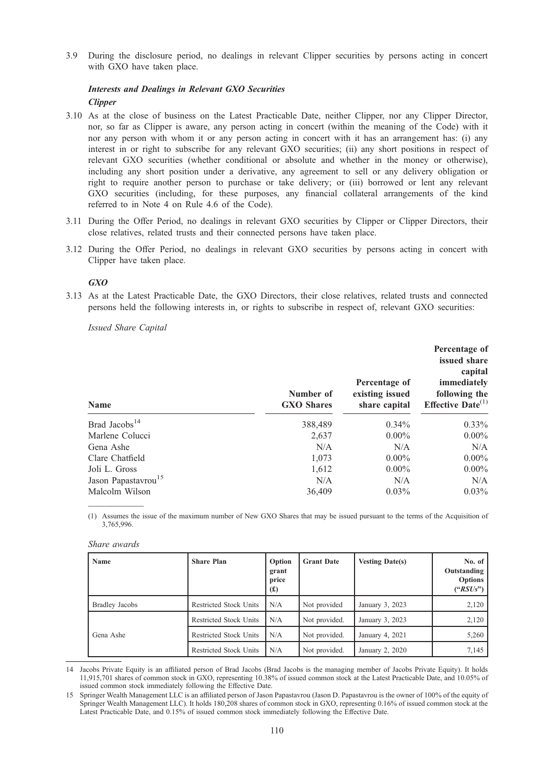3.9 During the disclosure period, no dealings in relevant Clipper securities by persons acting in concert with GXO have taken place.

# Interests and Dealings in Relevant GXO Securities

**Clipper** 

- 3.10 As at the close of business on the Latest Practicable Date, neither Clipper, nor any Clipper Director, nor, so far as Clipper is aware, any person acting in concert (within the meaning of the Code) with it nor any person with whom it or any person acting in concert with it has an arrangement has: (i) any interest in or right to subscribe for any relevant GXO securities; (ii) any short positions in respect of relevant GXO securities (whether conditional or absolute and whether in the money or otherwise), including any short position under a derivative, any agreement to sell or any delivery obligation or right to require another person to purchase or take delivery; or (iii) borrowed or lent any relevant GXO securities (including, for these purposes, any financial collateral arrangements of the kind referred to in Note 4 on Rule 4.6 of the Code).
- 3.11 During the Offer Period, no dealings in relevant GXO securities by Clipper or Clipper Directors, their close relatives, related trusts and their connected persons have taken place.
- 3.12 During the Offer Period, no dealings in relevant GXO securities by persons acting in concert with Clipper have taken place.

## GXO

3.13 As at the Latest Practicable Date, the GXO Directors, their close relatives, related trusts and connected persons held the following interests in, or rights to subscribe in respect of, relevant GXO securities:

Issued Share Capital

| <b>Name</b>                     | Number of<br><b>GXO Shares</b> | Percentage of<br>existing issued<br>share capital | Percentage of<br>issued share<br>capital<br>immediately<br>following the<br>Effective Date $^{(1)}$ |
|---------------------------------|--------------------------------|---------------------------------------------------|-----------------------------------------------------------------------------------------------------|
| Brad Jacobs <sup>14</sup>       | 388,489                        | $0.34\%$                                          | $0.33\%$                                                                                            |
| Marlene Colucci                 | 2.637                          | $0.00\%$                                          | $0.00\%$                                                                                            |
| Gena Ashe                       | N/A                            | N/A                                               | N/A                                                                                                 |
| Clare Chatfield                 | 1,073                          | $0.00\%$                                          | $0.00\%$                                                                                            |
| Joli L. Gross                   | 1,612                          | $0.00\%$                                          | $0.00\%$                                                                                            |
| Jason Papastavrou <sup>15</sup> | N/A                            | N/A                                               | N/A                                                                                                 |
| Malcolm Wilson                  | 36,409                         | $0.03\%$                                          | $0.03\%$                                                                                            |

————— (1) Assumes the issue of the maximum number of New GXO Shares that may be issued pursuant to the terms of the Acquisition of 3,765,996.

| Share awards |  |
|--------------|--|
|              |  |

| Name                  | <b>Share Plan</b>             | Option<br>grant<br>price<br>$(\pounds)$ | <b>Grant Date</b> | <b>Vesting Date(s)</b> | No. of $\vert$<br>Outstanding<br><b>Options</b><br>$(*RSUs")$ |
|-----------------------|-------------------------------|-----------------------------------------|-------------------|------------------------|---------------------------------------------------------------|
| <b>Bradley Jacobs</b> | <b>Restricted Stock Units</b> | N/A                                     | Not provided      | January 3, 2023        | 2,120                                                         |
|                       | <b>Restricted Stock Units</b> | N/A                                     | Not provided.     | January 3, 2023        | 2,120                                                         |
| Gena Ashe             | Restricted Stock Units        | N/A                                     | Not provided.     | January 4, 2021        | 5,260                                                         |
|                       | Restricted Stock Units        | N/A                                     | Not provided.     | January 2, 2020        | 7,145                                                         |

14 Jacobs Private Equity is an affiliated person of Brad Jacobs (Brad Jacobs is the managing member of Jacobs Private Equity). It holds 11,915,701 shares of common stock in GXO, representing 10.38% of issued common stock at the Latest Practicable Date, and 10.05% of issued common stock immediately following the Effective Date.

<sup>15</sup> Springer Wealth Management LLC is an affiliated person of Jason Papastavrou (Jason D. Papastavrou is the owner of 100% of the equity of Springer Wealth Management LLC). It holds 180,208 shares of common stock in GXO, representing 0.16% of issued common stock at the Latest Practicable Date, and 0.15% of issued common stock immediately following the Effective Date.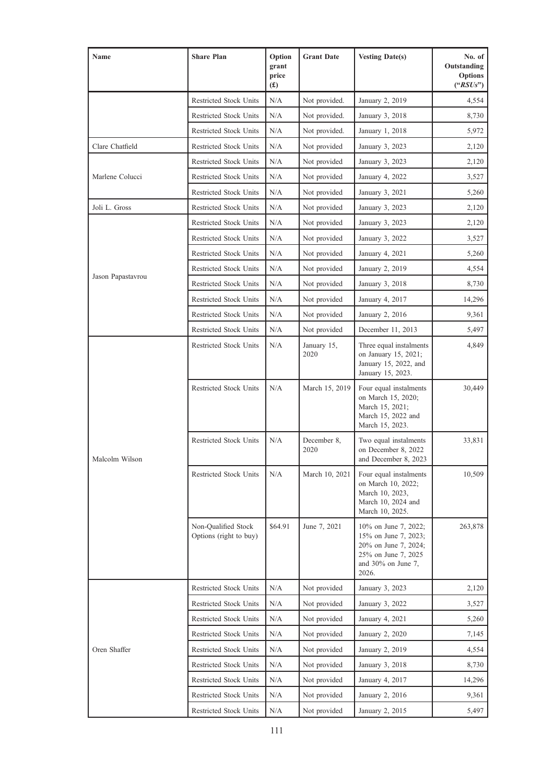| Name              | <b>Share Plan</b>                             | Option<br>grant<br>price<br>(f(x)) | <b>Grant Date</b>   | <b>Vesting Date(s)</b>                                                                                                     | No. of<br>Outstanding<br><b>Options</b><br>$(*RSUs")$ |
|-------------------|-----------------------------------------------|------------------------------------|---------------------|----------------------------------------------------------------------------------------------------------------------------|-------------------------------------------------------|
|                   | <b>Restricted Stock Units</b>                 | N/A                                | Not provided.       | January 2, 2019                                                                                                            | 4,554                                                 |
|                   | <b>Restricted Stock Units</b>                 | N/A                                | Not provided.       | January 3, 2018                                                                                                            | 8,730                                                 |
|                   | <b>Restricted Stock Units</b>                 | N/A                                | Not provided.       | January 1, 2018                                                                                                            | 5,972                                                 |
| Clare Chatfield   | <b>Restricted Stock Units</b>                 | N/A                                | Not provided        | January 3, 2023                                                                                                            | 2,120                                                 |
|                   | <b>Restricted Stock Units</b>                 | N/A                                | Not provided        | January 3, 2023                                                                                                            | 2,120                                                 |
| Marlene Colucci   | <b>Restricted Stock Units</b>                 | N/A                                | Not provided        | January 4, 2022                                                                                                            | 3,527                                                 |
|                   | <b>Restricted Stock Units</b>                 | N/A                                | Not provided        | January 3, 2021                                                                                                            | 5,260                                                 |
| Joli L. Gross     | <b>Restricted Stock Units</b>                 | N/A                                | Not provided        | January 3, 2023                                                                                                            | 2,120                                                 |
|                   | <b>Restricted Stock Units</b>                 | N/A                                | Not provided        | January 3, 2023                                                                                                            | 2,120                                                 |
|                   | <b>Restricted Stock Units</b>                 | N/A                                | Not provided        | January 3, 2022                                                                                                            | 3,527                                                 |
|                   | <b>Restricted Stock Units</b>                 | N/A                                | Not provided        | January 4, 2021                                                                                                            | 5,260                                                 |
|                   | <b>Restricted Stock Units</b>                 | N/A                                | Not provided        | January 2, 2019                                                                                                            | 4,554                                                 |
| Jason Papastavrou | <b>Restricted Stock Units</b>                 | N/A                                | Not provided        | January 3, 2018                                                                                                            | 8,730                                                 |
|                   | <b>Restricted Stock Units</b>                 | N/A                                | Not provided        | January 4, 2017                                                                                                            | 14,296                                                |
|                   | <b>Restricted Stock Units</b>                 | N/A                                | Not provided        | January 2, 2016                                                                                                            | 9,361                                                 |
|                   | <b>Restricted Stock Units</b>                 | N/A                                | Not provided        | December 11, 2013                                                                                                          | 5,497                                                 |
|                   | <b>Restricted Stock Units</b>                 | N/A                                | January 15,<br>2020 | Three equal instalments<br>on January 15, 2021;<br>January 15, 2022, and<br>January 15, 2023.                              | 4,849                                                 |
|                   | <b>Restricted Stock Units</b>                 | N/A                                | March 15, 2019      | Four equal instalments<br>on March 15, 2020;<br>March 15, 2021;<br>March 15, 2022 and<br>March 15, 2023.                   | 30,449                                                |
| Malcolm Wilson    | <b>Restricted Stock Units</b>                 | N/A                                | December 8,<br>2020 | Two equal instalments<br>on December 8, 2022<br>and December 8, 2023                                                       | 33,831                                                |
|                   | Restricted Stock Units                        | N/A                                | March 10, 2021      | Four equal instalments<br>on March 10, 2022;<br>March 10, 2023,<br>March 10, 2024 and<br>March 10, 2025.                   | 10,509                                                |
|                   | Non-Qualified Stock<br>Options (right to buy) | \$64.91                            | June 7, 2021        | 10% on June 7, 2022;<br>15% on June 7, 2023;<br>20% on June 7, 2024;<br>25% on June 7, 2025<br>and 30% on June 7,<br>2026. | 263,878                                               |
|                   | Restricted Stock Units                        | N/A                                | Not provided        | January 3, 2023                                                                                                            | 2,120                                                 |
|                   | Restricted Stock Units                        | N/A                                | Not provided        | January 3, 2022                                                                                                            | 3,527                                                 |
|                   | Restricted Stock Units                        | N/A                                | Not provided        | January 4, 2021                                                                                                            | 5,260                                                 |
|                   | <b>Restricted Stock Units</b>                 | N/A                                | Not provided        | January 2, 2020                                                                                                            | 7,145                                                 |
| Oren Shaffer      | Restricted Stock Units                        | N/A                                | Not provided        | January 2, 2019                                                                                                            | 4,554                                                 |
|                   | Restricted Stock Units                        | N/A                                | Not provided        | January 3, 2018                                                                                                            | 8,730                                                 |
|                   | <b>Restricted Stock Units</b>                 | N/A                                | Not provided        | January 4, 2017                                                                                                            | 14,296                                                |
|                   | <b>Restricted Stock Units</b>                 | N/A                                | Not provided        | January 2, 2016                                                                                                            | 9,361                                                 |
|                   | Restricted Stock Units                        | N/A                                | Not provided        | January 2, 2015                                                                                                            | 5,497                                                 |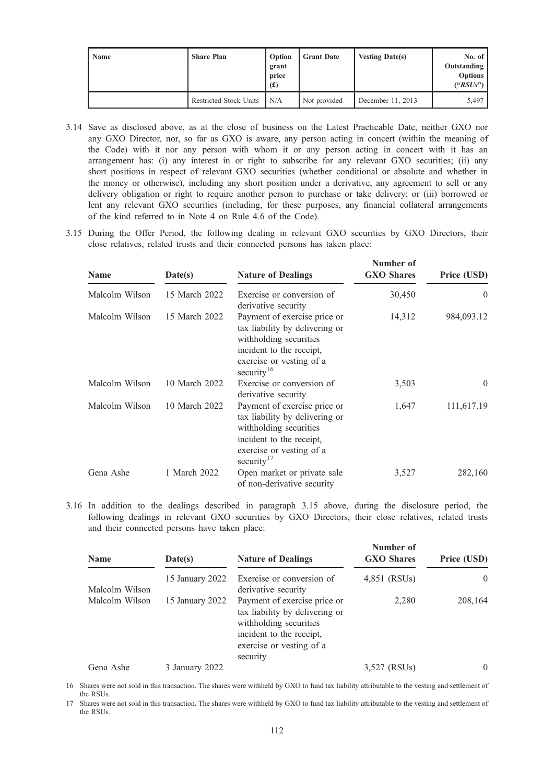| Name | <b>Share Plan</b>             | Option<br>grant<br>price<br>$(\textbf{\textsterling})$ | <b>Grant Date</b> | <b>Vesting Date(s)</b> | No. of $\prime$<br>Outstanding<br><b>Options</b><br>$(*RSUs")$ |
|------|-------------------------------|--------------------------------------------------------|-------------------|------------------------|----------------------------------------------------------------|
|      | <b>Restricted Stock Units</b> | N/A                                                    | Not provided      | December 11, 2013      | 5,497                                                          |

- 3.14 Save as disclosed above, as at the close of business on the Latest Practicable Date, neither GXO nor any GXO Director, nor, so far as GXO is aware, any person acting in concert (within the meaning of the Code) with it nor any person with whom it or any person acting in concert with it has an arrangement has: (i) any interest in or right to subscribe for any relevant GXO securities; (ii) any short positions in respect of relevant GXO securities (whether conditional or absolute and whether in the money or otherwise), including any short position under a derivative, any agreement to sell or any delivery obligation or right to require another person to purchase or take delivery; or (iii) borrowed or lent any relevant GXO securities (including, for these purposes, any financial collateral arrangements of the kind referred to in Note 4 on Rule 4.6 of the Code).
- 3.15 During the Offer Period, the following dealing in relevant GXO securities by GXO Directors, their close relatives, related trusts and their connected persons has taken place:

| <b>Name</b>    | Date(s)       | <b>Nature of Dealings</b>                                                                                                                                                  | Number of<br><b>GXO</b> Shares | Price (USD) |
|----------------|---------------|----------------------------------------------------------------------------------------------------------------------------------------------------------------------------|--------------------------------|-------------|
| Malcolm Wilson | 15 March 2022 | Exercise or conversion of<br>derivative security                                                                                                                           | 30,450                         | $\theta$    |
| Malcolm Wilson | 15 March 2022 | Payment of exercise price or<br>tax liability by delivering or<br>withholding securities<br>incident to the receipt,<br>exercise or vesting of a<br>security <sup>16</sup> | 14,312                         | 984,093.12  |
| Malcolm Wilson | 10 March 2022 | Exercise or conversion of<br>derivative security                                                                                                                           | 3,503                          | $\theta$    |
| Malcolm Wilson | 10 March 2022 | Payment of exercise price or<br>tax liability by delivering or<br>withholding securities<br>incident to the receipt,<br>exercise or vesting of a<br>security $17$          | 1,647                          | 111,617.19  |
| Gena Ashe      | 1 March 2022  | Open market or private sale<br>of non-derivative security                                                                                                                  | 3,527                          | 282,160     |

3.16 In addition to the dealings described in paragraph 3.15 above, during the disclosure period, the following dealings in relevant GXO securities by GXO Directors, their close relatives, related trusts and their connected persons have taken place:

| <b>Name</b>    | Date(s)         | <b>Nature of Dealings</b>                                                                                                                                    | Number of<br><b>GXO</b> Shares | Price (USD) |
|----------------|-----------------|--------------------------------------------------------------------------------------------------------------------------------------------------------------|--------------------------------|-------------|
| Malcolm Wilson | 15 January 2022 | Exercise or conversion of<br>derivative security                                                                                                             | 4,851 (RSUs)                   | $\theta$    |
| Malcolm Wilson | 15 January 2022 | Payment of exercise price or<br>tax liability by delivering or<br>withholding securities<br>incident to the receipt,<br>exercise or vesting of a<br>security | 2,280                          | 208,164     |
| Gena Ashe      | 3 January 2022  |                                                                                                                                                              | 3,527 (RSUs)                   | $\theta$    |

16 Shares were not sold in this transaction. The shares were withheld by GXO to fund tax liability attributable to the vesting and settlement of the RSUs.

17 Shares were not sold in this transaction. The shares were withheld by GXO to fund tax liability attributable to the vesting and settlement of the RSUs.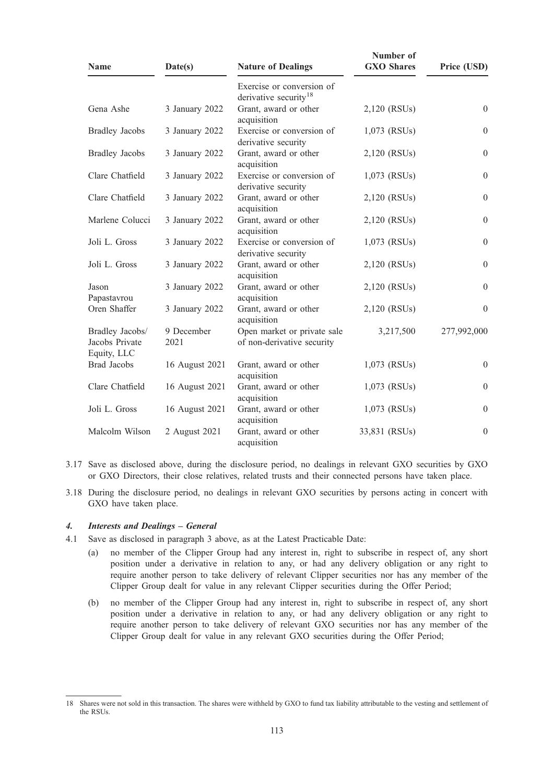| <b>Name</b>                                      | Date(s)            | <b>Nature of Dealings</b>                                      | Number of<br><b>GXO</b> Shares | Price (USD)      |
|--------------------------------------------------|--------------------|----------------------------------------------------------------|--------------------------------|------------------|
|                                                  |                    | Exercise or conversion of<br>derivative security <sup>18</sup> |                                |                  |
| Gena Ashe                                        | 3 January 2022     | Grant, award or other<br>acquisition                           | 2,120 (RSUs)                   | $\theta$         |
| <b>Bradley Jacobs</b>                            | 3 January 2022     | Exercise or conversion of<br>derivative security               | 1,073 (RSUs)                   | $\theta$         |
| <b>Bradley Jacobs</b>                            | 3 January 2022     | Grant, award or other<br>acquisition                           | 2,120 (RSUs)                   | $\theta$         |
| Clare Chatfield                                  | 3 January 2022     | Exercise or conversion of<br>derivative security               | 1,073 (RSUs)                   | $\theta$         |
| Clare Chatfield                                  | 3 January 2022     | Grant, award or other<br>acquisition                           | 2,120 (RSUs)                   | $\theta$         |
| Marlene Colucci                                  | 3 January 2022     | Grant, award or other<br>acquisition                           | 2,120 (RSUs)                   | $\boldsymbol{0}$ |
| Joli L. Gross                                    | 3 January 2022     | Exercise or conversion of<br>derivative security               | 1,073 (RSUs)                   | $\mathbf{0}$     |
| Joli L. Gross                                    | 3 January 2022     | Grant, award or other<br>acquisition                           | 2,120 (RSUs)                   | $\boldsymbol{0}$ |
| Jason<br>Papastavrou                             | 3 January 2022     | Grant, award or other<br>acquisition                           | 2,120 (RSUs)                   | $\theta$         |
| Oren Shaffer                                     | 3 January 2022     | Grant, award or other<br>acquisition                           | 2,120 (RSUs)                   | $\theta$         |
| Bradley Jacobs/<br>Jacobs Private<br>Equity, LLC | 9 December<br>2021 | Open market or private sale<br>of non-derivative security      | 3,217,500                      | 277,992,000      |
| <b>Brad Jacobs</b>                               | 16 August 2021     | Grant, award or other<br>acquisition                           | $1,073$ (RSUs)                 | $\theta$         |
| Clare Chatfield                                  | 16 August 2021     | Grant, award or other<br>acquisition                           | 1,073 (RSUs)                   | $\mathbf{0}$     |
| Joli L. Gross                                    | 16 August 2021     | Grant, award or other<br>acquisition                           | 1,073 (RSUs)                   | $\theta$         |
| Malcolm Wilson                                   | 2 August 2021      | Grant, award or other<br>acquisition                           | 33,831 (RSUs)                  | $\mathbf{0}$     |

- 3.17 Save as disclosed above, during the disclosure period, no dealings in relevant GXO securities by GXO or GXO Directors, their close relatives, related trusts and their connected persons have taken place.
- 3.18 During the disclosure period, no dealings in relevant GXO securities by persons acting in concert with GXO have taken place.

# 4. Interests and Dealings – General

- 4.1 Save as disclosed in paragraph 3 above, as at the Latest Practicable Date:
	- (a) no member of the Clipper Group had any interest in, right to subscribe in respect of, any short position under a derivative in relation to any, or had any delivery obligation or any right to require another person to take delivery of relevant Clipper securities nor has any member of the Clipper Group dealt for value in any relevant Clipper securities during the Offer Period;
	- (b) no member of the Clipper Group had any interest in, right to subscribe in respect of, any short position under a derivative in relation to any, or had any delivery obligation or any right to require another person to take delivery of relevant GXO securities nor has any member of the Clipper Group dealt for value in any relevant GXO securities during the Offer Period;

<sup>18</sup> Shares were not sold in this transaction. The shares were withheld by GXO to fund tax liability attributable to the vesting and settlement of the RSUs.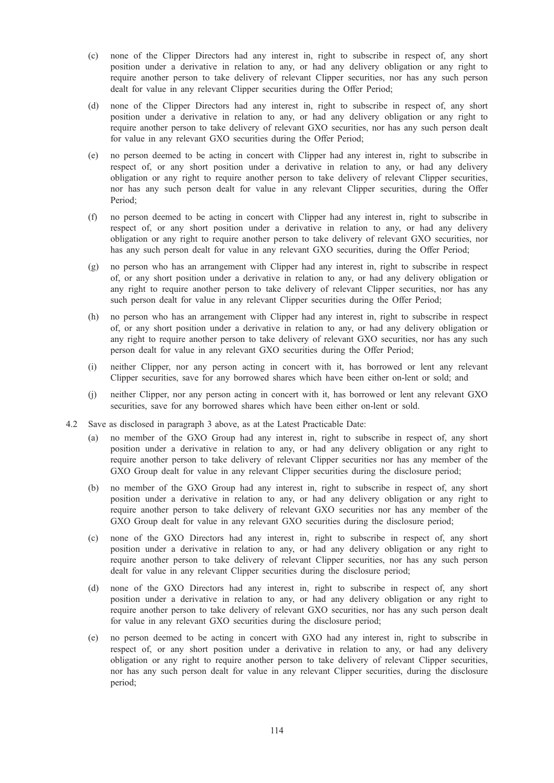- (c) none of the Clipper Directors had any interest in, right to subscribe in respect of, any short position under a derivative in relation to any, or had any delivery obligation or any right to require another person to take delivery of relevant Clipper securities, nor has any such person dealt for value in any relevant Clipper securities during the Offer Period;
- (d) none of the Clipper Directors had any interest in, right to subscribe in respect of, any short position under a derivative in relation to any, or had any delivery obligation or any right to require another person to take delivery of relevant GXO securities, nor has any such person dealt for value in any relevant GXO securities during the Offer Period;
- (e) no person deemed to be acting in concert with Clipper had any interest in, right to subscribe in respect of, or any short position under a derivative in relation to any, or had any delivery obligation or any right to require another person to take delivery of relevant Clipper securities, nor has any such person dealt for value in any relevant Clipper securities, during the Offer Period;
- (f) no person deemed to be acting in concert with Clipper had any interest in, right to subscribe in respect of, or any short position under a derivative in relation to any, or had any delivery obligation or any right to require another person to take delivery of relevant GXO securities, nor has any such person dealt for value in any relevant GXO securities, during the Offer Period;
- (g) no person who has an arrangement with Clipper had any interest in, right to subscribe in respect of, or any short position under a derivative in relation to any, or had any delivery obligation or any right to require another person to take delivery of relevant Clipper securities, nor has any such person dealt for value in any relevant Clipper securities during the Offer Period;
- (h) no person who has an arrangement with Clipper had any interest in, right to subscribe in respect of, or any short position under a derivative in relation to any, or had any delivery obligation or any right to require another person to take delivery of relevant GXO securities, nor has any such person dealt for value in any relevant GXO securities during the Offer Period;
- (i) neither Clipper, nor any person acting in concert with it, has borrowed or lent any relevant Clipper securities, save for any borrowed shares which have been either on-lent or sold; and
- (j) neither Clipper, nor any person acting in concert with it, has borrowed or lent any relevant GXO securities, save for any borrowed shares which have been either on-lent or sold.
- 4.2 Save as disclosed in paragraph 3 above, as at the Latest Practicable Date:
	- (a) no member of the GXO Group had any interest in, right to subscribe in respect of, any short position under a derivative in relation to any, or had any delivery obligation or any right to require another person to take delivery of relevant Clipper securities nor has any member of the GXO Group dealt for value in any relevant Clipper securities during the disclosure period;
	- (b) no member of the GXO Group had any interest in, right to subscribe in respect of, any short position under a derivative in relation to any, or had any delivery obligation or any right to require another person to take delivery of relevant GXO securities nor has any member of the GXO Group dealt for value in any relevant GXO securities during the disclosure period;
	- (c) none of the GXO Directors had any interest in, right to subscribe in respect of, any short position under a derivative in relation to any, or had any delivery obligation or any right to require another person to take delivery of relevant Clipper securities, nor has any such person dealt for value in any relevant Clipper securities during the disclosure period;
	- (d) none of the GXO Directors had any interest in, right to subscribe in respect of, any short position under a derivative in relation to any, or had any delivery obligation or any right to require another person to take delivery of relevant GXO securities, nor has any such person dealt for value in any relevant GXO securities during the disclosure period;
	- (e) no person deemed to be acting in concert with GXO had any interest in, right to subscribe in respect of, or any short position under a derivative in relation to any, or had any delivery obligation or any right to require another person to take delivery of relevant Clipper securities, nor has any such person dealt for value in any relevant Clipper securities, during the disclosure period;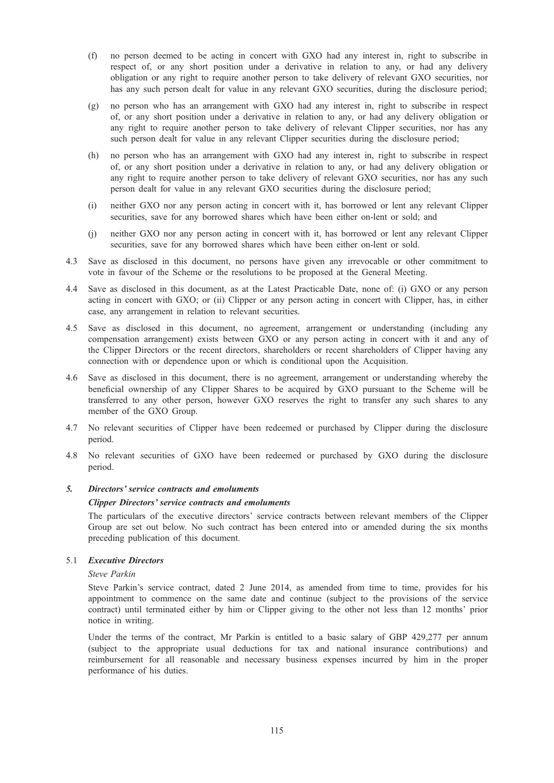- (f) no person deemed to be acting in concert with GXO had any interest in, right to subscribe in respect of, or any short position under a derivative in relation to any, or had any delivery obligation or any right to require another person to take delivery of relevant GXO securities, nor has any such person dealt for value in any relevant GXO securities, during the disclosure period;
- (g) no person who has an arrangement with GXO had any interest in, right to subscribe in respect of, or any short position under a derivative in relation to any, or had any delivery obligation or any right to require another person to take delivery of relevant Clipper securities, nor has any such person dealt for value in any relevant Clipper securities during the disclosure period;
- (h) no person who has an arrangement with GXO had any interest in, right to subscribe in respect of, or any short position under a derivative in relation to any, or had any delivery obligation or any right to require another person to take delivery of relevant GXO securities, nor has any such person dealt for value in any relevant GXO securities during the disclosure period;
- (i) neither GXO nor any person acting in concert with it, has borrowed or lent any relevant Clipper securities, save for any borrowed shares which have been either on-lent or sold; and
- (j) neither GXO nor any person acting in concert with it, has borrowed or lent any relevant Clipper securities, save for any borrowed shares which have been either on-lent or sold.
- 4.3 Save as disclosed in this document, no persons have given any irrevocable or other commitment to vote in favour of the Scheme or the resolutions to be proposed at the General Meeting.
- 4.4 Save as disclosed in this document, as at the Latest Practicable Date, none of: (i) GXO or any person acting in concert with GXO; or (ii) Clipper or any person acting in concert with Clipper, has, in either case, any arrangement in relation to relevant securities.
- 4.5 Save as disclosed in this document, no agreement, arrangement or understanding (including any compensation arrangement) exists between GXO or any person acting in concert with it and any of the Clipper Directors or the recent directors, shareholders or recent shareholders of Clipper having any connection with or dependence upon or which is conditional upon the Acquisition.
- 4.6 Save as disclosed in this document, there is no agreement, arrangement or understanding whereby the beneficial ownership of any Clipper Shares to be acquired by GXO pursuant to the Scheme will be transferred to any other person, however GXO reserves the right to transfer any such shares to any member of the GXO Group.
- 4.7 No relevant securities of Clipper have been redeemed or purchased by Clipper during the disclosure period.
- 4.8 No relevant securities of GXO have been redeemed or purchased by GXO during the disclosure period.

# 5. Directors' service contracts and emoluments

#### Clipper Directors' service contracts and emoluments

The particulars of the executive directors' service contracts between relevant members of the Clipper Group are set out below. No such contract has been entered into or amended during the six months preceding publication of this document.

#### 5.1 Executive Directors

# Steve Parkin

Steve Parkin's service contract, dated 2 June 2014, as amended from time to time, provides for his appointment to commence on the same date and continue (subject to the provisions of the service contract) until terminated either by him or Clipper giving to the other not less than 12 months' prior notice in writing.

Under the terms of the contract, Mr Parkin is entitled to a basic salary of GBP 429,277 per annum (subject to the appropriate usual deductions for tax and national insurance contributions) and reimbursement for all reasonable and necessary business expenses incurred by him in the proper performance of his duties.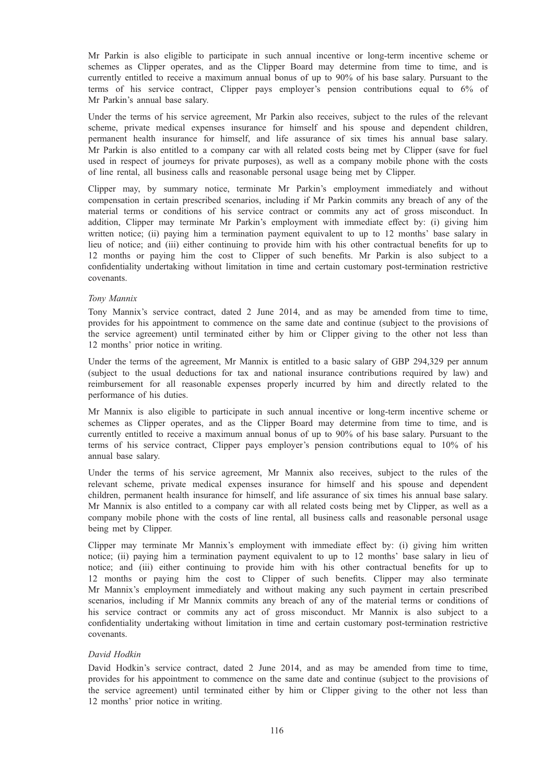Mr Parkin is also eligible to participate in such annual incentive or long-term incentive scheme or schemes as Clipper operates, and as the Clipper Board may determine from time to time, and is currently entitled to receive a maximum annual bonus of up to 90% of his base salary. Pursuant to the terms of his service contract, Clipper pays employer's pension contributions equal to 6% of Mr Parkin's annual base salary.

Under the terms of his service agreement, Mr Parkin also receives, subject to the rules of the relevant scheme, private medical expenses insurance for himself and his spouse and dependent children, permanent health insurance for himself, and life assurance of six times his annual base salary. Mr Parkin is also entitled to a company car with all related costs being met by Clipper (save for fuel used in respect of journeys for private purposes), as well as a company mobile phone with the costs of line rental, all business calls and reasonable personal usage being met by Clipper.

Clipper may, by summary notice, terminate Mr Parkin's employment immediately and without compensation in certain prescribed scenarios, including if Mr Parkin commits any breach of any of the material terms or conditions of his service contract or commits any act of gross misconduct. In addition, Clipper may terminate Mr Parkin's employment with immediate effect by: (i) giving him written notice; (ii) paying him a termination payment equivalent to up to 12 months' base salary in lieu of notice; and (iii) either continuing to provide him with his other contractual benefits for up to 12 months or paying him the cost to Clipper of such benefits. Mr Parkin is also subject to a confidentiality undertaking without limitation in time and certain customary post-termination restrictive covenants.

#### Tony Mannix

Tony Mannix's service contract, dated 2 June 2014, and as may be amended from time to time, provides for his appointment to commence on the same date and continue (subject to the provisions of the service agreement) until terminated either by him or Clipper giving to the other not less than 12 months' prior notice in writing.

Under the terms of the agreement, Mr Mannix is entitled to a basic salary of GBP 294,329 per annum (subject to the usual deductions for tax and national insurance contributions required by law) and reimbursement for all reasonable expenses properly incurred by him and directly related to the performance of his duties.

Mr Mannix is also eligible to participate in such annual incentive or long-term incentive scheme or schemes as Clipper operates, and as the Clipper Board may determine from time to time, and is currently entitled to receive a maximum annual bonus of up to 90% of his base salary. Pursuant to the terms of his service contract, Clipper pays employer's pension contributions equal to 10% of his annual base salary.

Under the terms of his service agreement, Mr Mannix also receives, subject to the rules of the relevant scheme, private medical expenses insurance for himself and his spouse and dependent children, permanent health insurance for himself, and life assurance of six times his annual base salary. Mr Mannix is also entitled to a company car with all related costs being met by Clipper, as well as a company mobile phone with the costs of line rental, all business calls and reasonable personal usage being met by Clipper.

Clipper may terminate Mr Mannix's employment with immediate effect by: (i) giving him written notice; (ii) paying him a termination payment equivalent to up to 12 months' base salary in lieu of notice; and (iii) either continuing to provide him with his other contractual benefits for up to 12 months or paying him the cost to Clipper of such benefits. Clipper may also terminate Mr Mannix's employment immediately and without making any such payment in certain prescribed scenarios, including if Mr Mannix commits any breach of any of the material terms or conditions of his service contract or commits any act of gross misconduct. Mr Mannix is also subject to a confidentiality undertaking without limitation in time and certain customary post-termination restrictive covenants.

#### David Hodkin

David Hodkin's service contract, dated 2 June 2014, and as may be amended from time to time, provides for his appointment to commence on the same date and continue (subject to the provisions of the service agreement) until terminated either by him or Clipper giving to the other not less than 12 months' prior notice in writing.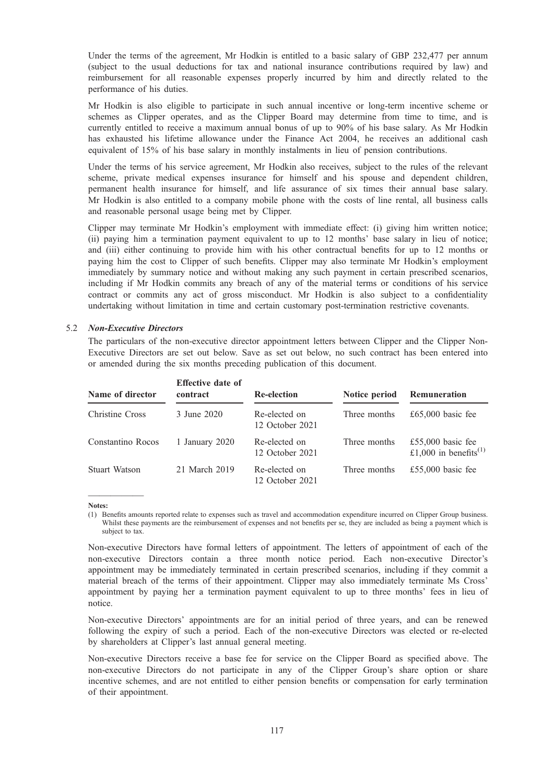Under the terms of the agreement, Mr Hodkin is entitled to a basic salary of GBP 232,477 per annum (subject to the usual deductions for tax and national insurance contributions required by law) and reimbursement for all reasonable expenses properly incurred by him and directly related to the performance of his duties.

Mr Hodkin is also eligible to participate in such annual incentive or long-term incentive scheme or schemes as Clipper operates, and as the Clipper Board may determine from time to time, and is currently entitled to receive a maximum annual bonus of up to 90% of his base salary. As Mr Hodkin has exhausted his lifetime allowance under the Finance Act 2004, he receives an additional cash equivalent of 15% of his base salary in monthly instalments in lieu of pension contributions.

Under the terms of his service agreement, Mr Hodkin also receives, subject to the rules of the relevant scheme, private medical expenses insurance for himself and his spouse and dependent children, permanent health insurance for himself, and life assurance of six times their annual base salary. Mr Hodkin is also entitled to a company mobile phone with the costs of line rental, all business calls and reasonable personal usage being met by Clipper.

Clipper may terminate Mr Hodkin's employment with immediate effect: (i) giving him written notice; (ii) paying him a termination payment equivalent to up to 12 months' base salary in lieu of notice; and (iii) either continuing to provide him with his other contractual benefits for up to 12 months or paying him the cost to Clipper of such benefits. Clipper may also terminate Mr Hodkin's employment immediately by summary notice and without making any such payment in certain prescribed scenarios, including if Mr Hodkin commits any breach of any of the material terms or conditions of his service contract or commits any act of gross misconduct. Mr Hodkin is also subject to a confidentiality undertaking without limitation in time and certain customary post-termination restrictive covenants.

#### 5.2 Non-Executive Directors

The particulars of the non-executive director appointment letters between Clipper and the Clipper Non-Executive Directors are set out below. Save as set out below, no such contract has been entered into or amended during the six months preceding publication of this document.

| Name of director  | <b>Effective date of</b><br>contract | <b>Re-election</b>               | Notice period | Remuneration                                           |
|-------------------|--------------------------------------|----------------------------------|---------------|--------------------------------------------------------|
| Christine Cross   | 3 June 2020                          | Re-elected on<br>12 October 2021 | Three months  | £65,000 basic fee                                      |
| Constantino Rocos | 1 January 2020                       | Re-elected on<br>12 October 2021 | Three months  | £55,000 basic fee<br>£1,000 in benefits <sup>(1)</sup> |
| Stuart Watson     | 21 March 2019                        | Re-elected on<br>12 October 2021 | Three months  | £55,000 basic fee                                      |

Notes:

—————

(1) Benefits amounts reported relate to expenses such as travel and accommodation expenditure incurred on Clipper Group business. Whilst these payments are the reimbursement of expenses and not benefits per se, they are included as being a payment which is subject to tax.

Non-executive Directors have formal letters of appointment. The letters of appointment of each of the non-executive Directors contain a three month notice period. Each non-executive Director's appointment may be immediately terminated in certain prescribed scenarios, including if they commit a material breach of the terms of their appointment. Clipper may also immediately terminate Ms Cross' appointment by paying her a termination payment equivalent to up to three months' fees in lieu of notice.

Non-executive Directors' appointments are for an initial period of three years, and can be renewed following the expiry of such a period. Each of the non-executive Directors was elected or re-elected by shareholders at Clipper's last annual general meeting.

Non-executive Directors receive a base fee for service on the Clipper Board as specified above. The non-executive Directors do not participate in any of the Clipper Group's share option or share incentive schemes, and are not entitled to either pension benefits or compensation for early termination of their appointment.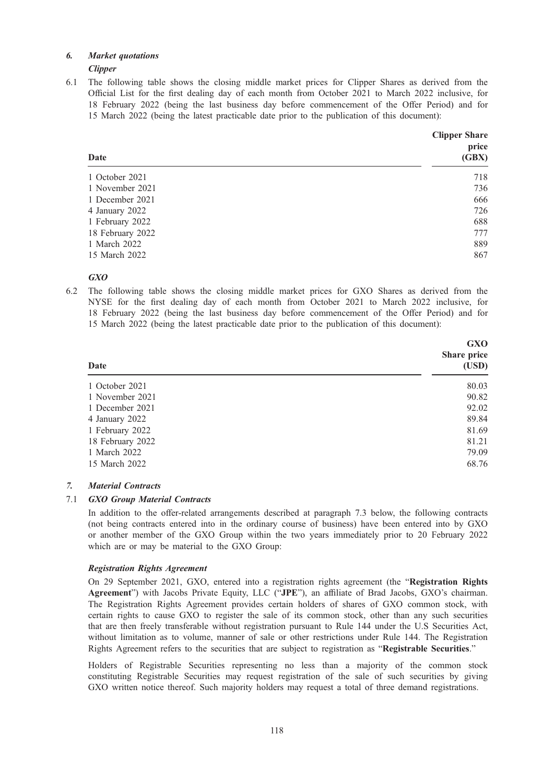# 6. Market quotations

**Clipper** 

6.1 The following table shows the closing middle market prices for Clipper Shares as derived from the Official List for the first dealing day of each month from October 2021 to March 2022 inclusive, for 18 February 2022 (being the last business day before commencement of the Offer Period) and for 15 March 2022 (being the latest practicable date prior to the publication of this document):

| Date             | <b>Clipper Share</b><br>price<br>(GBX) |
|------------------|----------------------------------------|
| 1 October 2021   | 718                                    |
| 1 November 2021  | 736                                    |
| 1 December 2021  | 666                                    |
| 4 January 2022   | 726                                    |
| 1 February 2022  | 688                                    |
| 18 February 2022 | 777                                    |
| 1 March 2022     | 889                                    |
| 15 March 2022    | 867                                    |

# GXO

6.2 The following table shows the closing middle market prices for GXO Shares as derived from the NYSE for the first dealing day of each month from October 2021 to March 2022 inclusive, for 18 February 2022 (being the last business day before commencement of the Offer Period) and for 15 March 2022 (being the latest practicable date prior to the publication of this document):

| Date             | <b>GXO</b><br>Share price<br>(USD) |
|------------------|------------------------------------|
| 1 October 2021   | 80.03                              |
| 1 November 2021  | 90.82                              |
| 1 December 2021  | 92.02                              |
| 4 January 2022   | 89.84                              |
| 1 February 2022  | 81.69                              |
| 18 February 2022 | 81.21                              |
| 1 March 2022     | 79.09                              |
| 15 March 2022    | 68.76                              |

# 7. Material Contracts

# 7.1 GXO Group Material Contracts

In addition to the offer-related arrangements described at paragraph 7.3 below, the following contracts (not being contracts entered into in the ordinary course of business) have been entered into by GXO or another member of the GXO Group within the two years immediately prior to 20 February 2022 which are or may be material to the GXO Group:

# Registration Rights Agreement

On 29 September 2021, GXO, entered into a registration rights agreement (the "Registration Rights Agreement") with Jacobs Private Equity, LLC ("JPE"), an affiliate of Brad Jacobs, GXO's chairman. The Registration Rights Agreement provides certain holders of shares of GXO common stock, with certain rights to cause GXO to register the sale of its common stock, other than any such securities that are then freely transferable without registration pursuant to Rule 144 under the U.S Securities Act, without limitation as to volume, manner of sale or other restrictions under Rule 144. The Registration Rights Agreement refers to the securities that are subject to registration as "Registrable Securities."

Holders of Registrable Securities representing no less than a majority of the common stock constituting Registrable Securities may request registration of the sale of such securities by giving GXO written notice thereof. Such majority holders may request a total of three demand registrations.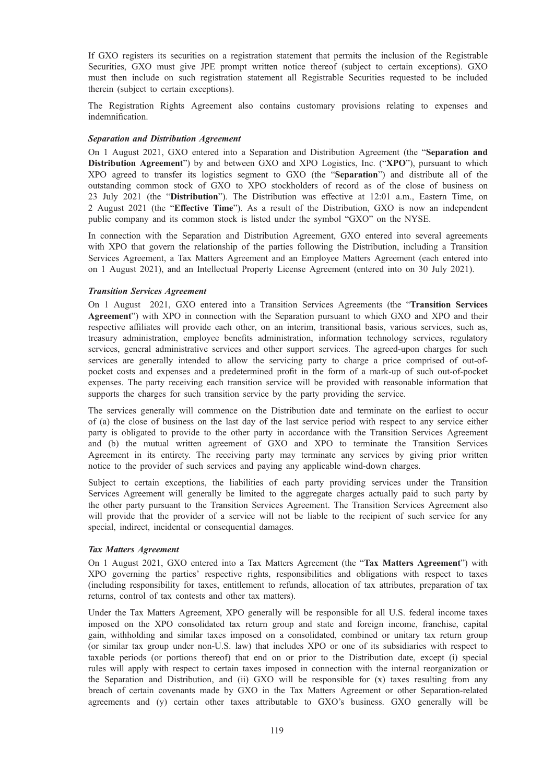If GXO registers its securities on a registration statement that permits the inclusion of the Registrable Securities, GXO must give JPE prompt written notice thereof (subject to certain exceptions). GXO must then include on such registration statement all Registrable Securities requested to be included therein (subject to certain exceptions).

The Registration Rights Agreement also contains customary provisions relating to expenses and indemnification.

## Separation and Distribution Agreement

On 1 August 2021, GXO entered into a Separation and Distribution Agreement (the "Separation and Distribution Agreement") by and between GXO and XPO Logistics, Inc. ("XPO"), pursuant to which XPO agreed to transfer its logistics segment to GXO (the "Separation") and distribute all of the outstanding common stock of GXO to XPO stockholders of record as of the close of business on 23 July 2021 (the "Distribution"). The Distribution was effective at 12:01 a.m., Eastern Time, on 2 August 2021 (the "Effective Time"). As a result of the Distribution, GXO is now an independent public company and its common stock is listed under the symbol "GXO" on the NYSE.

In connection with the Separation and Distribution Agreement, GXO entered into several agreements with XPO that govern the relationship of the parties following the Distribution, including a Transition Services Agreement, a Tax Matters Agreement and an Employee Matters Agreement (each entered into on 1 August 2021), and an Intellectual Property License Agreement (entered into on 30 July 2021).

## Transition Services Agreement

On 1 August 2021, GXO entered into a Transition Services Agreements (the "Transition Services Agreement") with XPO in connection with the Separation pursuant to which GXO and XPO and their respective affiliates will provide each other, on an interim, transitional basis, various services, such as, treasury administration, employee benefits administration, information technology services, regulatory services, general administrative services and other support services. The agreed-upon charges for such services are generally intended to allow the servicing party to charge a price comprised of out-ofpocket costs and expenses and a predetermined profit in the form of a mark-up of such out-of-pocket expenses. The party receiving each transition service will be provided with reasonable information that supports the charges for such transition service by the party providing the service.

The services generally will commence on the Distribution date and terminate on the earliest to occur of (a) the close of business on the last day of the last service period with respect to any service either party is obligated to provide to the other party in accordance with the Transition Services Agreement and (b) the mutual written agreement of GXO and XPO to terminate the Transition Services Agreement in its entirety. The receiving party may terminate any services by giving prior written notice to the provider of such services and paying any applicable wind-down charges.

Subject to certain exceptions, the liabilities of each party providing services under the Transition Services Agreement will generally be limited to the aggregate charges actually paid to such party by the other party pursuant to the Transition Services Agreement. The Transition Services Agreement also will provide that the provider of a service will not be liable to the recipient of such service for any special, indirect, incidental or consequential damages.

#### Tax Matters Agreement

On 1 August 2021, GXO entered into a Tax Matters Agreement (the "Tax Matters Agreement") with XPO governing the parties' respective rights, responsibilities and obligations with respect to taxes (including responsibility for taxes, entitlement to refunds, allocation of tax attributes, preparation of tax returns, control of tax contests and other tax matters).

Under the Tax Matters Agreement, XPO generally will be responsible for all U.S. federal income taxes imposed on the XPO consolidated tax return group and state and foreign income, franchise, capital gain, withholding and similar taxes imposed on a consolidated, combined or unitary tax return group (or similar tax group under non-U.S. law) that includes XPO or one of its subsidiaries with respect to taxable periods (or portions thereof) that end on or prior to the Distribution date, except (i) special rules will apply with respect to certain taxes imposed in connection with the internal reorganization or the Separation and Distribution, and (ii) GXO will be responsible for (x) taxes resulting from any breach of certain covenants made by GXO in the Tax Matters Agreement or other Separation-related agreements and (y) certain other taxes attributable to GXO's business. GXO generally will be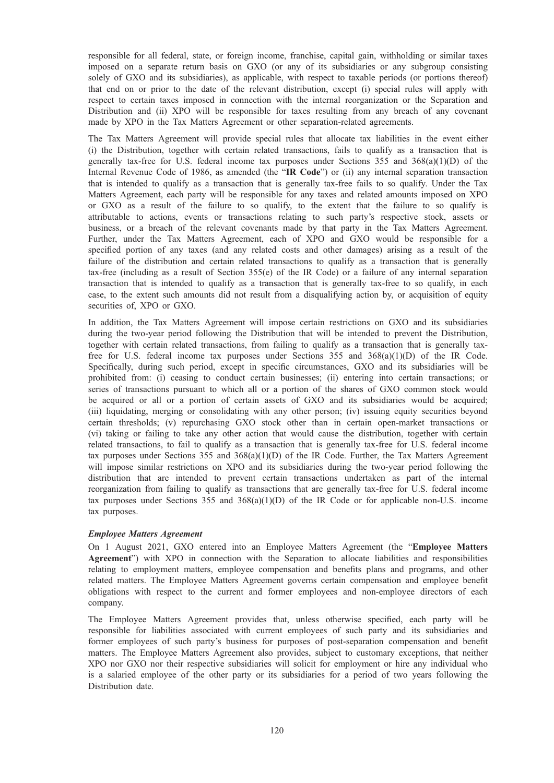responsible for all federal, state, or foreign income, franchise, capital gain, withholding or similar taxes imposed on a separate return basis on GXO (or any of its subsidiaries or any subgroup consisting solely of GXO and its subsidiaries), as applicable, with respect to taxable periods (or portions thereof) that end on or prior to the date of the relevant distribution, except (i) special rules will apply with respect to certain taxes imposed in connection with the internal reorganization or the Separation and Distribution and (ii) XPO will be responsible for taxes resulting from any breach of any covenant made by XPO in the Tax Matters Agreement or other separation-related agreements.

The Tax Matters Agreement will provide special rules that allocate tax liabilities in the event either (i) the Distribution, together with certain related transactions, fails to qualify as a transaction that is generally tax-free for U.S. federal income tax purposes under Sections  $355$  and  $368(a)(1)(D)$  of the Internal Revenue Code of 1986, as amended (the "IR Code") or (ii) any internal separation transaction that is intended to qualify as a transaction that is generally tax-free fails to so qualify. Under the Tax Matters Agreement, each party will be responsible for any taxes and related amounts imposed on XPO or GXO as a result of the failure to so qualify, to the extent that the failure to so qualify is attributable to actions, events or transactions relating to such party's respective stock, assets or business, or a breach of the relevant covenants made by that party in the Tax Matters Agreement. Further, under the Tax Matters Agreement, each of XPO and GXO would be responsible for a specified portion of any taxes (and any related costs and other damages) arising as a result of the failure of the distribution and certain related transactions to qualify as a transaction that is generally tax-free (including as a result of Section  $355(e)$  of the IR Code) or a failure of any internal separation transaction that is intended to qualify as a transaction that is generally tax-free to so qualify, in each case, to the extent such amounts did not result from a disqualifying action by, or acquisition of equity securities of, XPO or GXO.

In addition, the Tax Matters Agreement will impose certain restrictions on GXO and its subsidiaries during the two-year period following the Distribution that will be intended to prevent the Distribution, together with certain related transactions, from failing to qualify as a transaction that is generally taxfree for U.S. federal income tax purposes under Sections 355 and 368(a)(1)(D) of the IR Code. Specifically, during such period, except in specific circumstances, GXO and its subsidiaries will be prohibited from: (i) ceasing to conduct certain businesses; (ii) entering into certain transactions; or series of transactions pursuant to which all or a portion of the shares of GXO common stock would be acquired or all or a portion of certain assets of GXO and its subsidiaries would be acquired; (iii) liquidating, merging or consolidating with any other person; (iv) issuing equity securities beyond certain thresholds; (v) repurchasing GXO stock other than in certain open-market transactions or (vi) taking or failing to take any other action that would cause the distribution, together with certain related transactions, to fail to qualify as a transaction that is generally tax-free for U.S. federal income tax purposes under Sections 355 and 368(a)(1)(D) of the IR Code. Further, the Tax Matters Agreement will impose similar restrictions on XPO and its subsidiaries during the two-year period following the distribution that are intended to prevent certain transactions undertaken as part of the internal reorganization from failing to qualify as transactions that are generally tax-free for U.S. federal income tax purposes under Sections 355 and  $368(a)(1)(D)$  of the IR Code or for applicable non-U.S. income tax purposes.

# Employee Matters Agreement

On 1 August 2021, GXO entered into an Employee Matters Agreement (the "Employee Matters Agreement") with XPO in connection with the Separation to allocate liabilities and responsibilities relating to employment matters, employee compensation and benefits plans and programs, and other related matters. The Employee Matters Agreement governs certain compensation and employee benefit obligations with respect to the current and former employees and non-employee directors of each company.

The Employee Matters Agreement provides that, unless otherwise specified, each party will be responsible for liabilities associated with current employees of such party and its subsidiaries and former employees of such party's business for purposes of post-separation compensation and benefit matters. The Employee Matters Agreement also provides, subject to customary exceptions, that neither XPO nor GXO nor their respective subsidiaries will solicit for employment or hire any individual who is a salaried employee of the other party or its subsidiaries for a period of two years following the Distribution date.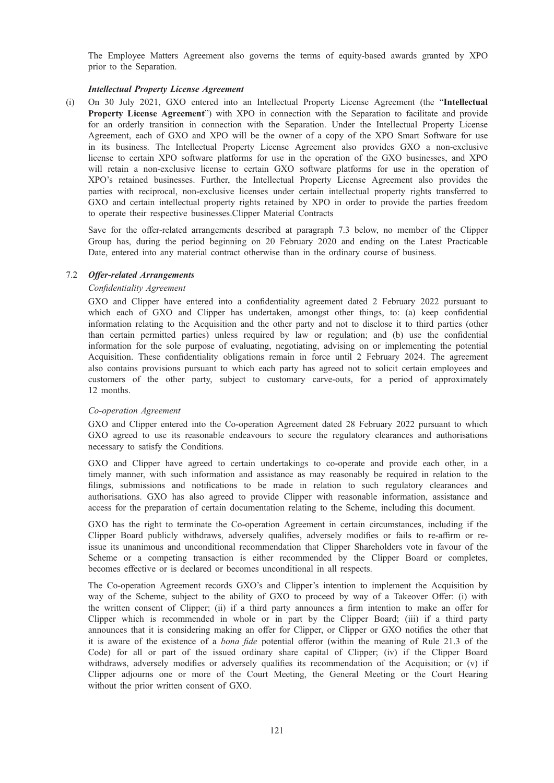The Employee Matters Agreement also governs the terms of equity-based awards granted by XPO prior to the Separation.

## Intellectual Property License Agreement

(i) On 30 July 2021, GXO entered into an Intellectual Property License Agreement (the "Intellectual Property License Agreement") with XPO in connection with the Separation to facilitate and provide for an orderly transition in connection with the Separation. Under the Intellectual Property License Agreement, each of GXO and XPO will be the owner of a copy of the XPO Smart Software for use in its business. The Intellectual Property License Agreement also provides GXO a non-exclusive license to certain XPO software platforms for use in the operation of the GXO businesses, and XPO will retain a non-exclusive license to certain GXO software platforms for use in the operation of XPO's retained businesses. Further, the Intellectual Property License Agreement also provides the parties with reciprocal, non-exclusive licenses under certain intellectual property rights transferred to GXO and certain intellectual property rights retained by XPO in order to provide the parties freedom to operate their respective businesses.Clipper Material Contracts

Save for the offer-related arrangements described at paragraph 7.3 below, no member of the Clipper Group has, during the period beginning on 20 February 2020 and ending on the Latest Practicable Date, entered into any material contract otherwise than in the ordinary course of business.

#### 7.2 Offer-related Arrangements

## Confidentiality Agreement

GXO and Clipper have entered into a confidentiality agreement dated 2 February 2022 pursuant to which each of GXO and Clipper has undertaken, amongst other things, to: (a) keep confidential information relating to the Acquisition and the other party and not to disclose it to third parties (other than certain permitted parties) unless required by law or regulation; and (b) use the confidential information for the sole purpose of evaluating, negotiating, advising on or implementing the potential Acquisition. These confidentiality obligations remain in force until 2 February 2024. The agreement also contains provisions pursuant to which each party has agreed not to solicit certain employees and customers of the other party, subject to customary carve-outs, for a period of approximately 12 months.

#### Co-operation Agreement

GXO and Clipper entered into the Co-operation Agreement dated 28 February 2022 pursuant to which GXO agreed to use its reasonable endeavours to secure the regulatory clearances and authorisations necessary to satisfy the Conditions.

GXO and Clipper have agreed to certain undertakings to co-operate and provide each other, in a timely manner, with such information and assistance as may reasonably be required in relation to the filings, submissions and notifications to be made in relation to such regulatory clearances and authorisations. GXO has also agreed to provide Clipper with reasonable information, assistance and access for the preparation of certain documentation relating to the Scheme, including this document.

GXO has the right to terminate the Co-operation Agreement in certain circumstances, including if the Clipper Board publicly withdraws, adversely qualifies, adversely modifies or fails to re-affirm or reissue its unanimous and unconditional recommendation that Clipper Shareholders vote in favour of the Scheme or a competing transaction is either recommended by the Clipper Board or completes, becomes effective or is declared or becomes unconditional in all respects.

The Co-operation Agreement records GXO's and Clipper's intention to implement the Acquisition by way of the Scheme, subject to the ability of GXO to proceed by way of a Takeover Offer: (i) with the written consent of Clipper; (ii) if a third party announces a firm intention to make an offer for Clipper which is recommended in whole or in part by the Clipper Board; (iii) if a third party announces that it is considering making an offer for Clipper, or Clipper or GXO notifies the other that it is aware of the existence of a bona fide potential offeror (within the meaning of Rule 21.3 of the Code) for all or part of the issued ordinary share capital of Clipper; (iv) if the Clipper Board withdraws, adversely modifies or adversely qualifies its recommendation of the Acquisition; or (v) if Clipper adjourns one or more of the Court Meeting, the General Meeting or the Court Hearing without the prior written consent of GXO.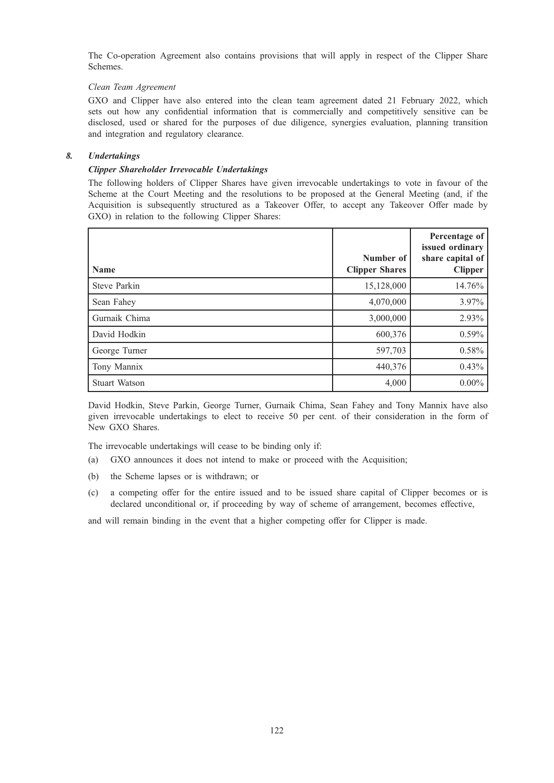The Co-operation Agreement also contains provisions that will apply in respect of the Clipper Share Schemes.

# Clean Team Agreement

GXO and Clipper have also entered into the clean team agreement dated 21 February 2022, which sets out how any confidential information that is commercially and competitively sensitive can be disclosed, used or shared for the purposes of due diligence, synergies evaluation, planning transition and integration and regulatory clearance.

# 8. Undertakings

# Clipper Shareholder Irrevocable Undertakings

The following holders of Clipper Shares have given irrevocable undertakings to vote in favour of the Scheme at the Court Meeting and the resolutions to be proposed at the General Meeting (and, if the Acquisition is subsequently structured as a Takeover Offer, to accept any Takeover Offer made by GXO) in relation to the following Clipper Shares:

| <b>Name</b>          | Number of<br><b>Clipper Shares</b> | Percentage of<br>issued ordinary<br>share capital of $ $<br><b>Clipper</b> |
|----------------------|------------------------------------|----------------------------------------------------------------------------|
| <b>Steve Parkin</b>  | 15,128,000                         | 14.76%                                                                     |
| Sean Fahey           | 4,070,000                          | 3.97%                                                                      |
| Gurnaik Chima        | 3,000,000                          | 2.93%                                                                      |
| David Hodkin         | 600,376                            | 0.59%                                                                      |
| George Turner        | 597,703                            | 0.58%                                                                      |
| Tony Mannix          | 440,376                            | 0.43%                                                                      |
| <b>Stuart Watson</b> | 4,000                              | $0.00\%$                                                                   |

David Hodkin, Steve Parkin, George Turner, Gurnaik Chima, Sean Fahey and Tony Mannix have also given irrevocable undertakings to elect to receive 50 per cent. of their consideration in the form of New GXO Shares.

The irrevocable undertakings will cease to be binding only if:

- (a) GXO announces it does not intend to make or proceed with the Acquisition;
- (b) the Scheme lapses or is withdrawn; or
- (c) a competing offer for the entire issued and to be issued share capital of Clipper becomes or is declared unconditional or, if proceeding by way of scheme of arrangement, becomes effective,

and will remain binding in the event that a higher competing offer for Clipper is made.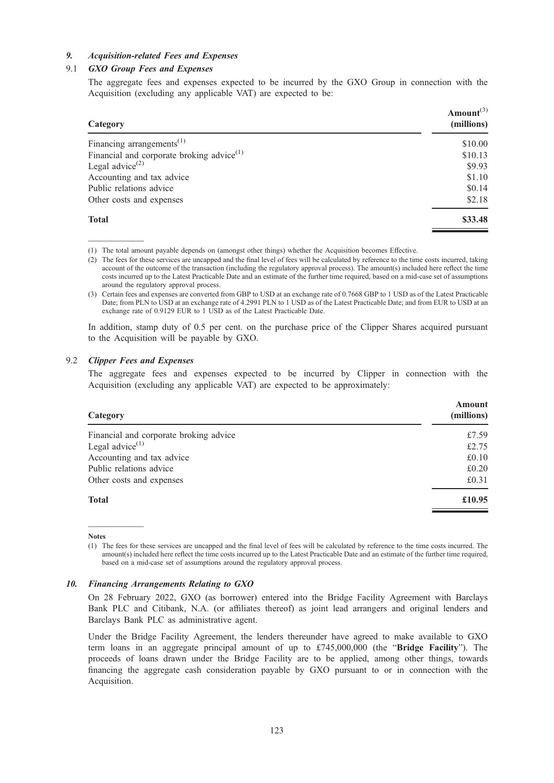## 9. Acquisition-related Fees and Expenses

# 9.1 GXO Group Fees and Expenses

The aggregate fees and expenses expected to be incurred by the GXO Group in connection with the Acquisition (excluding any applicable VAT) are expected to be:

| Category                                              | Amount <sup><math>(3)</math></sup><br>(millions) |
|-------------------------------------------------------|--------------------------------------------------|
| Financing arrangements <sup><math>(1)</math></sup>    | \$10.00                                          |
| Financial and corporate broking advice <sup>(1)</sup> | \$10.13                                          |
| Legal advice <sup><math>(2)</math></sup>              | \$9.93                                           |
| Accounting and tax advice                             | \$1.10                                           |
| Public relations advice                               | \$0.14                                           |
| Other costs and expenses                              | \$2.18                                           |
| <b>Total</b>                                          | \$33.48                                          |

————— (1) The total amount payable depends on (amongst other things) whether the Acquisition becomes Effective.

(2) The fees for these services are uncapped and the final level of fees will be calculated by reference to the time costs incurred, taking account of the outcome of the transaction (including the regulatory approval process). The amount(s) included here reflect the time costs incurred up to the Latest Practicable Date and an estimate of the further time required, based on a mid-case set of assumptions around the regulatory approval process.

In addition, stamp duty of 0.5 per cent. on the purchase price of the Clipper Shares acquired pursuant to the Acquisition will be payable by GXO.

## 9.2 Clipper Fees and Expenses

The aggregate fees and expenses expected to be incurred by Clipper in connection with the Acquisition (excluding any applicable VAT) are expected to be approximately:

| Category                               | Amount<br>(millions) |
|----------------------------------------|----------------------|
| Financial and corporate broking advice | £7.59                |
| Legal advice $^{(1)}$                  | £2.75                |
| Accounting and tax advice              | £0.10                |
| Public relations advice                | £0.20                |
| Other costs and expenses               | £0.31                |
| <b>Total</b>                           | £10.95               |
|                                        |                      |

————— Notes

(1) The fees for these services are uncapped and the final level of fees will be calculated by reference to the time costs incurred. The amount(s) included here reflect the time costs incurred up to the Latest Practicable Date and an estimate of the further time required, based on a mid-case set of assumptions around the regulatory approval process.

## 10. Financing Arrangements Relating to GXO

On 28 February 2022, GXO (as borrower) entered into the Bridge Facility Agreement with Barclays Bank PLC and Citibank, N.A. (or affiliates thereof) as joint lead arrangers and original lenders and Barclays Bank PLC as administrative agent.

Under the Bridge Facility Agreement, the lenders thereunder have agreed to make available to GXO term loans in an aggregate principal amount of up to  $£745,000,000$  (the "Bridge Facility"). The proceeds of loans drawn under the Bridge Facility are to be applied, among other things, towards financing the aggregate cash consideration payable by GXO pursuant to or in connection with the Acquisition.

<sup>(3)</sup> Certain fees and expenses are converted from GBP to USD at an exchange rate of 0.7668 GBP to 1 USD as of the Latest Practicable Date; from PLN to USD at an exchange rate of 4.2991 PLN to 1 USD as of the Latest Practicable Date; and from EUR to USD at an exchange rate of 0.9129 EUR to 1 USD as of the Latest Practicable Date.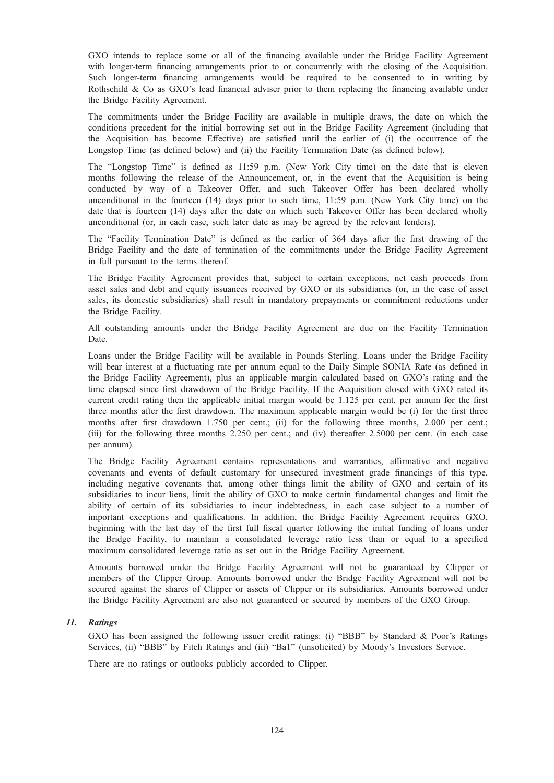GXO intends to replace some or all of the financing available under the Bridge Facility Agreement with longer-term financing arrangements prior to or concurrently with the closing of the Acquisition. Such longer-term financing arrangements would be required to be consented to in writing by Rothschild  $\&$  Co as GXO's lead financial adviser prior to them replacing the financing available under the Bridge Facility Agreement.

The commitments under the Bridge Facility are available in multiple draws, the date on which the conditions precedent for the initial borrowing set out in the Bridge Facility Agreement (including that the Acquisition has become Effective) are satisfied until the earlier of (i) the occurrence of the Longstop Time (as defined below) and (ii) the Facility Termination Date (as defined below).

The "Longstop Time" is defined as 11:59 p.m. (New York City time) on the date that is eleven months following the release of the Announcement, or, in the event that the Acquisition is being conducted by way of a Takeover Offer, and such Takeover Offer has been declared wholly unconditional in the fourteen (14) days prior to such time, 11:59 p.m. (New York City time) on the date that is fourteen (14) days after the date on which such Takeover Offer has been declared wholly unconditional (or, in each case, such later date as may be agreed by the relevant lenders).

The "Facility Termination Date" is defined as the earlier of 364 days after the first drawing of the Bridge Facility and the date of termination of the commitments under the Bridge Facility Agreement in full pursuant to the terms thereof.

The Bridge Facility Agreement provides that, subject to certain exceptions, net cash proceeds from asset sales and debt and equity issuances received by GXO or its subsidiaries (or, in the case of asset sales, its domestic subsidiaries) shall result in mandatory prepayments or commitment reductions under the Bridge Facility.

All outstanding amounts under the Bridge Facility Agreement are due on the Facility Termination Date.

Loans under the Bridge Facility will be available in Pounds Sterling. Loans under the Bridge Facility will bear interest at a fluctuating rate per annum equal to the Daily Simple SONIA Rate (as defined in the Bridge Facility Agreement), plus an applicable margin calculated based on GXO's rating and the time elapsed since first drawdown of the Bridge Facility. If the Acquisition closed with GXO rated its current credit rating then the applicable initial margin would be 1.125 per cent. per annum for the first three months after the first drawdown. The maximum applicable margin would be (i) for the first three months after first drawdown 1.750 per cent.; (ii) for the following three months, 2.000 per cent.; (iii) for the following three months 2.250 per cent.; and (iv) thereafter 2.5000 per cent. (in each case per annum).

The Bridge Facility Agreement contains representations and warranties, affirmative and negative covenants and events of default customary for unsecured investment grade financings of this type, including negative covenants that, among other things limit the ability of GXO and certain of its subsidiaries to incur liens, limit the ability of GXO to make certain fundamental changes and limit the ability of certain of its subsidiaries to incur indebtedness, in each case subject to a number of important exceptions and qualifications. In addition, the Bridge Facility Agreement requires GXO, beginning with the last day of the first full fiscal quarter following the initial funding of loans under the Bridge Facility, to maintain a consolidated leverage ratio less than or equal to a specified maximum consolidated leverage ratio as set out in the Bridge Facility Agreement.

Amounts borrowed under the Bridge Facility Agreement will not be guaranteed by Clipper or members of the Clipper Group. Amounts borrowed under the Bridge Facility Agreement will not be secured against the shares of Clipper or assets of Clipper or its subsidiaries. Amounts borrowed under the Bridge Facility Agreement are also not guaranteed or secured by members of the GXO Group.

#### 11. Ratings

GXO has been assigned the following issuer credit ratings: (i) "BBB" by Standard & Poor's Ratings Services, (ii) "BBB" by Fitch Ratings and (iii) "Ba1" (unsolicited) by Moody's Investors Service.

There are no ratings or outlooks publicly accorded to Clipper.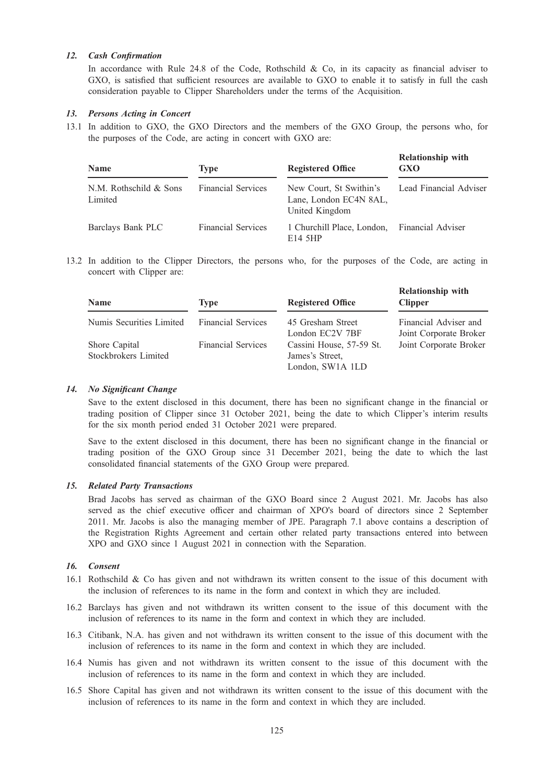# 12. Cash Confirmation

In accordance with Rule 24.8 of the Code, Rothschild & Co, in its capacity as financial adviser to GXO, is satisfied that sufficient resources are available to GXO to enable it to satisfy in full the cash consideration payable to Clipper Shareholders under the terms of the Acquisition.

# 13. Persons Acting in Concert

13.1 In addition to GXO, the GXO Directors and the members of the GXO Group, the persons who, for the purposes of the Code, are acting in concert with GXO are:

| <b>Name</b>                       | <b>Type</b>               | <b>Registered Office</b>                                            | <b>Relationship with</b><br><b>GXO</b> |
|-----------------------------------|---------------------------|---------------------------------------------------------------------|----------------------------------------|
| N.M. Rothschild & Sons<br>Limited | <b>Financial Services</b> | New Court, St Swithin's<br>Lane, London EC4N 8AL,<br>United Kingdom | Lead Financial Adviser                 |
| Barclays Bank PLC                 | <b>Financial Services</b> | 1 Churchill Place, London,<br>E14 5HP                               | <b>Financial Adviser</b>               |

13.2 In addition to the Clipper Directors, the persons who, for the purposes of the Code, are acting in concert with Clipper are:

| <b>Name</b>              | <b>Type</b>               | <b>Registered Office</b> | <b>Relationship with</b><br><b>Clipper</b> |
|--------------------------|---------------------------|--------------------------|--------------------------------------------|
| Numis Securities Limited | <b>Financial Services</b> | 45 Gresham Street        | Financial Adviser and                      |
|                          |                           | London EC2V 7BF          | Joint Corporate Broker                     |
| Shore Capital            | <b>Financial Services</b> | Cassini House, 57-59 St. | Joint Corporate Broker                     |
| Stockbrokers Limited     |                           | James's Street,          |                                            |
|                          |                           | London, SW1A 1LD         |                                            |

## 14. No Significant Change

Save to the extent disclosed in this document, there has been no significant change in the financial or trading position of Clipper since 31 October 2021, being the date to which Clipper's interim results for the six month period ended 31 October 2021 were prepared.

Save to the extent disclosed in this document, there has been no significant change in the financial or trading position of the GXO Group since 31 December 2021, being the date to which the last consolidated financial statements of the GXO Group were prepared.

## 15. Related Party Transactions

Brad Jacobs has served as chairman of the GXO Board since 2 August 2021. Mr. Jacobs has also served as the chief executive officer and chairman of XPO's board of directors since 2 September 2011. Mr. Jacobs is also the managing member of JPE. Paragraph 7.1 above contains a description of the Registration Rights Agreement and certain other related party transactions entered into between XPO and GXO since 1 August 2021 in connection with the Separation.

#### 16. Consent

- 16.1 Rothschild & Co has given and not withdrawn its written consent to the issue of this document with the inclusion of references to its name in the form and context in which they are included.
- 16.2 Barclays has given and not withdrawn its written consent to the issue of this document with the inclusion of references to its name in the form and context in which they are included.
- 16.3 Citibank, N.A. has given and not withdrawn its written consent to the issue of this document with the inclusion of references to its name in the form and context in which they are included.
- 16.4 Numis has given and not withdrawn its written consent to the issue of this document with the inclusion of references to its name in the form and context in which they are included.
- 16.5 Shore Capital has given and not withdrawn its written consent to the issue of this document with the inclusion of references to its name in the form and context in which they are included.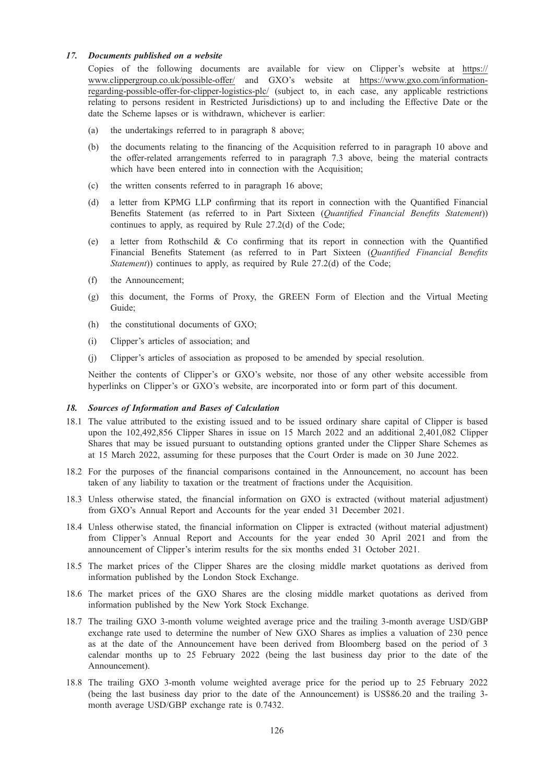## 17. Documents published on a website

Copies of the following documents are available for view on Clipper's website at https:// www.clippergroup.co.uk/possible-offer/ and GXO's website at https://www.gxo.com/informationregarding-possible-offer-for-clipper-logistics-plc/ (subject to, in each case, any applicable restrictions relating to persons resident in Restricted Jurisdictions) up to and including the Effective Date or the date the Scheme lapses or is withdrawn, whichever is earlier:

- (a) the undertakings referred to in paragraph 8 above;
- (b) the documents relating to the financing of the Acquisition referred to in paragraph 10 above and the offer-related arrangements referred to in paragraph 7.3 above, being the material contracts which have been entered into in connection with the Acquisition;
- (c) the written consents referred to in paragraph 16 above;
- (d) a letter from KPMG LLP confirming that its report in connection with the Quantified Financial Benefits Statement (as referred to in Part Sixteen (Quantified Financial Benefits Statement)) continues to apply, as required by Rule 27.2(d) of the Code;
- (e) a letter from Rothschild  $\&$  Co confirming that its report in connection with the Quantified Financial Benefits Statement (as referred to in Part Sixteen (Quantified Financial Benefits Statement)) continues to apply, as required by Rule 27.2(d) of the Code;
- (f) the Announcement;
- (g) this document, the Forms of Proxy, the GREEN Form of Election and the Virtual Meeting Guide;
- (h) the constitutional documents of GXO;
- (i) Clipper's articles of association; and
- (j) Clipper's articles of association as proposed to be amended by special resolution.

Neither the contents of Clipper's or GXO's website, nor those of any other website accessible from hyperlinks on Clipper's or GXO's website, are incorporated into or form part of this document.

#### 18. Sources of Information and Bases of Calculation

- 18.1 The value attributed to the existing issued and to be issued ordinary share capital of Clipper is based upon the 102,492,856 Clipper Shares in issue on 15 March 2022 and an additional 2,401,082 Clipper Shares that may be issued pursuant to outstanding options granted under the Clipper Share Schemes as at 15 March 2022, assuming for these purposes that the Court Order is made on 30 June 2022.
- 18.2 For the purposes of the financial comparisons contained in the Announcement, no account has been taken of any liability to taxation or the treatment of fractions under the Acquisition.
- 18.3 Unless otherwise stated, the financial information on GXO is extracted (without material adjustment) from GXO's Annual Report and Accounts for the year ended 31 December 2021.
- 18.4 Unless otherwise stated, the financial information on Clipper is extracted (without material adjustment) from Clipper's Annual Report and Accounts for the year ended 30 April 2021 and from the announcement of Clipper's interim results for the six months ended 31 October 2021.
- 18.5 The market prices of the Clipper Shares are the closing middle market quotations as derived from information published by the London Stock Exchange.
- 18.6 The market prices of the GXO Shares are the closing middle market quotations as derived from information published by the New York Stock Exchange.
- 18.7 The trailing GXO 3-month volume weighted average price and the trailing 3-month average USD/GBP exchange rate used to determine the number of New GXO Shares as implies a valuation of 230 pence as at the date of the Announcement have been derived from Bloomberg based on the period of 3 calendar months up to 25 February 2022 (being the last business day prior to the date of the Announcement).
- 18.8 The trailing GXO 3-month volume weighted average price for the period up to 25 February 2022 (being the last business day prior to the date of the Announcement) is US\$86.20 and the trailing 3 month average USD/GBP exchange rate is 0.7432.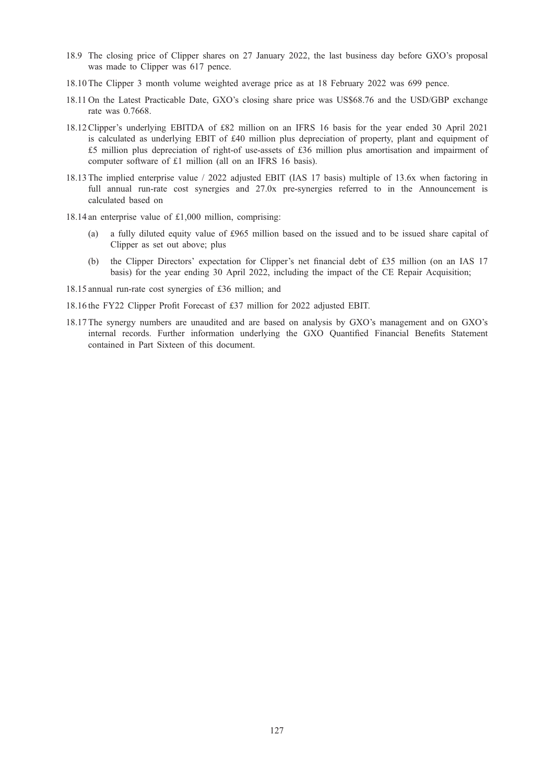- 18.9 The closing price of Clipper shares on 27 January 2022, the last business day before GXO's proposal was made to Clipper was 617 pence.
- 18.10 The Clipper 3 month volume weighted average price as at 18 February 2022 was 699 pence.
- 18.11 On the Latest Practicable Date, GXO's closing share price was US\$68.76 and the USD/GBP exchange rate was 0.7668.
- 18.12 Clipper's underlying EBITDA of £82 million on an IFRS 16 basis for the year ended 30 April 2021 is calculated as underlying EBIT of £40 million plus depreciation of property, plant and equipment of £5 million plus depreciation of right-of use-assets of £36 million plus amortisation and impairment of computer software of £1 million (all on an IFRS 16 basis).
- 18.13 The implied enterprise value / 2022 adjusted EBIT (IAS 17 basis) multiple of 13.6x when factoring in full annual run-rate cost synergies and 27.0x pre-synergies referred to in the Announcement is calculated based on
- 18.14 an enterprise value of £1,000 million, comprising:
	- (a) a fully diluted equity value of £965 million based on the issued and to be issued share capital of Clipper as set out above; plus
	- (b) the Clipper Directors' expectation for Clipper's net financial debt of £35 million (on an IAS 17 basis) for the year ending 30 April 2022, including the impact of the CE Repair Acquisition;
- 18.15 annual run-rate cost synergies of £36 million; and
- 18.16 the FY22 Clipper Profit Forecast of £37 million for 2022 adjusted EBIT.
- 18.17 The synergy numbers are unaudited and are based on analysis by GXO's management and on GXO's internal records. Further information underlying the GXO Quantified Financial Benefits Statement contained in Part Sixteen of this document.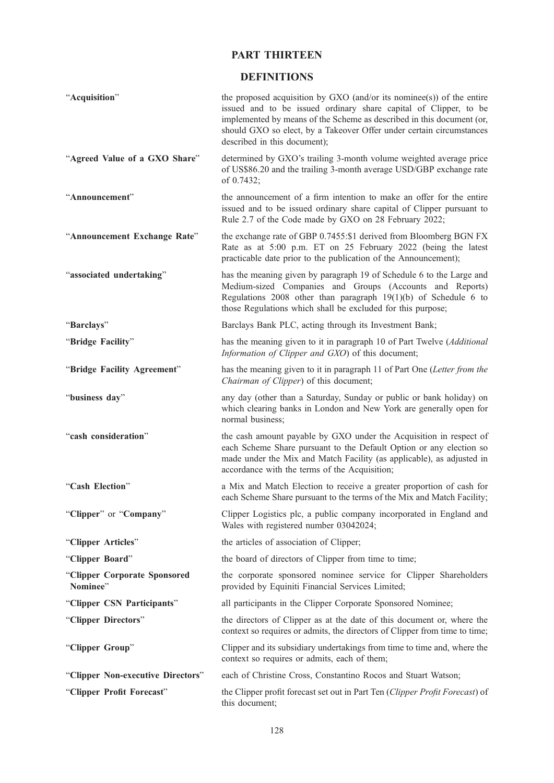# PART THIRTEEN

# DEFINITIONS

| "Acquisition"                            | the proposed acquisition by GXO (and/or its nominee(s)) of the entire<br>issued and to be issued ordinary share capital of Clipper, to be<br>implemented by means of the Scheme as described in this document (or,<br>should GXO so elect, by a Takeover Offer under certain circumstances<br>described in this document); |
|------------------------------------------|----------------------------------------------------------------------------------------------------------------------------------------------------------------------------------------------------------------------------------------------------------------------------------------------------------------------------|
| "Agreed Value of a GXO Share"            | determined by GXO's trailing 3-month volume weighted average price<br>of US\$86.20 and the trailing 3-month average USD/GBP exchange rate<br>of 0.7432;                                                                                                                                                                    |
| "Announcement"                           | the announcement of a firm intention to make an offer for the entire<br>issued and to be issued ordinary share capital of Clipper pursuant to<br>Rule 2.7 of the Code made by GXO on 28 February 2022;                                                                                                                     |
| "Announcement Exchange Rate"             | the exchange rate of GBP 0.7455:\$1 derived from Bloomberg BGN FX<br>Rate as at 5:00 p.m. ET on 25 February 2022 (being the latest<br>practicable date prior to the publication of the Announcement);                                                                                                                      |
| "associated undertaking"                 | has the meaning given by paragraph 19 of Schedule 6 to the Large and<br>Medium-sized Companies and Groups (Accounts and Reports)<br>Regulations 2008 other than paragraph $19(1)(b)$ of Schedule 6 to<br>those Regulations which shall be excluded for this purpose;                                                       |
| "Barclays"                               | Barclays Bank PLC, acting through its Investment Bank;                                                                                                                                                                                                                                                                     |
| "Bridge Facility"                        | has the meaning given to it in paragraph 10 of Part Twelve (Additional<br>Information of Clipper and GXO) of this document;                                                                                                                                                                                                |
| "Bridge Facility Agreement"              | has the meaning given to it in paragraph 11 of Part One (Letter from the<br>Chairman of Clipper) of this document;                                                                                                                                                                                                         |
| "business day"                           | any day (other than a Saturday, Sunday or public or bank holiday) on<br>which clearing banks in London and New York are generally open for<br>normal business;                                                                                                                                                             |
| "cash consideration"                     | the cash amount payable by GXO under the Acquisition in respect of<br>each Scheme Share pursuant to the Default Option or any election so<br>made under the Mix and Match Facility (as applicable), as adjusted in<br>accordance with the terms of the Acquisition;                                                        |
| "Cash Election"                          | a Mix and Match Election to receive a greater proportion of cash for<br>each Scheme Share pursuant to the terms of the Mix and Match Facility;                                                                                                                                                                             |
| "Clipper" or "Company"                   | Clipper Logistics plc, a public company incorporated in England and<br>Wales with registered number 03042024;                                                                                                                                                                                                              |
| "Clipper Articles"                       | the articles of association of Clipper;                                                                                                                                                                                                                                                                                    |
| "Clipper Board"                          | the board of directors of Clipper from time to time;                                                                                                                                                                                                                                                                       |
| "Clipper Corporate Sponsored<br>Nominee" | the corporate sponsored nominee service for Clipper Shareholders<br>provided by Equiniti Financial Services Limited;                                                                                                                                                                                                       |
| "Clipper CSN Participants"               | all participants in the Clipper Corporate Sponsored Nominee;                                                                                                                                                                                                                                                               |
| "Clipper Directors"                      | the directors of Clipper as at the date of this document or, where the<br>context so requires or admits, the directors of Clipper from time to time;                                                                                                                                                                       |
| "Clipper Group"                          | Clipper and its subsidiary undertakings from time to time and, where the<br>context so requires or admits, each of them;                                                                                                                                                                                                   |
| "Clipper Non-executive Directors"        | each of Christine Cross, Constantino Rocos and Stuart Watson;                                                                                                                                                                                                                                                              |
| "Clipper Profit Forecast"                | the Clipper profit forecast set out in Part Ten (Clipper Profit Forecast) of<br>this document;                                                                                                                                                                                                                             |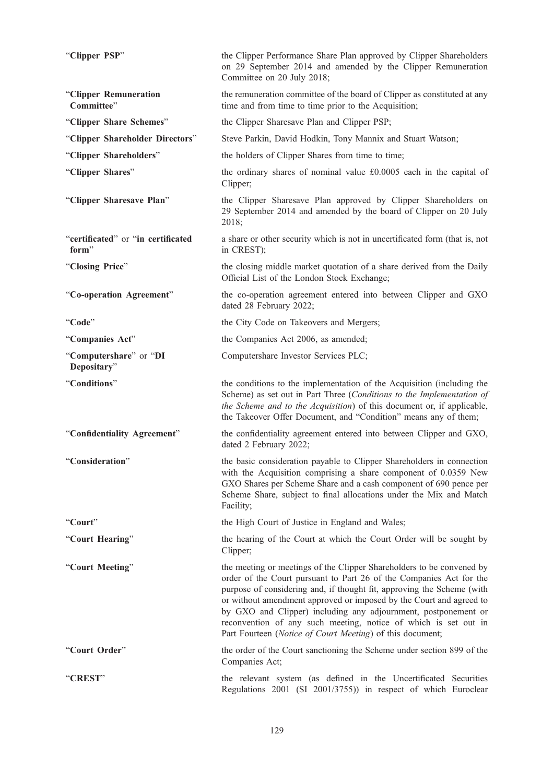| "Clipper PSP"                               | the Clipper Performance Share Plan approved by Clipper Shareholders<br>on 29 September 2014 and amended by the Clipper Remuneration<br>Committee on 20 July 2018;                                                                                                                                                                                                                                                                                                                               |
|---------------------------------------------|-------------------------------------------------------------------------------------------------------------------------------------------------------------------------------------------------------------------------------------------------------------------------------------------------------------------------------------------------------------------------------------------------------------------------------------------------------------------------------------------------|
| "Clipper Remuneration<br>Committee"         | the remuneration committee of the board of Clipper as constituted at any<br>time and from time to time prior to the Acquisition;                                                                                                                                                                                                                                                                                                                                                                |
| "Clipper Share Schemes"                     | the Clipper Sharesave Plan and Clipper PSP;                                                                                                                                                                                                                                                                                                                                                                                                                                                     |
| "Clipper Shareholder Directors"             | Steve Parkin, David Hodkin, Tony Mannix and Stuart Watson;                                                                                                                                                                                                                                                                                                                                                                                                                                      |
| "Clipper Shareholders"                      | the holders of Clipper Shares from time to time;                                                                                                                                                                                                                                                                                                                                                                                                                                                |
| "Clipper Shares"                            | the ordinary shares of nominal value £0.0005 each in the capital of<br>Clipper;                                                                                                                                                                                                                                                                                                                                                                                                                 |
| "Clipper Sharesave Plan"                    | the Clipper Sharesave Plan approved by Clipper Shareholders on<br>29 September 2014 and amended by the board of Clipper on 20 July<br>2018;                                                                                                                                                                                                                                                                                                                                                     |
| "certificated" or "in certificated<br>form" | a share or other security which is not in uncertificated form (that is, not<br>in CREST);                                                                                                                                                                                                                                                                                                                                                                                                       |
| "Closing Price"                             | the closing middle market quotation of a share derived from the Daily<br>Official List of the London Stock Exchange;                                                                                                                                                                                                                                                                                                                                                                            |
| "Co-operation Agreement"                    | the co-operation agreement entered into between Clipper and GXO<br>dated 28 February 2022;                                                                                                                                                                                                                                                                                                                                                                                                      |
| "Code"                                      | the City Code on Takeovers and Mergers;                                                                                                                                                                                                                                                                                                                                                                                                                                                         |
| "Companies Act"                             | the Companies Act 2006, as amended;                                                                                                                                                                                                                                                                                                                                                                                                                                                             |
| "Computershare" or "DI<br>Depositary"       | Computershare Investor Services PLC;                                                                                                                                                                                                                                                                                                                                                                                                                                                            |
| "Conditions"                                | the conditions to the implementation of the Acquisition (including the<br>Scheme) as set out in Part Three (Conditions to the Implementation of<br>the Scheme and to the Acquisition) of this document or, if applicable,<br>the Takeover Offer Document, and "Condition" means any of them;                                                                                                                                                                                                    |
| "Confidentiality Agreement"                 | the confidentiality agreement entered into between Clipper and GXO,<br>dated 2 February 2022;                                                                                                                                                                                                                                                                                                                                                                                                   |
| "Consideration"                             | the basic consideration payable to Clipper Shareholders in connection<br>with the Acquisition comprising a share component of 0.0359 New<br>GXO Shares per Scheme Share and a cash component of 690 pence per<br>Scheme Share, subject to final allocations under the Mix and Match<br>Facility;                                                                                                                                                                                                |
| "Court"                                     | the High Court of Justice in England and Wales;                                                                                                                                                                                                                                                                                                                                                                                                                                                 |
| "Court Hearing"                             | the hearing of the Court at which the Court Order will be sought by<br>Clipper;                                                                                                                                                                                                                                                                                                                                                                                                                 |
| "Court Meeting"                             | the meeting or meetings of the Clipper Shareholders to be convened by<br>order of the Court pursuant to Part 26 of the Companies Act for the<br>purpose of considering and, if thought fit, approving the Scheme (with<br>or without amendment approved or imposed by the Court and agreed to<br>by GXO and Clipper) including any adjournment, postponement or<br>reconvention of any such meeting, notice of which is set out in<br>Part Fourteen (Notice of Court Meeting) of this document; |
| "Court Order"                               | the order of the Court sanctioning the Scheme under section 899 of the<br>Companies Act;                                                                                                                                                                                                                                                                                                                                                                                                        |
| "CREST"                                     | the relevant system (as defined in the Uncertificated Securities<br>Regulations 2001 (SI 2001/3755)) in respect of which Euroclear                                                                                                                                                                                                                                                                                                                                                              |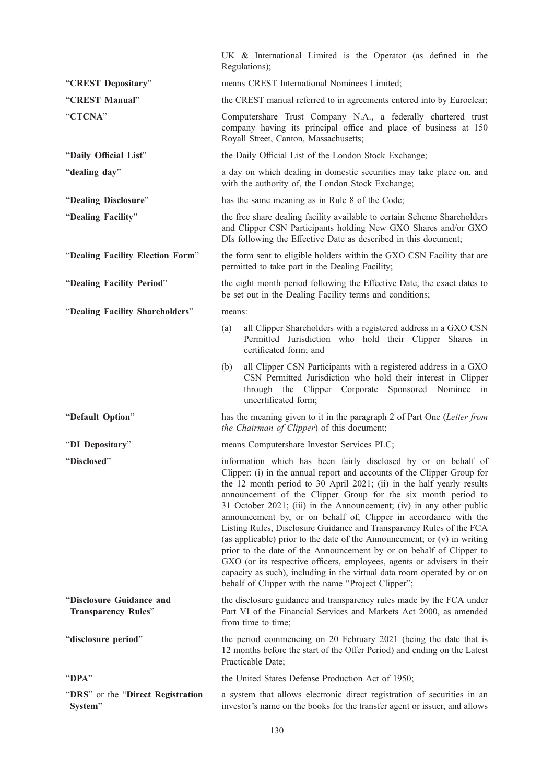|                                                        | UK & International Limited is the Operator (as defined in the<br>Regulations);                                                                                                                                                                                                                                                                                                                                                                                                                                                                                                                                                                                                                                                                                                                                                                                           |
|--------------------------------------------------------|--------------------------------------------------------------------------------------------------------------------------------------------------------------------------------------------------------------------------------------------------------------------------------------------------------------------------------------------------------------------------------------------------------------------------------------------------------------------------------------------------------------------------------------------------------------------------------------------------------------------------------------------------------------------------------------------------------------------------------------------------------------------------------------------------------------------------------------------------------------------------|
| "CREST Depositary"                                     | means CREST International Nominees Limited;                                                                                                                                                                                                                                                                                                                                                                                                                                                                                                                                                                                                                                                                                                                                                                                                                              |
| "CREST Manual"                                         | the CREST manual referred to in agreements entered into by Euroclear;                                                                                                                                                                                                                                                                                                                                                                                                                                                                                                                                                                                                                                                                                                                                                                                                    |
| "CTCNA"                                                | Computershare Trust Company N.A., a federally chartered trust<br>company having its principal office and place of business at 150<br>Royall Street, Canton, Massachusetts;                                                                                                                                                                                                                                                                                                                                                                                                                                                                                                                                                                                                                                                                                               |
| "Daily Official List"                                  | the Daily Official List of the London Stock Exchange;                                                                                                                                                                                                                                                                                                                                                                                                                                                                                                                                                                                                                                                                                                                                                                                                                    |
| "dealing day"                                          | a day on which dealing in domestic securities may take place on, and<br>with the authority of, the London Stock Exchange;                                                                                                                                                                                                                                                                                                                                                                                                                                                                                                                                                                                                                                                                                                                                                |
| "Dealing Disclosure"                                   | has the same meaning as in Rule 8 of the Code;                                                                                                                                                                                                                                                                                                                                                                                                                                                                                                                                                                                                                                                                                                                                                                                                                           |
| "Dealing Facility"                                     | the free share dealing facility available to certain Scheme Shareholders<br>and Clipper CSN Participants holding New GXO Shares and/or GXO<br>DIs following the Effective Date as described in this document;                                                                                                                                                                                                                                                                                                                                                                                                                                                                                                                                                                                                                                                            |
| "Dealing Facility Election Form"                       | the form sent to eligible holders within the GXO CSN Facility that are<br>permitted to take part in the Dealing Facility;                                                                                                                                                                                                                                                                                                                                                                                                                                                                                                                                                                                                                                                                                                                                                |
| "Dealing Facility Period"                              | the eight month period following the Effective Date, the exact dates to<br>be set out in the Dealing Facility terms and conditions;                                                                                                                                                                                                                                                                                                                                                                                                                                                                                                                                                                                                                                                                                                                                      |
| "Dealing Facility Shareholders"                        | means:                                                                                                                                                                                                                                                                                                                                                                                                                                                                                                                                                                                                                                                                                                                                                                                                                                                                   |
|                                                        | all Clipper Shareholders with a registered address in a GXO CSN<br>(a)<br>Permitted Jurisdiction who hold their Clipper Shares in<br>certificated form; and                                                                                                                                                                                                                                                                                                                                                                                                                                                                                                                                                                                                                                                                                                              |
|                                                        | all Clipper CSN Participants with a registered address in a GXO<br>(b)<br>CSN Permitted Jurisdiction who hold their interest in Clipper<br>through the Clipper Corporate<br>Sponsored Nominee in<br>uncertificated form;                                                                                                                                                                                                                                                                                                                                                                                                                                                                                                                                                                                                                                                 |
| "Default Option"                                       | has the meaning given to it in the paragraph 2 of Part One (Letter from<br>the Chairman of Clipper) of this document;                                                                                                                                                                                                                                                                                                                                                                                                                                                                                                                                                                                                                                                                                                                                                    |
| "DI Depositary"                                        | means Computershare Investor Services PLC;                                                                                                                                                                                                                                                                                                                                                                                                                                                                                                                                                                                                                                                                                                                                                                                                                               |
| "Disclosed"                                            | information which has been fairly disclosed by or on behalf of<br>Clipper: (i) in the annual report and accounts of the Clipper Group for<br>the 12 month period to 30 April 2021; (ii) in the half yearly results<br>announcement of the Clipper Group for the six month period to<br>31 October 2021; (iii) in the Announcement; (iv) in any other public<br>announcement by, or on behalf of, Clipper in accordance with the<br>Listing Rules, Disclosure Guidance and Transparency Rules of the FCA<br>(as applicable) prior to the date of the Announcement; or $(v)$ in writing<br>prior to the date of the Announcement by or on behalf of Clipper to<br>GXO (or its respective officers, employees, agents or advisers in their<br>capacity as such), including in the virtual data room operated by or on<br>behalf of Clipper with the name "Project Clipper"; |
| "Disclosure Guidance and<br><b>Transparency Rules"</b> | the disclosure guidance and transparency rules made by the FCA under<br>Part VI of the Financial Services and Markets Act 2000, as amended<br>from time to time;                                                                                                                                                                                                                                                                                                                                                                                                                                                                                                                                                                                                                                                                                                         |
| "disclosure period"                                    | the period commencing on 20 February 2021 (being the date that is<br>12 months before the start of the Offer Period) and ending on the Latest<br>Practicable Date;                                                                                                                                                                                                                                                                                                                                                                                                                                                                                                                                                                                                                                                                                                       |
| "DPA"                                                  | the United States Defense Production Act of 1950;                                                                                                                                                                                                                                                                                                                                                                                                                                                                                                                                                                                                                                                                                                                                                                                                                        |
| "DRS" or the "Direct Registration<br>System"           | a system that allows electronic direct registration of securities in an<br>investor's name on the books for the transfer agent or issuer, and allows                                                                                                                                                                                                                                                                                                                                                                                                                                                                                                                                                                                                                                                                                                                     |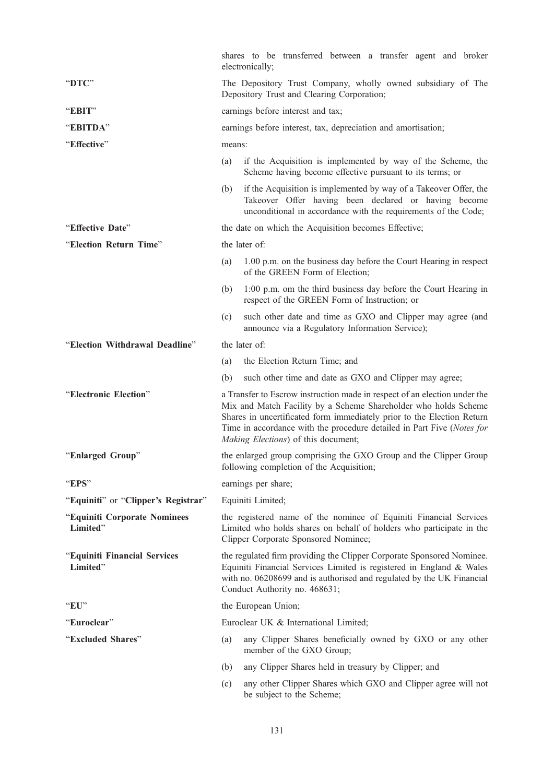|                                          |                                                                                                               | shares to be transferred between a transfer agent and broker<br>electronically;                                                                                                                                                                                                                                                         |  |
|------------------------------------------|---------------------------------------------------------------------------------------------------------------|-----------------------------------------------------------------------------------------------------------------------------------------------------------------------------------------------------------------------------------------------------------------------------------------------------------------------------------------|--|
| "DTC"                                    | The Depository Trust Company, wholly owned subsidiary of The<br>Depository Trust and Clearing Corporation;    |                                                                                                                                                                                                                                                                                                                                         |  |
| "EBIT"                                   | earnings before interest and tax;                                                                             |                                                                                                                                                                                                                                                                                                                                         |  |
| "EBITDA"                                 |                                                                                                               | earnings before interest, tax, depreciation and amortisation;                                                                                                                                                                                                                                                                           |  |
| "Effective"                              | means:                                                                                                        |                                                                                                                                                                                                                                                                                                                                         |  |
|                                          | (a)                                                                                                           | if the Acquisition is implemented by way of the Scheme, the<br>Scheme having become effective pursuant to its terms; or                                                                                                                                                                                                                 |  |
|                                          | (b)                                                                                                           | if the Acquisition is implemented by way of a Takeover Offer, the<br>Takeover Offer having been declared or having become<br>unconditional in accordance with the requirements of the Code;                                                                                                                                             |  |
| "Effective Date"                         |                                                                                                               | the date on which the Acquisition becomes Effective;                                                                                                                                                                                                                                                                                    |  |
| "Election Return Time"                   |                                                                                                               | the later of:                                                                                                                                                                                                                                                                                                                           |  |
|                                          | (a)                                                                                                           | 1.00 p.m. on the business day before the Court Hearing in respect<br>of the GREEN Form of Election;                                                                                                                                                                                                                                     |  |
|                                          | (b)                                                                                                           | 1:00 p.m. om the third business day before the Court Hearing in<br>respect of the GREEN Form of Instruction; or                                                                                                                                                                                                                         |  |
|                                          | (c)                                                                                                           | such other date and time as GXO and Clipper may agree (and<br>announce via a Regulatory Information Service);                                                                                                                                                                                                                           |  |
| "Election Withdrawal Deadline"           |                                                                                                               | the later of:                                                                                                                                                                                                                                                                                                                           |  |
|                                          | (a)                                                                                                           | the Election Return Time; and                                                                                                                                                                                                                                                                                                           |  |
|                                          | (b)                                                                                                           | such other time and date as GXO and Clipper may agree;                                                                                                                                                                                                                                                                                  |  |
| "Electronic Election"                    |                                                                                                               | a Transfer to Escrow instruction made in respect of an election under the<br>Mix and Match Facility by a Scheme Shareholder who holds Scheme<br>Shares in uncertificated form immediately prior to the Election Return<br>Time in accordance with the procedure detailed in Part Five (Notes for<br>Making Elections) of this document; |  |
| "Enlarged Group"                         | the enlarged group comprising the GXO Group and the Clipper Group<br>following completion of the Acquisition; |                                                                                                                                                                                                                                                                                                                                         |  |
| "EPS"                                    | earnings per share;                                                                                           |                                                                                                                                                                                                                                                                                                                                         |  |
| "Equiniti" or "Clipper's Registrar"      |                                                                                                               | Equiniti Limited;                                                                                                                                                                                                                                                                                                                       |  |
| "Equiniti Corporate Nominees<br>Limited" |                                                                                                               | the registered name of the nominee of Equiniti Financial Services<br>Limited who holds shares on behalf of holders who participate in the<br>Clipper Corporate Sponsored Nominee;                                                                                                                                                       |  |
| "Equiniti Financial Services<br>Limited" |                                                                                                               | the regulated firm providing the Clipper Corporate Sponsored Nominee.<br>Equiniti Financial Services Limited is registered in England & Wales<br>with no. 06208699 and is authorised and regulated by the UK Financial<br>Conduct Authority no. 468631;                                                                                 |  |
| "EU"                                     |                                                                                                               | the European Union;                                                                                                                                                                                                                                                                                                                     |  |
| "Euroclear"                              |                                                                                                               | Euroclear UK & International Limited;                                                                                                                                                                                                                                                                                                   |  |
| "Excluded Shares"                        | (a)                                                                                                           | any Clipper Shares beneficially owned by GXO or any other<br>member of the GXO Group;                                                                                                                                                                                                                                                   |  |
|                                          | (b)                                                                                                           | any Clipper Shares held in treasury by Clipper; and                                                                                                                                                                                                                                                                                     |  |
|                                          | (c)                                                                                                           | any other Clipper Shares which GXO and Clipper agree will not<br>be subject to the Scheme;                                                                                                                                                                                                                                              |  |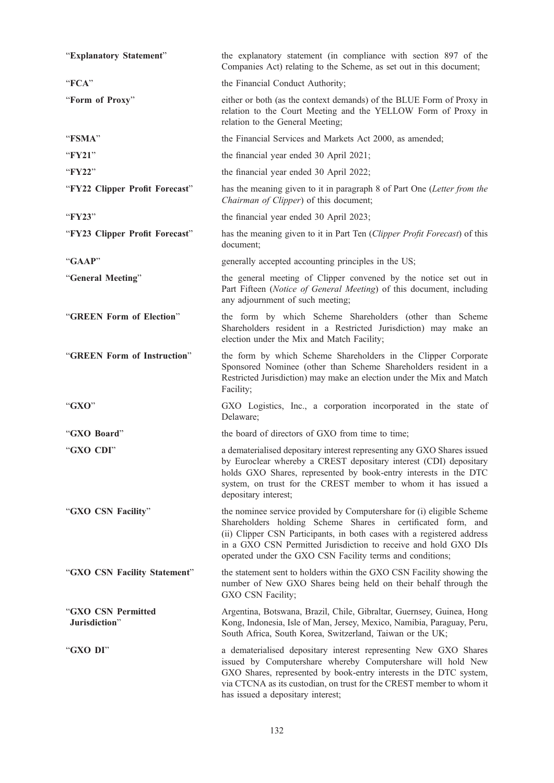| "Explanatory Statement"             | the explanatory statement (in compliance with section 897 of the<br>Companies Act) relating to the Scheme, as set out in this document;                                                                                                                                                                                                         |
|-------------------------------------|-------------------------------------------------------------------------------------------------------------------------------------------------------------------------------------------------------------------------------------------------------------------------------------------------------------------------------------------------|
| "FCA"                               | the Financial Conduct Authority;                                                                                                                                                                                                                                                                                                                |
| "Form of Proxy"                     | either or both (as the context demands) of the BLUE Form of Proxy in<br>relation to the Court Meeting and the YELLOW Form of Proxy in<br>relation to the General Meeting;                                                                                                                                                                       |
| "FSMA"                              | the Financial Services and Markets Act 2000, as amended;                                                                                                                                                                                                                                                                                        |
| "FY21"                              | the financial year ended 30 April 2021;                                                                                                                                                                                                                                                                                                         |
| "FY22"                              | the financial year ended 30 April 2022;                                                                                                                                                                                                                                                                                                         |
| "FY22 Clipper Profit Forecast"      | has the meaning given to it in paragraph 8 of Part One (Letter from the<br>Chairman of Clipper) of this document;                                                                                                                                                                                                                               |
| "FY23"                              | the financial year ended 30 April 2023;                                                                                                                                                                                                                                                                                                         |
| "FY23 Clipper Profit Forecast"      | has the meaning given to it in Part Ten (Clipper Profit Forecast) of this<br>document;                                                                                                                                                                                                                                                          |
| "GAAP"                              | generally accepted accounting principles in the US;                                                                                                                                                                                                                                                                                             |
| "General Meeting"                   | the general meeting of Clipper convened by the notice set out in<br>Part Fifteen (Notice of General Meeting) of this document, including<br>any adjournment of such meeting;                                                                                                                                                                    |
| "GREEN Form of Election"            | the form by which Scheme Shareholders (other than Scheme<br>Shareholders resident in a Restricted Jurisdiction) may make an<br>election under the Mix and Match Facility;                                                                                                                                                                       |
| "GREEN Form of Instruction"         | the form by which Scheme Shareholders in the Clipper Corporate<br>Sponsored Nominee (other than Scheme Shareholders resident in a<br>Restricted Jurisdiction) may make an election under the Mix and Match<br>Facility;                                                                                                                         |
| "GXO"                               | GXO Logistics, Inc., a corporation incorporated in the state of<br>Delaware;                                                                                                                                                                                                                                                                    |
| "GXO Board"                         | the board of directors of GXO from time to time;                                                                                                                                                                                                                                                                                                |
| "GXO CDI"                           | a dematerialised depositary interest representing any GXO Shares issued<br>by Euroclear whereby a CREST depositary interest (CDI) depositary<br>holds GXO Shares, represented by book-entry interests in the DTC<br>system, on trust for the CREST member to whom it has issued a<br>depositary interest;                                       |
| "GXO CSN Facility"                  | the nominee service provided by Computershare for (i) eligible Scheme<br>Shareholders holding Scheme Shares in certificated form, and<br>(ii) Clipper CSN Participants, in both cases with a registered address<br>in a GXO CSN Permitted Jurisdiction to receive and hold GXO DIs<br>operated under the GXO CSN Facility terms and conditions; |
| "GXO CSN Facility Statement"        | the statement sent to holders within the GXO CSN Facility showing the<br>number of New GXO Shares being held on their behalf through the<br>GXO CSN Facility;                                                                                                                                                                                   |
| "GXO CSN Permitted<br>Jurisdiction" | Argentina, Botswana, Brazil, Chile, Gibraltar, Guernsey, Guinea, Hong<br>Kong, Indonesia, Isle of Man, Jersey, Mexico, Namibia, Paraguay, Peru,<br>South Africa, South Korea, Switzerland, Taiwan or the UK;                                                                                                                                    |
| "GXO DI"                            | a dematerialised depositary interest representing New GXO Shares<br>issued by Computershare whereby Computershare will hold New<br>GXO Shares, represented by book-entry interests in the DTC system,<br>via CTCNA as its custodian, on trust for the CREST member to whom it<br>has issued a depositary interest;                              |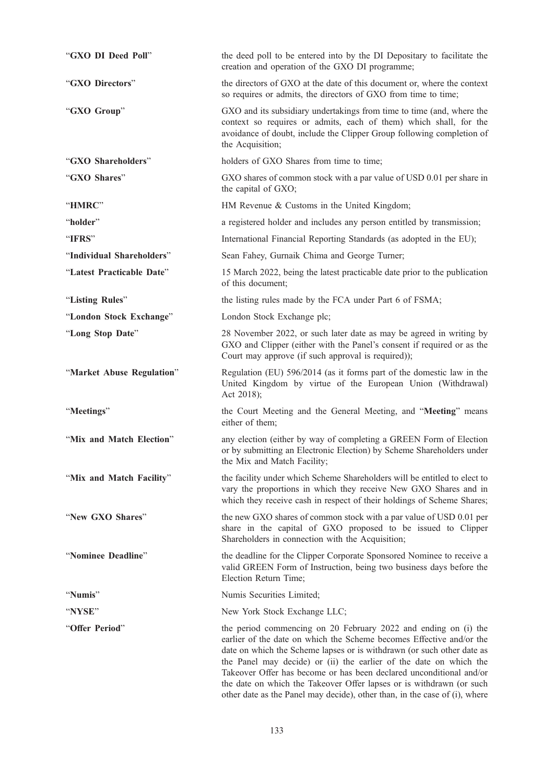| "GXO DI Deed Poll"        | the deed poll to be entered into by the DI Depositary to facilitate the<br>creation and operation of the GXO DI programme;                                                                                                                                                                                                                                                                                                                                                                                           |
|---------------------------|----------------------------------------------------------------------------------------------------------------------------------------------------------------------------------------------------------------------------------------------------------------------------------------------------------------------------------------------------------------------------------------------------------------------------------------------------------------------------------------------------------------------|
| "GXO Directors"           | the directors of GXO at the date of this document or, where the context<br>so requires or admits, the directors of GXO from time to time;                                                                                                                                                                                                                                                                                                                                                                            |
| "GXO Group"               | GXO and its subsidiary undertakings from time to time (and, where the<br>context so requires or admits, each of them) which shall, for the<br>avoidance of doubt, include the Clipper Group following completion of<br>the Acquisition;                                                                                                                                                                                                                                                                              |
| "GXO Shareholders"        | holders of GXO Shares from time to time;                                                                                                                                                                                                                                                                                                                                                                                                                                                                             |
| "GXO Shares"              | GXO shares of common stock with a par value of USD 0.01 per share in<br>the capital of GXO;                                                                                                                                                                                                                                                                                                                                                                                                                          |
| "HMRC"                    | HM Revenue & Customs in the United Kingdom;                                                                                                                                                                                                                                                                                                                                                                                                                                                                          |
| "holder"                  | a registered holder and includes any person entitled by transmission;                                                                                                                                                                                                                                                                                                                                                                                                                                                |
| "IFRS"                    | International Financial Reporting Standards (as adopted in the EU);                                                                                                                                                                                                                                                                                                                                                                                                                                                  |
| "Individual Shareholders" | Sean Fahey, Gurnaik Chima and George Turner;                                                                                                                                                                                                                                                                                                                                                                                                                                                                         |
| "Latest Practicable Date" | 15 March 2022, being the latest practicable date prior to the publication<br>of this document;                                                                                                                                                                                                                                                                                                                                                                                                                       |
| "Listing Rules"           | the listing rules made by the FCA under Part 6 of FSMA;                                                                                                                                                                                                                                                                                                                                                                                                                                                              |
| "London Stock Exchange"   | London Stock Exchange plc;                                                                                                                                                                                                                                                                                                                                                                                                                                                                                           |
| "Long Stop Date"          | 28 November 2022, or such later date as may be agreed in writing by<br>GXO and Clipper (either with the Panel's consent if required or as the<br>Court may approve (if such approval is required));                                                                                                                                                                                                                                                                                                                  |
| "Market Abuse Regulation" | Regulation (EU) 596/2014 (as it forms part of the domestic law in the<br>United Kingdom by virtue of the European Union (Withdrawal)<br>Act 2018);                                                                                                                                                                                                                                                                                                                                                                   |
| "Meetings"                | the Court Meeting and the General Meeting, and "Meeting" means<br>either of them;                                                                                                                                                                                                                                                                                                                                                                                                                                    |
| "Mix and Match Election"  | any election (either by way of completing a GREEN Form of Election<br>or by submitting an Electronic Election) by Scheme Shareholders under<br>the Mix and Match Facility;                                                                                                                                                                                                                                                                                                                                           |
| "Mix and Match Facility"  | the facility under which Scheme Shareholders will be entitled to elect to<br>vary the proportions in which they receive New GXO Shares and in<br>which they receive cash in respect of their holdings of Scheme Shares;                                                                                                                                                                                                                                                                                              |
| "New GXO Shares"          | the new GXO shares of common stock with a par value of USD 0.01 per<br>share in the capital of GXO proposed to be issued to Clipper<br>Shareholders in connection with the Acquisition;                                                                                                                                                                                                                                                                                                                              |
| "Nominee Deadline"        | the deadline for the Clipper Corporate Sponsored Nominee to receive a<br>valid GREEN Form of Instruction, being two business days before the<br>Election Return Time;                                                                                                                                                                                                                                                                                                                                                |
| "Numis"                   | Numis Securities Limited;                                                                                                                                                                                                                                                                                                                                                                                                                                                                                            |
| "NYSE"                    | New York Stock Exchange LLC;                                                                                                                                                                                                                                                                                                                                                                                                                                                                                         |
| "Offer Period"            | the period commencing on 20 February 2022 and ending on (i) the<br>earlier of the date on which the Scheme becomes Effective and/or the<br>date on which the Scheme lapses or is withdrawn (or such other date as<br>the Panel may decide) or (ii) the earlier of the date on which the<br>Takeover Offer has become or has been declared unconditional and/or<br>the date on which the Takeover Offer lapses or is withdrawn (or such<br>other date as the Panel may decide), other than, in the case of (i), where |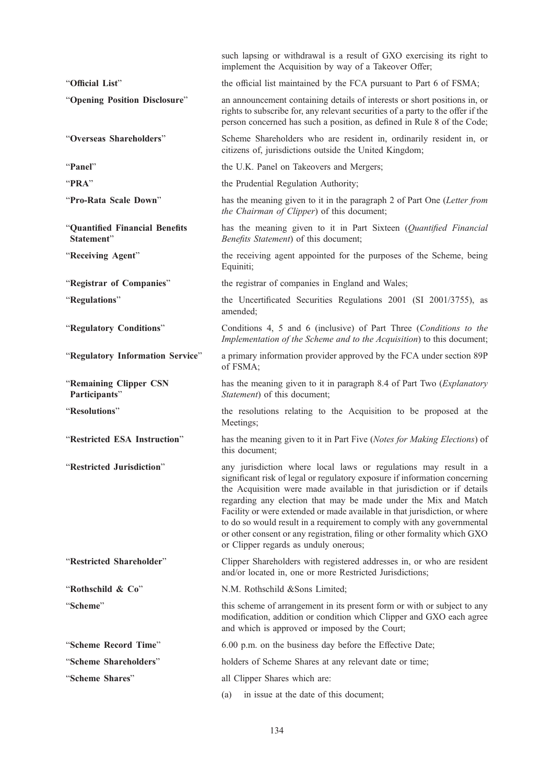|                                              | such lapsing or withdrawal is a result of GXO exercising its right to<br>implement the Acquisition by way of a Takeover Offer;                                                                                                                                                                                                                                                                                                                                                                                                                                            |
|----------------------------------------------|---------------------------------------------------------------------------------------------------------------------------------------------------------------------------------------------------------------------------------------------------------------------------------------------------------------------------------------------------------------------------------------------------------------------------------------------------------------------------------------------------------------------------------------------------------------------------|
| "Official List"                              | the official list maintained by the FCA pursuant to Part 6 of FSMA;                                                                                                                                                                                                                                                                                                                                                                                                                                                                                                       |
| "Opening Position Disclosure"                | an announcement containing details of interests or short positions in, or<br>rights to subscribe for, any relevant securities of a party to the offer if the<br>person concerned has such a position, as defined in Rule 8 of the Code;                                                                                                                                                                                                                                                                                                                                   |
| "Overseas Shareholders"                      | Scheme Shareholders who are resident in, ordinarily resident in, or<br>citizens of, jurisdictions outside the United Kingdom;                                                                                                                                                                                                                                                                                                                                                                                                                                             |
| "Panel"                                      | the U.K. Panel on Takeovers and Mergers;                                                                                                                                                                                                                                                                                                                                                                                                                                                                                                                                  |
| "PRA"                                        | the Prudential Regulation Authority;                                                                                                                                                                                                                                                                                                                                                                                                                                                                                                                                      |
| "Pro-Rata Scale Down"                        | has the meaning given to it in the paragraph 2 of Part One (Letter from<br>the Chairman of Clipper) of this document;                                                                                                                                                                                                                                                                                                                                                                                                                                                     |
| "Quantified Financial Benefits<br>Statement" | has the meaning given to it in Part Sixteen (Quantified Financial<br>Benefits Statement) of this document;                                                                                                                                                                                                                                                                                                                                                                                                                                                                |
| "Receiving Agent"                            | the receiving agent appointed for the purposes of the Scheme, being<br>Equiniti;                                                                                                                                                                                                                                                                                                                                                                                                                                                                                          |
| "Registrar of Companies"                     | the registrar of companies in England and Wales;                                                                                                                                                                                                                                                                                                                                                                                                                                                                                                                          |
| "Regulations"                                | the Uncertificated Securities Regulations 2001 (SI 2001/3755), as<br>amended;                                                                                                                                                                                                                                                                                                                                                                                                                                                                                             |
| "Regulatory Conditions"                      | Conditions 4, 5 and 6 (inclusive) of Part Three (Conditions to the<br>Implementation of the Scheme and to the Acquisition) to this document;                                                                                                                                                                                                                                                                                                                                                                                                                              |
| "Regulatory Information Service"             | a primary information provider approved by the FCA under section 89P<br>of FSMA;                                                                                                                                                                                                                                                                                                                                                                                                                                                                                          |
| "Remaining Clipper CSN<br>Participants"      | has the meaning given to it in paragraph 8.4 of Part Two (Explanatory<br>Statement) of this document;                                                                                                                                                                                                                                                                                                                                                                                                                                                                     |
| "Resolutions"                                | the resolutions relating to the Acquisition to be proposed at the<br>Meetings;                                                                                                                                                                                                                                                                                                                                                                                                                                                                                            |
| "Restricted ESA Instruction"                 | has the meaning given to it in Part Five (Notes for Making Elections) of<br>this document;                                                                                                                                                                                                                                                                                                                                                                                                                                                                                |
| "Restricted Jurisdiction"                    | any jurisdiction where local laws or regulations may result in a<br>significant risk of legal or regulatory exposure if information concerning<br>the Acquisition were made available in that jurisdiction or if details<br>regarding any election that may be made under the Mix and Match<br>Facility or were extended or made available in that jurisdiction, or where<br>to do so would result in a requirement to comply with any governmental<br>or other consent or any registration, filing or other formality which GXO<br>or Clipper regards as unduly onerous; |
| "Restricted Shareholder"                     | Clipper Shareholders with registered addresses in, or who are resident<br>and/or located in, one or more Restricted Jurisdictions;                                                                                                                                                                                                                                                                                                                                                                                                                                        |
| "Rothschild & Co"                            | N.M. Rothschild &Sons Limited;                                                                                                                                                                                                                                                                                                                                                                                                                                                                                                                                            |
| "Scheme"                                     | this scheme of arrangement in its present form or with or subject to any<br>modification, addition or condition which Clipper and GXO each agree<br>and which is approved or imposed by the Court;                                                                                                                                                                                                                                                                                                                                                                        |
| "Scheme Record Time"                         | 6.00 p.m. on the business day before the Effective Date;                                                                                                                                                                                                                                                                                                                                                                                                                                                                                                                  |
| "Scheme Shareholders"                        | holders of Scheme Shares at any relevant date or time;                                                                                                                                                                                                                                                                                                                                                                                                                                                                                                                    |
| "Scheme Shares"                              | all Clipper Shares which are:                                                                                                                                                                                                                                                                                                                                                                                                                                                                                                                                             |
|                                              | in issue at the date of this document;<br>(a)                                                                                                                                                                                                                                                                                                                                                                                                                                                                                                                             |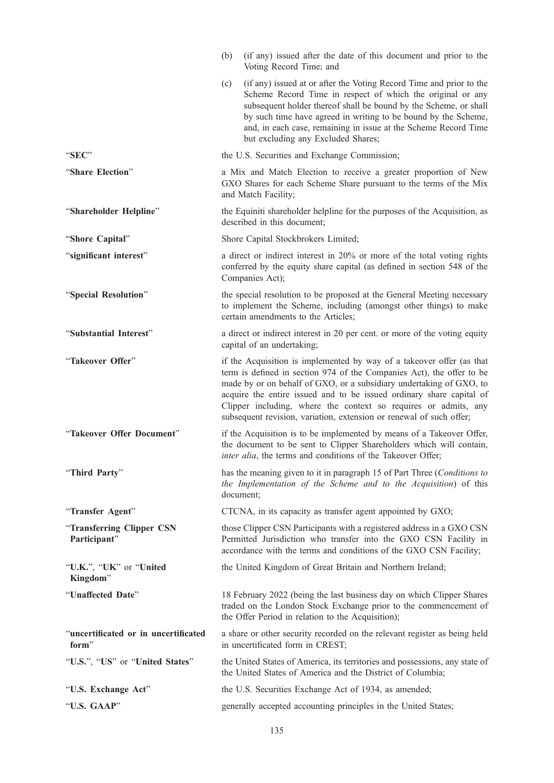|                                               | (if any) issued after the date of this document and prior to the<br>(b)<br>Voting Record Time; and                                                                                                                                                                                                                                                                                                                                      |
|-----------------------------------------------|-----------------------------------------------------------------------------------------------------------------------------------------------------------------------------------------------------------------------------------------------------------------------------------------------------------------------------------------------------------------------------------------------------------------------------------------|
|                                               | (if any) issued at or after the Voting Record Time and prior to the<br>(c)<br>Scheme Record Time in respect of which the original or any<br>subsequent holder thereof shall be bound by the Scheme, or shall<br>by such time have agreed in writing to be bound by the Scheme,<br>and, in each case, remaining in issue at the Scheme Record Time<br>but excluding any Excluded Shares;                                                 |
| "SEC"                                         | the U.S. Securities and Exchange Commission;                                                                                                                                                                                                                                                                                                                                                                                            |
| "Share Election"                              | a Mix and Match Election to receive a greater proportion of New<br>GXO Shares for each Scheme Share pursuant to the terms of the Mix<br>and Match Facility;                                                                                                                                                                                                                                                                             |
| "Shareholder Helpline"                        | the Equiniti shareholder helpline for the purposes of the Acquisition, as<br>described in this document;                                                                                                                                                                                                                                                                                                                                |
| "Shore Capital"                               | Shore Capital Stockbrokers Limited;                                                                                                                                                                                                                                                                                                                                                                                                     |
| "significant interest"                        | a direct or indirect interest in 20% or more of the total voting rights<br>conferred by the equity share capital (as defined in section 548 of the<br>Companies Act);                                                                                                                                                                                                                                                                   |
| "Special Resolution"                          | the special resolution to be proposed at the General Meeting necessary<br>to implement the Scheme, including (amongst other things) to make<br>certain amendments to the Articles;                                                                                                                                                                                                                                                      |
| "Substantial Interest"                        | a direct or indirect interest in 20 per cent. or more of the voting equity<br>capital of an undertaking;                                                                                                                                                                                                                                                                                                                                |
| "Takeover Offer"                              | if the Acquisition is implemented by way of a takeover offer (as that<br>term is defined in section 974 of the Companies Act), the offer to be<br>made by or on behalf of GXO, or a subsidiary undertaking of GXO, to<br>acquire the entire issued and to be issued ordinary share capital of<br>Clipper including, where the context so requires or admits, any<br>subsequent revision, variation, extension or renewal of such offer; |
| "Takeover Offer Document"                     | if the Acquisition is to be implemented by means of a Takeover Offer,<br>the document to be sent to Clipper Shareholders which will contain,<br>inter alia, the terms and conditions of the Takeover Offer;                                                                                                                                                                                                                             |
| "Third Party"                                 | has the meaning given to it in paragraph 15 of Part Three (Conditions to<br>the Implementation of the Scheme and to the Acquisition) of this<br>document;                                                                                                                                                                                                                                                                               |
| "Transfer Agent"                              | CTCNA, in its capacity as transfer agent appointed by GXO;                                                                                                                                                                                                                                                                                                                                                                              |
| "Transferring Clipper CSN<br>Participant"     | those Clipper CSN Participants with a registered address in a GXO CSN<br>Permitted Jurisdiction who transfer into the GXO CSN Facility in<br>accordance with the terms and conditions of the GXO CSN Facility;                                                                                                                                                                                                                          |
| "U.K.", "UK" or "United<br>Kingdom"           | the United Kingdom of Great Britain and Northern Ireland;                                                                                                                                                                                                                                                                                                                                                                               |
| "Unaffected Date"                             | 18 February 2022 (being the last business day on which Clipper Shares<br>traded on the London Stock Exchange prior to the commencement of<br>the Offer Period in relation to the Acquisition);                                                                                                                                                                                                                                          |
| "uncertificated or in uncertificated<br>form" | a share or other security recorded on the relevant register as being held<br>in uncertificated form in CREST;                                                                                                                                                                                                                                                                                                                           |
| "U.S.", "US" or "United States"               | the United States of America, its territories and possessions, any state of<br>the United States of America and the District of Columbia;                                                                                                                                                                                                                                                                                               |
| "U.S. Exchange Act"                           | the U.S. Securities Exchange Act of 1934, as amended;                                                                                                                                                                                                                                                                                                                                                                                   |
| "U.S. GAAP"                                   | generally accepted accounting principles in the United States;                                                                                                                                                                                                                                                                                                                                                                          |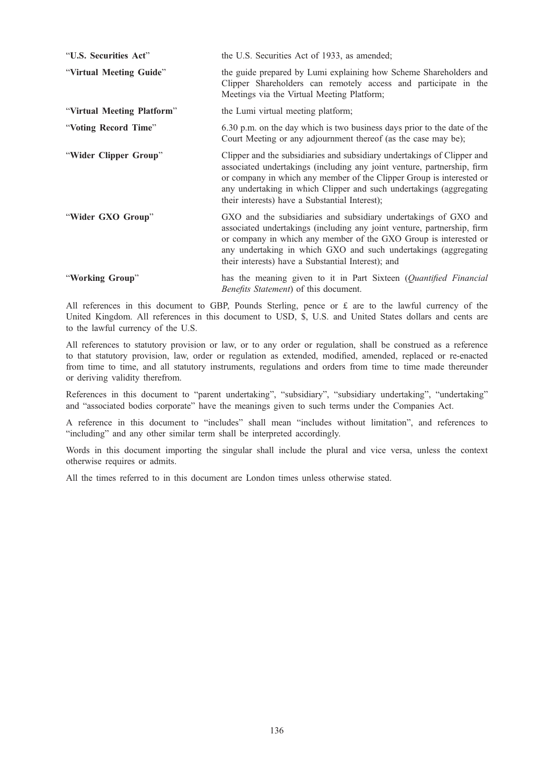| "U.S. Securities Act"      | the U.S. Securities Act of 1933, as amended;                                                                                                                                                                                                                                                                                                        |
|----------------------------|-----------------------------------------------------------------------------------------------------------------------------------------------------------------------------------------------------------------------------------------------------------------------------------------------------------------------------------------------------|
| "Virtual Meeting Guide"    | the guide prepared by Lumi explaining how Scheme Shareholders and<br>Clipper Shareholders can remotely access and participate in the<br>Meetings via the Virtual Meeting Platform;                                                                                                                                                                  |
| "Virtual Meeting Platform" | the Lumi virtual meeting platform;                                                                                                                                                                                                                                                                                                                  |
| "Voting Record Time"       | 6.30 p.m. on the day which is two business days prior to the date of the<br>Court Meeting or any adjournment thereof (as the case may be);                                                                                                                                                                                                          |
| "Wider Clipper Group"      | Clipper and the subsidiaries and subsidiary undertakings of Clipper and<br>associated undertakings (including any joint venture, partnership, firm<br>or company in which any member of the Clipper Group is interested or<br>any undertaking in which Clipper and such undertakings (aggregating<br>their interests) have a Substantial Interest); |
| "Wider GXO Group"          | GXO and the subsidiaries and subsidiary undertakings of GXO and<br>associated undertakings (including any joint venture, partnership, firm<br>or company in which any member of the GXO Group is interested or<br>any undertaking in which GXO and such undertakings (aggregating<br>their interests) have a Substantial Interest); and             |
| "Working Group"            | has the meaning given to it in Part Sixteen (Quantified Financial<br>Benefits Statement) of this document.                                                                                                                                                                                                                                          |

All references in this document to GBP, Pounds Sterling, pence or £ are to the lawful currency of the United Kingdom. All references in this document to USD, \$, U.S. and United States dollars and cents are to the lawful currency of the U.S.

All references to statutory provision or law, or to any order or regulation, shall be construed as a reference to that statutory provision, law, order or regulation as extended, modified, amended, replaced or re-enacted from time to time, and all statutory instruments, regulations and orders from time to time made thereunder or deriving validity therefrom.

References in this document to "parent undertaking", "subsidiary", "subsidiary undertaking", "undertaking" and "associated bodies corporate" have the meanings given to such terms under the Companies Act.

A reference in this document to "includes" shall mean "includes without limitation", and references to "including" and any other similar term shall be interpreted accordingly.

Words in this document importing the singular shall include the plural and vice versa, unless the context otherwise requires or admits.

All the times referred to in this document are London times unless otherwise stated.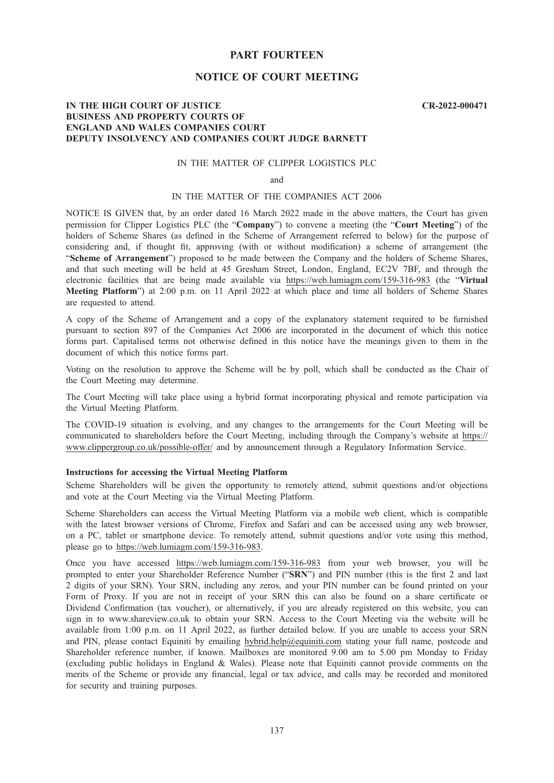# PART FOURTEEN

# NOTICE OF COURT MEETING

#### CR-2022-000471

# IN THE HIGH COURT OF JUSTICE BUSINESS AND PROPERTY COURTS OF ENGLAND AND WALES COMPANIES COURT DEPUTY INSOLVENCY AND COMPANIES COURT JUDGE BARNETT

## IN THE MATTER OF CLIPPER LOGISTICS PLC

and

## IN THE MATTER OF THE COMPANIES ACT 2006

NOTICE IS GIVEN that, by an order dated 16 March 2022 made in the above matters, the Court has given permission for Clipper Logistics PLC (the "Company") to convene a meeting (the "Court Meeting") of the holders of Scheme Shares (as defined in the Scheme of Arrangement referred to below) for the purpose of considering and, if thought fit, approving (with or without modification) a scheme of arrangement (the "Scheme of Arrangement") proposed to be made between the Company and the holders of Scheme Shares, and that such meeting will be held at 45 Gresham Street, London, England, EC2V 7BF, and through the electronic facilities that are being made available via https://web.lumiagm.com/159-316-983 (the "Virtual Meeting Platform") at 2:00 p.m. on 11 April 2022 at which place and time all holders of Scheme Shares are requested to attend.

A copy of the Scheme of Arrangement and a copy of the explanatory statement required to be furnished pursuant to section 897 of the Companies Act 2006 are incorporated in the document of which this notice forms part. Capitalised terms not otherwise defined in this notice have the meanings given to them in the document of which this notice forms part.

Voting on the resolution to approve the Scheme will be by poll, which shall be conducted as the Chair of the Court Meeting may determine.

The Court Meeting will take place using a hybrid format incorporating physical and remote participation via the Virtual Meeting Platform.

The COVID-19 situation is evolving, and any changes to the arrangements for the Court Meeting will be communicated to shareholders before the Court Meeting, including through the Company's website at https:// www.clippergroup.co.uk/possible-offer/ and by announcement through a Regulatory Information Service.

# Instructions for accessing the Virtual Meeting Platform

Scheme Shareholders will be given the opportunity to remotely attend, submit questions and/or objections and vote at the Court Meeting via the Virtual Meeting Platform.

Scheme Shareholders can access the Virtual Meeting Platform via a mobile web client, which is compatible with the latest browser versions of Chrome, Firefox and Safari and can be accessed using any web browser, on a PC, tablet or smartphone device. To remotely attend, submit questions and/or vote using this method, please go to https://web.lumiagm.com/159-316-983.

Once you have accessed https://web.lumiagm.com/159-316-983 from your web browser, you will be prompted to enter your Shareholder Reference Number ("SRN") and PIN number (this is the first 2 and last 2 digits of your SRN). Your SRN, including any zeros, and your PIN number can be found printed on your Form of Proxy. If you are not in receipt of your SRN this can also be found on a share certificate or Dividend Confirmation (tax voucher), or alternatively, if you are already registered on this website, you can sign in to www.shareview.co.uk to obtain your SRN. Access to the Court Meeting via the website will be available from 1:00 p.m. on 11 April 2022, as further detailed below. If you are unable to access your SRN and PIN, please contact Equiniti by emailing hybrid.help@equiniti.com stating your full name, postcode and Shareholder reference number, if known. Mailboxes are monitored 9.00 am to 5.00 pm Monday to Friday (excluding public holidays in England & Wales). Please note that Equiniti cannot provide comments on the merits of the Scheme or provide any financial, legal or tax advice, and calls may be recorded and monitored for security and training purposes.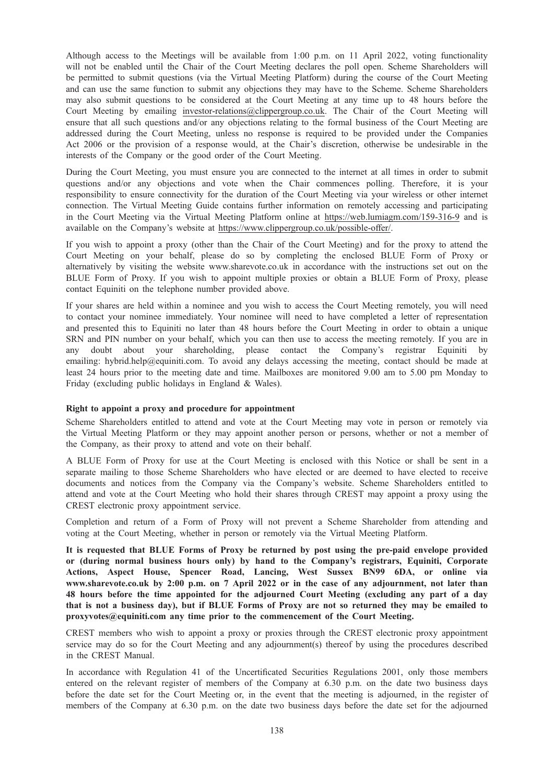Although access to the Meetings will be available from 1:00 p.m. on 11 April 2022, voting functionality will not be enabled until the Chair of the Court Meeting declares the poll open. Scheme Shareholders will be permitted to submit questions (via the Virtual Meeting Platform) during the course of the Court Meeting and can use the same function to submit any objections they may have to the Scheme. Scheme Shareholders may also submit questions to be considered at the Court Meeting at any time up to 48 hours before the Court Meeting by emailing investor-relations@clippergroup.co.uk. The Chair of the Court Meeting will ensure that all such questions and/or any objections relating to the formal business of the Court Meeting are addressed during the Court Meeting, unless no response is required to be provided under the Companies Act 2006 or the provision of a response would, at the Chair's discretion, otherwise be undesirable in the interests of the Company or the good order of the Court Meeting.

During the Court Meeting, you must ensure you are connected to the internet at all times in order to submit questions and/or any objections and vote when the Chair commences polling. Therefore, it is your responsibility to ensure connectivity for the duration of the Court Meeting via your wireless or other internet connection. The Virtual Meeting Guide contains further information on remotely accessing and participating in the Court Meeting via the Virtual Meeting Platform online at https://web.lumiagm.com/159-316-9 and is available on the Company's website at https://www.clippergroup.co.uk/possible-offer/.

If you wish to appoint a proxy (other than the Chair of the Court Meeting) and for the proxy to attend the Court Meeting on your behalf, please do so by completing the enclosed BLUE Form of Proxy or alternatively by visiting the website www.sharevote.co.uk in accordance with the instructions set out on the BLUE Form of Proxy. If you wish to appoint multiple proxies or obtain a BLUE Form of Proxy, please contact Equiniti on the telephone number provided above.

If your shares are held within a nominee and you wish to access the Court Meeting remotely, you will need to contact your nominee immediately. Your nominee will need to have completed a letter of representation and presented this to Equiniti no later than 48 hours before the Court Meeting in order to obtain a unique SRN and PIN number on your behalf, which you can then use to access the meeting remotely. If you are in any doubt about your shareholding, please contact the Company's registrar Equiniti by emailing: hybrid.help@equiniti.com. To avoid any delays accessing the meeting, contact should be made at least 24 hours prior to the meeting date and time. Mailboxes are monitored 9.00 am to 5.00 pm Monday to Friday (excluding public holidays in England & Wales).

#### Right to appoint a proxy and procedure for appointment

Scheme Shareholders entitled to attend and vote at the Court Meeting may vote in person or remotely via the Virtual Meeting Platform or they may appoint another person or persons, whether or not a member of the Company, as their proxy to attend and vote on their behalf.

A BLUE Form of Proxy for use at the Court Meeting is enclosed with this Notice or shall be sent in a separate mailing to those Scheme Shareholders who have elected or are deemed to have elected to receive documents and notices from the Company via the Company's website. Scheme Shareholders entitled to attend and vote at the Court Meeting who hold their shares through CREST may appoint a proxy using the CREST electronic proxy appointment service.

Completion and return of a Form of Proxy will not prevent a Scheme Shareholder from attending and voting at the Court Meeting, whether in person or remotely via the Virtual Meeting Platform.

It is requested that BLUE Forms of Proxy be returned by post using the pre-paid envelope provided or (during normal business hours only) by hand to the Company's registrars, Equiniti, Corporate Actions, Aspect House, Spencer Road, Lancing, West Sussex BN99 6DA, or online via www.sharevote.co.uk by 2:00 p.m. on 7 April 2022 or in the case of any adjournment, not later than 48 hours before the time appointed for the adjourned Court Meeting (excluding any part of a day that is not a business day), but if BLUE Forms of Proxy are not so returned they may be emailed to proxyvotes@equiniti.com any time prior to the commencement of the Court Meeting.

CREST members who wish to appoint a proxy or proxies through the CREST electronic proxy appointment service may do so for the Court Meeting and any adjournment(s) thereof by using the procedures described in the CREST Manual.

In accordance with Regulation 41 of the Uncertificated Securities Regulations 2001, only those members entered on the relevant register of members of the Company at 6.30 p.m. on the date two business days before the date set for the Court Meeting or, in the event that the meeting is adjourned, in the register of members of the Company at 6.30 p.m. on the date two business days before the date set for the adjourned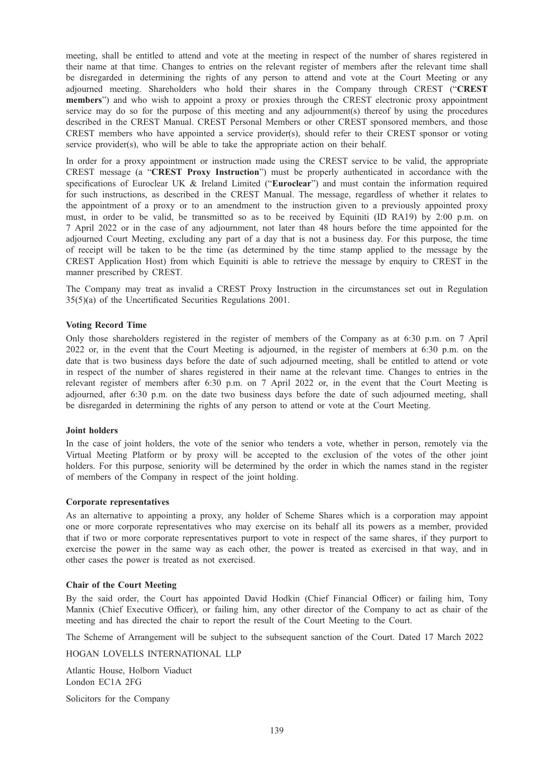meeting, shall be entitled to attend and vote at the meeting in respect of the number of shares registered in their name at that time. Changes to entries on the relevant register of members after the relevant time shall be disregarded in determining the rights of any person to attend and vote at the Court Meeting or any adjourned meeting. Shareholders who hold their shares in the Company through CREST ("CREST members") and who wish to appoint a proxy or proxies through the CREST electronic proxy appointment service may do so for the purpose of this meeting and any adjournment(s) thereof by using the procedures described in the CREST Manual. CREST Personal Members or other CREST sponsored members, and those CREST members who have appointed a service provider(s), should refer to their CREST sponsor or voting service provider(s), who will be able to take the appropriate action on their behalf.

In order for a proxy appointment or instruction made using the CREST service to be valid, the appropriate CREST message (a "CREST Proxy Instruction") must be properly authenticated in accordance with the specifications of Euroclear UK & Ireland Limited ("Euroclear") and must contain the information required for such instructions, as described in the CREST Manual. The message, regardless of whether it relates to the appointment of a proxy or to an amendment to the instruction given to a previously appointed proxy must, in order to be valid, be transmitted so as to be received by Equiniti (ID RA19) by 2:00 p.m. on 7 April 2022 or in the case of any adjournment, not later than 48 hours before the time appointed for the adjourned Court Meeting, excluding any part of a day that is not a business day. For this purpose, the time of receipt will be taken to be the time (as determined by the time stamp applied to the message by the CREST Application Host) from which Equiniti is able to retrieve the message by enquiry to CREST in the manner prescribed by CREST.

The Company may treat as invalid a CREST Proxy Instruction in the circumstances set out in Regulation 35(5)(a) of the Uncertificated Securities Regulations 2001.

#### Voting Record Time

Only those shareholders registered in the register of members of the Company as at 6:30 p.m. on 7 April 2022 or, in the event that the Court Meeting is adjourned, in the register of members at 6:30 p.m. on the date that is two business days before the date of such adjourned meeting, shall be entitled to attend or vote in respect of the number of shares registered in their name at the relevant time. Changes to entries in the relevant register of members after 6:30 p.m. on 7 April 2022 or, in the event that the Court Meeting is adjourned, after 6:30 p.m. on the date two business days before the date of such adjourned meeting, shall be disregarded in determining the rights of any person to attend or vote at the Court Meeting.

#### Joint holders

In the case of joint holders, the vote of the senior who tenders a vote, whether in person, remotely via the Virtual Meeting Platform or by proxy will be accepted to the exclusion of the votes of the other joint holders. For this purpose, seniority will be determined by the order in which the names stand in the register of members of the Company in respect of the joint holding.

#### Corporate representatives

As an alternative to appointing a proxy, any holder of Scheme Shares which is a corporation may appoint one or more corporate representatives who may exercise on its behalf all its powers as a member, provided that if two or more corporate representatives purport to vote in respect of the same shares, if they purport to exercise the power in the same way as each other, the power is treated as exercised in that way, and in other cases the power is treated as not exercised.

# Chair of the Court Meeting

By the said order, the Court has appointed David Hodkin (Chief Financial Officer) or failing him, Tony Mannix (Chief Executive Officer), or failing him, any other director of the Company to act as chair of the meeting and has directed the chair to report the result of the Court Meeting to the Court.

The Scheme of Arrangement will be subject to the subsequent sanction of the Court. Dated 17 March 2022

HOGAN LOVELLS INTERNATIONAL LLP

Atlantic House, Holborn Viaduct London EC1A 2FG

Solicitors for the Company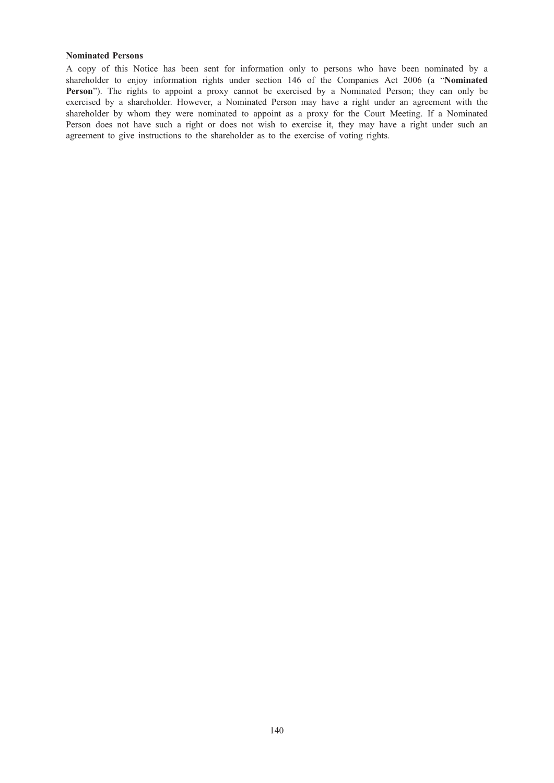# Nominated Persons

A copy of this Notice has been sent for information only to persons who have been nominated by a shareholder to enjoy information rights under section 146 of the Companies Act 2006 (a "Nominated Person"). The rights to appoint a proxy cannot be exercised by a Nominated Person; they can only be exercised by a shareholder. However, a Nominated Person may have a right under an agreement with the shareholder by whom they were nominated to appoint as a proxy for the Court Meeting. If a Nominated Person does not have such a right or does not wish to exercise it, they may have a right under such an agreement to give instructions to the shareholder as to the exercise of voting rights.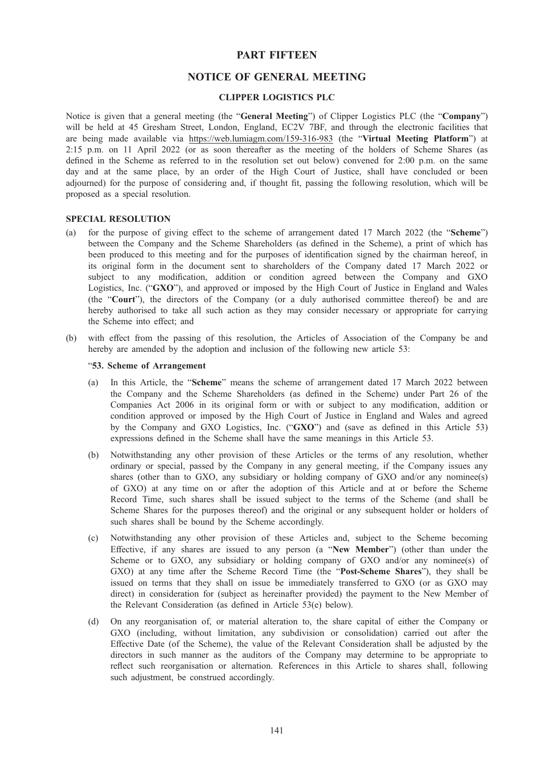# PART FIFTEEN

# NOTICE OF GENERAL MEETING

# CLIPPER LOGISTICS PLC

Notice is given that a general meeting (the "General Meeting") of Clipper Logistics PLC (the "Company") will be held at 45 Gresham Street, London, England, EC2V 7BF, and through the electronic facilities that are being made available via https://web.lumiagm.com/159-316-983 (the "Virtual Meeting Platform") at 2:15 p.m. on 11 April 2022 (or as soon thereafter as the meeting of the holders of Scheme Shares (as defined in the Scheme as referred to in the resolution set out below) convened for 2:00 p.m. on the same day and at the same place, by an order of the High Court of Justice, shall have concluded or been adjourned) for the purpose of considering and, if thought fit, passing the following resolution, which will be proposed as a special resolution.

#### SPECIAL RESOLUTION

- (a) for the purpose of giving effect to the scheme of arrangement dated 17 March 2022 (the "Scheme") between the Company and the Scheme Shareholders (as defined in the Scheme), a print of which has been produced to this meeting and for the purposes of identification signed by the chairman hereof, in its original form in the document sent to shareholders of the Company dated 17 March 2022 or subject to any modification, addition or condition agreed between the Company and GXO Logistics, Inc. ("GXO"), and approved or imposed by the High Court of Justice in England and Wales (the "Court"), the directors of the Company (or a duly authorised committee thereof) be and are hereby authorised to take all such action as they may consider necessary or appropriate for carrying the Scheme into effect; and
- (b) with effect from the passing of this resolution, the Articles of Association of the Company be and hereby are amended by the adoption and inclusion of the following new article 53:

## "53. Scheme of Arrangement

- (a) In this Article, the "Scheme" means the scheme of arrangement dated 17 March 2022 between the Company and the Scheme Shareholders (as defined in the Scheme) under Part 26 of the Companies Act 2006 in its original form or with or subject to any modification, addition or condition approved or imposed by the High Court of Justice in England and Wales and agreed by the Company and GXO Logistics, Inc. ("GXO") and (save as defined in this Article 53) expressions defined in the Scheme shall have the same meanings in this Article 53.
- (b) Notwithstanding any other provision of these Articles or the terms of any resolution, whether ordinary or special, passed by the Company in any general meeting, if the Company issues any shares (other than to GXO, any subsidiary or holding company of GXO and/or any nominee(s) of GXO) at any time on or after the adoption of this Article and at or before the Scheme Record Time, such shares shall be issued subject to the terms of the Scheme (and shall be Scheme Shares for the purposes thereof) and the original or any subsequent holder or holders of such shares shall be bound by the Scheme accordingly.
- (c) Notwithstanding any other provision of these Articles and, subject to the Scheme becoming Effective, if any shares are issued to any person (a "New Member") (other than under the Scheme or to GXO, any subsidiary or holding company of GXO and/or any nominee(s) of GXO) at any time after the Scheme Record Time (the "Post-Scheme Shares"), they shall be issued on terms that they shall on issue be immediately transferred to GXO (or as GXO may direct) in consideration for (subject as hereinafter provided) the payment to the New Member of the Relevant Consideration (as defined in Article 53(e) below).
- (d) On any reorganisation of, or material alteration to, the share capital of either the Company or GXO (including, without limitation, any subdivision or consolidation) carried out after the Effective Date (of the Scheme), the value of the Relevant Consideration shall be adjusted by the directors in such manner as the auditors of the Company may determine to be appropriate to reflect such reorganisation or alternation. References in this Article to shares shall, following such adjustment, be construed accordingly.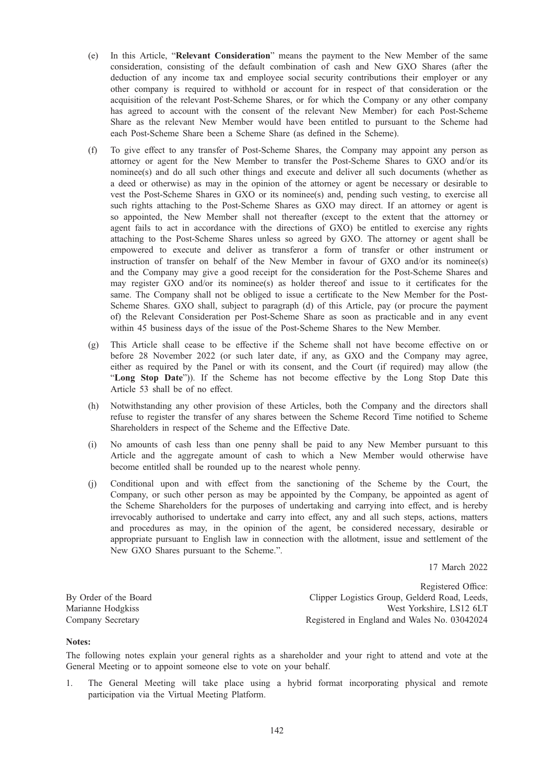- (e) In this Article, "Relevant Consideration" means the payment to the New Member of the same consideration, consisting of the default combination of cash and New GXO Shares (after the deduction of any income tax and employee social security contributions their employer or any other company is required to withhold or account for in respect of that consideration or the acquisition of the relevant Post-Scheme Shares, or for which the Company or any other company has agreed to account with the consent of the relevant New Member) for each Post-Scheme Share as the relevant New Member would have been entitled to pursuant to the Scheme had each Post-Scheme Share been a Scheme Share (as defined in the Scheme).
- (f) To give effect to any transfer of Post-Scheme Shares, the Company may appoint any person as attorney or agent for the New Member to transfer the Post-Scheme Shares to GXO and/or its nominee(s) and do all such other things and execute and deliver all such documents (whether as a deed or otherwise) as may in the opinion of the attorney or agent be necessary or desirable to vest the Post-Scheme Shares in GXO or its nominee(s) and, pending such vesting, to exercise all such rights attaching to the Post-Scheme Shares as GXO may direct. If an attorney or agent is so appointed, the New Member shall not thereafter (except to the extent that the attorney or agent fails to act in accordance with the directions of GXO) be entitled to exercise any rights attaching to the Post-Scheme Shares unless so agreed by GXO. The attorney or agent shall be empowered to execute and deliver as transferor a form of transfer or other instrument or instruction of transfer on behalf of the New Member in favour of GXO and/or its nominee(s) and the Company may give a good receipt for the consideration for the Post-Scheme Shares and may register GXO and/or its nominee(s) as holder thereof and issue to it certificates for the same. The Company shall not be obliged to issue a certificate to the New Member for the Post-Scheme Shares. GXO shall, subject to paragraph (d) of this Article, pay (or procure the payment of) the Relevant Consideration per Post-Scheme Share as soon as practicable and in any event within 45 business days of the issue of the Post-Scheme Shares to the New Member.
- (g) This Article shall cease to be effective if the Scheme shall not have become effective on or before 28 November 2022 (or such later date, if any, as GXO and the Company may agree, either as required by the Panel or with its consent, and the Court (if required) may allow (the "Long Stop Date")). If the Scheme has not become effective by the Long Stop Date this Article 53 shall be of no effect.
- (h) Notwithstanding any other provision of these Articles, both the Company and the directors shall refuse to register the transfer of any shares between the Scheme Record Time notified to Scheme Shareholders in respect of the Scheme and the Effective Date.
- (i) No amounts of cash less than one penny shall be paid to any New Member pursuant to this Article and the aggregate amount of cash to which a New Member would otherwise have become entitled shall be rounded up to the nearest whole penny.
- (j) Conditional upon and with effect from the sanctioning of the Scheme by the Court, the Company, or such other person as may be appointed by the Company, be appointed as agent of the Scheme Shareholders for the purposes of undertaking and carrying into effect, and is hereby irrevocably authorised to undertake and carry into effect, any and all such steps, actions, matters and procedures as may, in the opinion of the agent, be considered necessary, desirable or appropriate pursuant to English law in connection with the allotment, issue and settlement of the New GXO Shares pursuant to the Scheme.".

17 March 2022

By Order of the Board Marianne Hodgkiss Company Secretary

Registered Office: Clipper Logistics Group, Gelderd Road, Leeds, West Yorkshire, LS12 6LT Registered in England and Wales No. 03042024

#### Notes:

The following notes explain your general rights as a shareholder and your right to attend and vote at the General Meeting or to appoint someone else to vote on your behalf.

1. The General Meeting will take place using a hybrid format incorporating physical and remote participation via the Virtual Meeting Platform.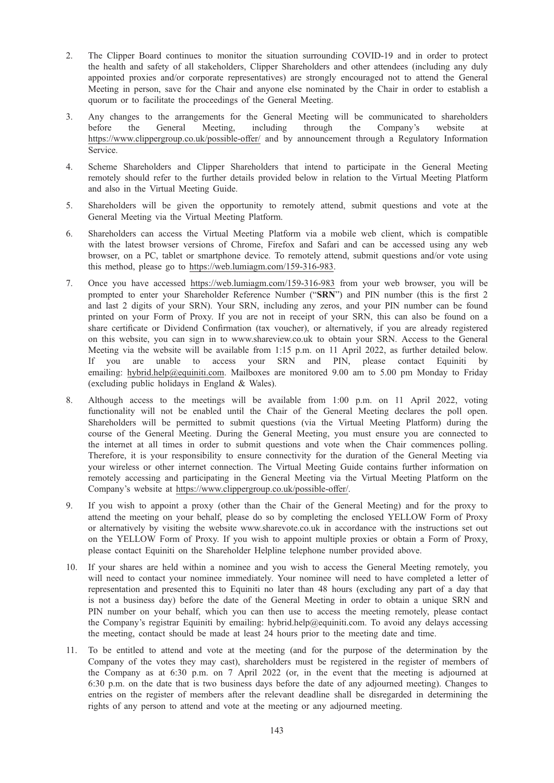- 2. The Clipper Board continues to monitor the situation surrounding COVID-19 and in order to protect the health and safety of all stakeholders, Clipper Shareholders and other attendees (including any duly appointed proxies and/or corporate representatives) are strongly encouraged not to attend the General Meeting in person, save for the Chair and anyone else nominated by the Chair in order to establish a quorum or to facilitate the proceedings of the General Meeting.
- 3. Any changes to the arrangements for the General Meeting will be communicated to shareholders before the General Meeting, including through the Company's website at https://www.clippergroup.co.uk/possible-offer/ and by announcement through a Regulatory Information Service.
- 4. Scheme Shareholders and Clipper Shareholders that intend to participate in the General Meeting remotely should refer to the further details provided below in relation to the Virtual Meeting Platform and also in the Virtual Meeting Guide.
- 5. Shareholders will be given the opportunity to remotely attend, submit questions and vote at the General Meeting via the Virtual Meeting Platform.
- 6. Shareholders can access the Virtual Meeting Platform via a mobile web client, which is compatible with the latest browser versions of Chrome, Firefox and Safari and can be accessed using any web browser, on a PC, tablet or smartphone device. To remotely attend, submit questions and/or vote using this method, please go to https://web.lumiagm.com/159-316-983.
- 7. Once you have accessed https://web.lumiagm.com/159-316-983 from your web browser, you will be prompted to enter your Shareholder Reference Number ("SRN") and PIN number (this is the first 2 and last 2 digits of your SRN). Your SRN, including any zeros, and your PIN number can be found printed on your Form of Proxy. If you are not in receipt of your SRN, this can also be found on a share certificate or Dividend Confirmation (tax voucher), or alternatively, if you are already registered on this website, you can sign in to www.shareview.co.uk to obtain your SRN. Access to the General Meeting via the website will be available from 1:15 p.m. on 11 April 2022, as further detailed below. If you are unable to access your SRN and PIN, please contact Equiniti by emailing: hybrid.help@equiniti.com. Mailboxes are monitored 9.00 am to 5.00 pm Monday to Friday (excluding public holidays in England & Wales).
- 8. Although access to the meetings will be available from 1:00 p.m. on 11 April 2022, voting functionality will not be enabled until the Chair of the General Meeting declares the poll open. Shareholders will be permitted to submit questions (via the Virtual Meeting Platform) during the course of the General Meeting. During the General Meeting, you must ensure you are connected to the internet at all times in order to submit questions and vote when the Chair commences polling. Therefore, it is your responsibility to ensure connectivity for the duration of the General Meeting via your wireless or other internet connection. The Virtual Meeting Guide contains further information on remotely accessing and participating in the General Meeting via the Virtual Meeting Platform on the Company's website at https://www.clippergroup.co.uk/possible-offer/.
- 9. If you wish to appoint a proxy (other than the Chair of the General Meeting) and for the proxy to attend the meeting on your behalf, please do so by completing the enclosed YELLOW Form of Proxy or alternatively by visiting the website www.sharevote.co.uk in accordance with the instructions set out on the YELLOW Form of Proxy. If you wish to appoint multiple proxies or obtain a Form of Proxy, please contact Equiniti on the Shareholder Helpline telephone number provided above.
- 10. If your shares are held within a nominee and you wish to access the General Meeting remotely, you will need to contact your nominee immediately. Your nominee will need to have completed a letter of representation and presented this to Equiniti no later than 48 hours (excluding any part of a day that is not a business day) before the date of the General Meeting in order to obtain a unique SRN and PIN number on your behalf, which you can then use to access the meeting remotely, please contact the Company's registrar Equiniti by emailing: hybrid.help@equiniti.com. To avoid any delays accessing the meeting, contact should be made at least 24 hours prior to the meeting date and time.
- 11. To be entitled to attend and vote at the meeting (and for the purpose of the determination by the Company of the votes they may cast), shareholders must be registered in the register of members of the Company as at 6:30 p.m. on 7 April 2022 (or, in the event that the meeting is adjourned at 6:30 p.m. on the date that is two business days before the date of any adjourned meeting). Changes to entries on the register of members after the relevant deadline shall be disregarded in determining the rights of any person to attend and vote at the meeting or any adjourned meeting.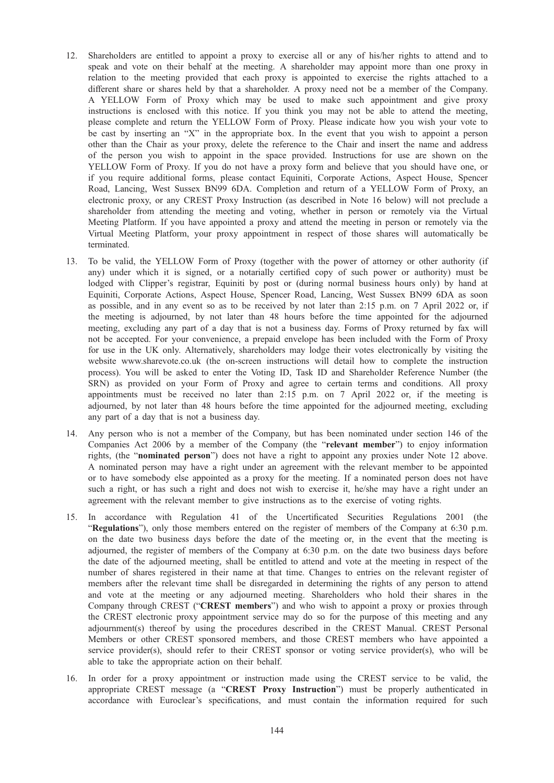- 12. Shareholders are entitled to appoint a proxy to exercise all or any of his/her rights to attend and to speak and vote on their behalf at the meeting. A shareholder may appoint more than one proxy in relation to the meeting provided that each proxy is appointed to exercise the rights attached to a different share or shares held by that a shareholder. A proxy need not be a member of the Company. A YELLOW Form of Proxy which may be used to make such appointment and give proxy instructions is enclosed with this notice. If you think you may not be able to attend the meeting, please complete and return the YELLOW Form of Proxy. Please indicate how you wish your vote to be cast by inserting an "X" in the appropriate box. In the event that you wish to appoint a person other than the Chair as your proxy, delete the reference to the Chair and insert the name and address of the person you wish to appoint in the space provided. Instructions for use are shown on the YELLOW Form of Proxy. If you do not have a proxy form and believe that you should have one, or if you require additional forms, please contact Equiniti, Corporate Actions, Aspect House, Spencer Road, Lancing, West Sussex BN99 6DA. Completion and return of a YELLOW Form of Proxy, an electronic proxy, or any CREST Proxy Instruction (as described in Note 16 below) will not preclude a shareholder from attending the meeting and voting, whether in person or remotely via the Virtual Meeting Platform. If you have appointed a proxy and attend the meeting in person or remotely via the Virtual Meeting Platform, your proxy appointment in respect of those shares will automatically be terminated.
- 13. To be valid, the YELLOW Form of Proxy (together with the power of attorney or other authority (if any) under which it is signed, or a notarially certified copy of such power or authority) must be lodged with Clipper's registrar, Equiniti by post or (during normal business hours only) by hand at Equiniti, Corporate Actions, Aspect House, Spencer Road, Lancing, West Sussex BN99 6DA as soon as possible, and in any event so as to be received by not later than 2:15 p.m. on 7 April 2022 or, if the meeting is adjourned, by not later than 48 hours before the time appointed for the adjourned meeting, excluding any part of a day that is not a business day. Forms of Proxy returned by fax will not be accepted. For your convenience, a prepaid envelope has been included with the Form of Proxy for use in the UK only. Alternatively, shareholders may lodge their votes electronically by visiting the website www.sharevote.co.uk (the on-screen instructions will detail how to complete the instruction process). You will be asked to enter the Voting ID, Task ID and Shareholder Reference Number (the SRN) as provided on your Form of Proxy and agree to certain terms and conditions. All proxy appointments must be received no later than 2:15 p.m. on 7 April 2022 or, if the meeting is adjourned, by not later than 48 hours before the time appointed for the adjourned meeting, excluding any part of a day that is not a business day.
- 14. Any person who is not a member of the Company, but has been nominated under section 146 of the Companies Act 2006 by a member of the Company (the "relevant member") to enjoy information rights, (the "nominated person") does not have a right to appoint any proxies under Note 12 above. A nominated person may have a right under an agreement with the relevant member to be appointed or to have somebody else appointed as a proxy for the meeting. If a nominated person does not have such a right, or has such a right and does not wish to exercise it, he/she may have a right under an agreement with the relevant member to give instructions as to the exercise of voting rights.
- 15. In accordance with Regulation 41 of the Uncertificated Securities Regulations 2001 (the "Regulations"), only those members entered on the register of members of the Company at 6:30 p.m. on the date two business days before the date of the meeting or, in the event that the meeting is adjourned, the register of members of the Company at 6:30 p.m. on the date two business days before the date of the adjourned meeting, shall be entitled to attend and vote at the meeting in respect of the number of shares registered in their name at that time. Changes to entries on the relevant register of members after the relevant time shall be disregarded in determining the rights of any person to attend and vote at the meeting or any adjourned meeting. Shareholders who hold their shares in the Company through CREST ("CREST members") and who wish to appoint a proxy or proxies through the CREST electronic proxy appointment service may do so for the purpose of this meeting and any adjournment(s) thereof by using the procedures described in the CREST Manual. CREST Personal Members or other CREST sponsored members, and those CREST members who have appointed a service provider(s), should refer to their CREST sponsor or voting service provider(s), who will be able to take the appropriate action on their behalf.
- 16. In order for a proxy appointment or instruction made using the CREST service to be valid, the appropriate CREST message (a "CREST Proxy Instruction") must be properly authenticated in accordance with Euroclear's specifications, and must contain the information required for such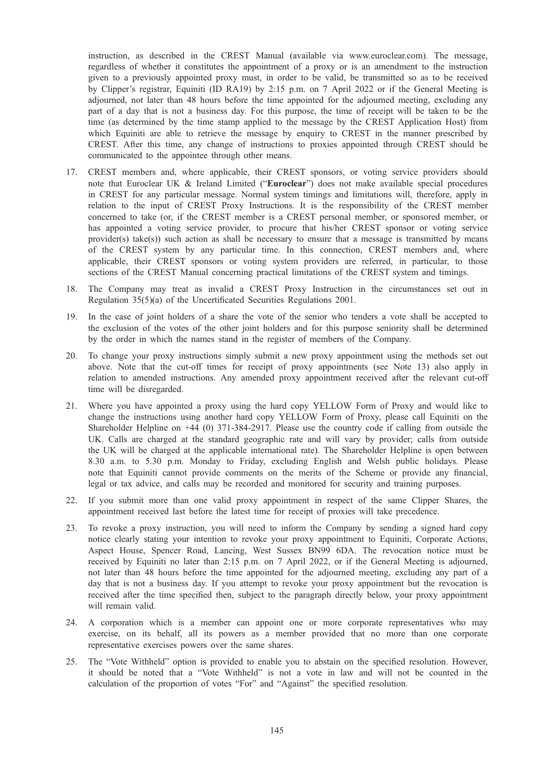instruction, as described in the CREST Manual (available via www.euroclear.com). The message, regardless of whether it constitutes the appointment of a proxy or is an amendment to the instruction given to a previously appointed proxy must, in order to be valid, be transmitted so as to be received by Clipper's registrar, Equiniti (ID RA19) by 2:15 p.m. on 7 April 2022 or if the General Meeting is adjourned, not later than 48 hours before the time appointed for the adjourned meeting, excluding any part of a day that is not a business day. For this purpose, the time of receipt will be taken to be the time (as determined by the time stamp applied to the message by the CREST Application Host) from which Equiniti are able to retrieve the message by enquiry to CREST in the manner prescribed by CREST. After this time, any change of instructions to proxies appointed through CREST should be communicated to the appointee through other means.

- 17. CREST members and, where applicable, their CREST sponsors, or voting service providers should note that Euroclear UK & Ireland Limited ("Euroclear") does not make available special procedures in CREST for any particular message. Normal system timings and limitations will, therefore, apply in relation to the input of CREST Proxy Instructions. It is the responsibility of the CREST member concerned to take (or, if the CREST member is a CREST personal member, or sponsored member, or has appointed a voting service provider, to procure that his/her CREST sponsor or voting service provider(s) take(s)) such action as shall be necessary to ensure that a message is transmitted by means of the CREST system by any particular time. In this connection, CREST members and, where applicable, their CREST sponsors or voting system providers are referred, in particular, to those sections of the CREST Manual concerning practical limitations of the CREST system and timings.
- 18. The Company may treat as invalid a CREST Proxy Instruction in the circumstances set out in Regulation 35(5)(a) of the Uncertificated Securities Regulations 2001.
- 19. In the case of joint holders of a share the vote of the senior who tenders a vote shall be accepted to the exclusion of the votes of the other joint holders and for this purpose seniority shall be determined by the order in which the names stand in the register of members of the Company.
- 20. To change your proxy instructions simply submit a new proxy appointment using the methods set out above. Note that the cut-off times for receipt of proxy appointments (see Note 13) also apply in relation to amended instructions. Any amended proxy appointment received after the relevant cut-off time will be disregarded.
- 21. Where you have appointed a proxy using the hard copy YELLOW Form of Proxy and would like to change the instructions using another hard copy YELLOW Form of Proxy, please call Equiniti on the Shareholder Helpline on +44 (0) 371-384-2917. Please use the country code if calling from outside the UK. Calls are charged at the standard geographic rate and will vary by provider; calls from outside the UK will be charged at the applicable international rate). The Shareholder Helpline is open between 8.30 a.m. to 5.30 p.m. Monday to Friday, excluding English and Welsh public holidays. Please note that Equiniti cannot provide comments on the merits of the Scheme or provide any financial, legal or tax advice, and calls may be recorded and monitored for security and training purposes.
- 22. If you submit more than one valid proxy appointment in respect of the same Clipper Shares, the appointment received last before the latest time for receipt of proxies will take precedence.
- 23. To revoke a proxy instruction, you will need to inform the Company by sending a signed hard copy notice clearly stating your intention to revoke your proxy appointment to Equiniti, Corporate Actions, Aspect House, Spencer Road, Lancing, West Sussex BN99 6DA. The revocation notice must be received by Equiniti no later than 2:15 p.m. on 7 April 2022, or if the General Meeting is adjourned, not later than 48 hours before the time appointed for the adjourned meeting, excluding any part of a day that is not a business day. If you attempt to revoke your proxy appointment but the revocation is received after the time specified then, subject to the paragraph directly below, your proxy appointment will remain valid.
- 24. A corporation which is a member can appoint one or more corporate representatives who may exercise, on its behalf, all its powers as a member provided that no more than one corporate representative exercises powers over the same shares.
- 25. The "Vote Withheld" option is provided to enable you to abstain on the specified resolution. However, it should be noted that a "Vote Withheld" is not a vote in law and will not be counted in the calculation of the proportion of votes "For" and "Against" the specified resolution.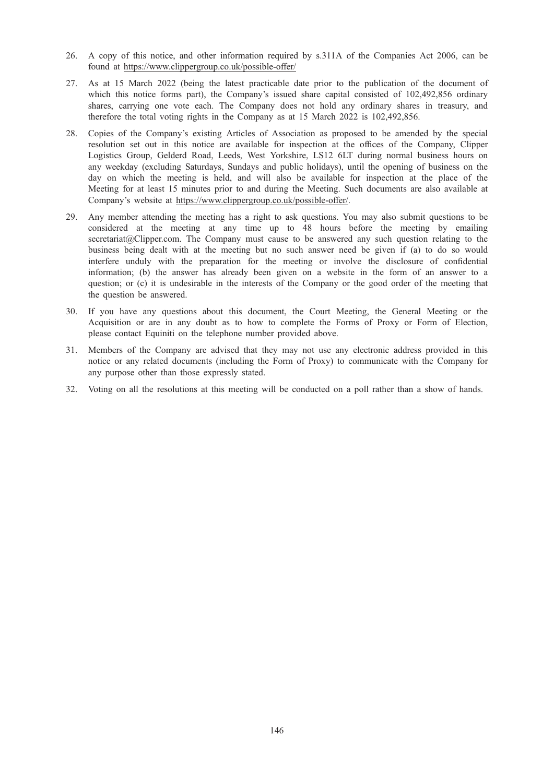- 26. A copy of this notice, and other information required by s.311A of the Companies Act 2006, can be found at https://www.clippergroup.co.uk/possible-offer/
- 27. As at 15 March 2022 (being the latest practicable date prior to the publication of the document of which this notice forms part), the Company's issued share capital consisted of 102,492,856 ordinary shares, carrying one vote each. The Company does not hold any ordinary shares in treasury, and therefore the total voting rights in the Company as at 15 March 2022 is 102,492,856.
- 28. Copies of the Company's existing Articles of Association as proposed to be amended by the special resolution set out in this notice are available for inspection at the offices of the Company, Clipper Logistics Group, Gelderd Road, Leeds, West Yorkshire, LS12 6LT during normal business hours on any weekday (excluding Saturdays, Sundays and public holidays), until the opening of business on the day on which the meeting is held, and will also be available for inspection at the place of the Meeting for at least 15 minutes prior to and during the Meeting. Such documents are also available at Company's website at https://www.clippergroup.co.uk/possible-offer/.
- 29. Any member attending the meeting has a right to ask questions. You may also submit questions to be considered at the meeting at any time up to 48 hours before the meeting by emailing secretariat@Clipper.com. The Company must cause to be answered any such question relating to the business being dealt with at the meeting but no such answer need be given if (a) to do so would interfere unduly with the preparation for the meeting or involve the disclosure of confidential information; (b) the answer has already been given on a website in the form of an answer to a question; or (c) it is undesirable in the interests of the Company or the good order of the meeting that the question be answered.
- 30. If you have any questions about this document, the Court Meeting, the General Meeting or the Acquisition or are in any doubt as to how to complete the Forms of Proxy or Form of Election, please contact Equiniti on the telephone number provided above.
- 31. Members of the Company are advised that they may not use any electronic address provided in this notice or any related documents (including the Form of Proxy) to communicate with the Company for any purpose other than those expressly stated.
- 32. Voting on all the resolutions at this meeting will be conducted on a poll rather than a show of hands.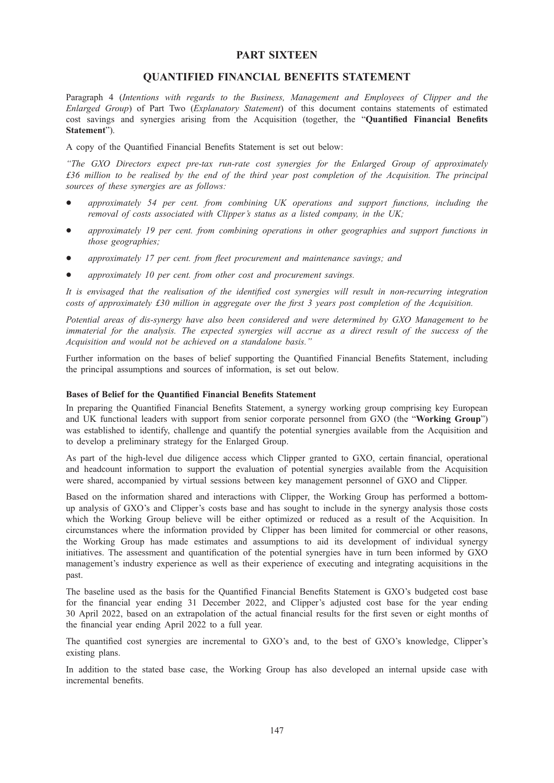# PART SIXTEEN

# QUANTIFIED FINANCIAL BENEFITS STATEMENT

Paragraph 4 (Intentions with regards to the Business, Management and Employees of Clipper and the Enlarged Group) of Part Two (Explanatory Statement) of this document contains statements of estimated cost savings and synergies arising from the Acquisition (together, the "Quantified Financial Benefits Statement").

A copy of the Quantified Financial Benefits Statement is set out below:

"The GXO Directors expect pre-tax run-rate cost synergies for the Enlarged Group of approximately £36 million to be realised by the end of the third year post completion of the Acquisition. The principal sources of these synergies are as follows:

- approximately 54 per cent. from combining UK operations and support functions, including the removal of costs associated with Clipper's status as a listed company, in the UK;
- \* approximately 19 per cent. from combining operations in other geographies and support functions in those geographies;
- approximately 17 per cent. from fleet procurement and maintenance savings; and
- approximately 10 per cent. from other cost and procurement savings.

It is envisaged that the realisation of the identified cost synergies will result in non-recurring integration costs of approximately £30 million in aggregate over the first 3 years post completion of the Acquisition.

Potential areas of dis-synergy have also been considered and were determined by GXO Management to be immaterial for the analysis. The expected synergies will accrue as a direct result of the success of the Acquisition and would not be achieved on a standalone basis."

Further information on the bases of belief supporting the Quantified Financial Benefits Statement, including the principal assumptions and sources of information, is set out below.

#### Bases of Belief for the Quantified Financial Benefits Statement

In preparing the Quantified Financial Benefits Statement, a synergy working group comprising key European and UK functional leaders with support from senior corporate personnel from GXO (the "Working Group") was established to identify, challenge and quantify the potential synergies available from the Acquisition and to develop a preliminary strategy for the Enlarged Group.

As part of the high-level due diligence access which Clipper granted to GXO, certain financial, operational and headcount information to support the evaluation of potential synergies available from the Acquisition were shared, accompanied by virtual sessions between key management personnel of GXO and Clipper.

Based on the information shared and interactions with Clipper, the Working Group has performed a bottomup analysis of GXO's and Clipper's costs base and has sought to include in the synergy analysis those costs which the Working Group believe will be either optimized or reduced as a result of the Acquisition. In circumstances where the information provided by Clipper has been limited for commercial or other reasons, the Working Group has made estimates and assumptions to aid its development of individual synergy initiatives. The assessment and quantification of the potential synergies have in turn been informed by GXO management's industry experience as well as their experience of executing and integrating acquisitions in the past.

The baseline used as the basis for the Quantified Financial Benefits Statement is GXO's budgeted cost base for the financial year ending 31 December 2022, and Clipper's adjusted cost base for the year ending 30 April 2022, based on an extrapolation of the actual financial results for the first seven or eight months of the financial year ending April 2022 to a full year.

The quantified cost synergies are incremental to GXO's and, to the best of GXO's knowledge, Clipper's existing plans.

In addition to the stated base case, the Working Group has also developed an internal upside case with incremental benefits.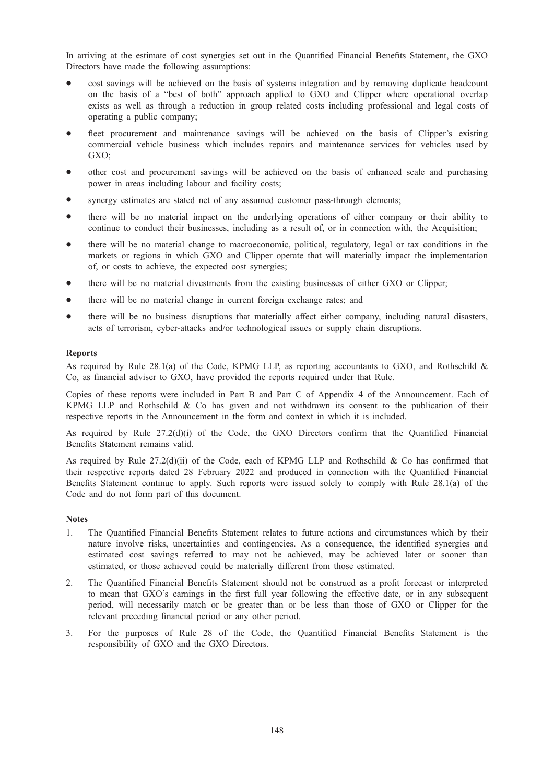In arriving at the estimate of cost synergies set out in the Quantified Financial Benefits Statement, the GXO Directors have made the following assumptions:

- cost savings will be achieved on the basis of systems integration and by removing duplicate headcount on the basis of a "best of both" approach applied to GXO and Clipper where operational overlap exists as well as through a reduction in group related costs including professional and legal costs of operating a public company;
- fleet procurement and maintenance savings will be achieved on the basis of Clipper's existing commercial vehicle business which includes repairs and maintenance services for vehicles used by GXO;
- other cost and procurement savings will be achieved on the basis of enhanced scale and purchasing power in areas including labour and facility costs;
- synergy estimates are stated net of any assumed customer pass-through elements;
- there will be no material impact on the underlying operations of either company or their ability to continue to conduct their businesses, including as a result of, or in connection with, the Acquisition;
- there will be no material change to macroeconomic, political, regulatory, legal or tax conditions in the markets or regions in which GXO and Clipper operate that will materially impact the implementation of, or costs to achieve, the expected cost synergies;
- there will be no material divestments from the existing businesses of either GXO or Clipper;
- there will be no material change in current foreign exchange rates; and
- there will be no business disruptions that materially affect either company, including natural disasters, acts of terrorism, cyber-attacks and/or technological issues or supply chain disruptions.

### Reports

As required by Rule 28.1(a) of the Code, KPMG LLP, as reporting accountants to GXO, and Rothschild & Co, as financial adviser to GXO, have provided the reports required under that Rule.

Copies of these reports were included in Part B and Part C of Appendix 4 of the Announcement. Each of KPMG LLP and Rothschild & Co has given and not withdrawn its consent to the publication of their respective reports in the Announcement in the form and context in which it is included.

As required by Rule 27.2(d)(i) of the Code, the GXO Directors confirm that the Quantified Financial Benefits Statement remains valid.

As required by Rule  $27.2(d)(ii)$  of the Code, each of KPMG LLP and Rothschild & Co has confirmed that their respective reports dated 28 February 2022 and produced in connection with the Quantified Financial Benefits Statement continue to apply. Such reports were issued solely to comply with Rule 28.1(a) of the Code and do not form part of this document.

### **Notes**

- 1. The Quantified Financial Benefits Statement relates to future actions and circumstances which by their nature involve risks, uncertainties and contingencies. As a consequence, the identified synergies and estimated cost savings referred to may not be achieved, may be achieved later or sooner than estimated, or those achieved could be materially different from those estimated.
- 2. The Quantified Financial Benefits Statement should not be construed as a profit forecast or interpreted to mean that GXO's earnings in the first full year following the effective date, or in any subsequent period, will necessarily match or be greater than or be less than those of GXO or Clipper for the relevant preceding financial period or any other period.
- 3. For the purposes of Rule 28 of the Code, the Quantified Financial Benefits Statement is the responsibility of GXO and the GXO Directors.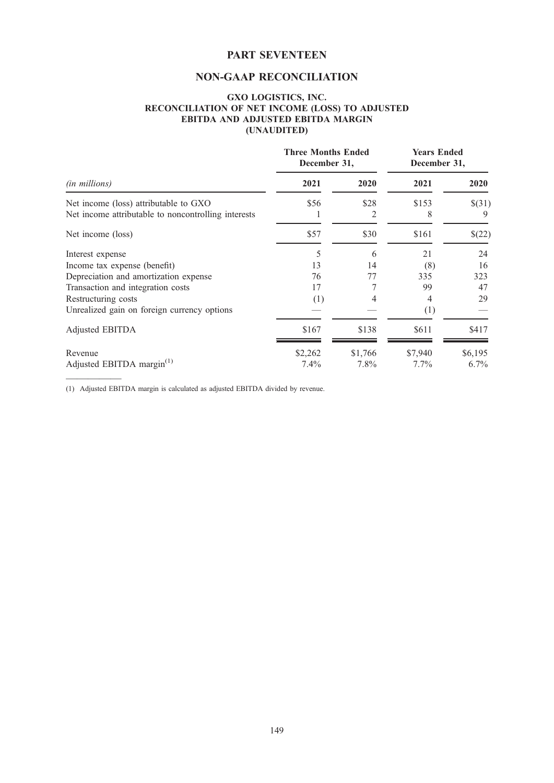# PART SEVENTEEN

# NON-GAAP RECONCILIATION

## GXO LOGISTICS, INC. RECONCILIATION OF NET INCOME (LOSS) TO ADJUSTED EBITDA AND ADJUSTED EBITDA MARGIN (UNAUDITED)

| ( <i>in millions</i> )                                                                       | <b>Three Months Ended</b><br>December 31, |           | <b>Years Ended</b><br>December 31, |             |
|----------------------------------------------------------------------------------------------|-------------------------------------------|-----------|------------------------------------|-------------|
|                                                                                              | 2021                                      | 2020      | 2021                               | 2020        |
| Net income (loss) attributable to GXO<br>Net income attributable to noncontrolling interests | \$56                                      | \$28<br>2 | \$153<br>8                         | \$(31)<br>9 |
| Net income (loss)                                                                            | \$57                                      | \$30      | \$161                              | \$(22)      |
| Interest expense                                                                             | 5                                         | 6         | 21                                 | 24          |
| Income tax expense (benefit)                                                                 | 13                                        | 14        | (8)                                | 16          |
| Depreciation and amortization expense                                                        | 76                                        | 77        | 335                                | 323         |
| Transaction and integration costs                                                            | 17                                        |           | 99                                 | 47          |
| Restructuring costs                                                                          | (1)                                       |           | 4                                  | 29          |
| Unrealized gain on foreign currency options                                                  |                                           |           | (1)                                |             |
| Adjusted EBITDA                                                                              | \$167                                     | \$138     | \$611                              | \$417       |
| Revenue                                                                                      | \$2,262                                   | \$1,766   | \$7,940                            | \$6,195     |
| Adjusted EBITDA margin $^{(1)}$                                                              | $7.4\%$                                   | $7.8\%$   | $7.7\%$                            | $6.7\%$     |

(1) Adjusted EBITDA margin is calculated as adjusted EBITDA divided by revenue.

—————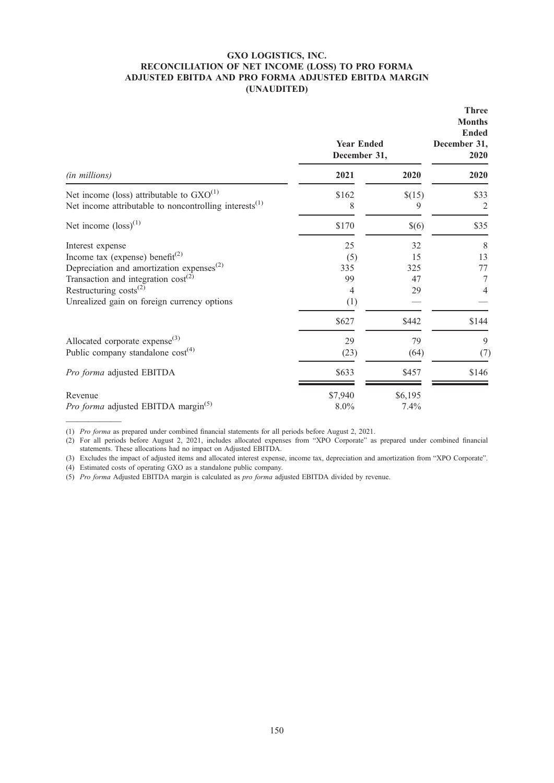## GXO LOGISTICS, INC. RECONCILIATION OF NET INCOME (LOSS) TO PRO FORMA ADJUSTED EBITDA AND PRO FORMA ADJUSTED EBITDA MARGIN (UNAUDITED)

|                                                                                                               | <b>Year Ended</b><br>December 31, | <b>Three</b><br><b>Months</b><br><b>Ended</b><br>December 31,<br>2020 |           |
|---------------------------------------------------------------------------------------------------------------|-----------------------------------|-----------------------------------------------------------------------|-----------|
| (in millions)                                                                                                 | 2021                              | 2020                                                                  | 2020      |
| Net income (loss) attributable to $GXO^{(1)}$<br>Net income attributable to noncontrolling interests $^{(1)}$ | \$162<br>8                        | \$(15)<br>9                                                           | \$33<br>2 |
| Net income $(\text{loss})^{(1)}$                                                                              | \$170                             | $\$(6)$                                                               | \$35      |
| Interest expense                                                                                              | 25                                | 32                                                                    | 8         |
| Income tax (expense) benefit <sup>(2)</sup>                                                                   | (5)                               | 15                                                                    | 13        |
| Depreciation and amortization expenses <sup>(2)</sup>                                                         | 335                               | 325                                                                   | 77        |
| Transaction and integration $cost^{(2)}$                                                                      | 99                                | 47                                                                    | 7         |
| Restructuring $costs^{(2)}$                                                                                   | 4                                 | 29                                                                    | 4         |
| Unrealized gain on foreign currency options                                                                   | (1)                               |                                                                       |           |
|                                                                                                               | \$627                             | \$442                                                                 | \$144     |
| Allocated corporate expense <sup>(3)</sup>                                                                    | 29                                | 79                                                                    | 9         |
| Public company standalone $cost^{(4)}$                                                                        | (23)                              | (64)                                                                  | (7)       |
| Pro forma adjusted EBITDA                                                                                     | \$633                             | \$457                                                                 | \$146     |
| Revenue                                                                                                       | \$7,940                           | \$6,195                                                               |           |
| Pro forma adjusted EBITDA margin <sup>(5)</sup>                                                               | $8.0\%$                           | 7.4%                                                                  |           |

————— (1) Pro forma as prepared under combined financial statements for all periods before August 2, 2021.

(2) For all periods before August 2, 2021, includes allocated expenses from "XPO Corporate" as prepared under combined financial statements. These allocations had no impact on Adjusted EBITDA.

(3) Excludes the impact of adjusted items and allocated interest expense, income tax, depreciation and amortization from "XPO Corporate".

(4) Estimated costs of operating GXO as a standalone public company.

(5) Pro forma Adjusted EBITDA margin is calculated as *pro forma* adjusted EBITDA divided by revenue.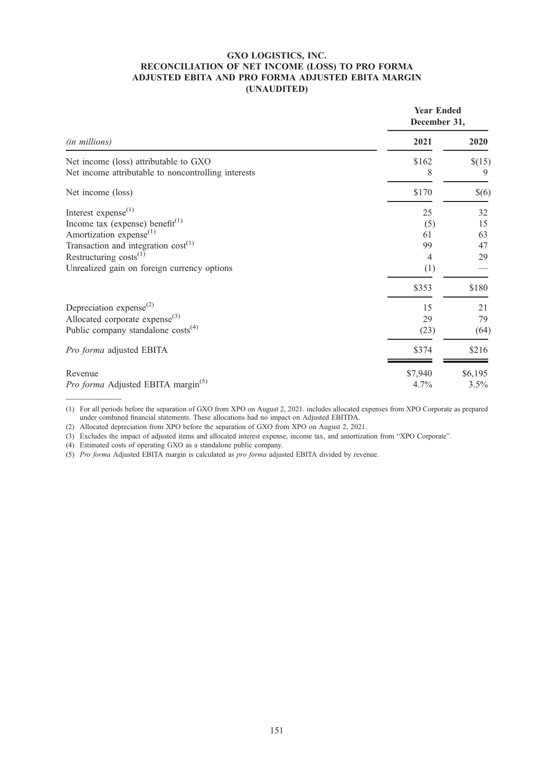### GXO LOGISTICS, INC. RECONCILIATION OF NET INCOME (LOSS) TO PRO FORMA ADJUSTED EBITA AND PRO FORMA ADJUSTED EBITA MARGIN (UNAUDITED)

|                                                     | <b>Year Ended</b><br>December 31, |         |
|-----------------------------------------------------|-----------------------------------|---------|
| (in millions)                                       | 2021                              | 2020    |
| Net income (loss) attributable to GXO               | \$162                             | \$(15)  |
| Net income attributable to noncontrolling interests | 8                                 | 9       |
| Net income (loss)                                   | \$170                             | $\$(6)$ |
| Interest expense $^{(1)}$                           | 25                                | 32      |
| Income tax (expense) benefit <sup>(1)</sup>         | (5)                               | 15      |
| Amortization expense <sup>(1)</sup>                 | 61                                | 63      |
| Transaction and integration $cost^{(1)}$            | 99                                | 47      |
| Restructuring $costs^{(1)}$                         | 4                                 | 29      |
| Unrealized gain on foreign currency options         | (1)                               |         |
|                                                     | \$353                             | \$180   |
| Depreciation expense <sup>(2)</sup>                 | 15                                | 21      |
| Allocated corporate $expense^{(3)}$                 | 29                                | 79      |
| Public company standalone $costs^{(4)}$             | (23)                              | (64)    |
| Pro forma adjusted EBITA                            | \$374                             | \$216   |
| Revenue                                             | \$7,940                           | \$6,195 |
| Pro forma Adjusted EBITA margin <sup>(5)</sup>      | 4.7%                              | 3.5%    |
|                                                     |                                   |         |

<sup>(1)</sup> For all periods before the separation of GXO from XPO on August 2, 2021. includes allocated expenses from XPO Corporate as prepared under combined financial statements. These allocations had no impact on Adjusted EBITDA.

(2) Allocated depreciation from XPO before the separation of GXO from XPO on August 2, 2021.

(3) Excludes the impact of adjusted items and allocated interest expense, income tax, and amortization from "XPO Corporate".

(4) Estimated costs of operating GXO as a standalone public company.

(5) Pro forma Adjusted EBITA margin is calculated as pro forma adjusted EBITA divided by revenue.